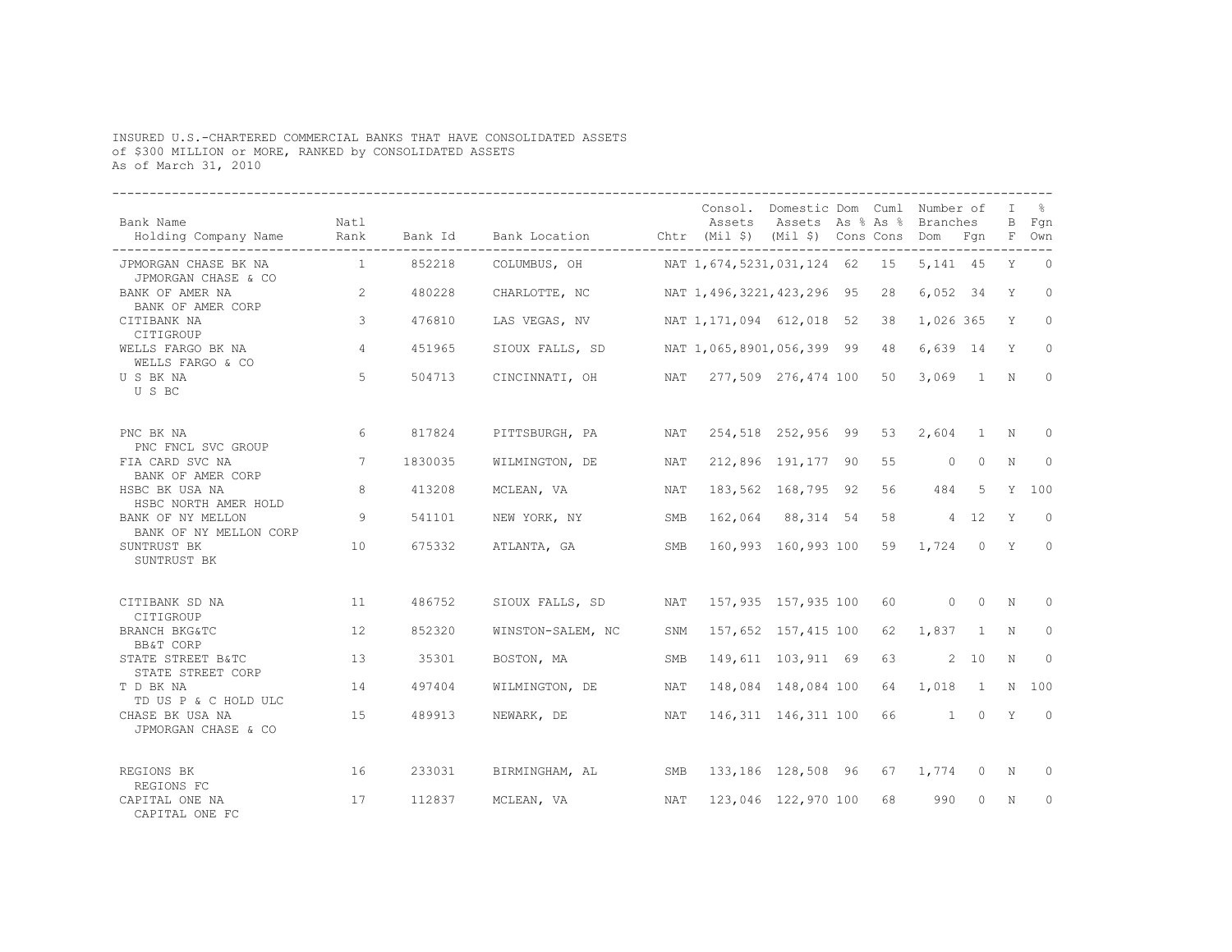## INSURED U.S.-CHARTERED COMMERCIAL BANKS THAT HAVE CONSOLIDATED ASSETS of \$300 MILLION or MORE, RANKED by CONSOLIDATED ASSETS As of March 31, 2010

| Bank Name<br>Holding Company Name<br>.         | Natl<br>Rank   | Bank Id | Bank Location Chtr (Mil \$) (Mil \$) Cons Cons Dom Fqn |            | Assets                                  | Consol. Domestic Dom Cuml Number of<br>Assets As % As % Branches |    |               |                | T.          | $\approx$<br>B Fan<br>F Own |
|------------------------------------------------|----------------|---------|--------------------------------------------------------|------------|-----------------------------------------|------------------------------------------------------------------|----|---------------|----------------|-------------|-----------------------------|
| JPMORGAN CHASE BK NA<br>JPMORGAN CHASE & CO    | 1              | 852218  | COLUMBUS, OH                                           |            | NAT 1,674,5231,031,124 62 15 5,141 45 Y |                                                                  |    |               |                |             | $\bigcirc$                  |
| BANK OF AMER NA<br>BANK OF AMER CORP           | 2              | 480228  | CHARLOTTE, NC                                          |            | NAT 1,496,3221,423,296 95               |                                                                  | 28 | 6,052 34      |                | Y           | $\circ$                     |
| CITIBANK NA<br>CITIGROUP                       | $\mathcal{E}$  | 476810  | LAS VEGAS, NV                                          |            | NAT 1, 171, 094 612, 018 52             |                                                                  | 38 | 1,026 365     |                | Y           | $\Omega$                    |
| WELLS FARGO BK NA<br>WELLS FARGO & CO          | $\overline{4}$ | 451965  | SIOUX FALLS, SD                                        |            | NAT 1,065,8901,056,399 99 48            |                                                                  |    | $6,639$ 14    |                | Y           | $\Omega$                    |
| U S BK NA<br>U S BC                            | 5              | 504713  | CINCINNATI, OH                                         |            | NAT 277,509 276,474 100 50              |                                                                  |    | $3,069$ 1     |                | $\mathbb N$ | $\mathbf{0}$                |
| PNC BK NA<br>PNC FNCL SVC GROUP                | 6              | 817824  | PITTSBURGH, PA                                         | NAT        |                                         | 254,518 252,956 99 53                                            |    | $2,604$ 1     |                | N           | $\Omega$                    |
| FIA CARD SVC NA<br>BANK OF AMER CORP           | 7              | 1830035 | WILMINGTON, DE                                         | NAT        |                                         | 212,896 191,177 90                                               | 55 | $\circ$       | $\Omega$       | N           | $\circ$                     |
| HSBC BK USA NA<br>HSBC NORTH AMER HOLD         | 8              | 413208  | MCLEAN, VA                                             | NAT        |                                         | 183,562 168,795 92                                               | 56 | 484           | 5              |             | Y 100                       |
| BANK OF NY MELLON<br>BANK OF NY MELLON CORP    | 9              | 541101  | NEW YORK, NY                                           | SMB        |                                         | 162,064 88,314 54                                                | 58 | $4 \quad 12$  |                | Y           | $\Omega$                    |
| SUNTRUST BK<br>SUNTRUST BK                     | 10             | 675332  | ATLANTA, GA                                            | SMB        |                                         | 160,993 160,993 100 59                                           |    | $1,724$ 0 Y   |                |             | $\Omega$                    |
| CITIBANK SD NA<br>CITIGROUP                    | 11             | 486752  | SIOUX FALLS, SD                                        | <b>NAT</b> |                                         | 157,935 157,935 100                                              | 60 | $0 \t 0 \t N$ |                |             | $\Omega$                    |
| <b>BRANCH BKG&amp;TC</b><br>BB&T CORP          | 12             | 852320  | WINSTON-SALEM, NC                                      | SNM        |                                         | 157,652 157,415 100                                              | 62 | $1,837$ 1     |                | N           | $\Omega$                    |
| STATE STREET B&TC<br>STATE STREET CORP         | 13             | 35301   | BOSTON, MA                                             | SMB        |                                         | 149,611 103,911 69                                               | 63 |               | 2, 10          | N           | $\Omega$                    |
| T D BK NA<br>TD US P & C HOLD ULC              | 14             | 497404  | WILMINGTON, DE                                         | NAT        |                                         | 148,084 148,084 100                                              | 64 | 1,018         | $\overline{1}$ | N           | 100                         |
| CHASE BK USA NA<br>JPMORGAN CHASE & CO         | 15             | 489913  | NEWARK, DE                                             | NAT        |                                         | 146,311 146,311 100                                              | 66 |               | 1 0 Y          |             | $\overline{0}$              |
| REGIONS BK                                     | 16             | 233031  | BIRMINGHAM, AL                                         | SMB        |                                         | 133,186 128,508 96 67                                            |    | 1,774         | $\overline{0}$ | N           | $\Omega$                    |
| REGIONS FC<br>CAPITAL ONE NA<br>CAPITAL ONE FC | 17             | 112837  | MCLEAN, VA                                             | NAT        |                                         | 123,046 122,970 100                                              | 68 | 990           | $\Omega$       | N           | $\Omega$                    |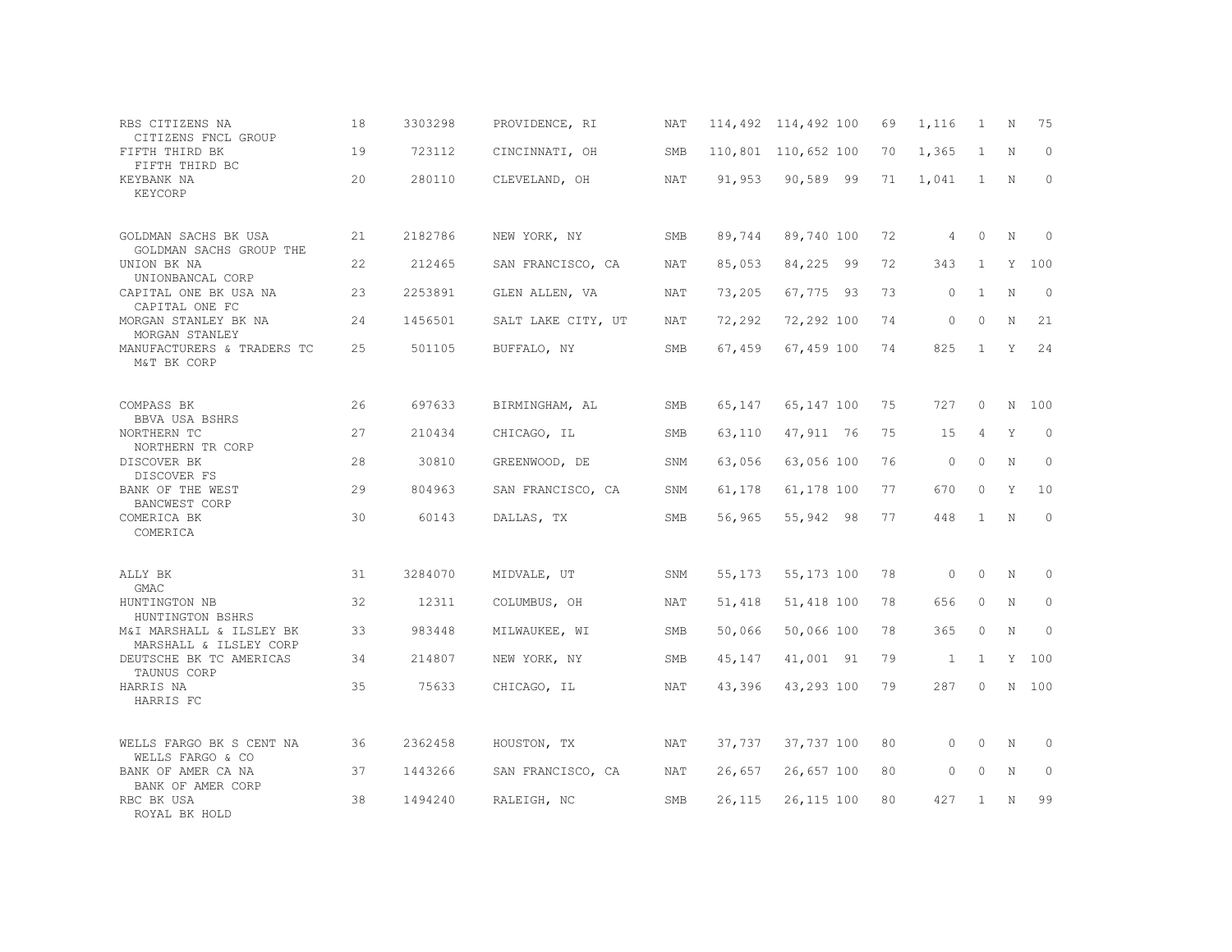| RBS CITIZENS NA<br>CITIZENS FNCL GROUP             | 18 | 3303298 | PROVIDENCE, RI     | NAT        |        | 114,492 114,492 100 | 69 | 1,116          | 1              | N | 75           |
|----------------------------------------------------|----|---------|--------------------|------------|--------|---------------------|----|----------------|----------------|---|--------------|
| FIFTH THIRD BK<br>FIFTH THIRD BC                   | 19 | 723112  | CINCINNATI, OH     | SMB        |        | 110,801 110,652 100 | 70 | 1,365          | $\overline{1}$ | N | $\Omega$     |
| KEYBANK NA<br>KEYCORP                              | 20 | 280110  | CLEVELAND, OH      | NAT        | 91,953 | 90,589 99           | 71 | 1,041          | $\overline{1}$ | N | $\circ$      |
| GOLDMAN SACHS BK USA<br>GOLDMAN SACHS GROUP THE    | 21 | 2182786 | NEW YORK, NY       | SMB        | 89,744 | 89,740 100          | 72 | $\overline{4}$ | $\Omega$       | N | $\Omega$     |
| UNION BK NA<br>UNIONBANCAL CORP                    | 22 | 212465  | SAN FRANCISCO, CA  | <b>NAT</b> | 85,053 | 84,225 99           | 72 | 343            | $\overline{1}$ | Y | 100          |
| CAPITAL ONE BK USA NA<br>CAPITAL ONE FC            | 23 | 2253891 | GLEN ALLEN, VA     | NAT        | 73,205 | 67,775 93           | 73 | $\Omega$       | $\overline{1}$ | N | $\Omega$     |
| MORGAN STANLEY BK NA<br>MORGAN STANLEY             | 24 | 1456501 | SALT LAKE CITY, UT | <b>NAT</b> | 72,292 | 72,292 100          | 74 | $\Omega$       | $\Omega$       | N | 21           |
| MANUFACTURERS & TRADERS TC<br>M&T BK CORP          | 25 | 501105  | BUFFALO, NY        | SMB        | 67,459 | 67,459 100          | 74 | 825            | $\overline{1}$ | Y | 24           |
| COMPASS BK<br>BBVA USA BSHRS                       | 26 | 697633  | BIRMINGHAM, AL     | SMB        | 65,147 | 65,147 100          | 75 | 727            | $\circ$        | N | 100          |
| NORTHERN TC<br>NORTHERN TR CORP                    | 27 | 210434  | CHICAGO, IL        | <b>SMB</b> | 63,110 | 47,911 76           | 75 | 15             | $\overline{4}$ | Y | $\Omega$     |
| DISCOVER BK<br>DISCOVER FS                         | 28 | 30810   | GREENWOOD, DE      | SNM        | 63,056 | 63,056 100          | 76 | $\Omega$       | $\Omega$       | N | $\circ$      |
| BANK OF THE WEST<br>BANCWEST CORP                  | 29 | 804963  | SAN FRANCISCO, CA  | SNM        | 61,178 | 61,178 100          | 77 | 670            | $\Omega$       | Y | 10           |
| COMERICA BK<br>COMERICA                            | 30 | 60143   | DALLAS, TX         | <b>SMB</b> | 56,965 | 55,942 98           | 77 | 448            | $\mathbf{1}$   | N | $\Omega$     |
| ALLY BK<br><b>GMAC</b>                             | 31 | 3284070 | MIDVALE, UT        | SNM        | 55,173 | 55,173 100          | 78 | $\circ$        | $\Omega$       | N | $\circ$      |
| HUNTINGTON NB<br>HUNTINGTON BSHRS                  | 32 | 12311   | COLUMBUS, OH       | NAT        | 51,418 | 51,418 100          | 78 | 656            | $\circ$        | N | $\mathbf{0}$ |
| M&I MARSHALL & ILSLEY BK<br>MARSHALL & ILSLEY CORP | 33 | 983448  | MILWAUKEE, WI      | <b>SMB</b> | 50,066 | 50,066 100          | 78 | 365            | $\Omega$       | N | $\Omega$     |
| DEUTSCHE BK TC AMERICAS<br>TAUNUS CORP             | 34 | 214807  | NEW YORK, NY       | SMB        | 45,147 | 41,001 91           | 79 | $\mathbf{1}$   | $\mathbf{1}$   | Y | 100          |
| HARRIS NA<br>HARRIS FC                             | 35 | 75633   | CHICAGO, IL        | NAT        | 43,396 | 43,293 100          | 79 | 287            | $\Omega$       |   | N 100        |
| WELLS FARGO BK S CENT NA<br>WELLS FARGO & CO       | 36 | 2362458 | HOUSTON, TX        | NAT        | 37,737 | 37,737 100          | 80 | $\circ$        | $\Omega$       | N | $\mathbf{0}$ |
| BANK OF AMER CA NA<br>BANK OF AMER CORP            | 37 | 1443266 | SAN FRANCISCO, CA  | NAT        | 26,657 | 26,657 100          | 80 | $\circ$        | $\Omega$       | N | $\circ$      |
| RBC BK USA<br>ROYAL BK HOLD                        | 38 | 1494240 | RALEIGH, NC        | <b>SMB</b> | 26,115 | 26,115 100          | 80 | 427            | $\mathbf{1}$   | N | 99           |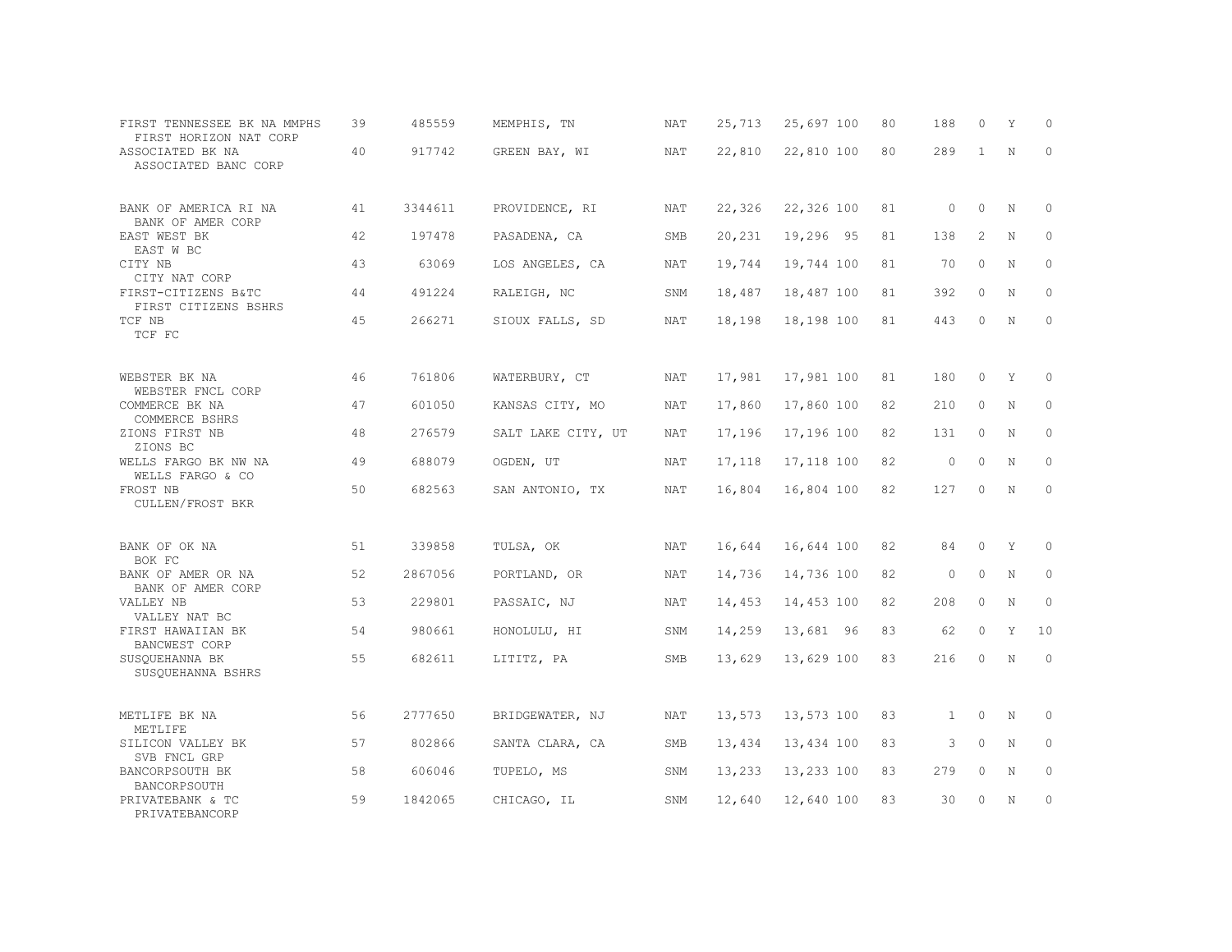| FIRST TENNESSEE BK NA MMPHS<br>FIRST HORIZON NAT CORP | 39 | 485559  | MEMPHIS, TN        | NAT        | 25,713 | 25,697 100 | 80 | 188          | $\Omega$     | Υ           | $\Omega$     |
|-------------------------------------------------------|----|---------|--------------------|------------|--------|------------|----|--------------|--------------|-------------|--------------|
| ASSOCIATED BK NA<br>ASSOCIATED BANC CORP              | 40 | 917742  | GREEN BAY, WI      | NAT        | 22,810 | 22,810 100 | 80 | 289          | $\mathbf{1}$ | N           | $\Omega$     |
| BANK OF AMERICA RI NA<br>BANK OF AMER CORP            | 41 | 3344611 | PROVIDENCE, RI     | NAT        | 22,326 | 22,326 100 | 81 | $\circ$      | $\circ$      | N           | $\mathbf{0}$ |
| EAST WEST BK<br>EAST W BC                             | 42 | 197478  | PASADENA, CA       | SMB        | 20,231 | 19,296 95  | 81 | 138          | 2            | N           | $\Omega$     |
| CITY NB<br>CITY NAT CORP                              | 43 | 63069   | LOS ANGELES, CA    | NAT        | 19,744 | 19,744 100 | 81 | 70           | $\circ$      | N           | $\Omega$     |
| FIRST-CITIZENS B&TC<br>FIRST CITIZENS BSHRS           | 44 | 491224  | RALEIGH, NC        | SNM        | 18,487 | 18,487 100 | 81 | 392          | $\circ$      | N           | $\circ$      |
| TCF NB<br>TCF FC                                      | 45 | 266271  | SIOUX FALLS, SD    | <b>NAT</b> | 18,198 | 18,198 100 | 81 | 443          | 0            | N           | $\circ$      |
| WEBSTER BK NA<br>WEBSTER FNCL CORP                    | 46 | 761806  | WATERBURY, CT      | NAT        | 17,981 | 17,981 100 | 81 | 180          | 0            | Υ           | 0            |
| COMMERCE BK NA<br>COMMERCE BSHRS                      | 47 | 601050  | KANSAS CITY, MO    | <b>NAT</b> | 17,860 | 17,860 100 | 82 | 210          | 0            | N           | $\circ$      |
| ZIONS FIRST NB<br>ZIONS BC                            | 48 | 276579  | SALT LAKE CITY, UT | <b>NAT</b> | 17,196 | 17,196 100 | 82 | 131          | 0            | N           | $\circ$      |
| WELLS FARGO BK NW NA<br>WELLS FARGO & CO              | 49 | 688079  | OGDEN, UT          | <b>NAT</b> | 17,118 | 17,118 100 | 82 | $\circ$      | $\Omega$     | N           | $\Omega$     |
| FROST NB<br><b>CULLEN/FROST BKR</b>                   | 50 | 682563  | SAN ANTONIO, TX    | <b>NAT</b> | 16,804 | 16,804 100 | 82 | 127          | $\circ$      | N           | $\circ$      |
| BANK OF OK NA<br>BOK FC                               | 51 | 339858  | TULSA, OK          | <b>NAT</b> | 16,644 | 16,644 100 | 82 | 84           | $\circ$      | Y           | $\circ$      |
| BANK OF AMER OR NA<br>BANK OF AMER CORP               | 52 | 2867056 | PORTLAND, OR       | NAT        | 14,736 | 14,736 100 | 82 | 0            | 0            | N           | 0            |
| VALLEY NB<br>VALLEY NAT BC                            | 53 | 229801  | PASSAIC, NJ        | NAT        | 14,453 | 14,453 100 | 82 | 208          | $\circ$      | $\mathbf N$ | $\circ$      |
| FIRST HAWAIIAN BK<br>BANCWEST CORP                    | 54 | 980661  | HONOLULU, HI       | SNM        | 14,259 | 13,681 96  | 83 | 62           | $\circ$      | Y           | 10           |
| SUSQUEHANNA BK<br>SUSQUEHANNA BSHRS                   | 55 | 682611  | LITITZ, PA         | SMB        | 13,629 | 13,629 100 | 83 | 216          | $\Omega$     | $\mathbb N$ | $\Omega$     |
| METLIFE BK NA<br>METLIFE                              | 56 | 2777650 | BRIDGEWATER, NJ    | NAT        | 13,573 | 13,573 100 | 83 | $\mathbf{1}$ | 0            | N           | $\Omega$     |
| SILICON VALLEY BK<br>SVB FNCL GRP                     | 57 | 802866  | SANTA CLARA, CA    | SMB        | 13,434 | 13,434 100 | 83 | 3            | $\circ$      | N           | $\circ$      |
| BANCORPSOUTH BK<br>BANCORPSOUTH                       | 58 | 606046  | TUPELO, MS         | SNM        | 13,233 | 13,233 100 | 83 | 279          | $\Omega$     | N           | $\Omega$     |
| PRIVATEBANK & TC<br>PRIVATEBANCORP                    | 59 | 1842065 | CHICAGO, IL        | SNM        | 12,640 | 12,640 100 | 83 | 30           | $\Omega$     | N           | $\circ$      |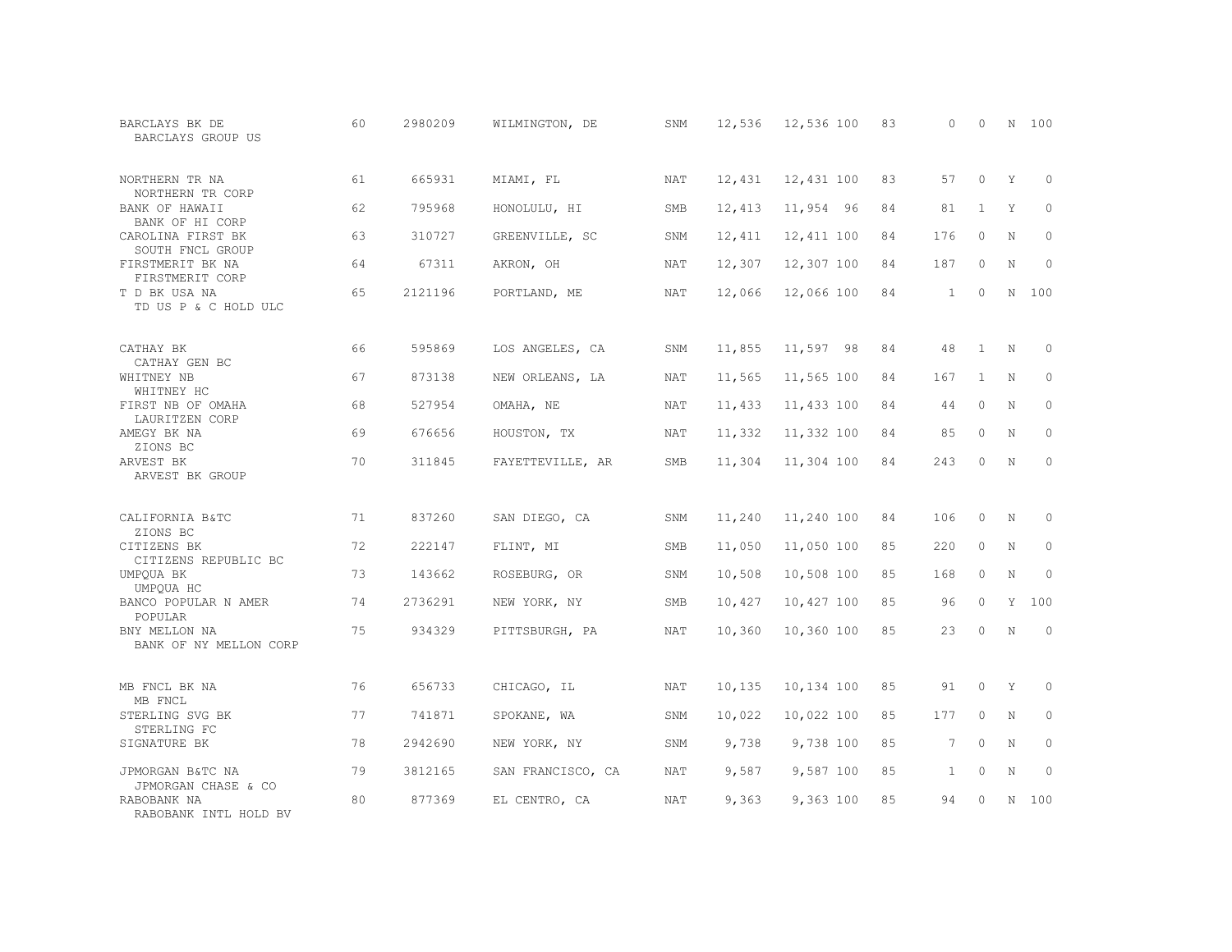| BARCLAYS BK DE<br>BARCLAYS GROUP US     | 60 | 2980209 | WILMINGTON, DE    | SNM        | 12,536 | 12,536 100 | 83 | $\Omega$     | $\circ$      | N           | 100         |
|-----------------------------------------|----|---------|-------------------|------------|--------|------------|----|--------------|--------------|-------------|-------------|
| NORTHERN TR NA<br>NORTHERN TR CORP      | 61 | 665931  | MIAMI, FL         | <b>NAT</b> | 12,431 | 12,431 100 | 83 | 57           | $\Omega$     | Y           | $\Omega$    |
| BANK OF HAWAII<br>BANK OF HI CORP       | 62 | 795968  | HONOLULU, HI      | SMB        | 12,413 | 11,954 96  | 84 | 81           | $\mathbf{1}$ | Y           | $\circ$     |
| CAROLINA FIRST BK<br>SOUTH FNCL GROUP   | 63 | 310727  | GREENVILLE, SC    | SNM        | 12,411 | 12,411 100 | 84 | 176          | $\Omega$     | N           | $\circ$     |
| FIRSTMERIT BK NA<br>FIRSTMERIT CORP     | 64 | 67311   | AKRON, OH         | NAT        | 12,307 | 12,307 100 | 84 | 187          | $\circ$      | $\mathbf N$ | $\mathbf 0$ |
| T D BK USA NA<br>TD US P & C HOLD ULC   | 65 | 2121196 | PORTLAND, ME      | NAT        | 12,066 | 12,066 100 | 84 | $\mathbf{1}$ | $\Omega$     | N           | 100         |
| CATHAY BK<br>CATHAY GEN BC              | 66 | 595869  | LOS ANGELES, CA   | SNM        | 11,855 | 11,597 98  | 84 | 48           | $\mathbf{1}$ | N           | 0           |
| WHITNEY NB<br>WHITNEY HC                | 67 | 873138  | NEW ORLEANS, LA   | NAT        | 11,565 | 11,565 100 | 84 | 167          | $\mathbf{1}$ | N           | $\circ$     |
| FIRST NB OF OMAHA<br>LAURITZEN CORP     | 68 | 527954  | OMAHA, NE         | NAT        | 11,433 | 11,433 100 | 84 | 44           | $\circ$      | N           | $\circ$     |
| AMEGY BK NA<br>ZIONS BC                 | 69 | 676656  | HOUSTON, TX       | <b>NAT</b> | 11,332 | 11,332 100 | 84 | 85           | $\circ$      | $\mathbf N$ | $\mathbf 0$ |
| ARVEST BK<br>ARVEST BK GROUP            | 70 | 311845  | FAYETTEVILLE, AR  | <b>SMB</b> | 11,304 | 11,304 100 | 84 | 243          | $\Omega$     | $\mathbf N$ | $\Omega$    |
| CALIFORNIA B&TC<br>ZIONS BC             | 71 | 837260  | SAN DIEGO, CA     | SNM        | 11,240 | 11,240 100 | 84 | 106          | $\Omega$     | N           | $\Omega$    |
| CITIZENS BK<br>CITIZENS REPUBLIC BC     | 72 | 222147  | FLINT, MI         | SMB        | 11,050 | 11,050 100 | 85 | 220          | $\circ$      | N           | $\mathbf 0$ |
| UMPQUA BK<br>UMPOUA HC                  | 73 | 143662  | ROSEBURG, OR      | SNM        | 10,508 | 10,508 100 | 85 | 168          | $\circ$      | N           | $\Omega$    |
| BANCO POPULAR N AMER<br>POPULAR         | 74 | 2736291 | NEW YORK, NY      | SMB        | 10,427 | 10,427 100 | 85 | 96           | $\Omega$     | Y           | 100         |
| BNY MELLON NA<br>BANK OF NY MELLON CORP | 75 | 934329  | PITTSBURGH, PA    | <b>NAT</b> | 10,360 | 10,360 100 | 85 | 23           | $\Omega$     | N           | $\Omega$    |
| MB FNCL BK NA<br>MB FNCL                | 76 | 656733  | CHICAGO, IL       | NAT        | 10,135 | 10,134 100 | 85 | 91           | $\circ$      | Y           | 0           |
| STERLING SVG BK<br>STERLING FC          | 77 | 741871  | SPOKANE, WA       | SNM        | 10,022 | 10,022 100 | 85 | 177          | $\circ$      | N           | $\circ$     |
| SIGNATURE BK                            | 78 | 2942690 | NEW YORK, NY      | SNM        | 9,738  | 9,738 100  | 85 | $7^{\circ}$  | $\Omega$     | N           | $\Omega$    |
| JPMORGAN B&TC NA<br>JPMORGAN CHASE & CO | 79 | 3812165 | SAN FRANCISCO, CA | NAT        | 9,587  | 9,587 100  | 85 | $\mathbf{1}$ | $\circ$      | $\mathbf N$ | $\mathbf 0$ |
| RABOBANK NA<br>RABOBANK INTL HOLD BV    | 80 | 877369  | EL CENTRO, CA     | NAT        | 9,363  | 9,363 100  | 85 | 94           | $\Omega$     | N           | 100         |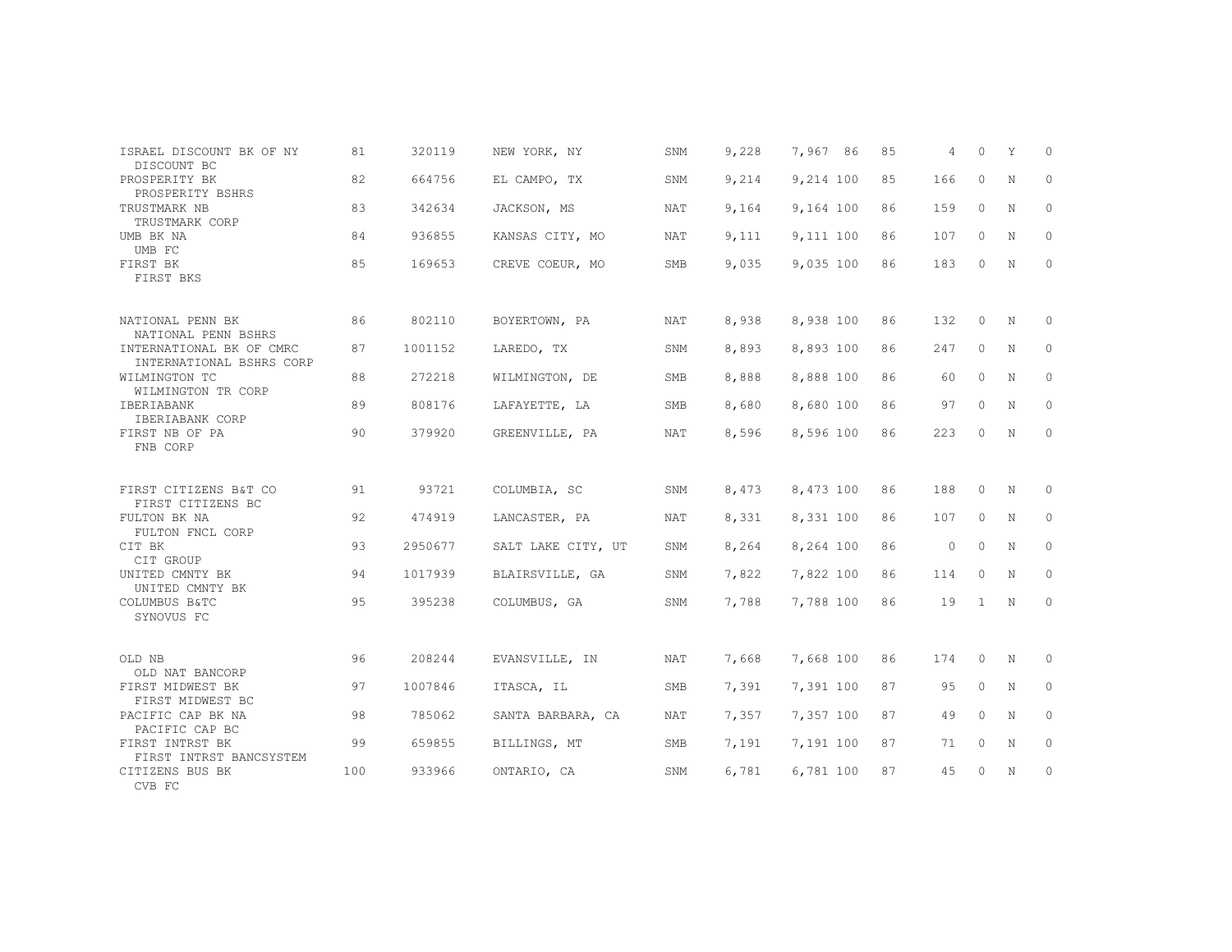| ISRAEL DISCOUNT BK OF NY                             | 81  | 320119  | NEW YORK, NY       | SNM        | 9,228 | 7,967 86  | 85 | 4       | $\Omega$     | Y | $\Omega$     |
|------------------------------------------------------|-----|---------|--------------------|------------|-------|-----------|----|---------|--------------|---|--------------|
| DISCOUNT BC<br>PROSPERITY BK<br>PROSPERITY BSHRS     | 82  | 664756  | EL CAMPO, TX       | SNM        | 9,214 | 9,214 100 | 85 | 166     | 0            | N | $\mathbf{0}$ |
| TRUSTMARK NB<br>TRUSTMARK CORP                       | 83  | 342634  | JACKSON, MS        | NAT        | 9,164 | 9,164 100 | 86 | 159     | $\Omega$     | N | $\Omega$     |
| UMB BK NA<br>UMB FC                                  | 84  | 936855  | KANSAS CITY, MO    | NAT        | 9,111 | 9,111 100 | 86 | 107     | $\circ$      | N | $\mathbf{0}$ |
| FIRST BK<br>FIRST BKS                                | 85  | 169653  | CREVE COEUR, MO    | <b>SMB</b> | 9,035 | 9,035 100 | 86 | 183     | 0            | N | $\mathbf{0}$ |
| NATIONAL PENN BK<br>NATIONAL PENN BSHRS              | 86  | 802110  | BOYERTOWN, PA      | <b>NAT</b> | 8,938 | 8,938 100 | 86 | 132     | $\circ$      | N | $\Omega$     |
| INTERNATIONAL BK OF CMRC<br>INTERNATIONAL BSHRS CORP | 87  | 1001152 | LAREDO, TX         | SNM        | 8,893 | 8,893 100 | 86 | 247     | $\circ$      | N | $\circ$      |
| WILMINGTON TC<br>WILMINGTON TR CORP                  | 88  | 272218  | WILMINGTON, DE     | <b>SMB</b> | 8,888 | 8,888 100 | 86 | 60      | $\Omega$     | N | $\Omega$     |
| IBERIABANK<br>IBERIABANK CORP                        | 89  | 808176  | LAFAYETTE, LA      | SMB        | 8,680 | 8,680 100 | 86 | 97      | $\circ$      | N | $\mathbf{0}$ |
| FIRST NB OF PA<br>FNB CORP                           | 90  | 379920  | GREENVILLE, PA     | NAT        | 8,596 | 8,596 100 | 86 | 223     | 0            | N | $\mathbf{0}$ |
| FIRST CITIZENS B&T CO<br>FIRST CITIZENS BC           | 91  | 93721   | COLUMBIA, SC       | SNM        | 8,473 | 8,473 100 | 86 | 188     | $\Omega$     | N | $\Omega$     |
| FULTON BK NA<br>FULTON FNCL CORP                     | 92  | 474919  | LANCASTER, PA      | NAT        | 8,331 | 8,331 100 | 86 | 107     | $\circ$      | N | 0            |
| CIT BK<br>CIT GROUP                                  | 93  | 2950677 | SALT LAKE CITY, UT | SNM        | 8,264 | 8,264 100 | 86 | $\circ$ | $\Omega$     | N | $\mathbf{0}$ |
| UNITED CMNTY BK<br>UNITED CMNTY BK                   | 94  | 1017939 | BLAIRSVILLE, GA    | SNM        | 7,822 | 7,822 100 | 86 | 114     | $\Omega$     | N | 0            |
| COLUMBUS B&TC<br>SYNOVUS FC                          | 95  | 395238  | COLUMBUS, GA       | SNM        | 7,788 | 7,788 100 | 86 | 19      | $\mathbf{1}$ | N | 0            |
| OLD NB<br>OLD NAT BANCORP                            | 96  | 208244  | EVANSVILLE, IN     | NAT        | 7,668 | 7,668 100 | 86 | 174     | 0            | N | $\circ$      |
| FIRST MIDWEST BK<br>FIRST MIDWEST BC                 | 97  | 1007846 | ITASCA, IL         | SMB        | 7,391 | 7,391 100 | 87 | 95      | $\Omega$     | N | $\mathbf{0}$ |
| PACIFIC CAP BK NA<br>PACIFIC CAP BC                  | 98  | 785062  | SANTA BARBARA, CA  | NAT        | 7,357 | 7,357 100 | 87 | 49      | $\Omega$     | N | $\Omega$     |
| FIRST INTRST BK<br>FIRST INTRST BANCSYSTEM           | 99  | 659855  | BILLINGS, MT       | SMB        | 7,191 | 7,191 100 | 87 | 71      | 0            | N | 0            |
| CITIZENS BUS BK<br>CVB FC                            | 100 | 933966  | ONTARIO, CA        | SNM        | 6,781 | 6,781 100 | 87 | 45      | 0            | N | 0            |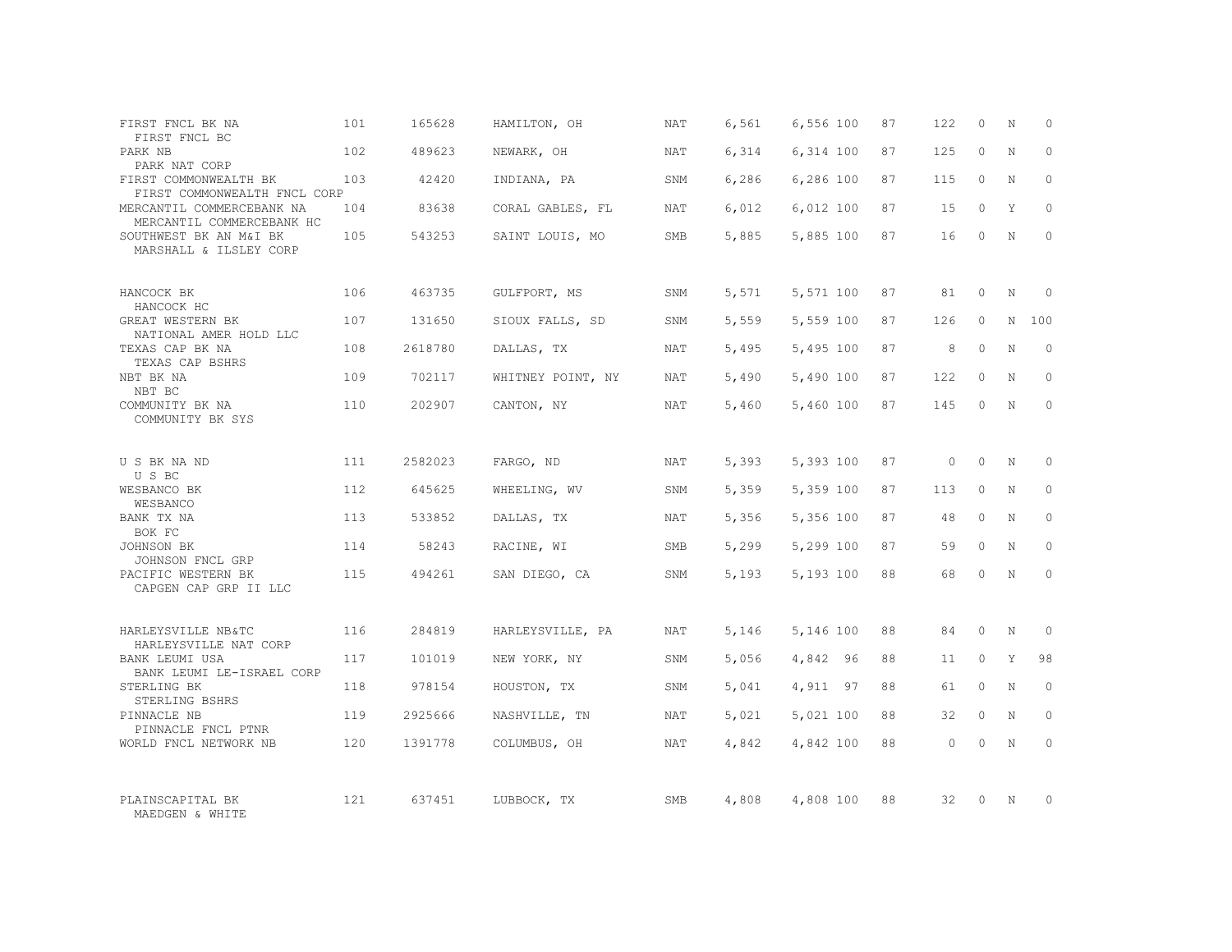| FIRST FNCL BK NA<br>FIRST FNCL BC                                           | 101 | 165628  | HAMILTON, OH      | NAT        | 6,561 | 6,556 100 | 87 | 122      | $\Omega$ | N           | $\Omega$ |
|-----------------------------------------------------------------------------|-----|---------|-------------------|------------|-------|-----------|----|----------|----------|-------------|----------|
| PARK NB<br>PARK NAT CORP                                                    | 102 | 489623  | NEWARK, OH        | <b>NAT</b> | 6,314 | 6,314 100 | 87 | 125      | $\Omega$ | N           | $\Omega$ |
| FIRST COMMONWEALTH BK<br>FIRST COMMONWEALTH FNCL CORP                       | 103 | 42420   | INDIANA, PA       | SNM        | 6,286 | 6,286 100 | 87 | 115      | $\circ$  | N           | $\Omega$ |
| MERCANTIL COMMERCEBANK NA<br>MERCANTIL COMMERCEBANK HC                      | 104 | 83638   | CORAL GABLES, FL  | <b>NAT</b> | 6,012 | 6,012 100 | 87 | 15       | $\Omega$ | Y           | $\Omega$ |
| SOUTHWEST BK AN M&I BK<br>MARSHALL & ILSLEY CORP                            | 105 | 543253  | SAINT LOUIS, MO   | <b>SMB</b> | 5,885 | 5,885 100 | 87 | 16       | $\Omega$ | N           | $\Omega$ |
| HANCOCK BK<br>HANCOCK HC                                                    | 106 | 463735  | GULFPORT, MS      | SNM        | 5,571 | 5,571 100 | 87 | 81       | $\Omega$ | $\mathbb N$ | $\Omega$ |
| GREAT WESTERN BK<br>NATIONAL AMER HOLD LLC                                  | 107 | 131650  | SIOUX FALLS, SD   | SNM        | 5,559 | 5,559 100 | 87 | 126      | $\Omega$ | N           | 100      |
| TEXAS CAP BK NA<br>TEXAS CAP BSHRS                                          | 108 | 2618780 | DALLAS, TX        | NAT        | 5,495 | 5,495 100 | 87 | 8        | $\Omega$ | N           | $\Omega$ |
| NBT BK NA<br>NBT BC                                                         | 109 | 702117  | WHITNEY POINT, NY | NAT        | 5,490 | 5,490 100 | 87 | 122      | $\Omega$ | N           | $\Omega$ |
| COMMUNITY BK NA<br>COMMUNITY BK SYS                                         | 110 | 202907  | CANTON, NY        | NAT        | 5,460 | 5,460 100 | 87 | 145      | $\Omega$ | N           | $\Omega$ |
| U S BK NA ND<br>U S BC                                                      | 111 | 2582023 | FARGO, ND         | NAT        | 5,393 | 5,393 100 | 87 | $\Omega$ | $\Omega$ | N           | $\Omega$ |
| WESBANCO BK<br>WESBANCO                                                     | 112 | 645625  | WHEELING, WV      | SNM        | 5,359 | 5,359 100 | 87 | 113      | $\Omega$ | $\mathbf N$ | $\Omega$ |
| BANK TX NA<br>BOK FC                                                        | 113 | 533852  | DALLAS, TX        | NAT        | 5,356 | 5,356 100 | 87 | 48       | $\Omega$ | N           | $\Omega$ |
| JOHNSON BK<br>JOHNSON FNCL GRP                                              | 114 | 58243   | RACINE, WI        | <b>SMB</b> | 5,299 | 5,299 100 | 87 | 59       | $\Omega$ | $\mathbf N$ | $\Omega$ |
| PACIFIC WESTERN BK<br>CAPGEN CAP GRP II LLC                                 | 115 | 494261  | SAN DIEGO, CA     | SNM        | 5,193 | 5,193 100 | 88 | 68       | $\Omega$ | N           | $\Omega$ |
| HARLEYSVILLE NB&TC                                                          | 116 | 284819  | HARLEYSVILLE, PA  | NAT        | 5,146 | 5,146 100 | 88 | 84       | $\circ$  | N           | $\Omega$ |
| HARLEYSVILLE NAT CORP<br><b>BANK LEUMI USA</b><br>BANK LEUMI LE-ISRAEL CORP | 117 | 101019  | NEW YORK, NY      | SNM        | 5,056 | 4,842 96  | 88 | 11       | $\circ$  | Y           | 98       |
| STERLING BK<br>STERLING BSHRS                                               | 118 | 978154  | HOUSTON, TX       | SNM        | 5,041 | 4,911 97  | 88 | 61       | $\Omega$ | $\mathbf N$ | $\Omega$ |
| PINNACLE NB<br>PINNACLE FNCL PTNR                                           | 119 | 2925666 | NASHVILLE, TN     | <b>NAT</b> | 5,021 | 5,021 100 | 88 | 32       | $\circ$  | $\mathbf N$ | $\Omega$ |
| WORLD FNCL NETWORK NB                                                       | 120 | 1391778 | COLUMBUS, OH      | <b>NAT</b> | 4,842 | 4,842 100 | 88 | $\Omega$ | $\Omega$ | $\mathbf N$ | $\Omega$ |
| PLAINSCAPITAL BK<br>MAEDGEN & WHITE                                         | 121 | 637451  | LUBBOCK, TX       | <b>SMB</b> | 4,808 | 4,808 100 | 88 | 32       | $\Omega$ | N           | $\Omega$ |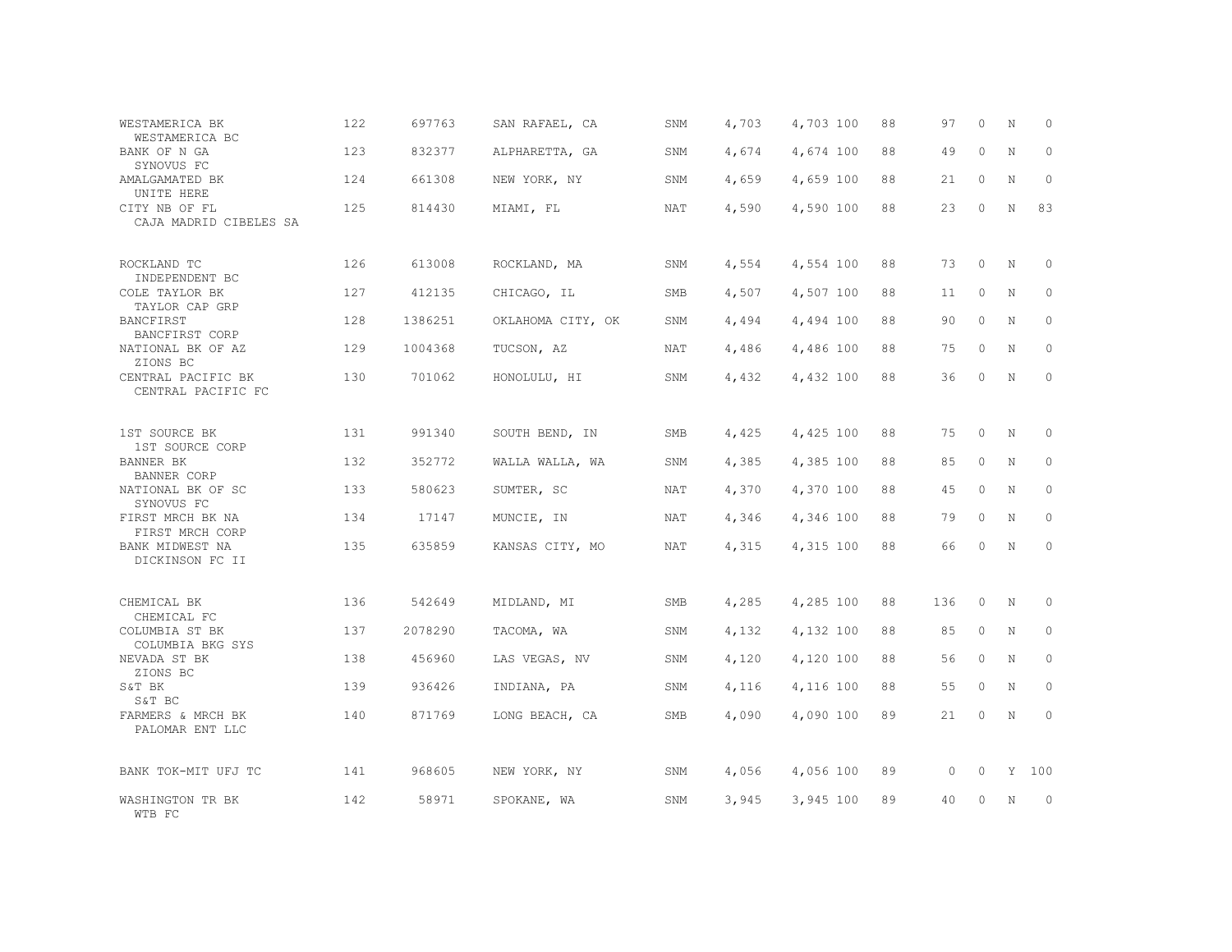| WESTAMERICA BK<br>WESTAMERICA BC         | 122 | 697763  | SAN RAFAEL, CA    | SNM        | 4,703 | 4,703 100 | 88 | 97  | 0       | N | $\Omega$ |
|------------------------------------------|-----|---------|-------------------|------------|-------|-----------|----|-----|---------|---|----------|
| BANK OF N GA<br>SYNOVUS FC               | 123 | 832377  | ALPHARETTA, GA    | SNM        | 4,674 | 4,674 100 | 88 | 49  | 0       | N | 0        |
| AMALGAMATED BK<br>UNITE HERE             | 124 | 661308  | NEW YORK, NY      | SNM        | 4,659 | 4,659 100 | 88 | 21  | 0       | N | $\circ$  |
| CITY NB OF FL<br>CAJA MADRID CIBELES SA  | 125 | 814430  | MIAMI, FL         | NAT        | 4,590 | 4,590 100 | 88 | 23  | $\circ$ | N | 83       |
| ROCKLAND TC<br>INDEPENDENT BC            | 126 | 613008  | ROCKLAND, MA      | SNM        | 4,554 | 4,554 100 | 88 | 73  | $\circ$ | N | $\circ$  |
| COLE TAYLOR BK<br>TAYLOR CAP GRP         | 127 | 412135  | CHICAGO, IL       | SMB        | 4,507 | 4,507 100 | 88 | 11  | 0       | N | $\circ$  |
| BANCFIRST<br>BANCFIRST CORP              | 128 | 1386251 | OKLAHOMA CITY, OK | SNM        | 4,494 | 4,494 100 | 88 | 90  | 0       | N | $\circ$  |
| NATIONAL BK OF AZ<br>ZIONS BC            | 129 | 1004368 | TUCSON, AZ        | <b>NAT</b> | 4,486 | 4,486 100 | 88 | 75  | 0       | N | $\circ$  |
| CENTRAL PACIFIC BK<br>CENTRAL PACIFIC FC | 130 | 701062  | HONOLULU, HI      | SNM        | 4,432 | 4,432 100 | 88 | 36  | 0       | N | $\circ$  |
| 1ST SOURCE BK<br>1ST SOURCE CORP         | 131 | 991340  | SOUTH BEND, IN    | <b>SMB</b> | 4,425 | 4,425 100 | 88 | 75  | $\circ$ | N | $\circ$  |
| <b>BANNER BK</b><br>BANNER CORP          | 132 | 352772  | WALLA WALLA, WA   | SNM        | 4,385 | 4,385 100 | 88 | 85  | 0       | N | $\circ$  |
| NATIONAL BK OF SC<br>SYNOVUS FC          | 133 | 580623  | SUMTER, SC        | NAT        | 4,370 | 4,370 100 | 88 | 45  | $\circ$ | N | $\Omega$ |
| FIRST MRCH BK NA<br>FIRST MRCH CORP      | 134 | 17147   | MUNCIE, IN        | NAT        | 4,346 | 4,346 100 | 88 | 79  | $\circ$ | N | $\Omega$ |
| BANK MIDWEST NA<br>DICKINSON FC II       | 135 | 635859  | KANSAS CITY, MO   | NAT        | 4,315 | 4,315 100 | 88 | 66  | $\circ$ | N | $\circ$  |
| CHEMICAL BK                              | 136 | 542649  | MIDLAND, MI       | <b>SMB</b> | 4,285 | 4,285 100 | 88 | 136 | 0       | N | 0        |
| CHEMICAL FC<br>COLUMBIA ST BK            | 137 | 2078290 | TACOMA, WA        | SNM        | 4,132 | 4,132 100 | 88 | 85  | 0       | N | $\circ$  |
| COLUMBIA BKG SYS<br>NEVADA ST BK         | 138 | 456960  | LAS VEGAS, NV     | SNM        | 4,120 | 4,120 100 | 88 | 56  | 0       | N | $\Omega$ |
| ZIONS BC<br>S&T BK<br>S&T BC             | 139 | 936426  | INDIANA, PA       | SNM        | 4,116 | 4,116 100 | 88 | 55  | 0       | N | $\Omega$ |
| FARMERS & MRCH BK<br>PALOMAR ENT LLC     | 140 | 871769  | LONG BEACH, CA    | SMB        | 4,090 | 4,090 100 | 89 | 21  | 0       | N | $\circ$  |
| BANK TOK-MIT UFJ TC                      | 141 | 968605  | NEW YORK, NY      | SNM        | 4,056 | 4,056 100 | 89 | 0   | 0       | Y | 100      |
| WASHINGTON TR BK<br>WTB FC               | 142 | 58971   | SPOKANE, WA       | SNM        | 3,945 | 3,945 100 | 89 | 40  | 0       | N | $\circ$  |
|                                          |     |         |                   |            |       |           |    |     |         |   |          |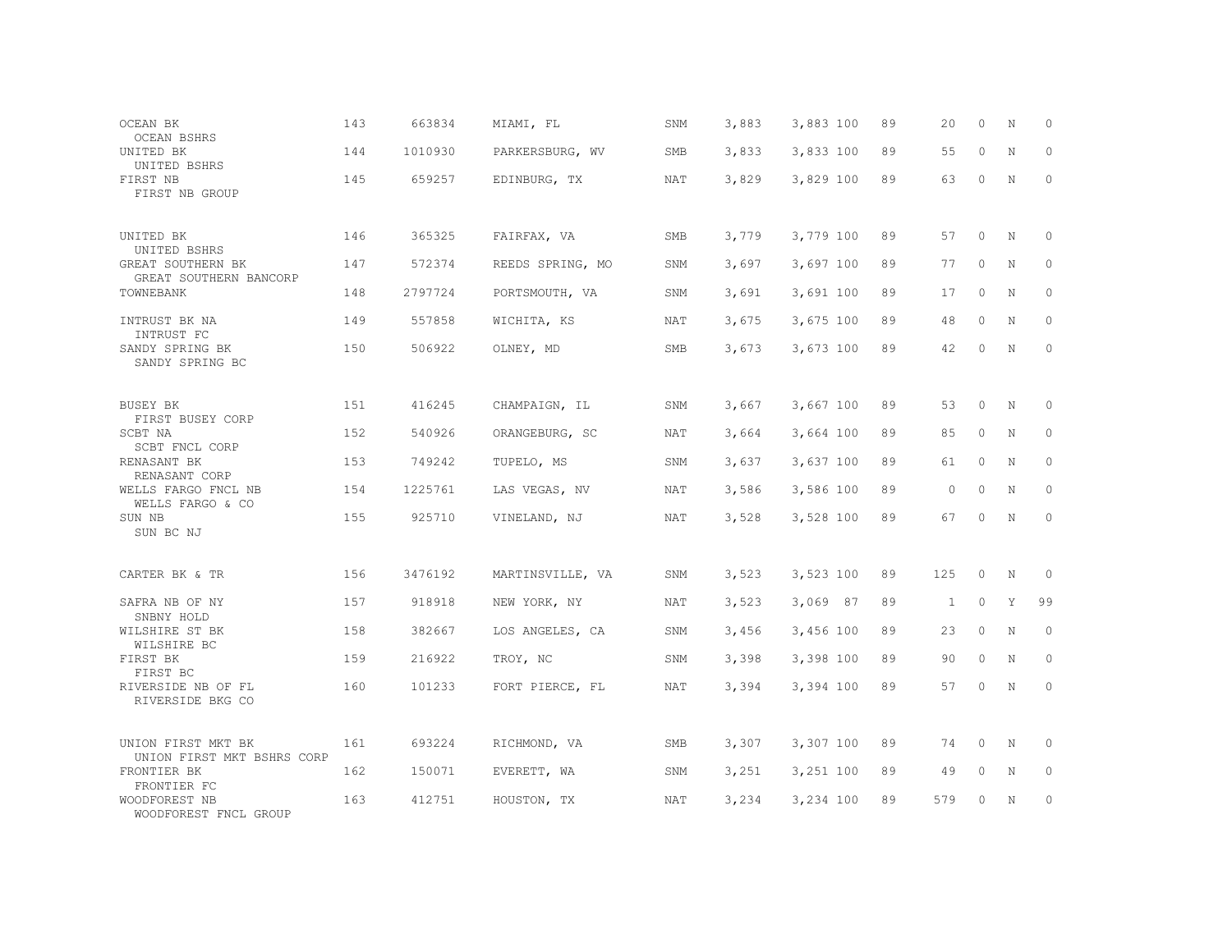| OCEAN BK<br><b>OCEAN BSHRS</b>                   | 143 | 663834  | MIAMI, FL        | SNM        | 3,883 | 3,883 100 | 89 | 20           | $\circ$  | N           | 0           |
|--------------------------------------------------|-----|---------|------------------|------------|-------|-----------|----|--------------|----------|-------------|-------------|
| UNITED BK<br>UNITED BSHRS                        | 144 | 1010930 | PARKERSBURG, WV  | <b>SMB</b> | 3,833 | 3,833 100 | 89 | 55           | $\Omega$ | N           | $\Omega$    |
| FIRST NB<br>FIRST NB GROUP                       | 145 | 659257  | EDINBURG, TX     | <b>NAT</b> | 3,829 | 3,829 100 | 89 | 63           | $\circ$  | N           | 0           |
| UNITED BK<br>UNITED BSHRS                        | 146 | 365325  | FAIRFAX, VA      | SMB        | 3,779 | 3,779 100 | 89 | 57           | $\circ$  | N           | $\Omega$    |
| GREAT SOUTHERN BK<br>GREAT SOUTHERN BANCORP      | 147 | 572374  | REEDS SPRING, MO | SNM        | 3,697 | 3,697 100 | 89 | 77           | $\Omega$ | N           | $\Omega$    |
| TOWNEBANK                                        | 148 | 2797724 | PORTSMOUTH, VA   | SNM        | 3,691 | 3,691 100 | 89 | 17           | $\circ$  | N           | 0           |
| INTRUST BK NA<br>INTRUST FC                      | 149 | 557858  | WICHITA, KS      | NAT        | 3,675 | 3,675 100 | 89 | 48           | $\Omega$ | N           | $\Omega$    |
| SANDY SPRING BK<br>SANDY SPRING BC               | 150 | 506922  | OLNEY, MD        | SMB        | 3,673 | 3,673 100 | 89 | 42           | $\Omega$ | N           | 0           |
| BUSEY BK<br>FIRST BUSEY CORP                     | 151 | 416245  | CHAMPAIGN, IL    | SNM        | 3,667 | 3,667 100 | 89 | 53           | $\Omega$ | N           | $\Omega$    |
| SCBT NA<br>SCBT FNCL CORP                        | 152 | 540926  | ORANGEBURG, SC   | NAT        | 3,664 | 3,664 100 | 89 | 85           | $\Omega$ | N           | $\mathbf 0$ |
| RENASANT BK<br>RENASANT CORP                     | 153 | 749242  | TUPELO, MS       | SNM        | 3,637 | 3,637 100 | 89 | 61           | $\Omega$ | N           | 0           |
| WELLS FARGO FNCL NB<br>WELLS FARGO & CO          | 154 | 1225761 | LAS VEGAS, NV    | NAT        | 3,586 | 3,586 100 | 89 | $\circ$      | $\circ$  | N           | $\mathbf 0$ |
| SUN NB<br>SUN BC NJ                              | 155 | 925710  | VINELAND, NJ     | NAT        | 3,528 | 3,528 100 | 89 | 67           | $\Omega$ | N           | $\Omega$    |
| CARTER BK & TR                                   | 156 | 3476192 | MARTINSVILLE, VA | SNM        | 3,523 | 3,523 100 | 89 | 125          | $\circ$  | N           | 0           |
| SAFRA NB OF NY<br>SNBNY HOLD                     | 157 | 918918  | NEW YORK, NY     | <b>NAT</b> | 3,523 | 3,069 87  | 89 | $\mathbf{1}$ | $\circ$  | Y           | 99          |
| WILSHIRE ST BK<br>WILSHIRE BC                    | 158 | 382667  | LOS ANGELES, CA  | SNM        | 3,456 | 3,456 100 | 89 | 23           | $\Omega$ | N           | $\circ$     |
| FIRST BK<br>FIRST BC                             | 159 | 216922  | TROY, NC         | SNM        | 3,398 | 3,398 100 | 89 | 90           | $\circ$  | $\mathbf N$ | $\mathbf 0$ |
| RIVERSIDE NB OF FL<br>RIVERSIDE BKG CO           | 160 | 101233  | FORT PIERCE, FL  | <b>NAT</b> | 3,394 | 3,394 100 | 89 | 57           | $\Omega$ | N           | $\Omega$    |
| UNION FIRST MKT BK<br>UNION FIRST MKT BSHRS CORP | 161 | 693224  | RICHMOND, VA     | <b>SMB</b> | 3,307 | 3,307 100 | 89 | 74           | $\Omega$ | N           | 0           |
| FRONTIER BK<br>FRONTIER FC                       | 162 | 150071  | EVERETT, WA      | SNM        | 3,251 | 3,251 100 | 89 | 49           | $\circ$  | N           | 0           |
| WOODFOREST NB<br>WOODFOREST FNCL GROUP           | 163 | 412751  | HOUSTON, TX      | NAT        | 3,234 | 3,234 100 | 89 | 579          | $\Omega$ | N           | $\mathbf 0$ |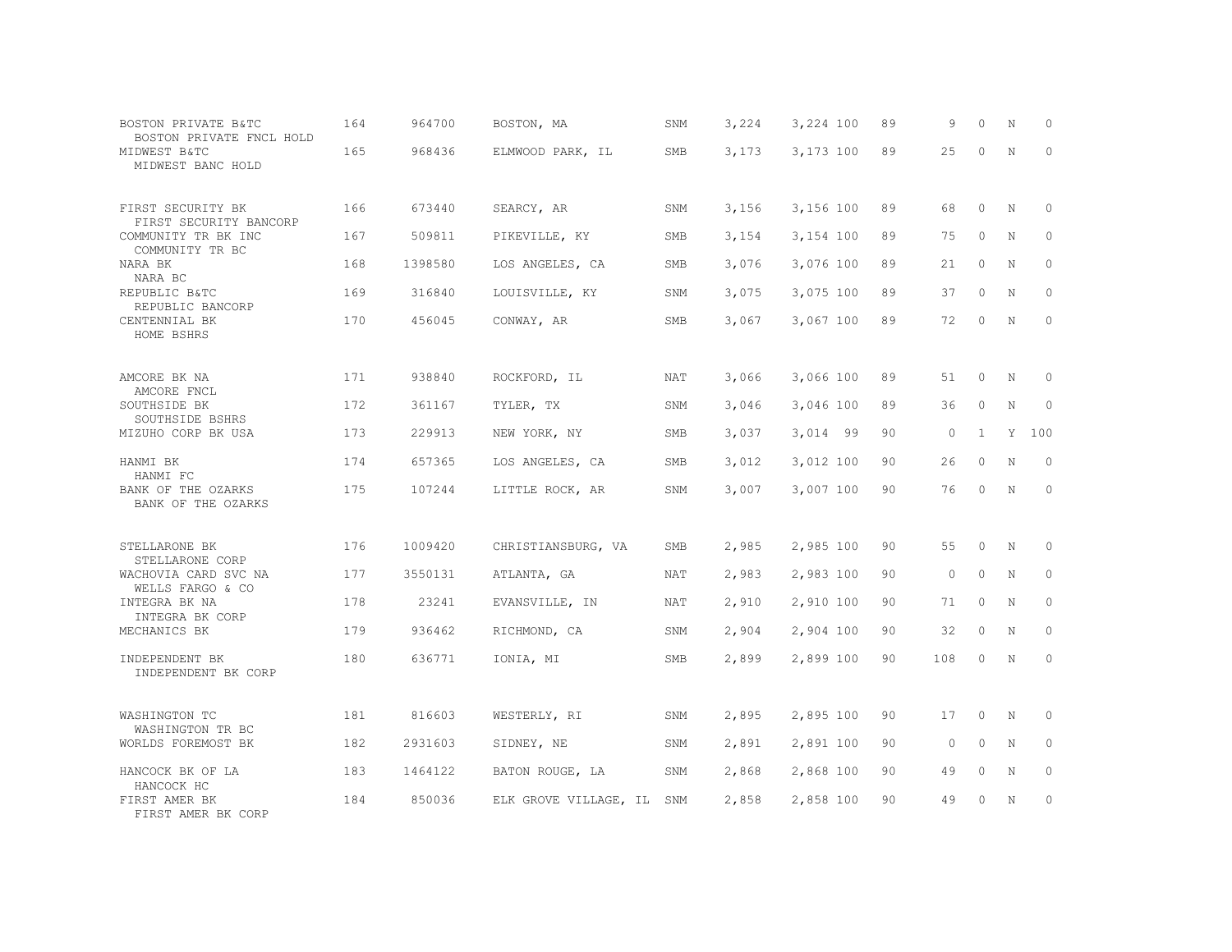| BOSTON PRIVATE B&TC<br>BOSTON PRIVATE FNCL HOLD | 164 | 964700  | BOSTON, MA            | SNM        | 3,224 | 3,224 100 | 89 | 9       | $\circ$      | N           | 0           |
|-------------------------------------------------|-----|---------|-----------------------|------------|-------|-----------|----|---------|--------------|-------------|-------------|
| MIDWEST B&TC<br>MIDWEST BANC HOLD               | 165 | 968436  | ELMWOOD PARK, IL      | SMB        | 3,173 | 3,173 100 | 89 | 25      | $\Omega$     | N           | $\Omega$    |
| FIRST SECURITY BK<br>FIRST SECURITY BANCORP     | 166 | 673440  | SEARCY, AR            | SNM        | 3,156 | 3,156 100 | 89 | 68      | $\circ$      | N           | 0           |
| COMMUNITY TR BK INC<br>COMMUNITY TR BC          | 167 | 509811  | PIKEVILLE, KY         | <b>SMB</b> | 3,154 | 3,154 100 | 89 | 75      | $\Omega$     | N           | $\circ$     |
| NARA BK<br>NARA BC                              | 168 | 1398580 | LOS ANGELES, CA       | SMB        | 3,076 | 3,076 100 | 89 | 21      | $\circ$      | N           | $\circ$     |
| REPUBLIC B&TC<br>REPUBLIC BANCORP               | 169 | 316840  | LOUISVILLE, KY        | SNM        | 3,075 | 3,075 100 | 89 | 37      | $\Omega$     | N           | $\circ$     |
| CENTENNIAL BK<br>HOME BSHRS                     | 170 | 456045  | CONWAY, AR            | SMB        | 3,067 | 3,067 100 | 89 | 72      | $\circ$      | N           | $\circ$     |
| AMCORE BK NA                                    | 171 | 938840  | ROCKFORD, IL          | NAT        | 3,066 | 3,066 100 | 89 | 51      | $\circ$      | N           | 0           |
| AMCORE FNCL<br>SOUTHSIDE BK<br>SOUTHSIDE BSHRS  | 172 | 361167  | TYLER, TX             | SNM        | 3,046 | 3,046 100 | 89 | 36      | $\circ$      | N           | $\mathbf 0$ |
| MIZUHO CORP BK USA                              | 173 | 229913  | NEW YORK, NY          | SMB        | 3,037 | 3,014 99  | 90 | $\circ$ | $\mathbf{1}$ | Y           | 100         |
| HANMI BK<br>HANMI FC                            | 174 | 657365  | LOS ANGELES, CA       | SMB        | 3,012 | 3,012 100 | 90 | 26      | $\circ$      | N           | $\circ$     |
| BANK OF THE OZARKS<br>BANK OF THE OZARKS        | 175 | 107244  | LITTLE ROCK, AR       | SNM        | 3,007 | 3,007 100 | 90 | 76      | $\Omega$     | $\mathbf N$ | $\Omega$    |
| STELLARONE BK<br>STELLARONE CORP                | 176 | 1009420 | CHRISTIANSBURG, VA    | <b>SMB</b> | 2,985 | 2,985 100 | 90 | 55      | $\circ$      | N           | $\mathbf 0$ |
| WACHOVIA CARD SVC NA<br>WELLS FARGO & CO        | 177 | 3550131 | ATLANTA, GA           | NAT        | 2,983 | 2,983 100 | 90 | $\circ$ | $\circ$      | N           | $\circ$     |
| INTEGRA BK NA<br>INTEGRA BK CORP                | 178 | 23241   | EVANSVILLE, IN        | <b>NAT</b> | 2,910 | 2,910 100 | 90 | 71      | $\circ$      | N           | $\circ$     |
| MECHANICS BK                                    | 179 | 936462  | RICHMOND, CA          | SNM        | 2,904 | 2,904 100 | 90 | 32      | $\circ$      | N           | $\mathbf 0$ |
| INDEPENDENT BK<br>INDEPENDENT BK CORP           | 180 | 636771  | IONIA, MI             | SMB        | 2,899 | 2,899 100 | 90 | 108     | $\circ$      | N           | $\circ$     |
| WASHINGTON TC<br>WASHINGTON TR BC               | 181 | 816603  | WESTERLY, RI          | SNM        | 2,895 | 2,895 100 | 90 | 17      | $\circ$      | N           | 0           |
| WORLDS FOREMOST BK                              | 182 | 2931603 | SIDNEY, NE            | SNM        | 2,891 | 2,891 100 | 90 | $\circ$ | $\circ$      | N           | $\circ$     |
| HANCOCK BK OF LA<br>HANCOCK HC                  | 183 | 1464122 | BATON ROUGE, LA       | SNM        | 2,868 | 2,868 100 | 90 | 49      | $\circ$      | N           | 0           |
| FIRST AMER BK<br>FIRST AMER BK CORP             | 184 | 850036  | ELK GROVE VILLAGE, IL | SNM        | 2,858 | 2,858 100 | 90 | 49      | $\Omega$     | N           | $\circ$     |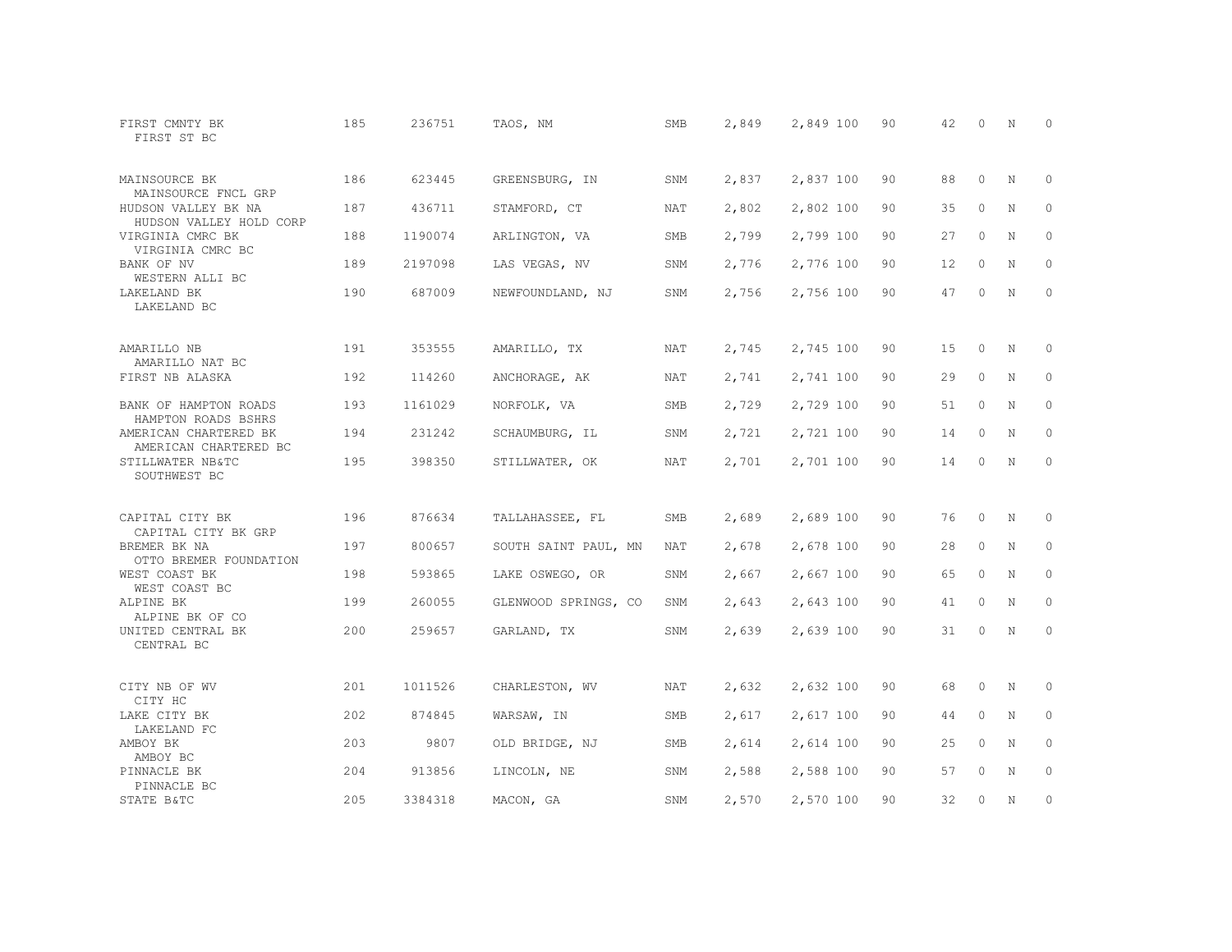| FIRST CMNTY BK<br>FIRST ST BC                                 | 185 | 236751  | TAOS, NM             | SMB        | 2,849 | 2,849 100 | 90 | 42 | $\Omega$ | N | $\Omega$    |
|---------------------------------------------------------------|-----|---------|----------------------|------------|-------|-----------|----|----|----------|---|-------------|
| MAINSOURCE BK<br>MAINSOURCE FNCL GRP                          | 186 | 623445  | GREENSBURG, IN       | SNM        | 2,837 | 2,837 100 | 90 | 88 | $\circ$  | N | 0           |
| HUDSON VALLEY BK NA<br>HUDSON VALLEY HOLD CORP                | 187 | 436711  | STAMFORD, CT         | <b>NAT</b> | 2,802 | 2,802 100 | 90 | 35 | $\circ$  | N | $\circ$     |
| VIRGINIA CMRC BK<br>VIRGINIA CMRC BC                          | 188 | 1190074 | ARLINGTON, VA        | SMB        | 2,799 | 2,799 100 | 90 | 27 | $\circ$  | N | 0           |
| BANK OF NV<br>WESTERN ALLI BC                                 | 189 | 2197098 | LAS VEGAS, NV        | SNM        | 2,776 | 2,776 100 | 90 | 12 | $\circ$  | N | $\circ$     |
| LAKELAND BK<br>LAKELAND BC                                    | 190 | 687009  | NEWFOUNDLAND, NJ     | SNM        | 2,756 | 2,756 100 | 90 | 47 | $\circ$  | N | 0           |
| AMARILLO NB<br>AMARILLO NAT BC                                | 191 | 353555  | AMARILLO, TX         | <b>NAT</b> | 2,745 | 2,745 100 | 90 | 15 | $\circ$  | N | 0           |
| FIRST NB ALASKA                                               | 192 | 114260  | ANCHORAGE, AK        | NAT        | 2,741 | 2,741 100 | 90 | 29 | 0        | N | 0           |
| BANK OF HAMPTON ROADS<br>HAMPTON ROADS BSHRS                  | 193 | 1161029 | NORFOLK, VA          | SMB        | 2,729 | 2,729 100 | 90 | 51 | $\circ$  | N | $\circ$     |
| AMERICAN CHARTERED BK<br>AMERICAN CHARTERED BC                | 194 | 231242  | SCHAUMBURG, IL       | SNM        | 2,721 | 2,721 100 | 90 | 14 | 0        | N | $\circ$     |
| STILLWATER NB&TC<br>SOUTHWEST BC                              | 195 | 398350  | STILLWATER, OK       | NAT        | 2,701 | 2,701 100 | 90 | 14 | $\circ$  | N | $\circ$     |
| CAPITAL CITY BK                                               | 196 | 876634  | TALLAHASSEE, FL      | SMB        | 2,689 | 2,689 100 | 90 | 76 | 0        | Ν | 0           |
| CAPITAL CITY BK GRP<br>BREMER BK NA<br>OTTO BREMER FOUNDATION | 197 | 800657  | SOUTH SAINT PAUL, MN | NAT        | 2,678 | 2,678 100 | 90 | 28 | $\circ$  | N | 0           |
| WEST COAST BK<br>WEST COAST BC                                | 198 | 593865  | LAKE OSWEGO, OR      | SNM        | 2,667 | 2,667 100 | 90 | 65 | $\circ$  | N | 0           |
| ALPINE BK<br>ALPINE BK OF CO                                  | 199 | 260055  | GLENWOOD SPRINGS, CO | SNM        | 2,643 | 2,643 100 | 90 | 41 | $\circ$  | N | 0           |
| UNITED CENTRAL BK<br>CENTRAL BC                               | 200 | 259657  | GARLAND, TX          | SNM        | 2,639 | 2,639 100 | 90 | 31 | $\circ$  | N | $\circ$     |
| CITY NB OF WV<br>CITY HC                                      | 201 | 1011526 | CHARLESTON, WV       | <b>NAT</b> | 2,632 | 2,632 100 | 90 | 68 | $\circ$  | N | 0           |
| LAKE CITY BK<br>LAKELAND FC                                   | 202 | 874845  | WARSAW, IN           | SMB        | 2,617 | 2,617 100 | 90 | 44 | 0        | N | 0           |
| AMBOY BK<br>AMBOY BC                                          | 203 | 9807    | OLD BRIDGE, NJ       | SMB        | 2,614 | 2,614 100 | 90 | 25 | $\Omega$ | N | $\mathbf 0$ |
| PINNACLE BK<br>PINNACLE BC                                    | 204 | 913856  | LINCOLN, NE          | SNM        | 2,588 | 2,588 100 | 90 | 57 | $\Omega$ | N | 0           |
| STATE B&TC                                                    | 205 | 3384318 | MACON, GA            | SNM        | 2,570 | 2,570 100 | 90 | 32 | 0        | N | 0           |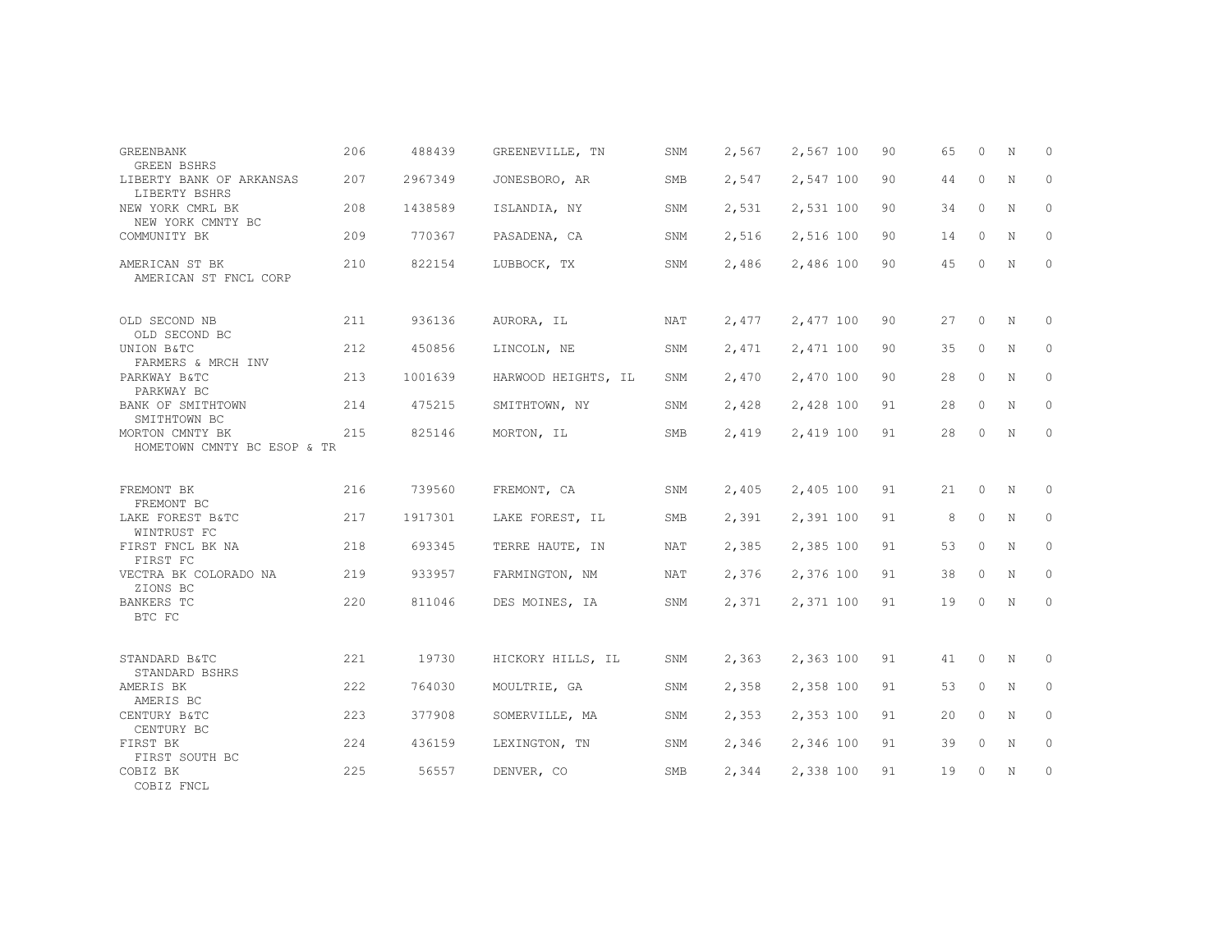| <b>GREENBANK</b><br><b>GREEN BSHRS</b>         | 206 | 488439  | GREENEVILLE, TN     | SNM        | 2,567 | 2,567 100 | 90 | 65 | $\Omega$ | N | $\Omega$ |
|------------------------------------------------|-----|---------|---------------------|------------|-------|-----------|----|----|----------|---|----------|
| LIBERTY BANK OF ARKANSAS<br>LIBERTY BSHRS      | 207 | 2967349 | JONESBORO, AR       | SMB        | 2,547 | 2,547 100 | 90 | 44 | $\circ$  | N | 0        |
| NEW YORK CMRL BK<br>NEW YORK CMNTY BC          | 208 | 1438589 | ISLANDIA, NY        | SNM        | 2,531 | 2,531 100 | 90 | 34 | $\circ$  | N | 0        |
| COMMUNITY BK                                   | 209 | 770367  | PASADENA, CA        | SNM        | 2,516 | 2,516 100 | 90 | 14 | $\circ$  | N | 0        |
| AMERICAN ST BK<br>AMERICAN ST FNCL CORP        | 210 | 822154  | LUBBOCK, TX         | SNM        | 2,486 | 2,486 100 | 90 | 45 | $\circ$  | N | $\circ$  |
| OLD SECOND NB<br>OLD SECOND BC                 | 211 | 936136  | AURORA, IL          | NAT        | 2,477 | 2,477 100 | 90 | 27 | $\circ$  | N | 0        |
| UNION B&TC<br>FARMERS & MRCH INV               | 212 | 450856  | LINCOLN, NE         | SNM        | 2,471 | 2,471 100 | 90 | 35 | $\circ$  | N | $\circ$  |
| PARKWAY B&TC<br>PARKWAY BC                     | 213 | 1001639 | HARWOOD HEIGHTS, IL | SNM        | 2,470 | 2,470 100 | 90 | 28 | $\circ$  | N | 0        |
| BANK OF SMITHTOWN<br>SMITHTOWN BC              | 214 | 475215  | SMITHTOWN, NY       | SNM        | 2,428 | 2,428 100 | 91 | 28 | $\circ$  | N | $\circ$  |
| MORTON CMNTY BK<br>HOMETOWN CMNTY BC ESOP & TR | 215 | 825146  | MORTON, IL          | SMB        | 2,419 | 2,419 100 | 91 | 28 | $\circ$  | N | $\circ$  |
| FREMONT BK<br>FREMONT BC                       | 216 | 739560  | FREMONT, CA         | SNM        | 2,405 | 2,405 100 | 91 | 21 | $\circ$  | Ν | 0        |
| LAKE FOREST B&TC<br>WINTRUST FC                | 217 | 1917301 | LAKE FOREST, IL     | SMB        | 2,391 | 2,391 100 | 91 | 8  | 0        | Ν | 0        |
| FIRST FNCL BK NA<br>FIRST FC                   | 218 | 693345  | TERRE HAUTE, IN     | NAT        | 2,385 | 2,385 100 | 91 | 53 | $\circ$  | N | $\circ$  |
| VECTRA BK COLORADO NA<br>ZIONS BC              | 219 | 933957  | FARMINGTON, NM      | NAT        | 2,376 | 2,376 100 | 91 | 38 | $\circ$  | N | $\circ$  |
| <b>BANKERS TC</b><br>BTC FC                    | 220 | 811046  | DES MOINES, IA      | SNM        | 2,371 | 2,371 100 | 91 | 19 | $\circ$  | N | $\circ$  |
| STANDARD B&TC<br>STANDARD BSHRS                | 221 | 19730   | HICKORY HILLS, IL   | SNM        | 2,363 | 2,363 100 | 91 | 41 | 0        | N | 0        |
| AMERIS BK<br>AMERIS BC                         | 222 | 764030  | MOULTRIE, GA        | SNM        | 2,358 | 2,358 100 | 91 | 53 | $\circ$  | N | 0        |
| CENTURY B&TC<br>CENTURY BC                     | 223 | 377908  | SOMERVILLE, MA      | SNM        | 2,353 | 2,353 100 | 91 | 20 | $\Omega$ | N | $\circ$  |
| FIRST BK<br>FIRST SOUTH BC                     | 224 | 436159  | LEXINGTON, TN       | SNM        | 2,346 | 2,346 100 | 91 | 39 | $\circ$  | N | $\circ$  |
| COBIZ BK<br>COBIZ FNCL                         | 225 | 56557   | DENVER, CO          | <b>SMB</b> | 2,344 | 2,338 100 | 91 | 19 | $\circ$  | N | 0        |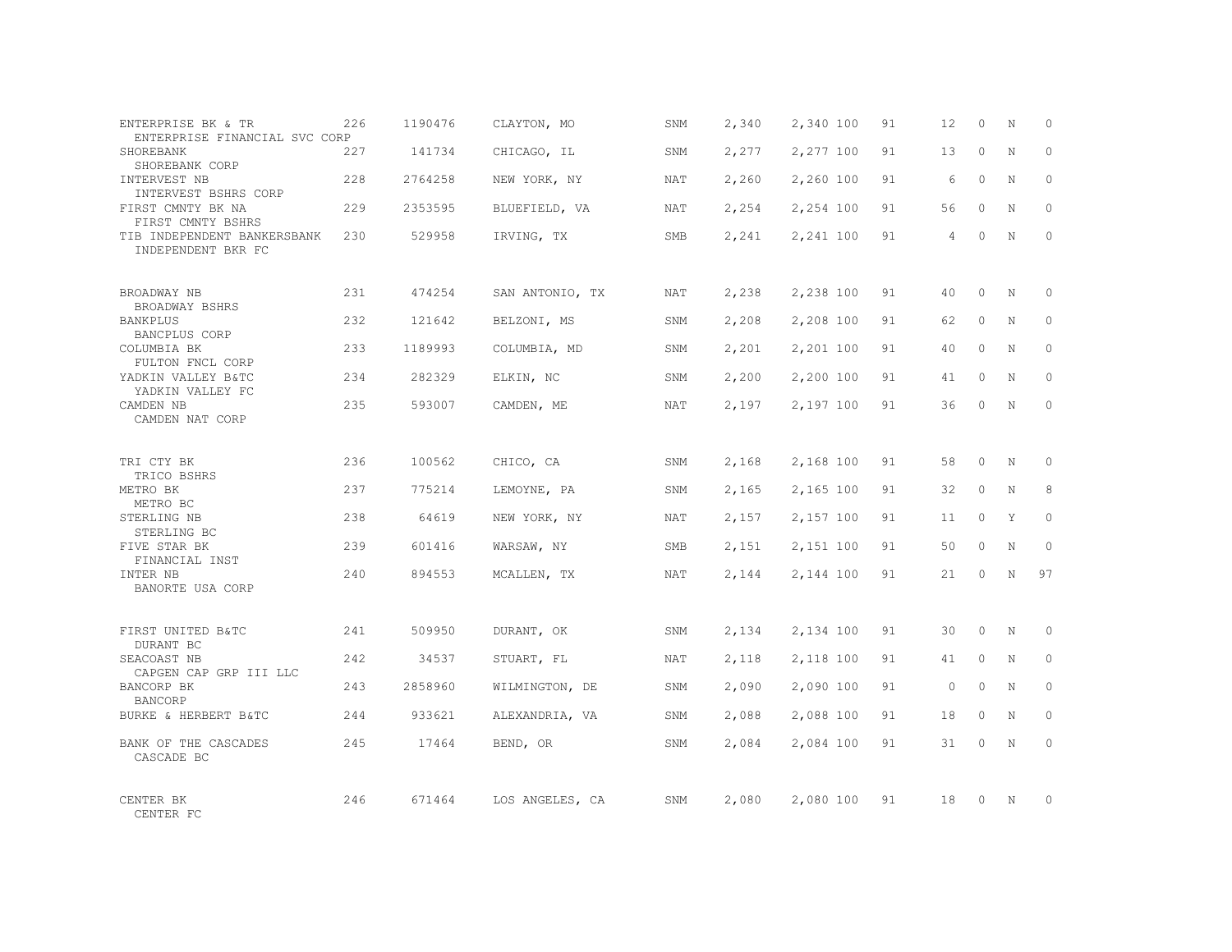| ENTERPRISE BK & TR<br>ENTERPRISE FINANCIAL SVC CORP | 226  | 1190476 | CLAYTON, MO     | SNM        | 2,340 | 2,340 100 | 91 | 12       | $\Omega$ | N           | $\Omega$     |
|-----------------------------------------------------|------|---------|-----------------|------------|-------|-----------|----|----------|----------|-------------|--------------|
| SHOREBANK<br>SHOREBANK CORP                         | 227  | 141734  | CHICAGO, IL     | SNM        | 2,277 | 2,277 100 | 91 | 13       | $\Omega$ | N           | $\Omega$     |
| INTERVEST NB<br>INTERVEST BSHRS CORP                | 228  | 2764258 | NEW YORK, NY    | <b>NAT</b> | 2,260 | 2,260 100 | 91 | 6        | $\circ$  | N           | $\Omega$     |
| FIRST CMNTY BK NA<br>FIRST CMNTY BSHRS              | 229  | 2353595 | BLUEFIELD, VA   | <b>NAT</b> | 2,254 | 2,254 100 | 91 | 56       | $\Omega$ | N           | $\Omega$     |
| TIB INDEPENDENT BANKERSBANK<br>INDEPENDENT BKR FC   | 2.30 | 529958  | IRVING, TX      | <b>SMB</b> | 2,241 | 2,241 100 | 91 | 4        | $\Omega$ | N           | $\Omega$     |
| BROADWAY NB<br>BROADWAY BSHRS                       | 2.31 | 474254  | SAN ANTONIO, TX | <b>NAT</b> | 2,238 | 2,238 100 | 91 | 40       | $\Omega$ | $\mathbb N$ | $\Omega$     |
| BANKPLUS<br>BANCPLUS CORP                           | 232  | 121642  | BELZONI, MS     | SNM        | 2,208 | 2,208 100 | 91 | 62       | $\circ$  | N           | $\Omega$     |
| COLUMBIA BK<br>FULTON FNCL CORP                     | 233  | 1189993 | COLUMBIA, MD    | SNM        | 2,201 | 2,201 100 | 91 | 40       | $\Omega$ | N           | $\Omega$     |
| YADKIN VALLEY B&TC<br>YADKIN VALLEY FC              | 234  | 282329  | ELKIN, NC       | SNM        | 2,200 | 2,200 100 | 91 | 41       | $\Omega$ | N           | $\Omega$     |
| CAMDEN NB<br>CAMDEN NAT CORP                        | 235  | 593007  | CAMDEN, ME      | NAT        | 2,197 | 2,197 100 | 91 | 36       | $\Omega$ | N           | $\Omega$     |
| TRI CTY BK<br>TRICO BSHRS                           | 236  | 100562  | CHICO, CA       | SNM        | 2,168 | 2,168 100 | 91 | 58       | $\Omega$ | N           | $\Omega$     |
| METRO BK<br>METRO BC                                | 237  | 775214  | LEMOYNE, PA     | SNM        | 2,165 | 2,165 100 | 91 | 32       | $\Omega$ | $\mathbf N$ | 8            |
| STERLING NB<br>STERLING BC                          | 238  | 64619   | NEW YORK, NY    | <b>NAT</b> | 2,157 | 2,157 100 | 91 | 11       | $\circ$  | Y           | $\Omega$     |
| FIVE STAR BK<br>FINANCIAL INST                      | 239  | 601416  | WARSAW, NY      | <b>SMB</b> | 2,151 | 2,151 100 | 91 | 50       | $\Omega$ | $\mathbf N$ | $\Omega$     |
| INTER NB<br>BANORTE USA CORP                        | 240  | 894553  | MCALLEN, TX     | NAT        | 2,144 | 2,144 100 | 91 | 21       | $\Omega$ | N           | 97           |
| FIRST UNITED B&TC<br>DURANT BC                      | 241  | 509950  | DURANT, OK      | SNM        | 2,134 | 2,134 100 | 91 | 30       | $\circ$  | N           | $\mathbf{0}$ |
| SEACOAST NB<br>CAPGEN CAP GRP III LLC               | 242  | 34537   | STUART, FL      | <b>NAT</b> | 2,118 | 2,118 100 | 91 | 41       | $\circ$  | $\mathbf N$ | $\Omega$     |
| BANCORP BK<br><b>BANCORP</b>                        | 243  | 2858960 | WILMINGTON, DE  | SNM        | 2,090 | 2,090 100 | 91 | $\Omega$ | $\Omega$ | $\mathbf N$ | $\Omega$     |
| BURKE & HERBERT B&TC                                | 244  | 933621  | ALEXANDRIA, VA  | SNM        | 2,088 | 2,088 100 | 91 | 18       | $\circ$  | $\mathbf N$ | $\Omega$     |
| BANK OF THE CASCADES<br>CASCADE BC                  | 245  | 17464   | BEND, OR        | SNM        | 2,084 | 2,084 100 | 91 | 31       | $\Omega$ | $\mathbf N$ | $\Omega$     |
| CENTER BK<br>CENTER FC                              | 246  | 671464  | LOS ANGELES, CA | SNM        | 2,080 | 2,080 100 | 91 | 18       | $\Omega$ | N           | $\Omega$     |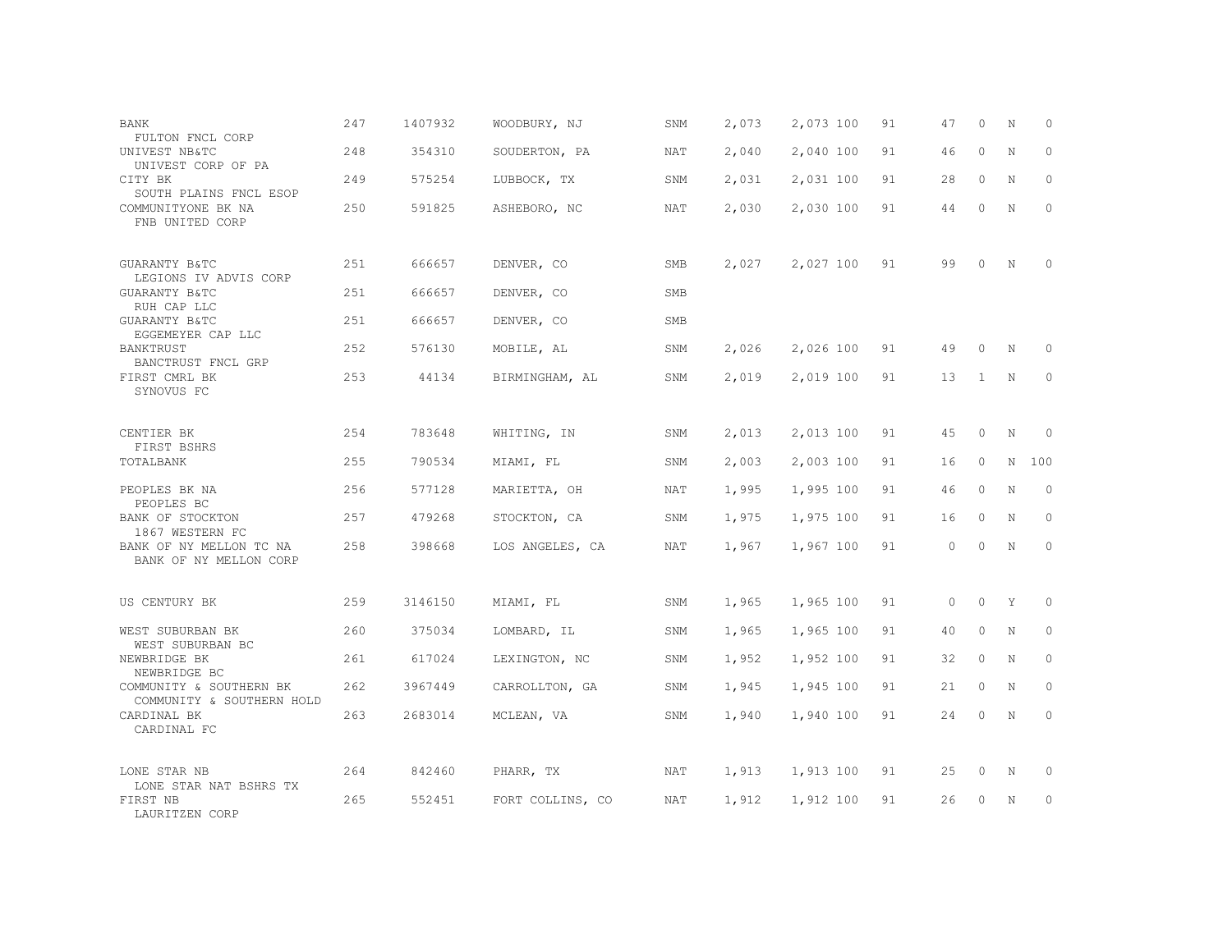| BANK<br>FULTON FNCL CORP                             | 247 | 1407932 | WOODBURY, NJ     | SNM        | 2,073 | 2,073 100 | 91 | 47      | 0        | N           | $\Omega$     |
|------------------------------------------------------|-----|---------|------------------|------------|-------|-----------|----|---------|----------|-------------|--------------|
| UNIVEST NB&TC<br>UNIVEST CORP OF PA                  | 248 | 354310  | SOUDERTON, PA    | <b>NAT</b> | 2,040 | 2,040 100 | 91 | 46      | $\circ$  | N           | $\Omega$     |
| CITY BK<br>SOUTH PLAINS FNCL ESOP                    | 249 | 575254  | LUBBOCK, TX      | SNM        | 2,031 | 2,031 100 | 91 | 28      | 0        | N           | $\Omega$     |
| COMMUNITYONE BK NA<br>FNB UNITED CORP                | 250 | 591825  | ASHEBORO, NC     | NAT        | 2,030 | 2,030 100 | 91 | 44      | $\Omega$ | $\mathbf N$ | $\Omega$     |
| GUARANTY B&TC<br>LEGIONS IV ADVIS CORP               | 251 | 666657  | DENVER, CO       | SMB        | 2,027 | 2,027 100 | 91 | 99      | $\circ$  | N           | ∩            |
| GUARANTY B&TC<br>RUH CAP LLC                         | 251 | 666657  | DENVER, CO       | <b>SMB</b> |       |           |    |         |          |             |              |
| GUARANTY B&TC<br>EGGEMEYER CAP LLC                   | 251 | 666657  | DENVER, CO       | SMB        |       |           |    |         |          |             |              |
| BANKTRUST<br>BANCTRUST FNCL GRP                      | 252 | 576130  | MOBILE, AL       | SNM        | 2,026 | 2,026 100 | 91 | 49      | $\Omega$ | N           | $\Omega$     |
| FIRST CMRL BK<br>SYNOVUS FC                          | 253 | 44134   | BIRMINGHAM, AL   | SNM        | 2,019 | 2,019 100 | 91 | 13      | 1        | $\rm N$     | $\circ$      |
| CENTIER BK<br>FIRST BSHRS                            | 254 | 783648  | WHITING, IN      | SNM        | 2,013 | 2,013 100 | 91 | 45      | $\circ$  | N           | $\Omega$     |
| TOTALBANK                                            | 255 | 790534  | MIAMI, FL        | SNM        | 2,003 | 2,003 100 | 91 | 16      | $\circ$  | N           | 100          |
| PEOPLES BK NA<br>PEOPLES BC                          | 256 | 577128  | MARIETTA, OH     | NAT        | 1,995 | 1,995 100 | 91 | 46      | $\circ$  | N           | $\mathbf{0}$ |
| BANK OF STOCKTON<br>1867 WESTERN FC                  | 257 | 479268  | STOCKTON, CA     | SNM        | 1,975 | 1,975 100 | 91 | 16      | $\circ$  | N           | $\circ$      |
| BANK OF NY MELLON TC NA<br>BANK OF NY MELLON CORP    | 258 | 398668  | LOS ANGELES, CA  | NAT        | 1,967 | 1,967 100 | 91 | $\circ$ | $\Omega$ | N           | $\Omega$     |
| US CENTURY BK                                        | 259 | 3146150 | MIAMI, FL        | SNM        | 1,965 | 1,965 100 | 91 | $\circ$ | $\circ$  | Y           | $\circ$      |
| WEST SUBURBAN BK<br>WEST SUBURBAN BC                 | 260 | 375034  | LOMBARD, IL      | SNM        | 1,965 | 1,965 100 | 91 | 40      | $\circ$  | N           | $\circ$      |
| NEWBRIDGE BK<br>NEWBRIDGE BC                         | 261 | 617024  | LEXINGTON, NC    | SNM        | 1,952 | 1,952 100 | 91 | 32      | $\circ$  | N           | $\Omega$     |
| COMMUNITY & SOUTHERN BK<br>COMMUNITY & SOUTHERN HOLD | 262 | 3967449 | CARROLLTON, GA   | SNM        | 1,945 | 1,945 100 | 91 | 21      | $\circ$  | N           | $\circ$      |
| CARDINAL BK<br>CARDINAL FC                           | 263 | 2683014 | MCLEAN, VA       | SNM        | 1,940 | 1,940 100 | 91 | 24      | 0        | $\rm N$     | $\circ$      |
| LONE STAR NB                                         | 264 | 842460  | PHARR, TX        | NAT        | 1,913 | 1,913 100 | 91 | 25      | 0        | $\rm N$     | 0            |
| LONE STAR NAT BSHRS TX<br>FIRST NB<br>LAURITZEN CORP | 265 | 552451  | FORT COLLINS, CO | NAT        | 1,912 | 1,912 100 | 91 | 26      | 0        | N           | $\circ$      |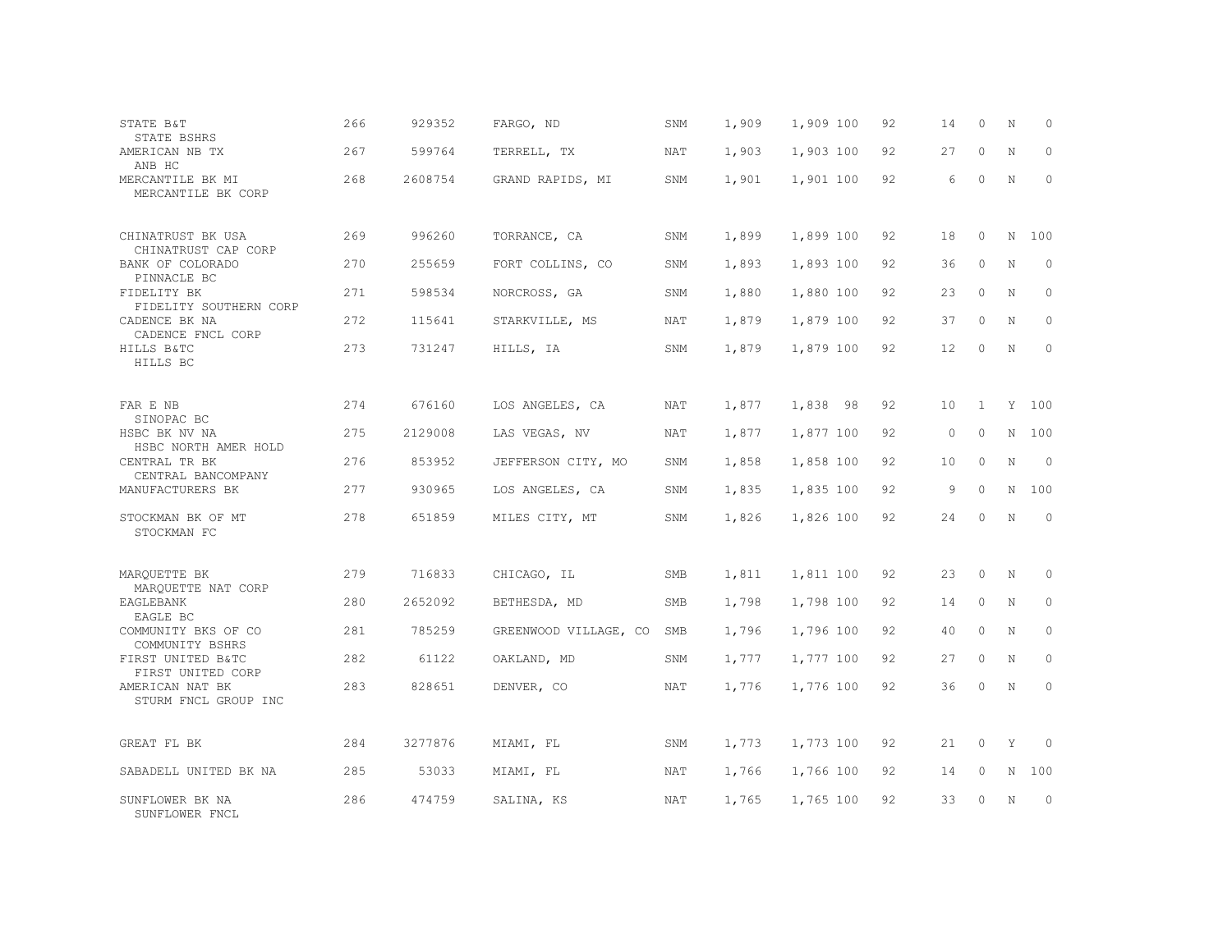| STATE B&T<br>STATE BSHRS                 | 266  | 929352  | FARGO, ND             | SNM        | 1,909 | 1,909 100 | 92 | 14      | $\circ$      | N           | $\circ$             |
|------------------------------------------|------|---------|-----------------------|------------|-------|-----------|----|---------|--------------|-------------|---------------------|
| AMERICAN NB TX<br>ANB HC                 | 267  | 599764  | TERRELL, TX           | NAT        | 1,903 | 1,903 100 | 92 | 27      | $\circ$      | N           | $\mathbf{0}$        |
| MERCANTILE BK MI<br>MERCANTILE BK CORP   | 268  | 2608754 | GRAND RAPIDS, MI      | SNM        | 1,901 | 1,901 100 | 92 | 6       | $\Omega$     | N           | $\mathbf{0}$        |
| CHINATRUST BK USA<br>CHINATRUST CAP CORP | 269  | 996260  | TORRANCE, CA          | SNM        | 1,899 | 1,899 100 | 92 | 18      | $\circ$      | N           | 100                 |
| BANK OF COLORADO<br>PINNACLE BC          | 270  | 255659  | FORT COLLINS, CO      | SNM        | 1,893 | 1,893 100 | 92 | 36      | $\circ$      | $\rm N$     | $\circ$             |
| FIDELITY BK<br>FIDELITY SOUTHERN CORP    | 2.71 | 598534  | NORCROSS, GA          | SNM        | 1,880 | 1,880 100 | 92 | 23      | $\Omega$     | N           | $\circ$             |
| CADENCE BK NA<br>CADENCE FNCL CORP       | 272  | 115641  | STARKVILLE, MS        | NAT        | 1,879 | 1,879 100 | 92 | 37      | $\circ$      | N           | $\circ$             |
| HILLS B&TC<br>HILLS BC                   | 273  | 731247  | HILLS, IA             | SNM        | 1,879 | 1,879 100 | 92 | 12      | $\circ$      | N           | $\circ$             |
| FAR E NB<br>SINOPAC BC                   | 274  | 676160  | LOS ANGELES, CA       | NAT        | 1,877 | 1,838 98  | 92 | 10      | $\mathbf{1}$ |             | Y 100               |
| HSBC BK NV NA<br>HSBC NORTH AMER HOLD    | 275  | 2129008 | LAS VEGAS, NV         | NAT        | 1,877 | 1,877 100 | 92 | $\circ$ | $\circ$      |             | N 100               |
| CENTRAL TR BK<br>CENTRAL BANCOMPANY      | 276  | 853952  | JEFFERSON CITY, MO    | SNM        | 1,858 | 1,858 100 | 92 | 10      | $\mathbf{0}$ | N           | $\circ$             |
| MANUFACTURERS BK                         | 277  | 930965  | LOS ANGELES, CA       | SNM        | 1,835 | 1,835 100 | 92 | 9       | $\circ$      |             | N 100               |
| STOCKMAN BK OF MT<br>STOCKMAN FC         | 278  | 651859  | MILES CITY, MT        | SNM        | 1,826 | 1,826 100 | 92 | 24      | $\circ$      | $\mathbb N$ | $\circ$             |
| MARQUETTE BK<br>MAROUETTE NAT CORP       | 279  | 716833  | CHICAGO, IL           | SMB        | 1,811 | 1,811 100 | 92 | 23      | $\circ$      | $_{\rm N}$  | $\circ$             |
| EAGLEBANK<br>EAGLE BC                    | 280  | 2652092 | BETHESDA, MD          | <b>SMB</b> | 1,798 | 1,798 100 | 92 | 14      | $\circ$      | N           | $\mathsf{O}\xspace$ |
| COMMUNITY BKS OF CO<br>COMMUNITY BSHRS   | 281  | 785259  | GREENWOOD VILLAGE, CO | SMB        | 1,796 | 1,796 100 | 92 | 40      | $\Omega$     | N           | $\circ$             |
| FIRST UNITED B&TC<br>FIRST UNITED CORP   | 282  | 61122   | OAKLAND, MD           | SNM        | 1,777 | 1,777 100 | 92 | 27      | $\circ$      | N           | $\circ$             |
| AMERICAN NAT BK<br>STURM FNCL GROUP INC  | 283  | 828651  | DENVER, CO            | NAT        | 1,776 | 1,776 100 | 92 | 36      | $\circ$      | N           | $\circ$             |
| GREAT FL BK                              | 284  | 3277876 | MIAMI, FL             | SNM        | 1,773 | 1,773 100 | 92 | 21      | 0            | Y           | $\Omega$            |
| SABADELL UNITED BK NA                    | 285  | 53033   | MIAMI, FL             | NAT        | 1,766 | 1,766 100 | 92 | 14      | $\circ$      | N           | 100                 |
| SUNFLOWER BK NA<br>SUNFLOWER FNCL        | 286  | 474759  | SALINA, KS            | NAT        | 1,765 | 1,765 100 | 92 | 33      | $\Omega$     | N           | $\circ$             |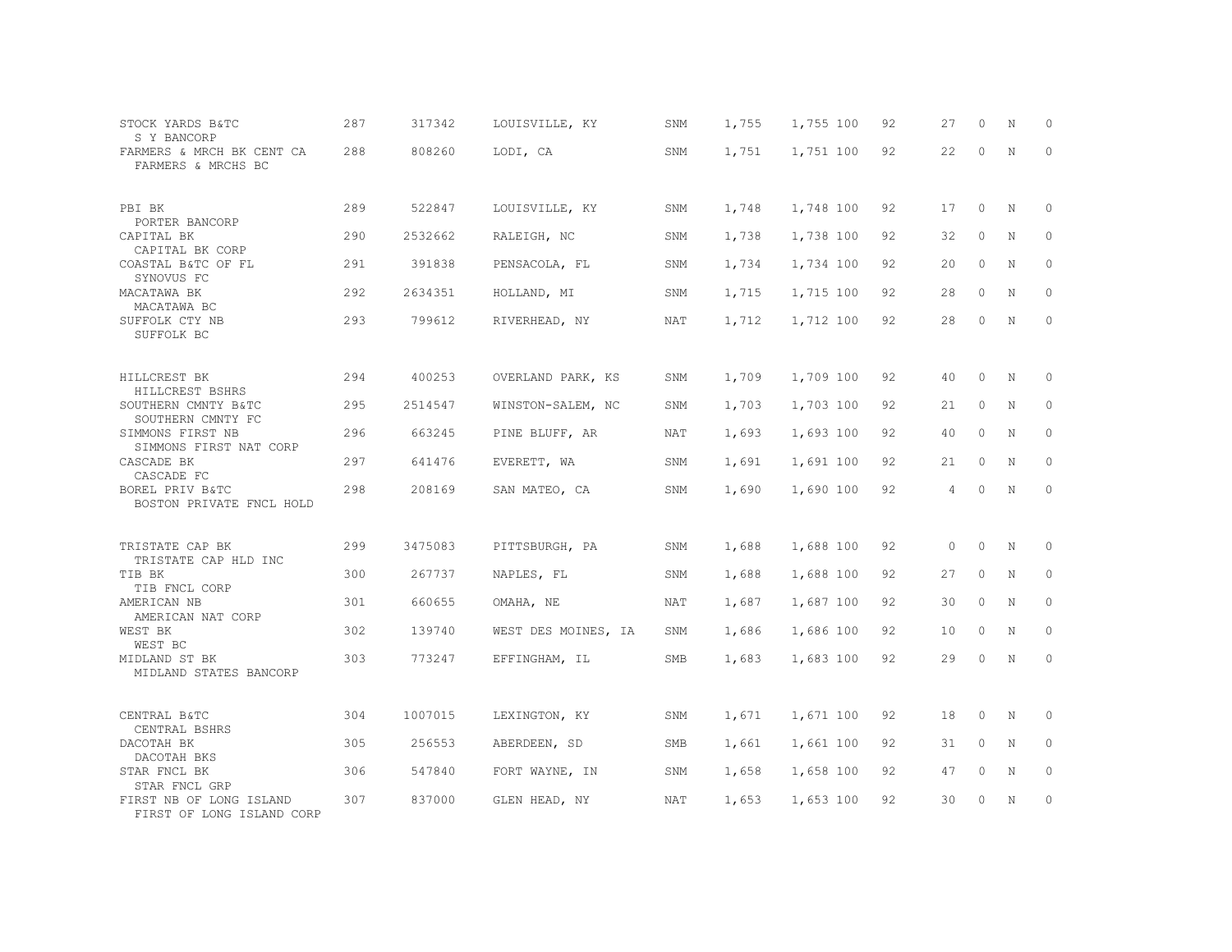| STOCK YARDS B&TC<br>S Y BANCORP                           | 287 | 317342  | LOUISVILLE, KY      | SNM        | 1,755 | 1,755 100 | 92 | 27      | $\circ$  | N           | 0           |
|-----------------------------------------------------------|-----|---------|---------------------|------------|-------|-----------|----|---------|----------|-------------|-------------|
| FARMERS & MRCH BK CENT CA<br>FARMERS & MRCHS BC           | 288 | 808260  | LODI, CA            | SNM        | 1,751 | 1,751 100 | 92 | 22      | $\circ$  | $\mathbf N$ | $\mathbf 0$ |
| PBI BK<br>PORTER BANCORP                                  | 289 | 522847  | LOUISVILLE, KY      | SNM        | 1,748 | 1,748 100 | 92 | 17      | $\circ$  | N           | 0           |
| CAPITAL BK<br>CAPITAL BK CORP                             | 290 | 2532662 | RALEIGH, NC         | SNM        | 1,738 | 1,738 100 | 92 | 32      | $\circ$  | N           | 0           |
| COASTAL B&TC OF FL<br>SYNOVUS FC                          | 291 | 391838  | PENSACOLA, FL       | SNM        | 1,734 | 1,734 100 | 92 | 20      | $\circ$  | N           | 0           |
| MACATAWA BK                                               | 292 | 2634351 | HOLLAND, MI         | SNM        | 1,715 | 1,715 100 | 92 | 28      | $\circ$  | N           | $\circ$     |
| MACATAWA BC<br>SUFFOLK CTY NB<br>SUFFOLK BC               | 293 | 799612  | RIVERHEAD, NY       | NAT        | 1,712 | 1,712 100 | 92 | 28      | $\circ$  | N           | $\circ$     |
| HILLCREST BK<br>HILLCREST BSHRS                           | 294 | 400253  | OVERLAND PARK, KS   | SNM        | 1,709 | 1,709 100 | 92 | 40      | $\circ$  | N           | $\mathbb O$ |
| SOUTHERN CMNTY B&TC<br>SOUTHERN CMNTY FC                  | 295 | 2514547 | WINSTON-SALEM, NC   | SNM        | 1,703 | 1,703 100 | 92 | 21      | $\circ$  | N           | 0           |
| SIMMONS FIRST NB<br>SIMMONS FIRST NAT CORP                | 296 | 663245  | PINE BLUFF, AR      | NAT        | 1,693 | 1,693 100 | 92 | 40      | $\circ$  | N           | 0           |
| CASCADE BK                                                | 297 | 641476  | EVERETT, WA         | SNM        | 1,691 | 1,691 100 | 92 | 21      | $\circ$  | N           | 0           |
| CASCADE FC<br>BOREL PRIV B&TC<br>BOSTON PRIVATE FNCL HOLD | 298 | 208169  | SAN MATEO, CA       | SNM        | 1,690 | 1,690 100 | 92 | 4       | $\circ$  | $\rm N$     | $\mathbb O$ |
| TRISTATE CAP BK<br>TRISTATE CAP HLD INC                   | 299 | 3475083 | PITTSBURGH, PA      | SNM        | 1,688 | 1,688 100 | 92 | $\circ$ | $\circ$  | N           | 0           |
| TIB BK                                                    | 300 | 267737  | NAPLES, FL          | SNM        | 1,688 | 1,688 100 | 92 | 27      | $\circ$  | N           | 0           |
| TIB FNCL CORP<br>AMERICAN NB                              | 301 | 660655  | OMAHA, NE           | <b>NAT</b> | 1,687 | 1,687 100 | 92 | 30      | $\circ$  | N           | $\circ$     |
| AMERICAN NAT CORP<br>WEST BK                              | 302 | 139740  | WEST DES MOINES, IA | SNM        | 1,686 | 1,686 100 | 92 | 10      | $\circ$  | N           | $\circ$     |
| WEST BC<br>MIDLAND ST BK<br>MIDLAND STATES BANCORP        | 303 | 773247  | EFFINGHAM, IL       | SMB        | 1,683 | 1,683 100 | 92 | 29      | $\Omega$ | N           | $\circ$     |
| CENTRAL B&TC<br>CENTRAL BSHRS                             | 304 | 1007015 | LEXINGTON, KY       | SNM        | 1,671 | 1,671 100 | 92 | 18      | $\circ$  | N           | 0           |
| DACOTAH BK<br>DACOTAH BKS                                 | 305 | 256553  | ABERDEEN, SD        | <b>SMB</b> | 1,661 | 1,661 100 | 92 | 31      | $\circ$  | N           | $\circ$     |
| STAR FNCL BK<br>STAR FNCL GRP                             | 306 | 547840  | FORT WAYNE, IN      | SNM        | 1,658 | 1,658 100 | 92 | 47      | $\circ$  | N           | $\Omega$    |
| FIRST NB OF LONG ISLAND<br>FIRST OF LONG ISLAND CORP      | 307 | 837000  | GLEN HEAD, NY       | NAT        | 1,653 | 1,653 100 | 92 | 30      | $\Omega$ | N           | $\mathbf 0$ |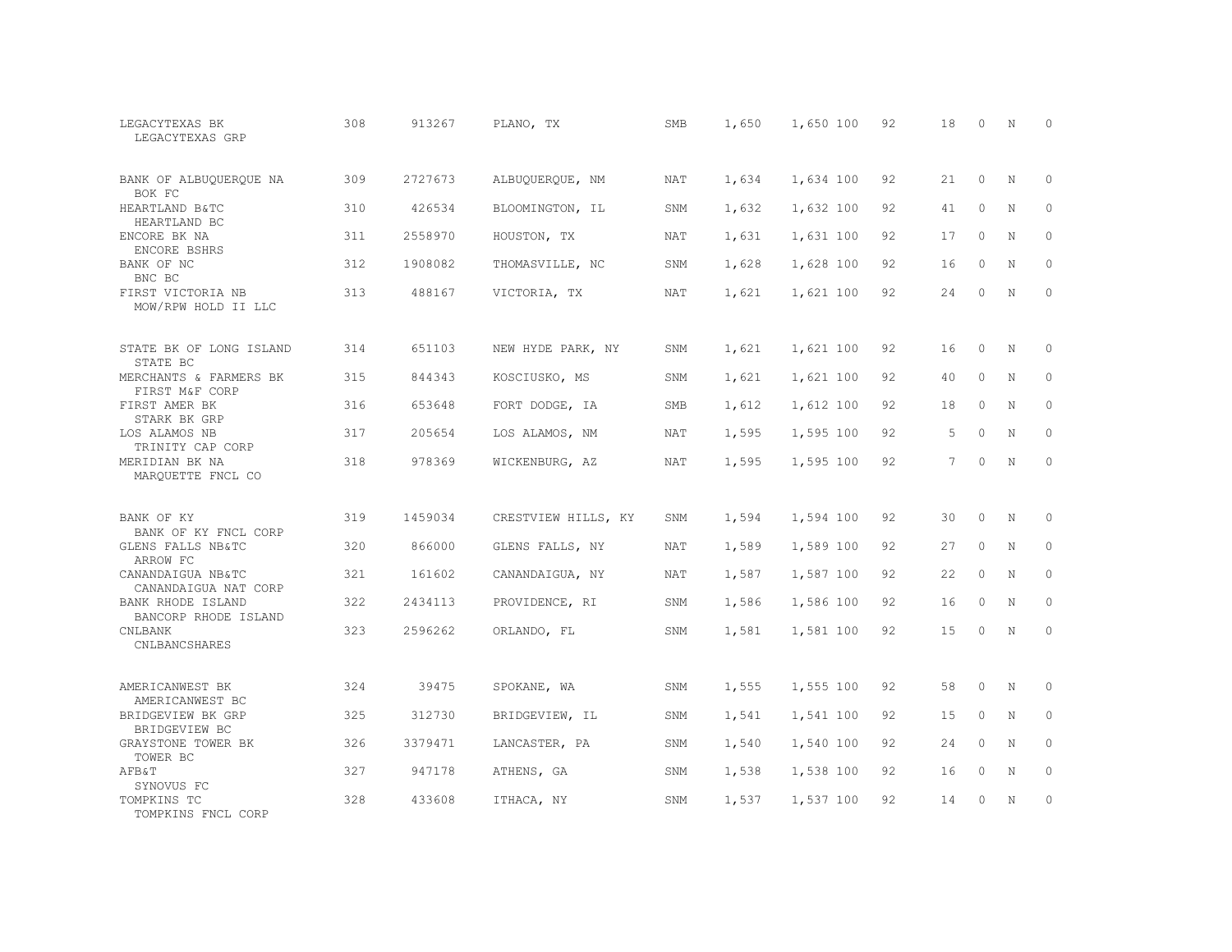| LEGACYTEXAS BK<br>LEGACYTEXAS GRP         | 308 | 913267  | PLANO, TX           | SMB        | 1,650 | 1,650 100 | 92 | 18              | $\Omega$ | N           | $\Omega$    |
|-------------------------------------------|-----|---------|---------------------|------------|-------|-----------|----|-----------------|----------|-------------|-------------|
| BANK OF ALBUQUERQUE NA<br>BOK FC          | 309 | 2727673 | ALBUQUERQUE, NM     | NAT        | 1,634 | 1,634 100 | 92 | 21              | $\circ$  | N           | $\mathbf 0$ |
| HEARTLAND B&TC<br>HEARTLAND BC            | 310 | 426534  | BLOOMINGTON, IL     | SNM        | 1,632 | 1,632 100 | 92 | 41              | $\Omega$ | N           | $\circ$     |
| ENCORE BK NA<br>ENCORE BSHRS              | 311 | 2558970 | HOUSTON, TX         | <b>NAT</b> | 1,631 | 1,631 100 | 92 | 17              | $\Omega$ | N           | $\Omega$    |
| BANK OF NC<br>BNC BC                      | 312 | 1908082 | THOMASVILLE, NC     | SNM        | 1,628 | 1,628 100 | 92 | 16              | $\Omega$ | N           | $\circ$     |
| FIRST VICTORIA NB<br>MOW/RPW HOLD II LLC  | 313 | 488167  | VICTORIA, TX        | <b>NAT</b> | 1,621 | 1,621 100 | 92 | 24              | $\Omega$ | N           | $\Omega$    |
| STATE BK OF LONG ISLAND<br>STATE BC       | 314 | 651103  | NEW HYDE PARK, NY   | SNM        | 1,621 | 1,621 100 | 92 | 16              | $\Omega$ | N           | $\Omega$    |
| MERCHANTS & FARMERS BK<br>FIRST M&F CORP  | 315 | 844343  | KOSCIUSKO, MS       | SNM        | 1,621 | 1,621 100 | 92 | 40              | $\circ$  | N           | $\mathbf 0$ |
| FIRST AMER BK<br>STARK BK GRP             | 316 | 653648  | FORT DODGE, IA      | <b>SMB</b> | 1,612 | 1,612 100 | 92 | 18              | $\Omega$ | N           | $\circ$     |
| LOS ALAMOS NB<br>TRINITY CAP CORP         | 317 | 205654  | LOS ALAMOS, NM      | <b>NAT</b> | 1,595 | 1,595 100 | 92 | 5               | $\circ$  | $\mathbf N$ | $\mathbf 0$ |
| MERIDIAN BK NA<br>MAROUETTE FNCL CO       | 318 | 978369  | WICKENBURG, AZ      | NAT        | 1,595 | 1,595 100 | 92 | $7\overline{ }$ | $\Omega$ | N           | $\Omega$    |
| BANK OF KY<br>BANK OF KY FNCL CORP        | 319 | 1459034 | CRESTVIEW HILLS, KY | SNM        | 1,594 | 1,594 100 | 92 | 30              | $\circ$  | N           | 0           |
| GLENS FALLS NB&TC<br>ARROW FC             | 320 | 866000  | GLENS FALLS, NY     | NAT        | 1,589 | 1,589 100 | 92 | 27              | $\Omega$ | N           | $\mathbf 0$ |
| CANANDAIGUA NB&TC<br>CANANDAIGUA NAT CORP | 321 | 161602  | CANANDAIGUA, NY     | NAT        | 1,587 | 1,587 100 | 92 | 22              | $\circ$  | N           | $\circ$     |
| BANK RHODE ISLAND<br>BANCORP RHODE ISLAND | 322 | 2434113 | PROVIDENCE, RI      | SNM        | 1,586 | 1,586 100 | 92 | 16              | $\Omega$ | $\mathbf N$ | $\circ$     |
| <b>CNLBANK</b><br>CNLBANCSHARES           | 323 | 2596262 | ORLANDO, FL         | SNM        | 1,581 | 1,581 100 | 92 | 15              | $\circ$  | $\mathbf N$ | $\mathbf 0$ |
| AMERICANWEST BK<br>AMERICANWEST BC        | 324 | 39475   | SPOKANE, WA         | SNM        | 1,555 | 1,555 100 | 92 | 58              | $\Omega$ | N           | $\Omega$    |
| BRIDGEVIEW BK GRP<br>BRIDGEVIEW BC        | 325 | 312730  | BRIDGEVIEW, IL      | SNM        | 1,541 | 1,541 100 | 92 | 15              | $\circ$  | N           | $\circ$     |
| GRAYSTONE TOWER BK<br>TOWER BC            | 326 | 3379471 | LANCASTER, PA       | SNM        | 1,540 | 1,540 100 | 92 | 24              | $\Omega$ | N           | $\Omega$    |
| <b>AFB&amp;T</b><br>SYNOVUS FC            | 327 | 947178  | ATHENS, GA          | SNM        | 1,538 | 1,538 100 | 92 | 16              | $\circ$  | N           | $\mathbf 0$ |
| TOMPKINS TC<br>TOMPKINS FNCL CORP         | 328 | 433608  | ITHACA, NY          | SNM        | 1,537 | 1,537 100 | 92 | 14              | $\Omega$ | N           | $\mathbf 0$ |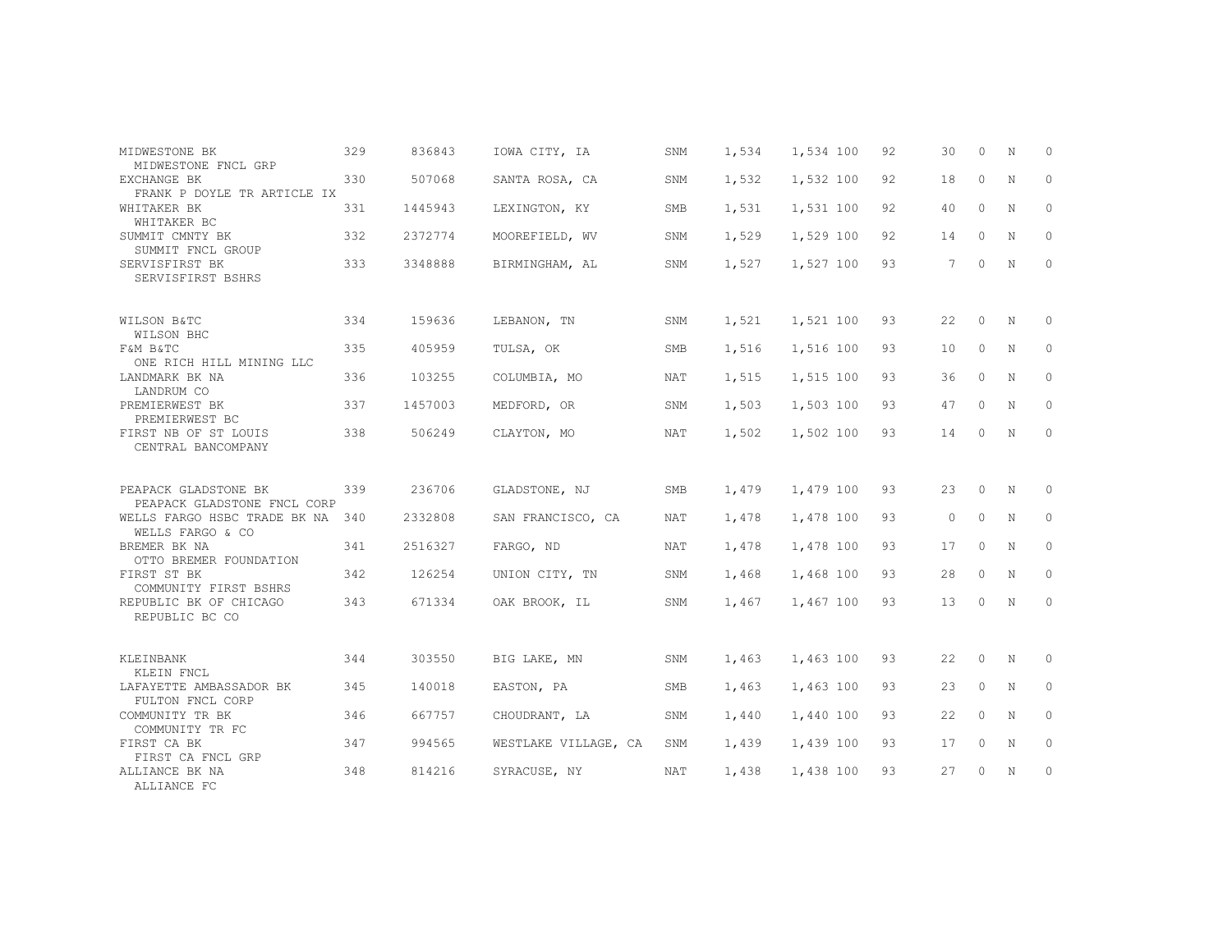| MIDWESTONE BK<br>MIDWESTONE FNCL GRP                | 329 | 836843  | IOWA CITY, IA        | SNM        | 1,534 | 1,534 100 | 92 | 30          | 0        | N | $\circ$      |
|-----------------------------------------------------|-----|---------|----------------------|------------|-------|-----------|----|-------------|----------|---|--------------|
| EXCHANGE BK<br>FRANK P DOYLE TR ARTICLE IX          | 330 | 507068  | SANTA ROSA, CA       | SNM        | 1,532 | 1,532 100 | 92 | 18          | $\circ$  | N | 0            |
| WHITAKER BK<br>WHITAKER BC                          | 331 | 1445943 | LEXINGTON, KY        | <b>SMB</b> | 1,531 | 1,531 100 | 92 | 40          | $\Omega$ | N | $\Omega$     |
| SUMMIT CMNTY BK<br>SUMMIT FNCL GROUP                | 332 | 2372774 | MOOREFIELD, WV       | SNM        | 1,529 | 1,529 100 | 92 | 14          | $\Omega$ | N | $\mathbf{0}$ |
| SERVISFIRST BK<br>SERVISFIRST BSHRS                 | 333 | 3348888 | BIRMINGHAM, AL       | SNM        | 1,527 | 1,527 100 | 93 | $7^{\circ}$ | $\circ$  | N | $\Omega$     |
| WILSON B&TC<br>WILSON BHC                           | 334 | 159636  | LEBANON, TN          | SNM        | 1,521 | 1,521 100 | 93 | 22          | $\circ$  | N | $\mathbf{0}$ |
| F&M B&TC<br>ONE RICH HILL MINING LLC                | 335 | 405959  | TULSA, OK            | SMB        | 1,516 | 1,516 100 | 93 | 10          | $\circ$  | N | 0            |
| LANDMARK BK NA<br>LANDRUM CO                        | 336 | 103255  | COLUMBIA, MO         | NAT        | 1,515 | 1,515 100 | 93 | 36          | $\Omega$ | N | $\Omega$     |
| PREMIERWEST BK<br>PREMIERWEST BC                    | 337 | 1457003 | MEDFORD, OR          | SNM        | 1,503 | 1,503 100 | 93 | 47          | $\circ$  | N | 0            |
| FIRST NB OF ST LOUIS<br>CENTRAL BANCOMPANY          | 338 | 506249  | CLAYTON, MO          | NAT        | 1,502 | 1,502 100 | 93 | 14          | $\Omega$ | N | $\mathbf{0}$ |
| PEAPACK GLADSTONE BK<br>PEAPACK GLADSTONE FNCL CORP | 339 | 236706  | GLADSTONE, NJ        | SMB        | 1,479 | 1,479 100 | 93 | 23          | $\circ$  | N | 0            |
| WELLS FARGO HSBC TRADE BK NA<br>WELLS FARGO & CO    | 340 | 2332808 | SAN FRANCISCO, CA    | <b>NAT</b> | 1,478 | 1,478 100 | 93 | $\circ$     | $\circ$  | N | $\Omega$     |
| BREMER BK NA<br>OTTO BREMER FOUNDATION              | 341 | 2516327 | FARGO, ND            | NAT        | 1,478 | 1,478 100 | 93 | 17          | $\circ$  | N | 0            |
| FIRST ST BK<br>COMMUNITY FIRST BSHRS                | 342 | 126254  | UNION CITY, TN       | SNM        | 1,468 | 1,468 100 | 93 | 28          | $\Omega$ | N | 0            |
| REPUBLIC BK OF CHICAGO<br>REPUBLIC BC CO            | 343 | 671334  | OAK BROOK, IL        | SNM        | 1,467 | 1,467 100 | 93 | 13          | $\Omega$ | N | $\mathbf{0}$ |
|                                                     |     |         |                      |            |       |           |    |             |          |   |              |
| KLEINBANK<br>KLEIN FNCL                             | 344 | 303550  | BIG LAKE, MN         | SNM        | 1,463 | 1,463 100 | 93 | 22          | $\circ$  | N | $\circ$      |
| LAFAYETTE AMBASSADOR BK<br>FULTON FNCL CORP         | 345 | 140018  | EASTON, PA           | <b>SMB</b> | 1,463 | 1,463 100 | 93 | 23          | $\Omega$ | N | $\Omega$     |
| COMMUNITY TR BK<br>COMMUNITY TR FC                  | 346 | 667757  | CHOUDRANT, LA        | SNM        | 1,440 | 1,440 100 | 93 | 22          | 0        | N | $\circ$      |
| FIRST CA BK<br>FIRST CA FNCL GRP                    | 347 | 994565  | WESTLAKE VILLAGE, CA | SNM        | 1,439 | 1,439 100 | 93 | 17          | $\circ$  | N | $\Omega$     |
| ALLIANCE BK NA<br>ALLIANCE FC                       | 348 | 814216  | SYRACUSE, NY         | NAT        | 1,438 | 1,438 100 | 93 | 27          | 0        | N | $\circ$      |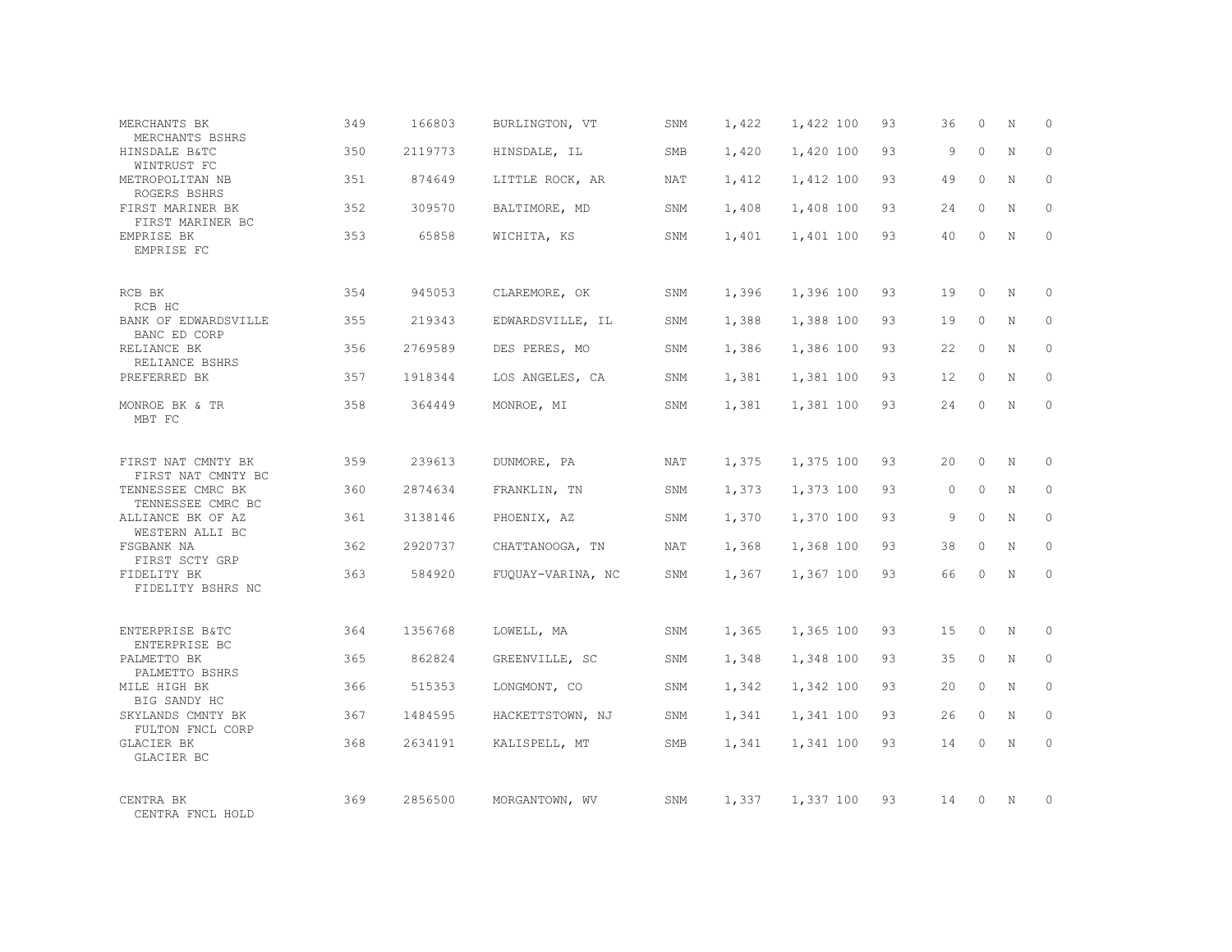| MERCHANTS BK<br>MERCHANTS BSHRS          | 349 | 166803  | BURLINGTON, VT    | SNM        | 1,422 | 1,422 100 | 93 | 36       | $\Omega$ | N           | $\Omega$ |
|------------------------------------------|-----|---------|-------------------|------------|-------|-----------|----|----------|----------|-------------|----------|
| HINSDALE B&TC<br>WINTRUST FC             | 350 | 2119773 | HINSDALE, IL      | <b>SMB</b> | 1,420 | 1,420 100 | 93 | 9        | $\Omega$ | $\mathbf N$ | $\Omega$ |
| METROPOLITAN NB<br>ROGERS BSHRS          | 351 | 874649  | LITTLE ROCK, AR   | NAT        | 1,412 | 1,412 100 | 93 | 49       | $\Omega$ | N           | $\Omega$ |
| FIRST MARINER BK<br>FIRST MARINER BC     | 352 | 309570  | BALTIMORE, MD     | SNM        | 1,408 | 1,408 100 | 93 | 24       | $\Omega$ | N           | $\Omega$ |
| EMPRISE BK<br>EMPRISE FC                 | 353 | 65858   | WICHITA, KS       | SNM        | 1,401 | 1,401 100 | 93 | 40       | $\Omega$ | N           | $\Omega$ |
| RCB BK<br>RCB HC                         | 354 | 945053  | CLAREMORE, OK     | SNM        | 1,396 | 1,396 100 | 93 | 19       | $\Omega$ | N           | $\Omega$ |
| BANK OF EDWARDSVILLE<br>BANC ED CORP     | 355 | 219343  | EDWARDSVILLE, IL  | SNM        | 1,388 | 1,388 100 | 93 | 19       | $\Omega$ | N           | $\Omega$ |
| RELIANCE BK<br>RELIANCE BSHRS            | 356 | 2769589 | DES PERES, MO     | SNM        | 1,386 | 1,386 100 | 93 | 22       | $\Omega$ | $\mathbf N$ | $\Omega$ |
| PREFERRED BK                             | 357 | 1918344 | LOS ANGELES, CA   | SNM        | 1,381 | 1,381 100 | 93 | 12       | $\Omega$ | N           | $\Omega$ |
| MONROE BK & TR<br>MBT FC                 | 358 | 364449  | MONROE, MI        | SNM        | 1,381 | 1,381 100 | 93 | 24       | $\Omega$ | $\mathbf N$ | $\Omega$ |
| FIRST NAT CMNTY BK<br>FIRST NAT CMNTY BC | 359 | 239613  | DUNMORE, PA       | NAT        | 1,375 | 1,375 100 | 93 | 2.0      | $\Omega$ | $_{\rm N}$  | $\Omega$ |
| TENNESSEE CMRC BK<br>TENNESSEE CMRC BC   | 360 | 2874634 | FRANKLIN, TN      | SNM        | 1,373 | 1,373 100 | 93 | $\Omega$ | $\circ$  | N           | $\Omega$ |
| ALLIANCE BK OF AZ<br>WESTERN ALLI BC     | 361 | 3138146 | PHOENIX, AZ       | SNM        | 1,370 | 1,370 100 | 93 | 9        | $\Omega$ | $\mathbf N$ | $\Omega$ |
| FSGBANK NA<br>FIRST SCTY GRP             | 362 | 2920737 | CHATTANOOGA, TN   | NAT        | 1,368 | 1,368 100 | 93 | 38       | $\Omega$ | N           | $\Omega$ |
| FIDELITY BK<br>FIDELITY BSHRS NC         | 363 | 584920  | FUQUAY-VARINA, NC | <b>SNM</b> | 1,367 | 1,367 100 | 93 | 66       | $\Omega$ | $\mathbf N$ | $\Omega$ |
| ENTERPRISE B&TC<br>ENTERPRISE BC         | 364 | 1356768 | LOWELL, MA        | SNM        | 1,365 | 1,365 100 | 93 | 1.5      | $\Omega$ | N           | $\Omega$ |
| PALMETTO BK<br>PALMETTO BSHRS            | 365 | 862824  | GREENVILLE, SC    | SNM        | 1,348 | 1,348 100 | 93 | 35       | $\circ$  | N           | $\circ$  |
| MILE HIGH BK<br>BIG SANDY HC             | 366 | 515353  | LONGMONT, CO      | SNM        | 1,342 | 1,342 100 | 93 | 20       | $\Omega$ | N           | $\Omega$ |
| SKYLANDS CMNTY BK<br>FULTON FNCL CORP    | 367 | 1484595 | HACKETTSTOWN, NJ  | SNM        | 1,341 | 1,341 100 | 93 | 26       | $\circ$  | $\mathbf N$ | $\Omega$ |
| GLACIER BK<br>GLACIER BC                 | 368 | 2634191 | KALISPELL, MT     | <b>SMB</b> | 1,341 | 1,341 100 | 93 | 14       | $\Omega$ | $\mathbb N$ | $\Omega$ |
| CENTRA BK<br>CENTRA FNCL HOLD            | 369 | 2856500 | MORGANTOWN, WV    | SNM        | 1,337 | 1,337 100 | 93 | 14       | $\Omega$ | $\mathbb N$ | $\Omega$ |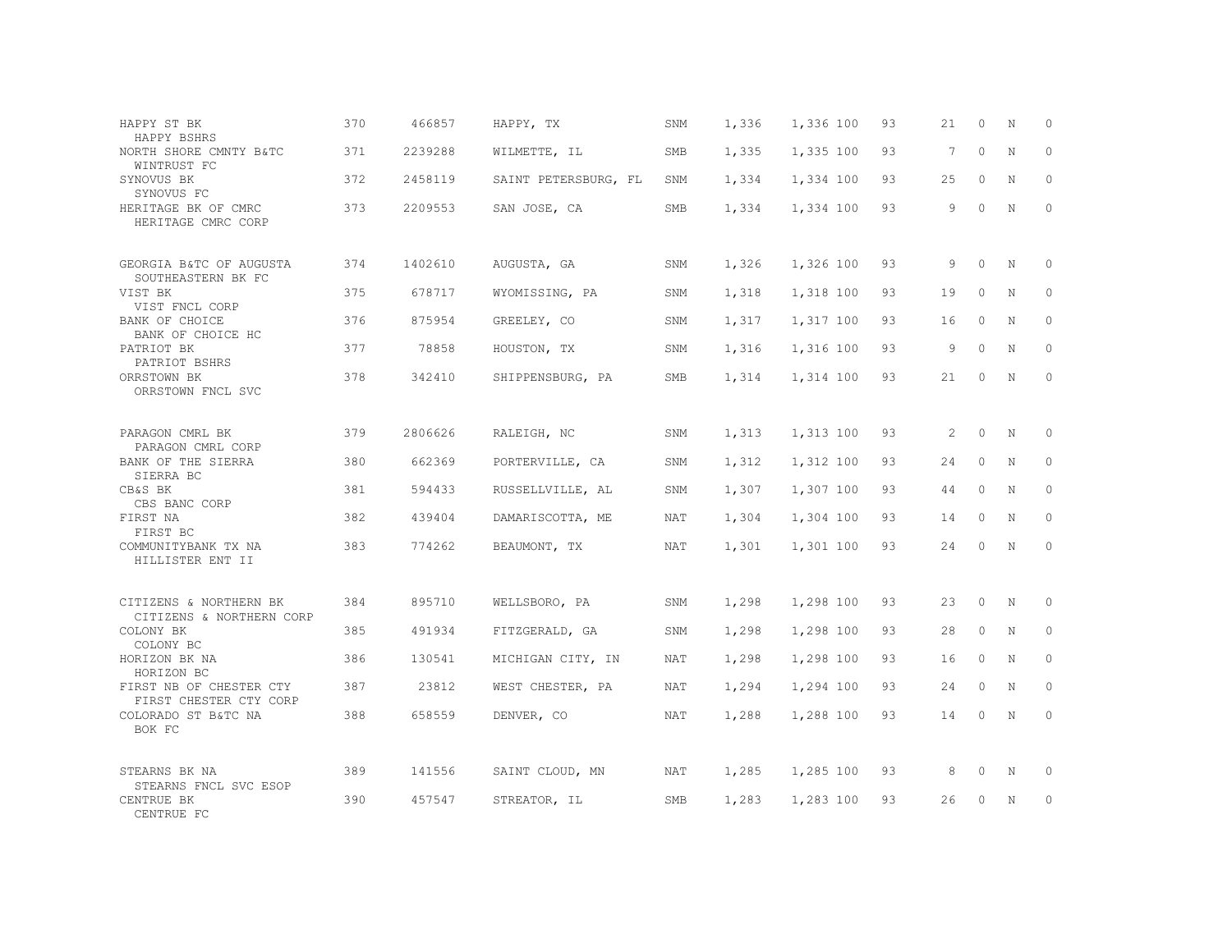| HAPPY ST BK<br>HAPPY BSHRS                         | 370 | 466857  | HAPPY, TX            | SNM | 1,336 | 1,336 100 | 93 | 21 | $\Omega$ | N           | $\Omega$    |
|----------------------------------------------------|-----|---------|----------------------|-----|-------|-----------|----|----|----------|-------------|-------------|
| NORTH SHORE CMNTY B&TC<br>WINTRUST FC              | 371 | 2239288 | WILMETTE, IL         | SMB | 1,335 | 1,335 100 | 93 | 7  | $\Omega$ | $\mathbf N$ | $\Omega$    |
| SYNOVUS BK<br>SYNOVUS FC                           | 372 | 2458119 | SAINT PETERSBURG, FL | SNM | 1,334 | 1,334 100 | 93 | 25 | $\circ$  | N           | $\circ$     |
| HERITAGE BK OF CMRC<br>HERITAGE CMRC CORP          | 373 | 2209553 | SAN JOSE, CA         | SMB | 1,334 | 1,334 100 | 93 | 9  | $\Omega$ | $_{\rm N}$  | $\Omega$    |
| GEORGIA B&TC OF AUGUSTA<br>SOUTHEASTERN BK FC      | 374 | 1402610 | AUGUSTA, GA          | SNM | 1,326 | 1,326 100 | 93 | 9  | $\Omega$ | N           | $\circ$     |
| VIST BK<br>VIST FNCL CORP                          | 375 | 678717  | WYOMISSING, PA       | SNM | 1,318 | 1,318 100 | 93 | 19 | $\Omega$ | N           | $\Omega$    |
| BANK OF CHOICE<br>BANK OF CHOICE HC                | 376 | 875954  | GREELEY, CO          | SNM | 1,317 | 1,317 100 | 93 | 16 | $\circ$  | N           | $\circ$     |
| PATRIOT BK<br>PATRIOT BSHRS                        | 377 | 78858   | HOUSTON, TX          | SNM | 1,316 | 1,316 100 | 93 | 9  | $\Omega$ | N           | $\Omega$    |
| ORRSTOWN BK<br>ORRSTOWN FNCL SVC                   | 378 | 342410  | SHIPPENSBURG, PA     | SMB | 1,314 | 1,314 100 | 93 | 21 | 0        | N           | $\circ$     |
| PARAGON CMRL BK<br>PARAGON CMRL CORP               | 379 | 2806626 | RALEIGH, NC          | SNM | 1,313 | 1,313 100 | 93 | 2  | $\circ$  | N           | $\circ$     |
| BANK OF THE SIERRA<br>SIERRA BC                    | 380 | 662369  | PORTERVILLE, CA      | SNM | 1,312 | 1,312 100 | 93 | 24 | $\Omega$ | N           | $\Omega$    |
| CB&S BK<br>CBS BANC CORP                           | 381 | 594433  | RUSSELLVILLE, AL     | SNM | 1,307 | 1,307 100 | 93 | 44 | $\Omega$ | N           | $\Omega$    |
| FIRST NA<br>FIRST BC                               | 382 | 439404  | DAMARISCOTTA, ME     | NAT | 1,304 | 1,304 100 | 93 | 14 | $\circ$  | N           | $\circ$     |
| COMMUNITYBANK TX NA<br>HILLISTER ENT II            | 383 | 774262  | BEAUMONT, TX         | NAT | 1,301 | 1,301 100 | 93 | 24 | $\Omega$ | N           | $\Omega$    |
| CITIZENS & NORTHERN BK<br>CITIZENS & NORTHERN CORP | 384 | 895710  | WELLSBORO, PA        | SNM | 1,298 | 1,298 100 | 93 | 23 | $\circ$  | N           | $\mathbf 0$ |
| COLONY BK<br>COLONY BC                             | 385 | 491934  | FITZGERALD, GA       | SNM | 1,298 | 1,298 100 | 93 | 28 | $\circ$  | N           | $\circ$     |
| HORIZON BK NA<br>HORIZON BC                        | 386 | 130541  | MICHIGAN CITY, IN    | NAT | 1,298 | 1,298 100 | 93 | 16 | $\circ$  | N           | $\circ$     |
| FIRST NB OF CHESTER CTY<br>FIRST CHESTER CTY CORP  | 387 | 23812   | WEST CHESTER, PA     | NAT | 1,294 | 1,294 100 | 93 | 24 | $\Omega$ | N           | $\Omega$    |
| COLORADO ST B&TC NA<br>BOK FC                      | 388 | 658559  | DENVER, CO           | NAT | 1,288 | 1,288 100 | 93 | 14 | $\circ$  | N           | $\circ$     |
| STEARNS BK NA                                      | 389 | 141556  | SAINT CLOUD, MN      | NAT | 1,285 | 1,285 100 | 93 | 8  | 0        | N           | $\circ$     |
| STEARNS FNCL SVC ESOP<br>CENTRUE BK<br>CENTRUE FC  | 390 | 457547  | STREATOR, IL         | SMB | 1,283 | 1,283 100 | 93 | 26 | 0        | N           | $\circ$     |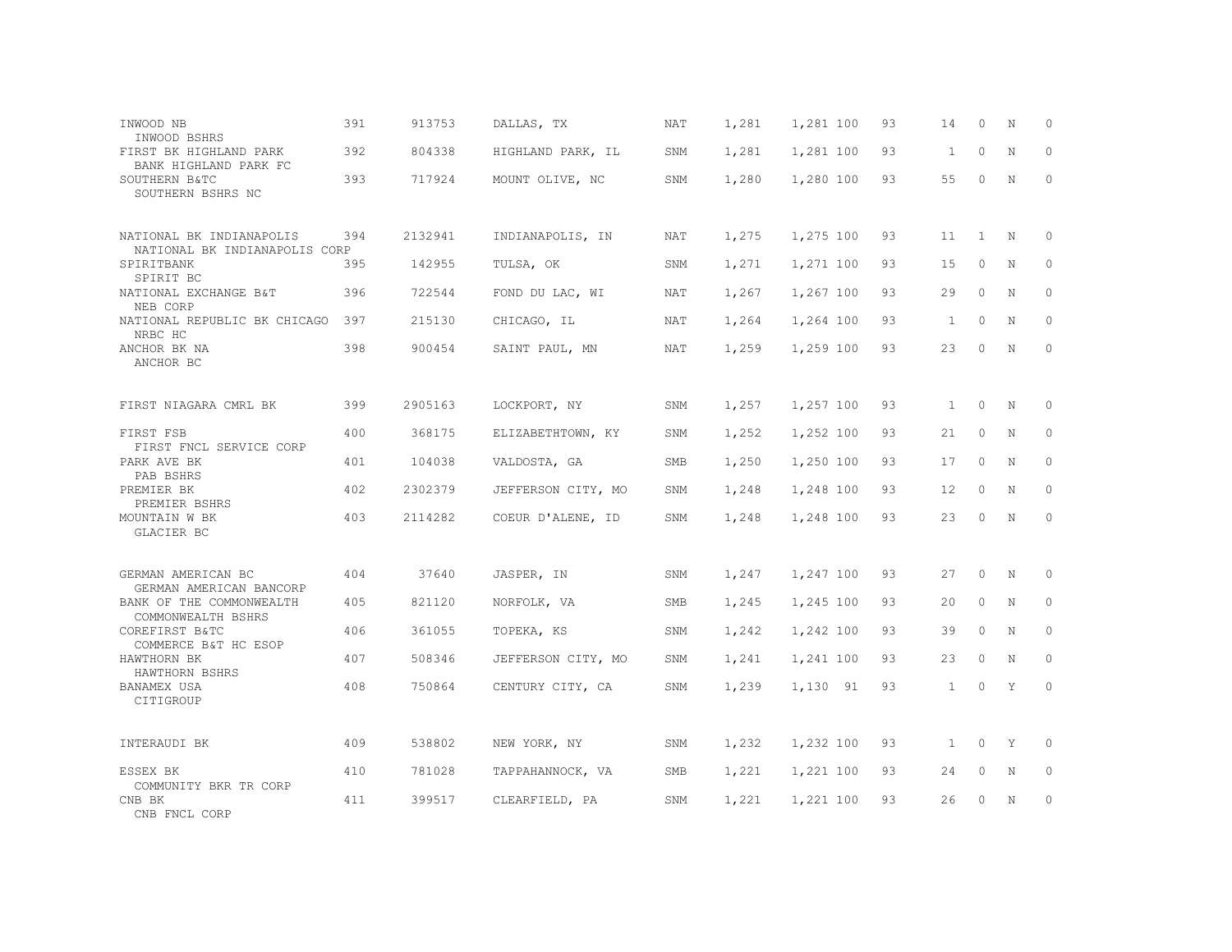| INWOOD NB<br>INWOOD BSHRS                                    | 391 | 913753  | DALLAS, TX         | NAT | 1,281 | 1,281 100 | 93 | 14           | $\circ$      | N           | 0            |
|--------------------------------------------------------------|-----|---------|--------------------|-----|-------|-----------|----|--------------|--------------|-------------|--------------|
| FIRST BK HIGHLAND PARK<br>BANK HIGHLAND PARK FC              | 392 | 804338  | HIGHLAND PARK, IL  | SNM | 1,281 | 1,281 100 | 93 | 1            | $\circ$      | N           | $\mathbf 0$  |
| SOUTHERN B&TC<br>SOUTHERN BSHRS NC                           | 393 | 717924  | MOUNT OLIVE, NC    | SNM | 1,280 | 1,280 100 | 93 | 55           | $\Omega$     | $\mathbf N$ | $\circ$      |
| NATIONAL BK INDIANAPOLIS<br>NATIONAL BK INDIANAPOLIS CORP    | 394 | 2132941 | INDIANAPOLIS, IN   | NAT | 1,275 | 1,275 100 | 93 | 11           | <sup>1</sup> | N           | $\Omega$     |
| SPIRITBANK<br>SPIRIT BC                                      | 395 | 142955  | TULSA, OK          | SNM | 1,271 | 1,271 100 | 93 | 15           | $\circ$      | $\mathbf N$ | $\circ$      |
| NATIONAL EXCHANGE B&T<br>NEB CORP                            | 396 | 722544  | FOND DU LAC, WI    | NAT | 1,267 | 1,267 100 | 93 | 29           | $\circ$      | N           | $\mathbf{0}$ |
| NATIONAL REPUBLIC BK CHICAGO<br>NRBC HC                      | 397 | 215130  | CHICAGO, IL        | NAT | 1,264 | 1,264 100 | 93 | 1            | $\circ$      | N           | $\mathbf{0}$ |
| ANCHOR BK NA<br>ANCHOR BC                                    | 398 | 900454  | SAINT PAUL, MN     | NAT | 1,259 | 1,259 100 | 93 | 23           | 0            | N           | $\mathbf{0}$ |
| FIRST NIAGARA CMRL BK                                        | 399 | 2905163 | LOCKPORT, NY       | SNM | 1,257 | 1,257 100 | 93 | 1            | $\circ$      | N           | $\mathbf{0}$ |
| FIRST FSB<br>FIRST FNCL SERVICE CORP                         | 400 | 368175  | ELIZABETHTOWN, KY  | SNM | 1,252 | 1,252 100 | 93 | 21           | $\circ$      | $\mathbf N$ | $\circ$      |
| PARK AVE BK<br>PAB BSHRS                                     | 401 | 104038  | VALDOSTA, GA       | SMB | 1,250 | 1,250 100 | 93 | 17           | $\Omega$     | N           | $\circ$      |
| PREMIER BK<br>PREMIER BSHRS                                  | 402 | 2302379 | JEFFERSON CITY, MO | SNM | 1,248 | 1,248 100 | 93 | 12           | $\circ$      | N           | $\circ$      |
| MOUNTAIN W BK<br>GLACIER BC                                  | 403 | 2114282 | COEUR D'ALENE, ID  | SNM | 1,248 | 1,248 100 | 93 | 23           | $\circ$      | N           | $\mathbf{0}$ |
| GERMAN AMERICAN BC                                           | 404 | 37640   | JASPER, IN         | SNM | 1,247 | 1,247 100 | 93 | 27           | $\circ$      | N           | 0            |
| GERMAN AMERICAN BANCORP<br>BANK OF THE COMMONWEALTH          | 405 | 821120  | NORFOLK, VA        | SMB | 1,245 | 1,245 100 | 93 | 20           | $\circ$      | N           | $\circ$      |
| COMMONWEALTH BSHRS<br>COREFIRST B&TC<br>COMMERCE B&T HC ESOP | 406 | 361055  | TOPEKA, KS         | SNM | 1,242 | 1,242 100 | 93 | 39           | $\circ$      | N           | $\circ$      |
| HAWTHORN BK<br>HAWTHORN BSHRS                                | 407 | 508346  | JEFFERSON CITY, MO | SNM | 1,241 | 1,241 100 | 93 | 23           | $\Omega$     | N           | $\Omega$     |
| BANAMEX USA<br>CITIGROUP                                     | 408 | 750864  | CENTURY CITY, CA   | SNM | 1,239 | 1,130 91  | 93 | $\mathbf{1}$ | $\Omega$     | Y           | $\Omega$     |
| INTERAUDI BK                                                 | 409 | 538802  | NEW YORK, NY       | SNM | 1,232 | 1,232 100 | 93 | $\mathbf{1}$ | 0            | Y           | $\circ$      |
| ESSEX BK                                                     | 410 | 781028  | TAPPAHANNOCK, VA   | SMB | 1,221 | 1,221 100 | 93 | 24           | 0            | N           | $\mathbf{0}$ |
| COMMUNITY BKR TR CORP<br>CNB BK<br>CNB FNCL CORP             | 411 | 399517  | CLEARFIELD, PA     | SNM | 1,221 | 1,221 100 | 93 | 26           | $\Omega$     | N           | $\circ$      |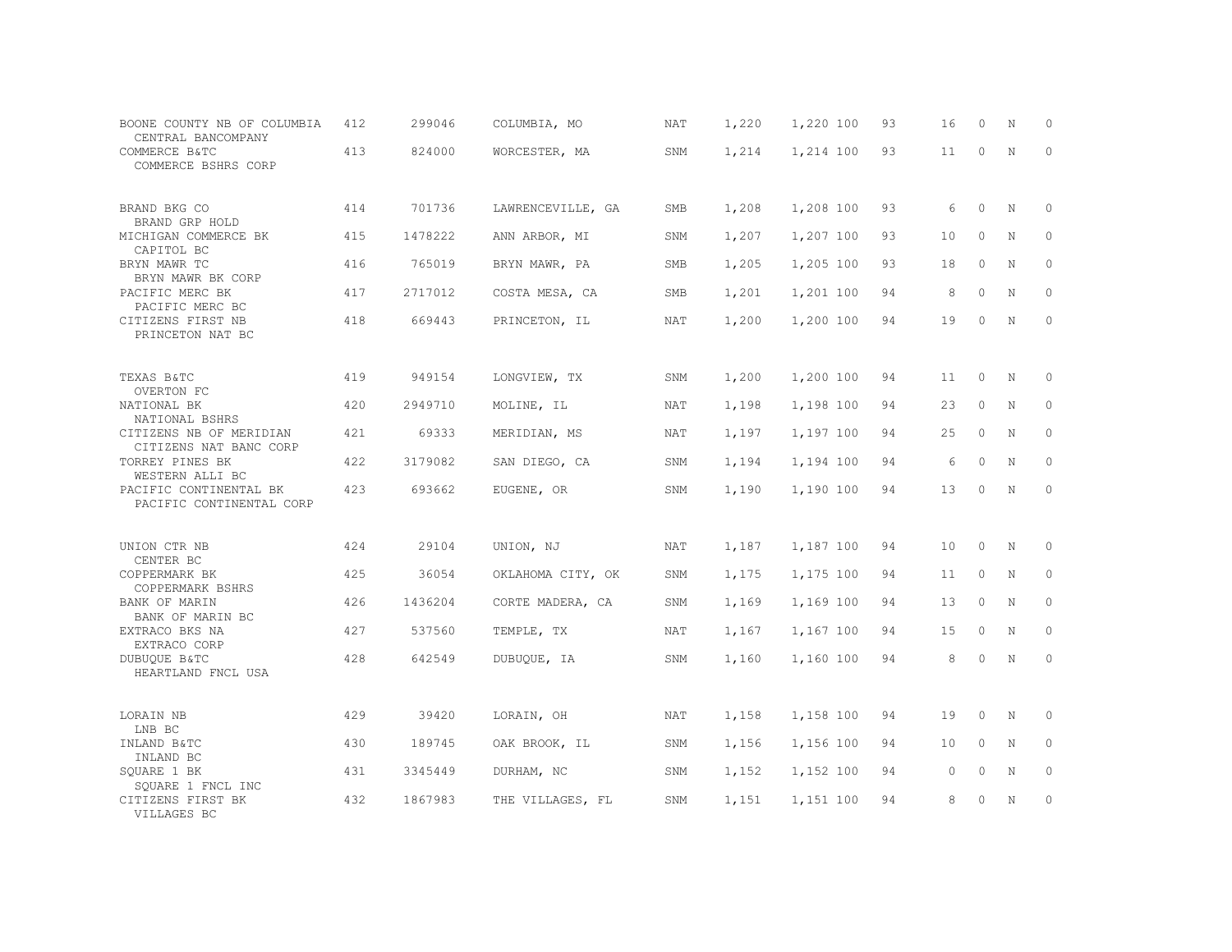| BOONE COUNTY NB OF COLUMBIA<br>CENTRAL BANCOMPANY  | 412 | 299046  | COLUMBIA, MO      | NAT | 1,220 | 1,220 100 | 93 | 16 | $\Omega$ | N           | $\circ$      |
|----------------------------------------------------|-----|---------|-------------------|-----|-------|-----------|----|----|----------|-------------|--------------|
| COMMERCE B&TC<br>COMMERCE BSHRS CORP               | 413 | 824000  | WORCESTER, MA     | SNM | 1,214 | 1,214 100 | 93 | 11 | $\Omega$ | N           | $\mathbf{0}$ |
| BRAND BKG CO<br>BRAND GRP HOLD                     | 414 | 701736  | LAWRENCEVILLE, GA | SMB | 1,208 | 1,208 100 | 93 | 6  | $\circ$  | N           | $\circ$      |
| MICHIGAN COMMERCE BK<br>CAPITOL BC                 | 415 | 1478222 | ANN ARBOR, MI     | SNM | 1,207 | 1,207 100 | 93 | 10 | $\Omega$ | N           | $\circ$      |
| BRYN MAWR TC<br>BRYN MAWR BK CORP                  | 416 | 765019  | BRYN MAWR, PA     | SMB | 1,205 | 1,205 100 | 93 | 18 | $\circ$  | N           | $\circ$      |
| PACIFIC MERC BK<br>PACIFIC MERC BC                 | 417 | 2717012 | COSTA MESA, CA    | SMB | 1,201 | 1,201 100 | 94 | 8  | $\Omega$ | N           | $\circ$      |
| CITIZENS FIRST NB<br>PRINCETON NAT BC              | 418 | 669443  | PRINCETON, IL     | NAT | 1,200 | 1,200 100 | 94 | 19 | $\circ$  | N           | $\circ$      |
| TEXAS B&TC<br>OVERTON FC                           | 419 | 949154  | LONGVIEW, TX      | SNM | 1,200 | 1,200 100 | 94 | 11 | $\circ$  | N           | 0            |
| NATIONAL BK<br>NATIONAL BSHRS                      | 420 | 2949710 | MOLINE, IL        | NAT | 1,198 | 1,198 100 | 94 | 23 | $\circ$  | N           | $\circ$      |
| CITIZENS NB OF MERIDIAN<br>CITIZENS NAT BANC CORP  | 421 | 69333   | MERIDIAN, MS      | NAT | 1,197 | 1,197 100 | 94 | 25 | $\circ$  | $\mathbb N$ | $\circ$      |
| TORREY PINES BK<br>WESTERN ALLI BC                 | 422 | 3179082 | SAN DIEGO, CA     | SNM | 1,194 | 1,194 100 | 94 | 6  | $\Omega$ | N           | $\circ$      |
| PACIFIC CONTINENTAL BK<br>PACIFIC CONTINENTAL CORP | 423 | 693662  | EUGENE, OR        | SNM | 1,190 | 1,190 100 | 94 | 13 | $\Omega$ | N           | $\Omega$     |
| UNION CTR NB<br>CENTER BC                          | 424 | 29104   | UNION, NJ         | NAT | 1,187 | 1,187 100 | 94 | 10 | $\circ$  | N           | $\circ$      |
| COPPERMARK BK<br>COPPERMARK BSHRS                  | 425 | 36054   | OKLAHOMA CITY, OK | SNM | 1,175 | 1,175 100 | 94 | 11 | $\circ$  | N           | 0            |
| <b>BANK OF MARIN</b><br>BANK OF MARIN BC           | 426 | 1436204 | CORTE MADERA, CA  | SNM | 1,169 | 1,169 100 | 94 | 13 | $\circ$  | N           | $\circ$      |
| EXTRACO BKS NA<br>EXTRACO CORP                     | 427 | 537560  | TEMPLE, TX        | NAT | 1,167 | 1,167 100 | 94 | 15 | $\circ$  | $\mathbb N$ | $\mathbf{0}$ |
| DUBUQUE B&TC<br>HEARTLAND FNCL USA                 | 428 | 642549  | DUBUQUE, IA       | SNM | 1,160 | 1,160 100 | 94 | 8  | $\circ$  | N           | $\circ$      |
| LORAIN NB<br>LNB BC                                | 429 | 39420   | LORAIN, OH        | NAT | 1,158 | 1,158 100 | 94 | 19 | 0        | N           | 0            |
| INLAND B&TC<br>INLAND BC                           | 430 | 189745  | OAK BROOK, IL     | SNM | 1,156 | 1,156 100 | 94 | 10 | $\circ$  | N           | $\mathbf{0}$ |
| SQUARE 1 BK<br>SOUARE 1 FNCL INC                   | 431 | 3345449 | DURHAM, NC        | SNM | 1,152 | 1,152 100 | 94 | 0  | 0        | N           | 0            |
| CITIZENS FIRST BK<br>VILLAGES BC                   | 432 | 1867983 | THE VILLAGES, FL  | SNM | 1,151 | 1,151 100 | 94 | 8  | $\Omega$ | N           | $\circ$      |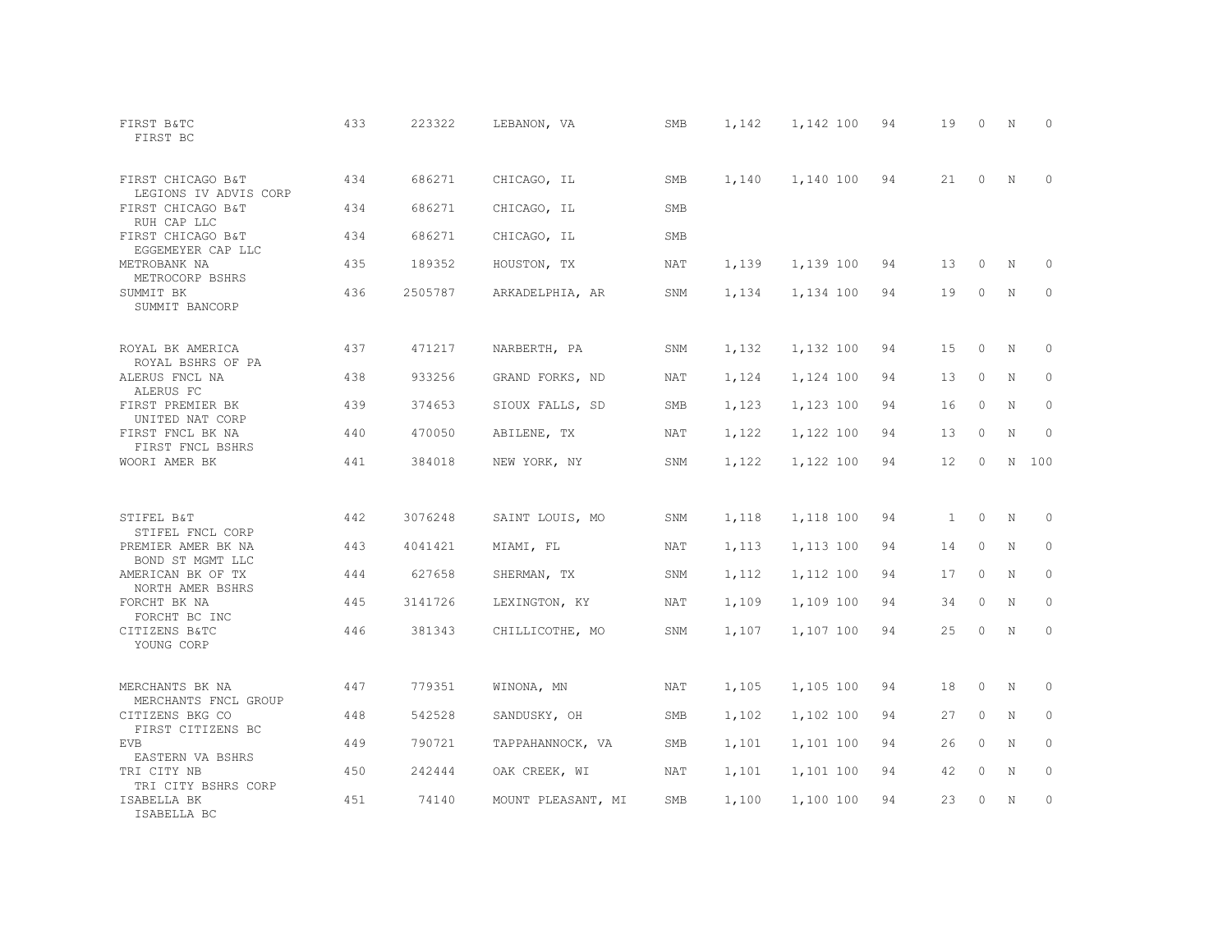| FIRST B&TC<br>FIRST BC                     | 433 | 223322  | LEBANON, VA        | SMB        | 1,142 | 1,142 100 | 94 | 19                | $\circ$  | N           | $\Omega$    |
|--------------------------------------------|-----|---------|--------------------|------------|-------|-----------|----|-------------------|----------|-------------|-------------|
| FIRST CHICAGO B&T<br>LEGIONS IV ADVIS CORP | 434 | 686271  | CHICAGO, IL        | <b>SMB</b> | 1,140 | 1,140 100 | 94 | 21                | $\Omega$ | N           | $\Omega$    |
| FIRST CHICAGO B&T<br>RUH CAP LLC           | 434 | 686271  | CHICAGO, IL        | <b>SMB</b> |       |           |    |                   |          |             |             |
| FIRST CHICAGO B&T<br>EGGEMEYER CAP LLC     | 434 | 686271  | CHICAGO, IL        | <b>SMB</b> |       |           |    |                   |          |             |             |
| METROBANK NA<br>METROCORP BSHRS            | 435 | 189352  | HOUSTON, TX        | NAT        | 1,139 | 1,139 100 | 94 | 13                | 0        | N           | 0           |
| SUMMIT BK<br>SUMMIT BANCORP                | 436 | 2505787 | ARKADELPHIA, AR    | SNM        | 1,134 | 1,134 100 | 94 | 19                | $\circ$  | N           | $\circ$     |
| ROYAL BK AMERICA<br>ROYAL BSHRS OF PA      | 437 | 471217  | NARBERTH, PA       | SNM        | 1,132 | 1,132 100 | 94 | 15                | $\circ$  | N           | 0           |
| ALERUS FNCL NA<br>ALERUS FC                | 438 | 933256  | GRAND FORKS, ND    | NAT        | 1,124 | 1,124 100 | 94 | 13                | $\circ$  | N           | $\circ$     |
| FIRST PREMIER BK<br>UNITED NAT CORP        | 439 | 374653  | SIOUX FALLS, SD    | SMB        | 1,123 | 1,123 100 | 94 | 16                | $\circ$  | N           | 0           |
| FIRST FNCL BK NA<br>FIRST FNCL BSHRS       | 440 | 470050  | ABILENE, TX        | NAT        | 1,122 | 1,122 100 | 94 | 13                | $\circ$  | $\mathbf N$ | $\mathbf 0$ |
| WOORI AMER BK                              | 441 | 384018  | NEW YORK, NY       | SNM        | 1,122 | 1,122 100 | 94 | $12 \overline{ }$ | $\Omega$ |             | N 100       |
| STIFEL B&T<br>STIFEL FNCL CORP             | 442 | 3076248 | SAINT LOUIS, MO    | SNM        | 1,118 | 1,118 100 | 94 | $\mathbf{1}$      | $\circ$  | N           | $\mathbf 0$ |
| PREMIER AMER BK NA<br>BOND ST MGMT LLC     | 443 | 4041421 | MIAMI, FL          | NAT        | 1,113 | 1,113 100 | 94 | 14                | $\circ$  | N           | $\mathbb O$ |
| AMERICAN BK OF TX<br>NORTH AMER BSHRS      | 444 | 627658  | SHERMAN, TX        | SNM        | 1,112 | 1,112 100 | 94 | 17                | $\circ$  | N           | $\circ$     |
| FORCHT BK NA<br>FORCHT BC INC              | 445 | 3141726 | LEXINGTON, KY      | NAT        | 1,109 | 1,109 100 | 94 | 34                | $\circ$  | N           | $\Omega$    |
| CITIZENS B&TC<br>YOUNG CORP                | 446 | 381343  | CHILLICOTHE, MO    | SNM        | 1,107 | 1,107 100 | 94 | 25                | $\circ$  | N           | $\circ$     |
| MERCHANTS BK NA<br>MERCHANTS FNCL GROUP    | 447 | 779351  | WINONA, MN         | NAT        | 1,105 | 1,105 100 | 94 | 18                | $\circ$  | N           | 0           |
| CITIZENS BKG CO<br>FIRST CITIZENS BC       | 448 | 542528  | SANDUSKY, OH       | SMB        | 1,102 | 1,102 100 | 94 | 27                | $\circ$  | N           | $\circ$     |
| <b>EVB</b><br>EASTERN VA BSHRS             | 449 | 790721  | TAPPAHANNOCK, VA   | <b>SMB</b> | 1,101 | 1,101 100 | 94 | 26                | $\Omega$ | N           | $\circ$     |
| TRI CITY NB<br>TRI CITY BSHRS CORP         | 450 | 242444  | OAK CREEK, WI      | NAT        | 1,101 | 1,101 100 | 94 | 42                | $\circ$  | N           | 0           |
| ISABELLA BK<br>ISABELLA BC                 | 451 | 74140   | MOUNT PLEASANT, MI | SMB        | 1,100 | 1,100 100 | 94 | 23                | $\Omega$ | N           | $\circ$     |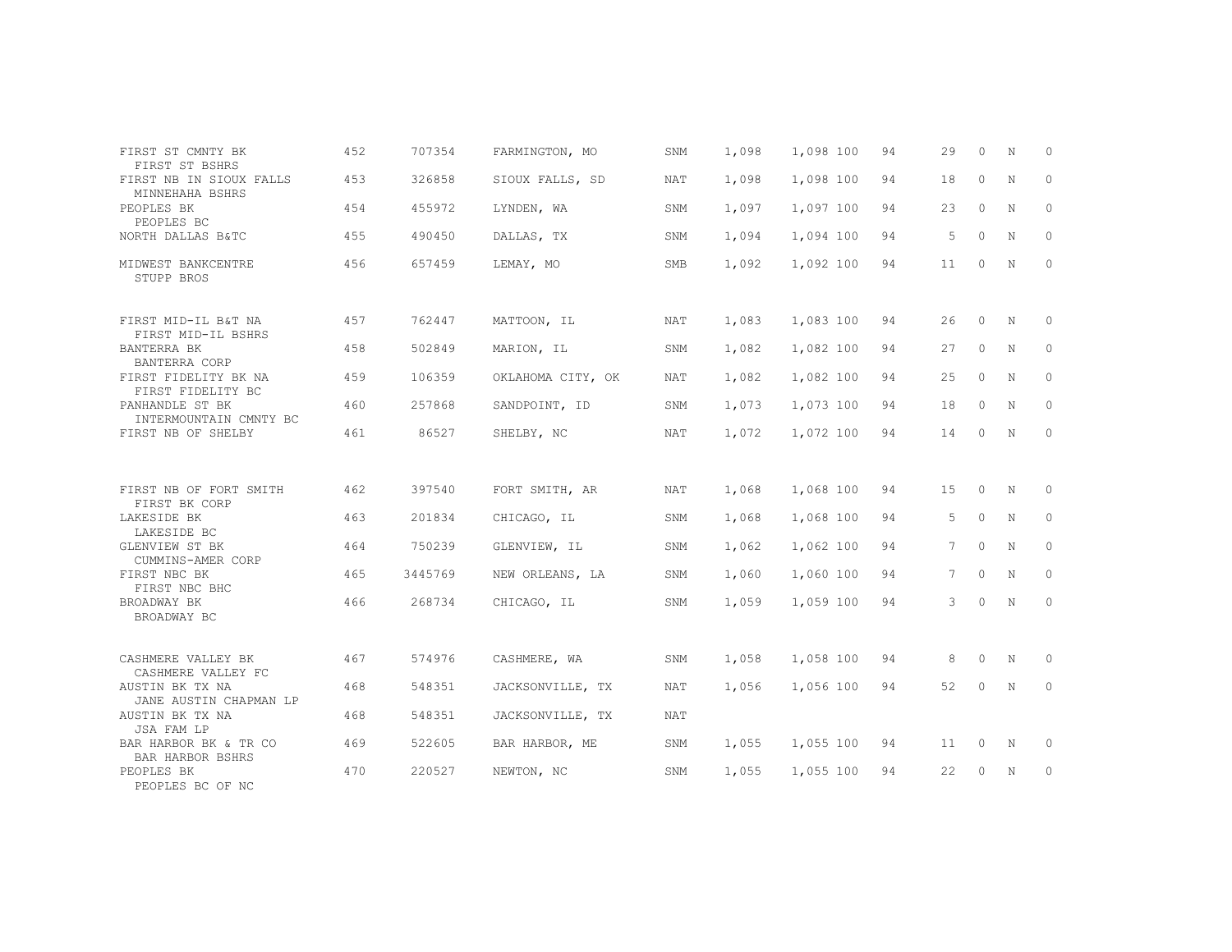| FIRST ST CMNTY BK                                            | 452 | 707354  | FARMINGTON, MO    | SNM        | 1,098 | 1,098 100 | 94 | 29          | $\Omega$ | N           | $\Omega$     |
|--------------------------------------------------------------|-----|---------|-------------------|------------|-------|-----------|----|-------------|----------|-------------|--------------|
| FIRST ST BSHRS<br>FIRST NB IN SIOUX FALLS<br>MINNEHAHA BSHRS | 453 | 326858  | SIOUX FALLS, SD   | <b>NAT</b> | 1,098 | 1,098 100 | 94 | 18          | $\circ$  | N           | $\circ$      |
| PEOPLES BK<br>PEOPLES BC                                     | 454 | 455972  | LYNDEN, WA        | SNM        | 1,097 | 1,097 100 | 94 | 23          | $\Omega$ | N           | $\Omega$     |
| NORTH DALLAS B&TC                                            | 455 | 490450  | DALLAS, TX        | SNM        | 1,094 | 1,094 100 | 94 | 5           | $\Omega$ | N           | $\mathbf{0}$ |
| MIDWEST BANKCENTRE<br>STUPP BROS                             | 456 | 657459  | LEMAY, MO         | <b>SMB</b> | 1,092 | 1,092 100 | 94 | 11          | $\circ$  | N           | $\circ$      |
| FIRST MID-IL B&T NA<br>FIRST MID-IL BSHRS                    | 457 | 762447  | MATTOON, IL       | <b>NAT</b> | 1,083 | 1,083 100 | 94 | 26          | $\Omega$ | N           | $\Omega$     |
| BANTERRA BK<br><b>BANTERRA CORP</b>                          | 458 | 502849  | MARION, IL        | SNM        | 1,082 | 1,082 100 | 94 | 27          | $\circ$  | N           | $\circ$      |
| FIRST FIDELITY BK NA<br>FIRST FIDELITY BC                    | 459 | 106359  | OKLAHOMA CITY, OK | <b>NAT</b> | 1,082 | 1,082 100 | 94 | 25          | $\Omega$ | N           | $\Omega$     |
| PANHANDLE ST BK<br>INTERMOUNTAIN CMNTY BC                    | 460 | 257868  | SANDPOINT, ID     | SNM        | 1,073 | 1,073 100 | 94 | 18          | $\circ$  | N           | $\circ$      |
| FIRST NB OF SHELBY                                           | 461 | 86527   | SHELBY, NC        | NAT        | 1,072 | 1,072 100 | 94 | 14          | $\circ$  | N           | $\circ$      |
| FIRST NB OF FORT SMITH                                       | 462 | 397540  | FORT SMITH, AR    | NAT        | 1,068 | 1,068 100 | 94 | 15          | $\Omega$ | N           | $\Omega$     |
| FIRST BK CORP                                                |     |         |                   |            |       |           |    |             |          |             |              |
| LAKESIDE BK<br>LAKESIDE BC                                   | 463 | 201834  | CHICAGO, IL       | SNM        | 1,068 | 1,068 100 | 94 | 5           | $\circ$  | N           | $\circ$      |
| GLENVIEW ST BK<br>CUMMINS-AMER CORP                          | 464 | 750239  | GLENVIEW, IL      | SNM        | 1,062 | 1,062 100 | 94 | $7^{\circ}$ | $\Omega$ | N           | $\circ$      |
| FIRST NBC BK<br>FIRST NBC BHC                                | 465 | 3445769 | NEW ORLEANS, LA   | SNM        | 1,060 | 1,060 100 | 94 | 7           | $\Omega$ | $\mathbf N$ | $\circ$      |
| BROADWAY BK<br>BROADWAY BC                                   | 466 | 268734  | CHICAGO, IL       | SNM        | 1,059 | 1,059 100 | 94 | 3           | $\Omega$ | N           | $\mathbf{0}$ |
|                                                              |     |         |                   |            |       |           |    |             |          |             |              |
| CASHMERE VALLEY BK<br>CASHMERE VALLEY FC                     | 467 | 574976  | CASHMERE, WA      | SNM        | 1,058 | 1,058 100 | 94 | 8           | $\circ$  | N           | 0            |
| AUSTIN BK TX NA<br>JANE AUSTIN CHAPMAN LP                    | 468 | 548351  | JACKSONVILLE, TX  | NAT        | 1,056 | 1,056 100 | 94 | 52          | $\Omega$ | N           | $\circ$      |
| AUSTIN BK TX NA<br>JSA FAM LP                                | 468 | 548351  | JACKSONVILLE, TX  | <b>NAT</b> |       |           |    |             |          |             |              |
| BAR HARBOR BK & TR CO<br>BAR HARBOR BSHRS                    | 469 | 522605  | BAR HARBOR, ME    | SNM        | 1,055 | 1,055 100 | 94 | 11          | $\circ$  | N           | 0            |
| PEOPLES BK<br>PEOPLES BC OF NC                               | 470 | 220527  | NEWTON, NC        | SNM        | 1,055 | 1,055 100 | 94 | 22          | $\circ$  | N           | 0            |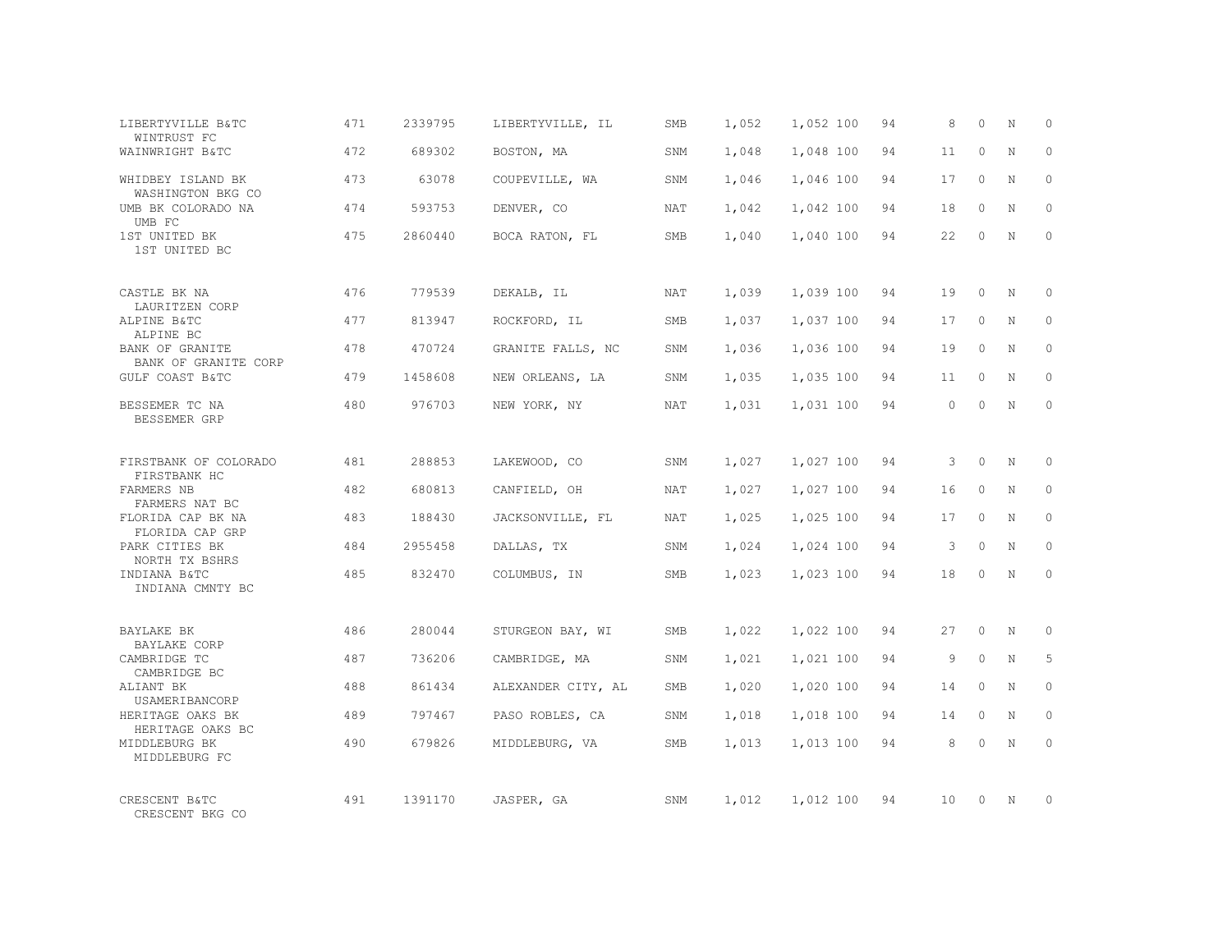| LIBERTYVILLE B&TC<br>WINTRUST FC           | 471 | 2339795 | LIBERTYVILLE, IL   | SMB        | 1,052 | 1,052 100 | 94 | 8        | $\Omega$ | N           | $\Omega$ |
|--------------------------------------------|-----|---------|--------------------|------------|-------|-----------|----|----------|----------|-------------|----------|
| WAINWRIGHT B&TC                            | 472 | 689302  | BOSTON, MA         | SNM        | 1,048 | 1,048 100 | 94 | 11       | $\Omega$ | $\mathbf N$ | $\Omega$ |
| WHIDBEY ISLAND BK<br>WASHINGTON BKG CO     | 473 | 63078   | COUPEVILLE, WA     | SNM        | 1,046 | 1,046 100 | 94 | 17       | $\circ$  | N           | $\Omega$ |
| UMB BK COLORADO NA<br>UMB FC               | 474 | 593753  | DENVER, CO         | <b>NAT</b> | 1,042 | 1,042 100 | 94 | 18       | $\Omega$ | N           | $\Omega$ |
| 1ST UNITED BK<br>1ST UNITED BC             | 475 | 2860440 | BOCA RATON, FL     | SMB        | 1,040 | 1,040 100 | 94 | 22       | $\Omega$ | N           | $\Omega$ |
| CASTLE BK NA                               | 476 | 779539  | DEKALB, IL         | NAT        | 1,039 | 1,039 100 | 94 | 19       | $\Omega$ | N           | $\Omega$ |
| LAURITZEN CORP<br>ALPINE B&TC<br>ALPINE BC | 477 | 813947  | ROCKFORD, IL       | SMB        | 1,037 | 1,037 100 | 94 | 17       | $\Omega$ | N           | $\Omega$ |
| BANK OF GRANITE<br>BANK OF GRANITE CORP    | 478 | 470724  | GRANITE FALLS, NC  | SNM        | 1,036 | 1,036 100 | 94 | 19       | $\Omega$ | $\mathbf N$ | $\Omega$ |
| GULF COAST B&TC                            | 479 | 1458608 | NEW ORLEANS, LA    | SNM        | 1,035 | 1,035 100 | 94 | 11       | $\Omega$ | N           | $\Omega$ |
| BESSEMER TC NA<br>BESSEMER GRP             | 480 | 976703  | NEW YORK, NY       | <b>NAT</b> | 1,031 | 1,031 100 | 94 | $\Omega$ | $\Omega$ | $\mathbf N$ | $\Omega$ |
| FIRSTBANK OF COLORADO<br>FIRSTBANK HC      | 481 | 288853  | LAKEWOOD, CO       | SNM        | 1,027 | 1,027 100 | 94 | 3        | $\Omega$ | $_{\rm N}$  | $\Omega$ |
| FARMERS NB<br>FARMERS NAT BC               | 482 | 680813  | CANFIELD, OH       | NAT        | 1,027 | 1,027 100 | 94 | 16       | $\circ$  | N           | $\Omega$ |
| FLORIDA CAP BK NA<br>FLORIDA CAP GRP       | 483 | 188430  | JACKSONVILLE, FL   | <b>NAT</b> | 1,025 | 1,025 100 | 94 | 17       | $\Omega$ | N           | $\Omega$ |
| PARK CITIES BK<br>NORTH TX BSHRS           | 484 | 2955458 | DALLAS, TX         | SNM        | 1,024 | 1,024 100 | 94 | 3        | $\Omega$ | $\mathbf N$ | $\Omega$ |
| INDIANA B&TC<br>INDIANA CMNTY BC           | 485 | 832470  | COLUMBUS, IN       | <b>SMB</b> | 1,023 | 1,023 100 | 94 | 18       | $\Omega$ | $\mathbb N$ | $\Omega$ |
| BAYLAKE BK<br>BAYLAKE CORP                 | 486 | 280044  | STURGEON BAY, WI   | <b>SMB</b> | 1,022 | 1,022 100 | 94 | 27       | $\Omega$ | N           | $\Omega$ |
| CAMBRIDGE TC<br>CAMBRIDGE BC               | 487 | 736206  | CAMBRIDGE, MA      | SNM        | 1,021 | 1,021 100 | 94 | 9        | $\circ$  | N           | 5        |
| ALIANT BK<br>USAMERIBANCORP                | 488 | 861434  | ALEXANDER CITY, AL | <b>SMB</b> | 1,020 | 1,020 100 | 94 | 14       | $\Omega$ | N           | $\Omega$ |
| HERITAGE OAKS BK<br>HERITAGE OAKS BC       | 489 | 797467  | PASO ROBLES, CA    | SNM        | 1,018 | 1,018 100 | 94 | 14       | $\circ$  | $\mathbf N$ | $\Omega$ |
| MIDDLEBURG BK<br>MIDDLEBURG FC             | 490 | 679826  | MIDDLEBURG, VA     | <b>SMB</b> | 1,013 | 1,013 100 | 94 | 8        | $\Omega$ | $\mathbb N$ | $\Omega$ |
| CRESCENT B&TC<br>CRESCENT BKG CO           | 491 | 1391170 | JASPER, GA         | SNM        | 1,012 | 1,012 100 | 94 | 10       | $\Omega$ | N           | $\Omega$ |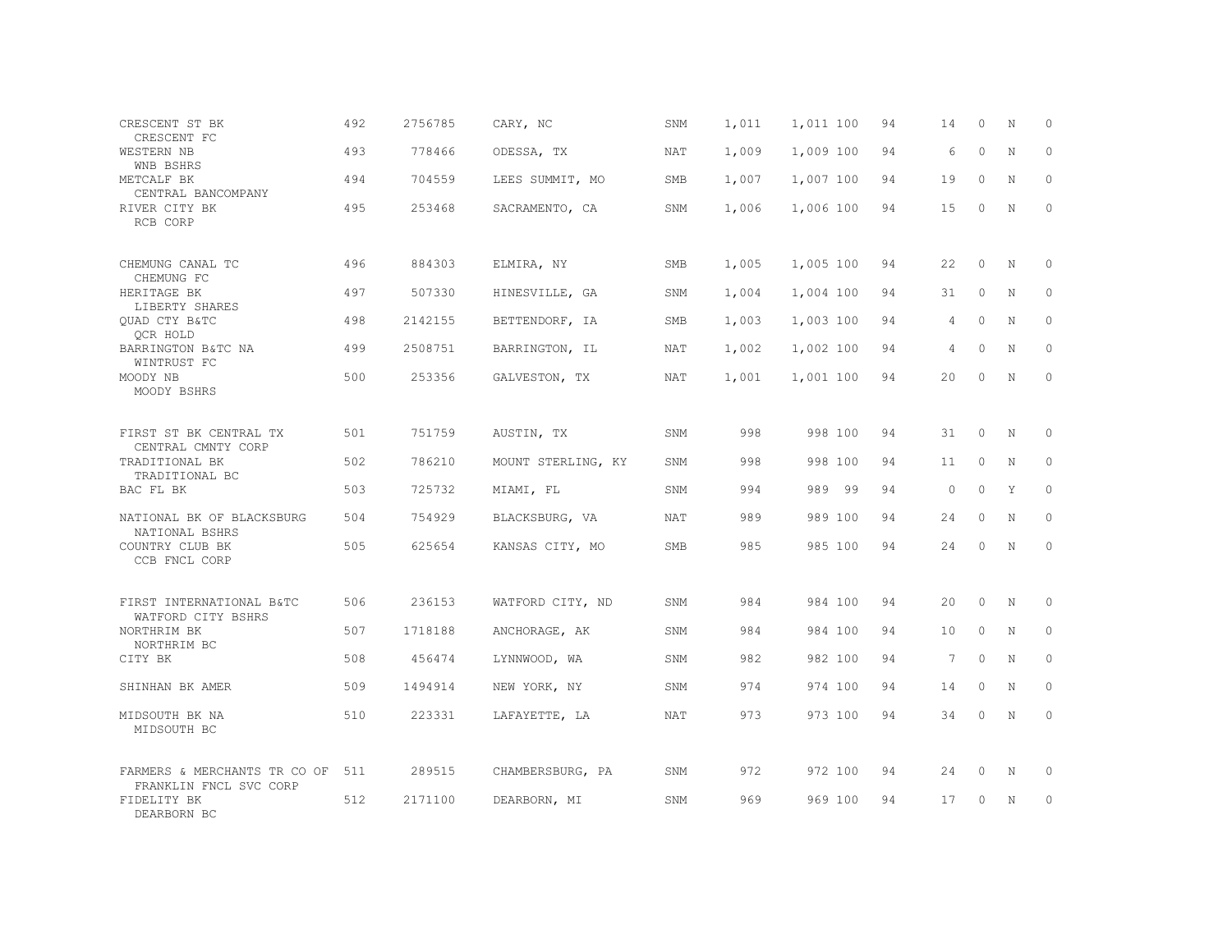| CRESCENT ST BK<br>CRESCENT FC                        | 492 | 2756785 | CARY, NC           | SNM        | 1,011 | 1,011 100 | 94 | 14              | 0            | N           | $\circ$      |
|------------------------------------------------------|-----|---------|--------------------|------------|-------|-----------|----|-----------------|--------------|-------------|--------------|
| WESTERN NB<br>WNB BSHRS                              | 493 | 778466  | ODESSA, TX         | <b>NAT</b> | 1,009 | 1,009 100 | 94 | 6               | $\Omega$     | $\mathbf N$ | $\Omega$     |
| METCALF BK<br>CENTRAL BANCOMPANY                     | 494 | 704559  | LEES SUMMIT, MO    | SMB        | 1,007 | 1,007 100 | 94 | 19              | $\circ$      | N           | $\circ$      |
| RIVER CITY BK<br>RCB CORP                            | 495 | 253468  | SACRAMENTO, CA     | SNM        | 1,006 | 1,006 100 | 94 | 15              | $\circ$      | $\mathbf N$ | $\Omega$     |
| CHEMUNG CANAL TC<br>CHEMUNG FC                       | 496 | 884303  | ELMIRA, NY         | SMB        | 1,005 | 1,005 100 | 94 | 22              | $\circ$      | N           | $\Omega$     |
| HERITAGE BK                                          | 497 | 507330  | HINESVILLE, GA     | SNM        | 1,004 | 1,004 100 | 94 | 31              | $\mathbf{0}$ | N           | $\circ$      |
| LIBERTY SHARES<br>OUAD CTY B&TC                      | 498 | 2142155 | BETTENDORF, IA     | SMB        | 1,003 | 1,003 100 | 94 | 4               | $\Omega$     | N           | $\Omega$     |
| QCR HOLD<br>BARRINGTON B&TC NA<br>WINTRUST FC        | 499 | 2508751 | BARRINGTON, IL     | NAT        | 1,002 | 1,002 100 | 94 | 4               | $\Omega$     | N           | $\circ$      |
| MOODY NB<br>MOODY BSHRS                              | 500 | 253356  | GALVESTON, TX      | NAT        | 1,001 | 1,001 100 | 94 | 20              | $\Omega$     | $\mathbf N$ | $\Omega$     |
| FIRST ST BK CENTRAL TX<br>CENTRAL CMNTY CORP         | 501 | 751759  | AUSTIN, TX         | SNM        | 998   | 998 100   | 94 | 31              | $\circ$      | $_{\rm N}$  | $\Omega$     |
| TRADITIONAL BK<br>TRADITIONAL BC                     | 502 | 786210  | MOUNT STERLING, KY | SNM        | 998   | 998 100   | 94 | 11              | $\circ$      | $_{\rm N}$  | $\Omega$     |
| BAC FL BK                                            | 503 | 725732  | MIAMI, FL          | SNM        | 994   | 989 99    | 94 | $\circ$         | $\circ$      | Y           | $\mathbf{0}$ |
| NATIONAL BK OF BLACKSBURG<br>NATIONAL BSHRS          | 504 | 754929  | BLACKSBURG, VA     | NAT        | 989   | 989 100   | 94 | 24              | $\circ$      | N           | $\Omega$     |
| COUNTRY CLUB BK<br>CCB FNCL CORP                     | 505 | 625654  | KANSAS CITY, MO    | SMB        | 985   | 985 100   | 94 | 24              | $\circ$      | $\mathbf N$ | $\mathbf{0}$ |
| FIRST INTERNATIONAL B&TC<br>WATFORD CITY BSHRS       | 506 | 236153  | WATFORD CITY, ND   | SNM        | 984   | 984 100   | 94 | 20              | $\circ$      | $\mathbf N$ | $\circ$      |
| NORTHRIM BK<br>NORTHRIM BC                           | 507 | 1718188 | ANCHORAGE, AK      | SNM        | 984   | 984 100   | 94 | 10              | $\Omega$     | N           | $\Omega$     |
| CITY BK                                              | 508 | 456474  | LYNNWOOD, WA       | SNM        | 982   | 982 100   | 94 | $7\phantom{.0}$ | $\circ$      | N           | $\mathbf{0}$ |
| SHINHAN BK AMER                                      | 509 | 1494914 | NEW YORK, NY       | SNM        | 974   | 974 100   | 94 | 14              | $\circ$      | N           | $\Omega$     |
| MIDSOUTH BK NA<br>MIDSOUTH BC                        | 510 | 223331  | LAFAYETTE, LA      | NAT        | 973   | 973 100   | 94 | 34              | 0            | N           | $\circ$      |
| FARMERS & MERCHANTS TR CO OF                         | 511 | 289515  | CHAMBERSBURG, PA   | SNM        | 972   | 972 100   | 94 | 24              | 0            | N           | 0            |
| FRANKLIN FNCL SVC CORP<br>FIDELITY BK<br>DEARBORN BC | 512 | 2171100 | DEARBORN, MI       | SNM        | 969   | 969 100   | 94 | 17              | 0            | N           | $\circ$      |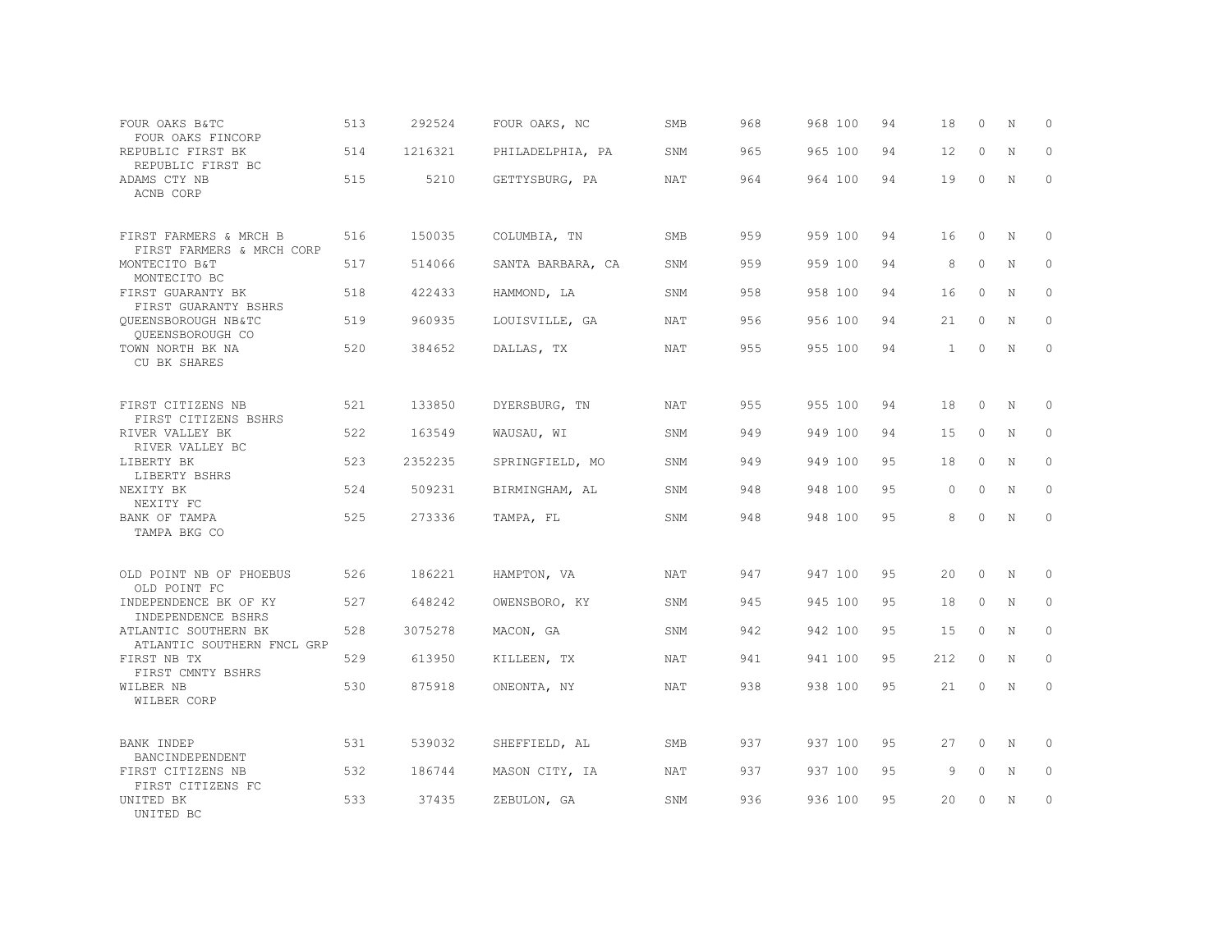| FOUR OAKS B&TC<br>FOUR OAKS FINCORP                       | 513 | 292524  | FOUR OAKS, NC     | SMB        | 968 | 968 100 | 94  | 18           | $\circ$     | N           | $\circ$      |
|-----------------------------------------------------------|-----|---------|-------------------|------------|-----|---------|-----|--------------|-------------|-------------|--------------|
| REPUBLIC FIRST BK<br>REPUBLIC FIRST BC                    | 514 | 1216321 | PHILADELPHIA, PA  | SNM        | 965 | 965 100 | 94  | 12           | $\circ$     | N           | $\mathbf 0$  |
| ADAMS CTY NB<br>ACNB CORP                                 | 515 | 5210    | GETTYSBURG, PA    | <b>NAT</b> | 964 | 964 100 | 94  | 19           | $\circ$     | $\mathbf N$ | $\mathbf{0}$ |
| FIRST FARMERS & MRCH B                                    | 516 | 150035  | COLUMBIA, TN      | SMB        | 959 | 959 100 | 94  | 16           | $\circ$     | N           | $\circ$      |
| FIRST FARMERS & MRCH CORP<br>MONTECITO B&T                | 517 | 514066  | SANTA BARBARA, CA | SNM        | 959 | 959 100 | 94  | 8            | $\circ$     | N           | $\circ$      |
| MONTECITO BC<br>FIRST GUARANTY BK<br>FIRST GUARANTY BSHRS | 518 | 422433  | HAMMOND, LA       | SNM        | 958 | 958 100 | 94  | 16           | $\circ$     | N           | $\mathbf{0}$ |
| OUEENSBOROUGH NB&TC<br>QUEENSBOROUGH CO                   | 519 | 960935  | LOUISVILLE, GA    | NAT        | 956 | 956 100 | 94  | 21           | $\circ$     | N           | $\circ$      |
| TOWN NORTH BK NA<br>CU BK SHARES                          | 520 | 384652  | DALLAS, TX        | NAT        | 955 | 955 100 | 94  | $\mathbf{1}$ | $\circ$     | N           | $\circ$      |
| FIRST CITIZENS NB<br>FIRST CITIZENS BSHRS                 | 521 | 133850  | DYERSBURG, TN     | NAT        | 955 | 955 100 | 94  | 18           | $\circ$     | N           | $\mathbf{0}$ |
| RIVER VALLEY BK<br>RIVER VALLEY BC                        | 522 | 163549  | WAUSAU, WI        | SNM        | 949 | 949 100 | 94  | 15           | $\circ$     | N           | 0            |
| LIBERTY BK<br>LIBERTY BSHRS                               | 523 | 2352235 | SPRINGFIELD, MO   | SNM        | 949 | 949 100 | 95  | 18           | $\circ$     | N           | $\circ$      |
| NEXITY BK<br>NEXITY FC                                    | 524 | 509231  | BIRMINGHAM, AL    | SNM        | 948 | 948 100 | 95  | $\circ$      | $\mathbf 0$ | $\mathbb N$ | $\mathbb O$  |
| BANK OF TAMPA<br>TAMPA BKG CO                             | 525 | 273336  | TAMPA, FL         | SNM        | 948 | 948 100 | 95  | 8            | 0           | $\mathbf N$ | $\mathbf{0}$ |
| OLD POINT NB OF PHOEBUS<br>OLD POINT FC                   | 526 | 186221  | HAMPTON, VA       | <b>NAT</b> | 947 | 947 100 | 9.5 | 20           | $\Omega$    | N           | $\Omega$     |
| INDEPENDENCE BK OF KY<br>INDEPENDENCE BSHRS               | 527 | 648242  | OWENSBORO, KY     | SNM        | 945 | 945 100 | 95  | 18           | $\circ$     | $\mathbf N$ | $\circ$      |
| ATLANTIC SOUTHERN BK<br>ATLANTIC SOUTHERN FNCL GRP        | 528 | 3075278 | MACON, GA         | SNM        | 942 | 942 100 | 95  | 15           | $\circ$     | $\mathbf N$ | $\circ$      |
| FIRST NB TX<br>FIRST CMNTY BSHRS                          | 529 | 613950  | KILLEEN, TX       | <b>NAT</b> | 941 | 941 100 | 95  | 212          | $\Omega$    | N           | $\mathbf{0}$ |
| WILBER NB<br>WILBER CORP                                  | 530 | 875918  | ONEONTA, NY       | NAT        | 938 | 938 100 | 95  | 21           | 0           | N           | $\circ$      |
| BANK INDEP<br>BANCINDEPENDENT                             | 531 | 539032  | SHEFFIELD, AL     | SMB        | 937 | 937 100 | 95  | 27           | 0           | N           | $\circ$      |
| FIRST CITIZENS NB<br>FIRST CITIZENS FC                    | 532 | 186744  | MASON CITY, IA    | NAT        | 937 | 937 100 | 95  | 9            | $\circ$     | N           | $\circ$      |
| UNITED BK<br>UNITED BC                                    | 533 | 37435   | ZEBULON, GA       | SNM        | 936 | 936 100 | 95  | 20           | 0           | N           | $\mathbb O$  |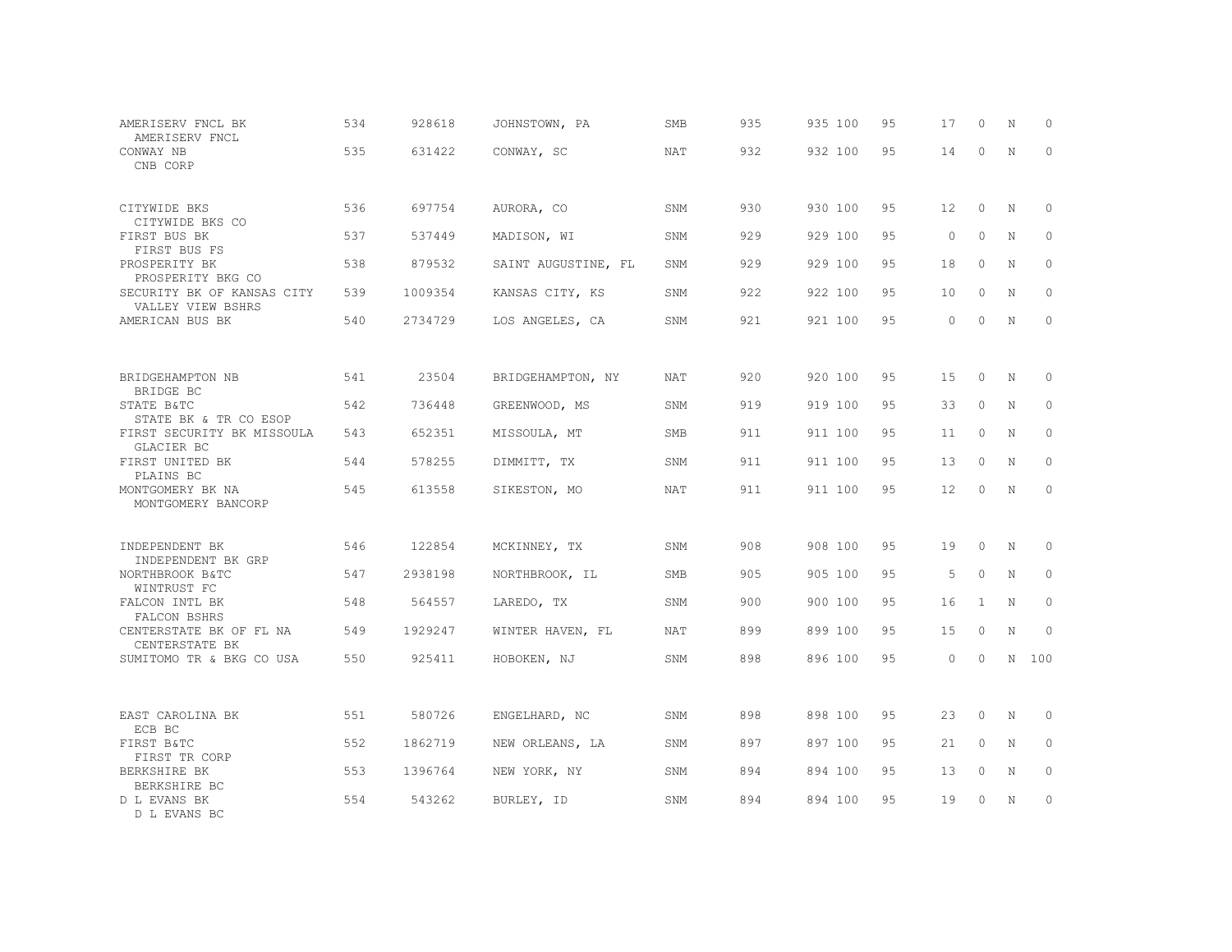| AMERISERV FNCL BK<br>AMERISERV FNCL                  | 534 | 928618  | JOHNSTOWN, PA       | SMB        | 935 | 935 100 | 95 | 17                | $\circ$      | N           | 0           |
|------------------------------------------------------|-----|---------|---------------------|------------|-----|---------|----|-------------------|--------------|-------------|-------------|
| CONWAY NB<br>CNB CORP                                | 535 | 631422  | CONWAY, SC          | <b>NAT</b> | 932 | 932 100 | 95 | 14                | $\circ$      | $\mathbb N$ | $\Omega$    |
| CITYWIDE BKS<br>CITYWIDE BKS CO                      | 536 | 697754  | AURORA, CO          | SNM        | 930 | 930 100 | 95 | $12 \overline{ }$ | $\Omega$     | N           | $\Omega$    |
| FIRST BUS BK<br>FIRST BUS FS                         | 537 | 537449  | MADISON, WI         | SNM        | 929 | 929 100 | 95 | $\circ$           | $\Omega$     | N           | 0           |
| PROSPERITY BK<br>PROSPERITY BKG CO                   | 538 | 879532  | SAINT AUGUSTINE, FL | SNM        | 929 | 929 100 | 95 | 18                | $\circ$      | N           | $\circ$     |
| SECURITY BK OF KANSAS CITY<br>VALLEY VIEW BSHRS      | 539 | 1009354 | KANSAS CITY, KS     | SNM        | 922 | 922 100 | 95 | 10                | $\circ$      | N           | $\circ$     |
| AMERICAN BUS BK                                      | 540 | 2734729 | LOS ANGELES, CA     | SNM        | 921 | 921 100 | 95 | $\circ$           | $\Omega$     | N           | $\circ$     |
|                                                      |     |         |                     |            |     |         |    |                   |              |             |             |
| BRIDGEHAMPTON NB<br>BRIDGE BC                        | 541 | 23504   | BRIDGEHAMPTON, NY   | NAT        | 920 | 920 100 | 95 | 15                | $\circ$      | N           | 0           |
| STATE B&TC<br>STATE BK & TR CO ESOP                  | 542 | 736448  | GREENWOOD, MS       | SNM        | 919 | 919 100 | 95 | 33                | $\Omega$     | N           | $\Omega$    |
| FIRST SECURITY BK MISSOULA<br>GLACIER BC             | 543 | 652351  | MISSOULA, MT        | SMB        | 911 | 911 100 | 95 | 11                | $\circ$      | N           | $\circ$     |
| FIRST UNITED BK<br>PLAINS BC                         | 544 | 578255  | DIMMITT, TX         | SNM        | 911 | 911 100 | 95 | 13                | $\Omega$     | N           | $\Omega$    |
| MONTGOMERY BK NA<br>MONTGOMERY BANCORP               | 545 | 613558  | SIKESTON, MO        | NAT        | 911 | 911 100 | 95 | 12                | $\Omega$     | N           | $\circ$     |
| INDEPENDENT BK                                       | 546 | 122854  | MCKINNEY, TX        | SNM        | 908 | 908 100 | 95 | 19                | $\circ$      | N           | 0           |
| INDEPENDENT BK GRP<br>NORTHBROOK B&TC<br>WINTRUST FC | 547 | 2938198 | NORTHBROOK, IL      | SMB        | 905 | 905 100 | 95 | 5                 | $\circ$      | N           | $\circ$     |
| FALCON INTL BK<br>FALCON BSHRS                       | 548 | 564557  | LAREDO, TX          | SNM        | 900 | 900 100 | 95 | 16                | $\mathbf{1}$ | N           | $\circ$     |
| CENTERSTATE BK OF FL NA<br>CENTERSTATE BK            | 549 | 1929247 | WINTER HAVEN, FL    | NAT        | 899 | 899 100 | 95 | 15                | $\circ$      | N           | $\circ$     |
| SUMITOMO TR & BKG CO USA                             | 550 | 925411  | HOBOKEN, NJ         | SNM        | 898 | 896 100 | 95 | $\Omega$          | $\Omega$     |             | N 100       |
|                                                      |     |         |                     |            |     |         |    |                   |              |             |             |
| EAST CAROLINA BK<br>ECB BC                           | 551 | 580726  | ENGELHARD, NC       | SNM        | 898 | 898 100 | 95 | 23                | $\circ$      | N           | $\mathbb O$ |
| FIRST B&TC<br>FIRST TR CORP                          | 552 | 1862719 | NEW ORLEANS, LA     | SNM        | 897 | 897 100 | 95 | 21                | $\circ$      | N           | $\circ$     |
| BERKSHIRE BK<br>BERKSHIRE BC                         | 553 | 1396764 | NEW YORK, NY        | SNM        | 894 | 894 100 | 95 | 13                | $\circ$      | N           | $\mathbb O$ |
| D L EVANS BK<br>D L EVANS BC                         | 554 | 543262  | BURLEY, ID          | SNM        | 894 | 894 100 | 95 | 19                | $\Omega$     | N           | $\circ$     |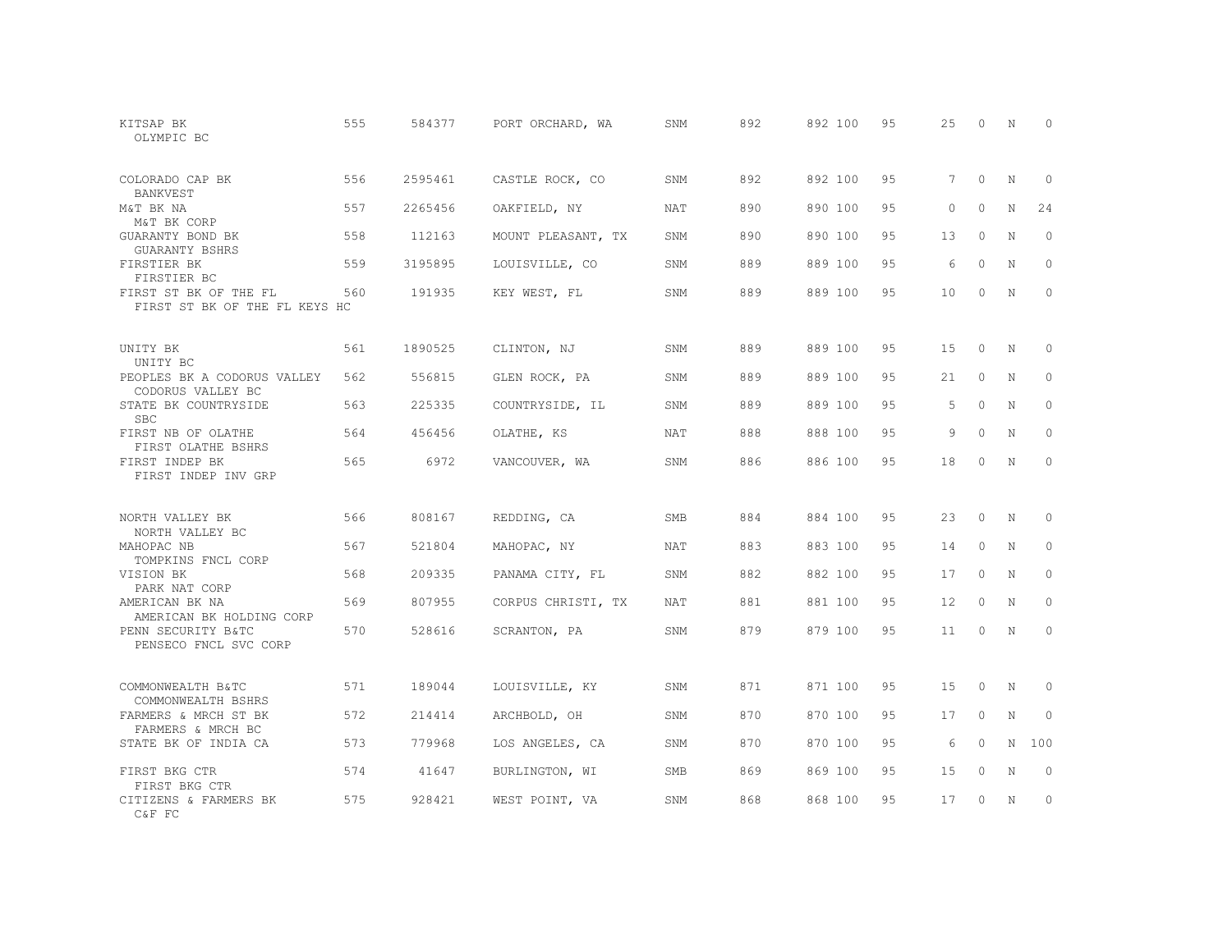| KITSAP BK<br>OLYMPIC BC                                | 555 | 584377  | PORT ORCHARD, WA                      | SNM        | 892 | 892 100 | 95 | 25       | $\Omega$ | N           | $\Omega$    |
|--------------------------------------------------------|-----|---------|---------------------------------------|------------|-----|---------|----|----------|----------|-------------|-------------|
| COLORADO CAP BK<br><b>BANKVEST</b>                     | 556 | 2595461 | CASTLE ROCK, CO                       | SNM        | 892 | 892 100 | 95 | 7        | $\circ$  | N           | 0           |
| M&T BK NA<br>M&T BK CORP                               | 557 | 2265456 | OAKFIELD, NY                          | <b>NAT</b> | 890 | 890 100 | 95 | $\Omega$ | $\Omega$ | $\mathbf N$ | 24          |
| GUARANTY BOND BK<br><b>GUARANTY BSHRS</b>              | 558 | 112163  | MOUNT PLEASANT, TX                    | SNM        | 890 | 890 100 | 95 | 13       | $\Omega$ | N           | $\circ$     |
| FIRSTIER BK<br>FIRSTIER BC                             | 559 | 3195895 | LOUISVILLE, CO                        | SNM        | 889 | 889 100 | 95 | 6        | $\Omega$ | N           | $\Omega$    |
| FIRST ST BK OF THE FL<br>FIRST ST BK OF THE FL KEYS HC | 560 | 191935  | KEY WEST, FL                          | SNM        | 889 | 889 100 | 95 | 10       | $\circ$  | N           | $\circ$     |
| UNITY BK<br>UNITY BC                                   | 561 | 1890525 | CLINTON, NJ                           | SNM        | 889 | 889 100 | 95 | 15       | $\circ$  | N           | 0           |
| PEOPLES BK A CODORUS VALLEY<br>CODORUS VALLEY BC       | 562 | 556815  | GLEN ROCK, PA                         | SNM        | 889 | 889 100 | 95 | 21       | $\Omega$ | N           | $\Omega$    |
| STATE BK COUNTRYSIDE<br><b>SBC</b>                     | 563 | 225335  | COUNTRYSIDE, IL                       | SNM        | 889 | 889 100 | 95 | 5        | $\Omega$ | N           | $\circ$     |
| FIRST NB OF OLATHE<br>FIRST OLATHE BSHRS               | 564 | 456456  | OLATHE, KS                            | <b>NAT</b> | 888 | 888 100 | 95 | 9        | $\Omega$ | N           | $\Omega$    |
| FIRST INDEP BK<br>FIRST INDEP INV GRP                  | 565 | 6972    | VANCOUVER, WA                         | SNM        | 886 | 886 100 | 95 | 18       | $\Omega$ | N           | $\Omega$    |
| NORTH VALLEY BK<br>NORTH VALLEY BC                     | 566 | 808167  | REDDING, CA                           | <b>SMB</b> | 884 | 884 100 | 95 | 23       | $\Omega$ | N           | 0           |
| MAHOPAC NB<br>TOMPKINS FNCL CORP                       | 567 | 521804  | $\texttt{MAHOPAC,} \quad \texttt{NY}$ | NAT        | 883 | 883 100 | 95 | 14       | $\circ$  | N           | $\circ$     |
| VISION BK<br>PARK NAT CORP                             | 568 | 209335  | PANAMA CITY, FL                       | SNM        | 882 | 882 100 | 95 | 17       | $\Omega$ | N           | $\circ$     |
| AMERICAN BK NA<br>AMERICAN BK HOLDING CORP             | 569 | 807955  | CORPUS CHRISTI, TX                    | NAT        | 881 | 881 100 | 95 | 12       | $\circ$  | N           | $\circ$     |
| PENN SECURITY B&TC<br>PENSECO FNCL SVC CORP            | 570 | 528616  | SCRANTON, PA                          | SNM        | 879 | 879 100 | 95 | 11       | $\Omega$ | N           | $\Omega$    |
| COMMONWEALTH B&TC<br>COMMONWEALTH BSHRS                | 571 | 189044  | LOUISVILLE, KY                        | SNM        | 871 | 871 100 | 95 | 15       | $\Omega$ | N           | 0           |
| FARMERS & MRCH ST BK<br>FARMERS & MRCH BC              | 572 | 214414  | ARCHBOLD, OH                          | SNM        | 870 | 870 100 | 95 | 17       | $\circ$  | N           | $\mathbf 0$ |
| STATE BK OF INDIA CA                                   | 573 | 779968  | LOS ANGELES, CA                       | SNM        | 870 | 870 100 | 95 | 6        | $\Omega$ | N           | 100         |
| FIRST BKG CTR<br>FIRST BKG CTR                         | 574 | 41647   | BURLINGTON, WI                        | SMB        | 869 | 869 100 | 95 | 15       | $\circ$  | N           | $\circ$     |
| CITIZENS & FARMERS BK<br>C&F FC                        | 575 | 928421  | WEST POINT, VA                        | SNM        | 868 | 868 100 | 95 | 17       | $\Omega$ | N           | $\circ$     |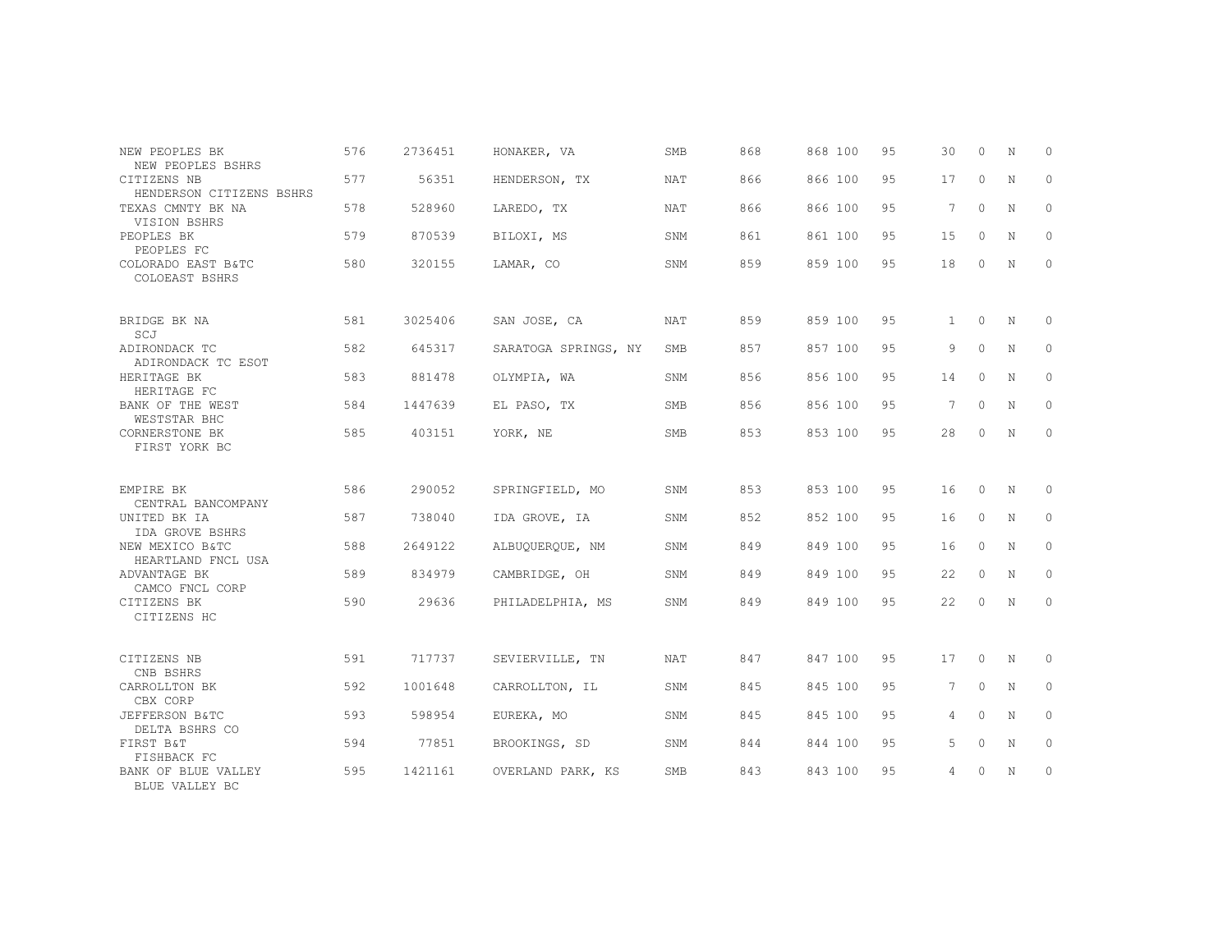| NEW PEOPLES BK                                               | 576 | 2736451 | HONAKER, VA          | SMB        | 868 | 868 100 | 9.5 | 30              | $\Omega$ | N           | $\Omega$ |
|--------------------------------------------------------------|-----|---------|----------------------|------------|-----|---------|-----|-----------------|----------|-------------|----------|
| NEW PEOPLES BSHRS<br>CITIZENS NB<br>HENDERSON CITIZENS BSHRS | 577 | 56351   | HENDERSON, TX        | <b>NAT</b> | 866 | 866 100 | 95  | 17              | $\circ$  | N           | $\circ$  |
| TEXAS CMNTY BK NA<br>VISION BSHRS                            | 578 | 528960  | LAREDO, TX           | <b>NAT</b> | 866 | 866 100 | 9.5 | $7\phantom{.0}$ | $\Omega$ | N           | $\Omega$ |
| PEOPLES BK<br>PEOPLES FC                                     | 579 | 870539  | BILOXI, MS           | <b>SNM</b> | 861 | 861 100 | 95  | 15              | $\Omega$ | N           | 0        |
| COLORADO EAST B&TC<br>COLOEAST BSHRS                         | 580 | 320155  | LAMAR, CO            | SNM        | 859 | 859 100 | 95  | 18              | $\circ$  | N           | $\circ$  |
| BRIDGE BK NA<br>SCJ                                          | 581 | 3025406 | SAN JOSE, CA         | <b>NAT</b> | 859 | 859 100 | 95  | $\mathbf{1}$    | $\Omega$ | $\mathbb N$ | $\Omega$ |
| ADIRONDACK TC<br>ADIRONDACK TC ESOT                          | 582 | 645317  | SARATOGA SPRINGS, NY | SMB        | 857 | 857 100 | 95  | 9               | $\circ$  | N           | $\circ$  |
| HERITAGE BK<br>HERITAGE FC                                   | 583 | 881478  | OLYMPIA, WA          | SNM        | 856 | 856 100 | 95  | 14              | $\Omega$ | N           | $\Omega$ |
| BANK OF THE WEST<br>WESTSTAR BHC                             | 584 | 1447639 | EL PASO, TX          | SMB        | 856 | 856 100 | 95  | $7\phantom{.0}$ | $\circ$  | N           | $\circ$  |
| CORNERSTONE BK<br>FIRST YORK BC                              | 585 | 403151  | YORK, NE             | SMB        | 853 | 853 100 | 95  | 28              | 0        | N           | $\circ$  |
| EMPIRE BK<br>CENTRAL BANCOMPANY                              | 586 | 290052  | SPRINGFIELD, MO      | SNM        | 853 | 853 100 | 95  | 16              | $\circ$  | N           | $\Omega$ |
| UNITED BK IA<br>IDA GROVE BSHRS                              | 587 | 738040  | IDA GROVE, IA        | SNM        | 852 | 852 100 | 95  | 16              | $\circ$  | N           | $\circ$  |
| NEW MEXICO B&TC<br>HEARTLAND FNCL USA                        | 588 | 2649122 | ALBUOUEROUE, NM      | SNM        | 849 | 849 100 | 95  | 16              | $\circ$  | N           | $\Omega$ |
| ADVANTAGE BK<br>CAMCO FNCL CORP                              | 589 | 834979  | CAMBRIDGE, OH        | SNM        | 849 | 849 100 | 95  | 22              | $\circ$  | N           | $\circ$  |
| CITIZENS BK<br>CITIZENS HC                                   | 590 | 29636   | PHILADELPHIA, MS     | SNM        | 849 | 849 100 | 95  | 22              | $\circ$  | N           | 0        |
| CITIZENS NB<br>CNB BSHRS                                     | 591 | 717737  | SEVIERVILLE, TN      | <b>NAT</b> | 847 | 847 100 | 95  | 17              | $\circ$  | N           | 0        |
| CARROLLTON BK<br>CBX CORP                                    | 592 | 1001648 | CARROLLTON, IL       | SNM        | 845 | 845 100 | 95  | 7               | $\Omega$ | N           | $\circ$  |
| JEFFERSON B&TC<br>DELTA BSHRS CO                             | 593 | 598954  | EUREKA, MO           | SNM        | 845 | 845 100 | 95  | 4               | $\Omega$ | $\mathbf N$ | $\Omega$ |
| FIRST B&T<br>FISHBACK FC                                     | 594 | 77851   | BROOKINGS, SD        | SNM        | 844 | 844 100 | 95  | 5               | $\circ$  | N           | $\circ$  |
| BANK OF BLUE VALLEY<br>BLUE VALLEY BC                        | 595 | 1421161 | OVERLAND PARK, KS    | <b>SMB</b> | 843 | 843 100 | 95  | 4               | $\circ$  | N           | $\circ$  |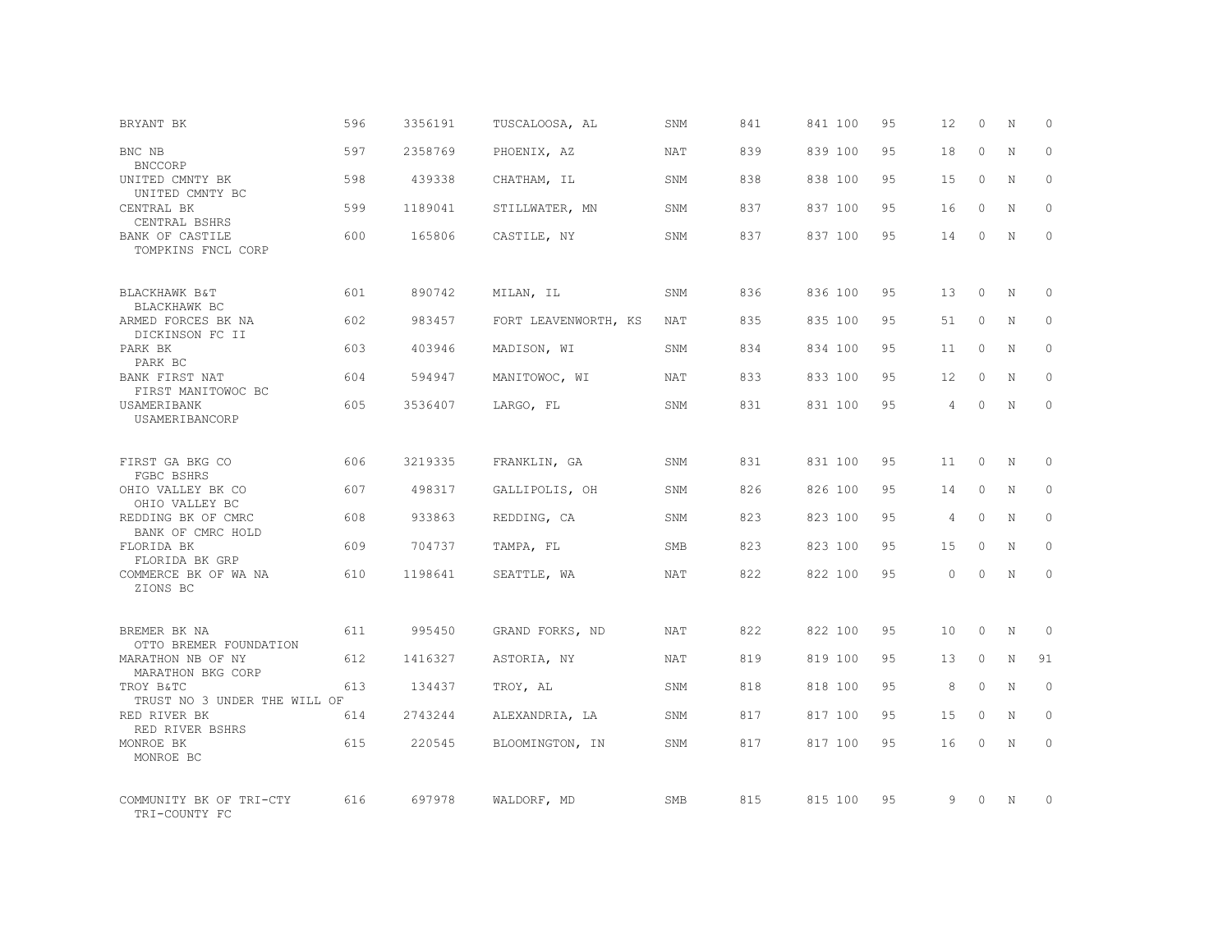| BRYANT BK                                             | 596 | 3356191 | TUSCALOOSA, AL       | SNM        | 841 | 841 100 | 95 | 12                | $\Omega$ | N           | $\Omega$     |
|-------------------------------------------------------|-----|---------|----------------------|------------|-----|---------|----|-------------------|----------|-------------|--------------|
| BNC NB<br><b>BNCCORP</b>                              | 597 | 2358769 | PHOENIX, AZ          | <b>NAT</b> | 839 | 839 100 | 95 | 18                | $\Omega$ | $\mathbf N$ | $\Omega$     |
| UNITED CMNTY BK<br>UNITED CMNTY BC                    | 598 | 439338  | CHATHAM, IL          | SNM        | 838 | 838 100 | 95 | 15                | $\circ$  | N           | $\circ$      |
| CENTRAL BK<br>CENTRAL BSHRS                           | 599 | 1189041 | STILLWATER, MN       | SNM        | 837 | 837 100 | 95 | 16                | $\Omega$ | N           | $\Omega$     |
| BANK OF CASTILE<br>TOMPKINS FNCL CORP                 | 600 | 165806  | CASTILE, NY          | SNM        | 837 | 837 100 | 95 | 14                | 0        | N           | $\circ$      |
| BLACKHAWK B&T                                         | 601 | 890742  | MILAN, IL            | SNM        | 836 | 836 100 | 95 | 13                | $\circ$  | N           | $\Omega$     |
| BLACKHAWK BC<br>ARMED FORCES BK NA<br>DICKINSON FC II | 602 | 983457  | FORT LEAVENWORTH, KS | <b>NAT</b> | 835 | 835 100 | 95 | 51                | $\Omega$ | N           | $\Omega$     |
| PARK BK<br>PARK BC                                    | 603 | 403946  | MADISON, WI          | SNM        | 834 | 834 100 | 95 | 11                | $\circ$  | N           | $\circ$      |
| BANK FIRST NAT<br>FIRST MANITOWOC BC                  | 604 | 594947  | MANITOWOC, WI        | NAT        | 833 | 833 100 | 95 | $12 \overline{ }$ | $\Omega$ | N           | $\Omega$     |
| USAMERIBANK<br>USAMERIBANCORP                         | 605 | 3536407 | LARGO, FL            | SNM        | 831 | 831 100 | 95 | $\overline{4}$    | $\Omega$ | $\mathbf N$ | $\circ$      |
| FIRST GA BKG CO<br>FGBC BSHRS                         | 606 | 3219335 | FRANKLIN, GA         | SNM        | 831 | 831 100 | 95 | 11                | $\Omega$ | $_{\rm N}$  | $\Omega$     |
| OHIO VALLEY BK CO<br>OHIO VALLEY BC                   | 607 | 498317  | GALLIPOLIS, OH       | SNM        | 826 | 826 100 | 95 | 14                | $\circ$  | N           | $\Omega$     |
| REDDING BK OF CMRC<br>BANK OF CMRC HOLD               | 608 | 933863  | REDDING, CA          | SNM        | 823 | 823 100 | 95 | 4                 | $\Omega$ | $\mathbf N$ | $\Omega$     |
| FLORIDA BK<br>FLORIDA BK GRP                          | 609 | 704737  | TAMPA, FL            | SMB        | 823 | 823 100 | 95 | 15                | $\Omega$ | N           | $\Omega$     |
| COMMERCE BK OF WA NA<br>ZIONS BC                      | 610 | 1198641 | SEATTLE, WA          | <b>NAT</b> | 822 | 822 100 | 95 | $\Omega$          | $\Omega$ | $\mathbf N$ | $\Omega$     |
| BREMER BK NA<br>OTTO BREMER FOUNDATION                | 611 | 995450  | GRAND FORKS, ND      | <b>NAT</b> | 822 | 822 100 | 95 | 10                | $\Omega$ | N           | $\Omega$     |
| MARATHON NB OF NY<br>MARATHON BKG CORP                | 612 | 1416327 | ASTORIA, NY          | NAT        | 819 | 819 100 | 95 | 13                | $\circ$  | $\mathbf N$ | 91           |
| TROY B&TC<br>TRUST NO 3 UNDER THE WILL OF             | 613 | 134437  | TROY, AL             | SNM        | 818 | 818 100 | 95 | 8                 | $\Omega$ | N           | $\circ$      |
| RED RIVER BK<br>RED RIVER BSHRS                       | 614 | 2743244 | ALEXANDRIA, LA       | SNM        | 817 | 817 100 | 95 | 15                | $\circ$  | $\mathbf N$ | $\mathbf{0}$ |
| MONROE BK<br>MONROE BC                                | 615 | 220545  | BLOOMINGTON, IN      | SNM        | 817 | 817 100 | 95 | 16                | $\Omega$ | N           | $\Omega$     |
| COMMUNITY BK OF TRI-CTY<br>TRI-COUNTY FC              | 616 | 697978  | WALDORF, MD          | <b>SMB</b> | 815 | 815 100 | 95 | 9                 | $\Omega$ | N           | $\Omega$     |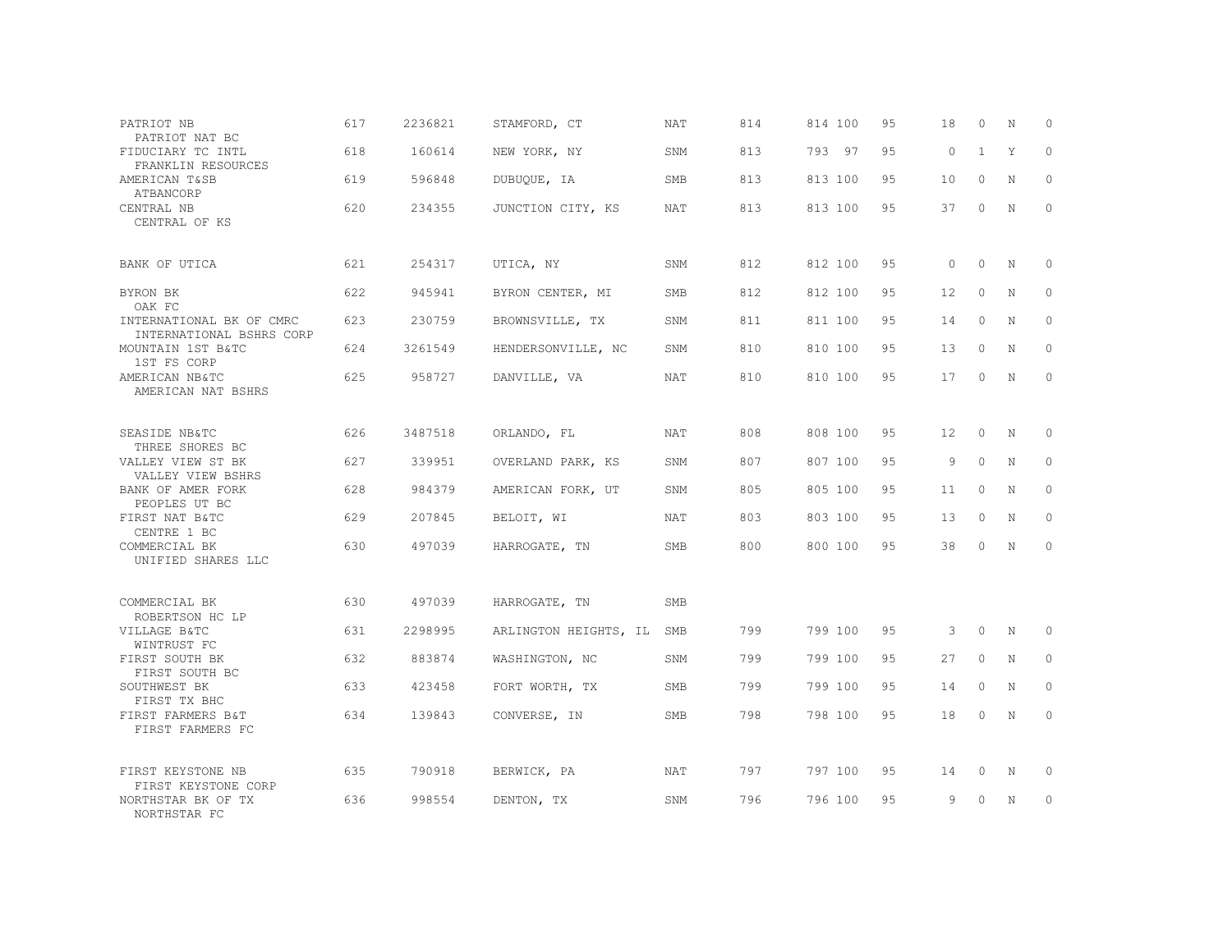| PATRIOT NB<br>PATRIOT NAT BC       |                                                      | 617 | 2236821 | STAMFORD, CT          | NAT        | 814 | 814 100 | 95 | 18                | 0            | N           | $\Omega$ |
|------------------------------------|------------------------------------------------------|-----|---------|-----------------------|------------|-----|---------|----|-------------------|--------------|-------------|----------|
| FIDUCIARY TC INTL                  | FRANKLIN RESOURCES                                   | 618 | 160614  | NEW YORK, NY          | SNM        | 813 | 793 97  | 95 | $\circ$           | $\mathbf{1}$ | Y           | $\circ$  |
| AMERICAN T&SB<br>ATBANCORP         |                                                      | 619 | 596848  | DUBUQUE, IA           | <b>SMB</b> | 813 | 813 100 | 95 | 10                | $\circ$      | N           | $\circ$  |
| CENTRAL NB<br>CENTRAL OF KS        |                                                      | 620 | 234355  | JUNCTION CITY, KS     | NAT        | 813 | 813 100 | 95 | 37                | $\circ$      | N           | $\circ$  |
| BANK OF UTICA                      |                                                      | 621 | 254317  | UTICA, NY             | SNM        | 812 | 812 100 | 95 | $\circ$           | $\circ$      | N           | $\circ$  |
| BYRON BK<br>OAK FC                 |                                                      | 622 | 945941  | BYRON CENTER, MI      | <b>SMB</b> | 812 | 812 100 | 95 | 12                | $\circ$      | N           | $\circ$  |
|                                    | INTERNATIONAL BK OF CMRC<br>INTERNATIONAL BSHRS CORP | 623 | 230759  | BROWNSVILLE, TX       | SNM        | 811 | 811 100 | 95 | 14                | $\circ$      | N           | $\circ$  |
| MOUNTAIN 1ST B&TC<br>1ST FS CORP   |                                                      | 624 | 3261549 | HENDERSONVILLE, NC    | SNM        | 810 | 810 100 | 95 | 13                | $\circ$      | N           | $\circ$  |
| AMERICAN NB&TC                     | AMERICAN NAT BSHRS                                   | 625 | 958727  | DANVILLE, VA          | NAT        | 810 | 810 100 | 95 | 17                | 0            | N           | $\circ$  |
| SEASIDE NB&TC<br>THREE SHORES BC   |                                                      | 626 | 3487518 | ORLANDO, FL           | NAT        | 808 | 808 100 | 95 | $12 \overline{ }$ | $\circ$      | N           | $\circ$  |
| VALLEY VIEW ST BK                  | VALLEY VIEW BSHRS                                    | 627 | 339951  | OVERLAND PARK, KS     | SNM        | 807 | 807 100 | 95 | 9                 | $\Omega$     | N           | $\circ$  |
| BANK OF AMER FORK<br>PEOPLES UT BC |                                                      | 628 | 984379  | AMERICAN FORK, UT     | SNM        | 805 | 805 100 | 95 | 11                | $\circ$      | $\mathbf N$ | $\circ$  |
| FIRST NAT B&TC<br>CENTRE 1 BC      |                                                      | 629 | 207845  | BELOIT, WI            | <b>NAT</b> | 803 | 803 100 | 95 | 13                | $\circ$      | N           | $\circ$  |
| COMMERCIAL BK                      | UNIFIED SHARES LLC                                   | 630 | 497039  | HARROGATE, TN         | SMB        | 800 | 800 100 | 95 | 38                | $\circ$      | N           | $\circ$  |
| COMMERCIAL BK<br>ROBERTSON HC LP   |                                                      | 630 | 497039  | HARROGATE, TN         | SMB        |     |         |    |                   |              |             |          |
| VILLAGE B&TC<br>WINTRUST FC        |                                                      | 631 | 2298995 | ARLINGTON HEIGHTS, IL | SMB        | 799 | 799 100 | 95 | 3                 | $\circ$      | N           | $\circ$  |
| FIRST SOUTH BK<br>FIRST SOUTH BC   |                                                      | 632 | 883874  | WASHINGTON, NC        | <b>SNM</b> | 799 | 799 100 | 95 | 27                | $\Omega$     | N           | $\circ$  |
| SOUTHWEST BK<br>FIRST TX BHC       |                                                      | 633 | 423458  | FORT WORTH, TX        | <b>SMB</b> | 799 | 799 100 | 95 | 14                | $\Omega$     | N           | $\Omega$ |
| FIRST FARMERS B&T                  | FIRST FARMERS FC                                     | 634 | 139843  | CONVERSE, IN          | <b>SMB</b> | 798 | 798 100 | 95 | 18                | $\circ$      | N           | $\circ$  |
| FIRST KEYSTONE NB                  | FIRST KEYSTONE CORP                                  | 635 | 790918  | BERWICK, PA           | NAT        | 797 | 797 100 | 95 | 14                | 0            | N           | $\circ$  |
| NORTHSTAR BK OF TX<br>NORTHSTAR FC |                                                      | 636 | 998554  | DENTON, TX            | SNM        | 796 | 796 100 | 95 | 9                 | $\Omega$     | Ν           | 0        |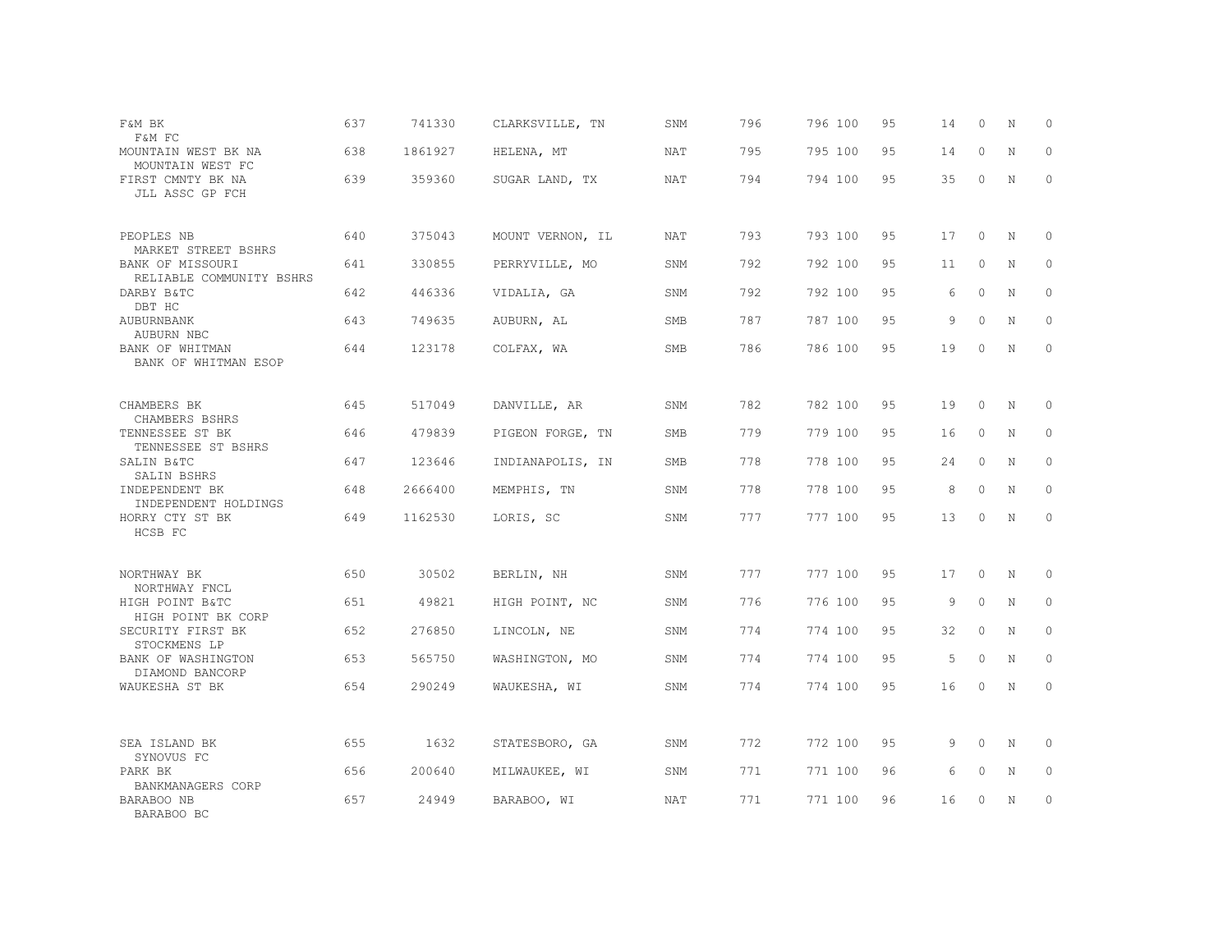| F&M BK<br>F&M FC                                      | 637 | 741330  | CLARKSVILLE, TN  | SNM | 796 | 796 100 | 95 | 14 | 0        | N           | $\circ$      |
|-------------------------------------------------------|-----|---------|------------------|-----|-----|---------|----|----|----------|-------------|--------------|
| MOUNTAIN WEST BK NA<br>MOUNTAIN WEST FC               | 638 | 1861927 | HELENA, MT       | NAT | 795 | 795 100 | 95 | 14 | 0        | N           | $\circ$      |
| FIRST CMNTY BK NA<br>JLL ASSC GP FCH                  | 639 | 359360  | SUGAR LAND, TX   | NAT | 794 | 794 100 | 95 | 35 | 0        | N           | $\mathbf{0}$ |
| PEOPLES NB                                            | 640 | 375043  | MOUNT VERNON, IL | NAT | 793 | 793 100 | 95 | 17 | $\circ$  | N           | 0            |
| MARKET STREET BSHRS<br>BANK OF MISSOURI               | 641 | 330855  | PERRYVILLE, MO   | SNM | 792 | 792 100 | 95 | 11 | $\circ$  | N           | $\circ$      |
| RELIABLE COMMUNITY BSHRS<br>DARBY B&TC                | 642 | 446336  | VIDALIA, GA      | SNM | 792 | 792 100 | 95 | 6  | $\circ$  | N           | $\circ$      |
| DBT HC<br>AUBURNBANK                                  | 643 | 749635  | AUBURN, AL       | SMB | 787 | 787 100 | 95 | 9  | $\circ$  | $\mathbf N$ | $\mathbf{0}$ |
| AUBURN NBC<br>BANK OF WHITMAN<br>BANK OF WHITMAN ESOP | 644 | 123178  | COLFAX, WA       | SMB | 786 | 786 100 | 95 | 19 | $\circ$  | $\mathbf N$ | $\circ$      |
| CHAMBERS BK<br>CHAMBERS BSHRS                         | 645 | 517049  | DANVILLE, AR     | SNM | 782 | 782 100 | 95 | 19 | $\circ$  | $\rm N$     | 0            |
| TENNESSEE ST BK<br>TENNESSEE ST BSHRS                 | 646 | 479839  | PIGEON FORGE, TN | SMB | 779 | 779 100 | 95 | 16 | $\circ$  | $\mathbf N$ | $\mathbf{0}$ |
| SALIN B&TC<br>SALIN BSHRS                             | 647 | 123646  | INDIANAPOLIS, IN | SMB | 778 | 778 100 | 95 | 24 | $\Omega$ | N           | $\circ$      |
| INDEPENDENT BK<br>INDEPENDENT HOLDINGS                | 648 | 2666400 | MEMPHIS, TN      | SNM | 778 | 778 100 | 95 | 8  | $\circ$  | $\mathbf N$ | $\mathbf{0}$ |
| HORRY CTY ST BK<br>HCSB FC                            | 649 | 1162530 | LORIS, SC        | SNM | 777 | 777 100 | 95 | 13 | $\circ$  | $\mathbf N$ | $\mathbf{0}$ |
| NORTHWAY BK                                           | 650 | 30502   | BERLIN, NH       | SNM | 777 | 777 100 | 95 | 17 | 0        | N           | $\circ$      |
| NORTHWAY FNCL<br>HIGH POINT B&TC                      | 651 | 49821   | HIGH POINT, NC   | SNM | 776 | 776 100 | 95 | 9  | $\Omega$ | N           | $\circ$      |
| HIGH POINT BK CORP<br>SECURITY FIRST BK               | 652 | 276850  | LINCOLN, NE      | SNM | 774 | 774 100 | 95 | 32 | $\circ$  | N           | $\circ$      |
| STOCKMENS LP<br>BANK OF WASHINGTON                    | 653 | 565750  | WASHINGTON, MO   | SNM | 774 | 774 100 | 95 | 5  | $\Omega$ | N           | $\circ$      |
| DIAMOND BANCORP<br>WAUKESHA ST BK                     | 654 | 290249  | WAUKESHA, WI     | SNM | 774 | 774 100 | 95 | 16 | 0        | N           | $\circ$      |
|                                                       |     |         |                  |     |     |         |    |    |          |             |              |
| SEA ISLAND BK<br>SYNOVUS FC                           | 655 | 1632    | STATESBORO, GA   | SNM | 772 | 772 100 | 95 | 9  | $\Omega$ | N           | $\mathbf 0$  |
| PARK BK<br>BANKMANAGERS CORP                          | 656 | 200640  | MILWAUKEE, WI    | SNM | 771 | 771 100 | 96 | 6  | 0        | N           | $\mathbf{0}$ |
| BARABOO NB<br>BARABOO BC                              | 657 | 24949   | BARABOO, WI      | NAT | 771 | 771 100 | 96 | 16 | $\Omega$ | $\mathbf N$ | $\mathbb O$  |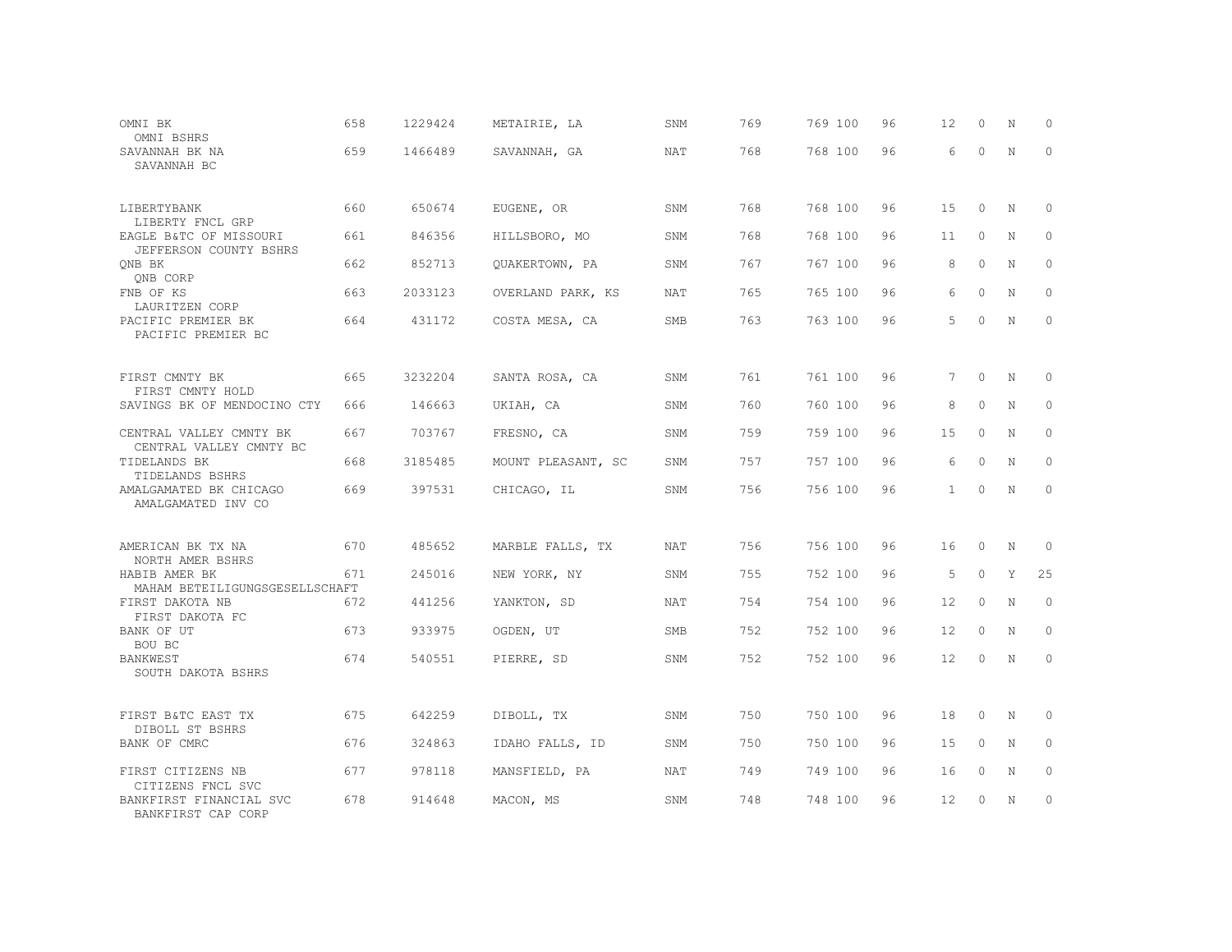| OMNI BK<br>OMNI BSHRS                              | 658 | 1229424 | METAIRIE, LA       | SNM        | 769 | 769 100 | 96 | 12           | $\circ$  | N           | $\Omega$    |
|----------------------------------------------------|-----|---------|--------------------|------------|-----|---------|----|--------------|----------|-------------|-------------|
| SAVANNAH BK NA<br>SAVANNAH BC                      | 659 | 1466489 | SAVANNAH, GA       | NAT        | 768 | 768 100 | 96 | 6            | $\circ$  | N           | $\circ$     |
| LIBERTYBANK<br>LIBERTY FNCL GRP                    | 660 | 650674  | EUGENE, OR         | SNM        | 768 | 768 100 | 96 | 15           | $\circ$  | N           | 0           |
| EAGLE B&TC OF MISSOURI<br>JEFFERSON COUNTY BSHRS   | 661 | 846356  | HILLSBORO, MO      | SNM        | 768 | 768 100 | 96 | 11           | $\circ$  | N           | $\circ$     |
| QNB BK<br>QNB CORP                                 | 662 | 852713  | QUAKERTOWN, PA     | SNM        | 767 | 767 100 | 96 | 8            | $\circ$  | N           | $\mathbb O$ |
| FNB OF KS<br>LAURITZEN CORP                        | 663 | 2033123 | OVERLAND PARK, KS  | NAT        | 765 | 765 100 | 96 | 6            | $\Omega$ | N           | $\Omega$    |
| PACIFIC PREMIER BK<br>PACIFIC PREMIER BC           | 664 | 431172  | COSTA MESA, CA     | <b>SMB</b> | 763 | 763 100 | 96 | 5            | $\Omega$ | $\mathbf N$ | $\mathbf 0$ |
| FIRST CMNTY BK<br>FIRST CMNTY HOLD                 | 665 | 3232204 | SANTA ROSA, CA     | SNM        | 761 | 761 100 | 96 | 7            | $\circ$  | N           | 0           |
| SAVINGS BK OF MENDOCINO CTY                        | 666 | 146663  | UKIAH, CA          | SNM        | 760 | 760 100 | 96 | 8            | $\Omega$ | N           | 0           |
| CENTRAL VALLEY CMNTY BK<br>CENTRAL VALLEY CMNTY BC | 667 | 703767  | FRESNO, CA         | SNM        | 759 | 759 100 | 96 | 15           | $\circ$  | N           | 0           |
| TIDELANDS BK<br>TIDELANDS BSHRS                    | 668 | 3185485 | MOUNT PLEASANT, SC | SNM        | 757 | 757 100 | 96 | 6            | $\circ$  | N           | 0           |
| AMALGAMATED BK CHICAGO<br>AMALGAMATED INV CO       | 669 | 397531  | CHICAGO, IL        | SNM        | 756 | 756 100 | 96 | $\mathbf{1}$ | $\circ$  | N           | $\circ$     |
| AMERICAN BK TX NA<br>NORTH AMER BSHRS              | 670 | 485652  | MARBLE FALLS, TX   | <b>NAT</b> | 756 | 756 100 | 96 | 16           | $\circ$  | N           | $\circ$     |
| HABIB AMER BK<br>MAHAM BETEILIGUNGSGESELLSCHAFT    | 671 | 245016  | NEW YORK, NY       | SNM        | 755 | 752 100 | 96 | 5            | $\circ$  | Y           | 25          |
| FIRST DAKOTA NB<br>FIRST DAKOTA FC                 | 672 | 441256  | YANKTON, SD        | NAT        | 754 | 754 100 | 96 | 12           | $\circ$  | N           | $\circ$     |
| BANK OF UT<br>BOU BC                               | 673 | 933975  | OGDEN, UT          | <b>SMB</b> | 752 | 752 100 | 96 | 12           | $\Omega$ | N           | $\circ$     |
| BANKWEST<br>SOUTH DAKOTA BSHRS                     | 674 | 540551  | PIERRE, SD         | SNM        | 752 | 752 100 | 96 | 12           | $\Omega$ | N           | $\mathbf 0$ |
| FIRST B&TC EAST TX<br>DIBOLL ST BSHRS              | 675 | 642259  | DIBOLL, TX         | SNM        | 750 | 750 100 | 96 | 18           | $\circ$  | N           | 0           |
| BANK OF CMRC                                       | 676 | 324863  | IDAHO FALLS, ID    | SNM        | 750 | 750 100 | 96 | 15           | $\circ$  | N           | 0           |
| FIRST CITIZENS NB<br>CITIZENS FNCL SVC             | 677 | 978118  | MANSFIELD, PA      | NAT        | 749 | 749 100 | 96 | 16           | $\circ$  | N           | 0           |
| BANKFIRST FINANCIAL SVC<br>BANKFIRST CAP CORP      | 678 | 914648  | MACON, MS          | SNM        | 748 | 748 100 | 96 | 12           | 0        | N           | $\circ$     |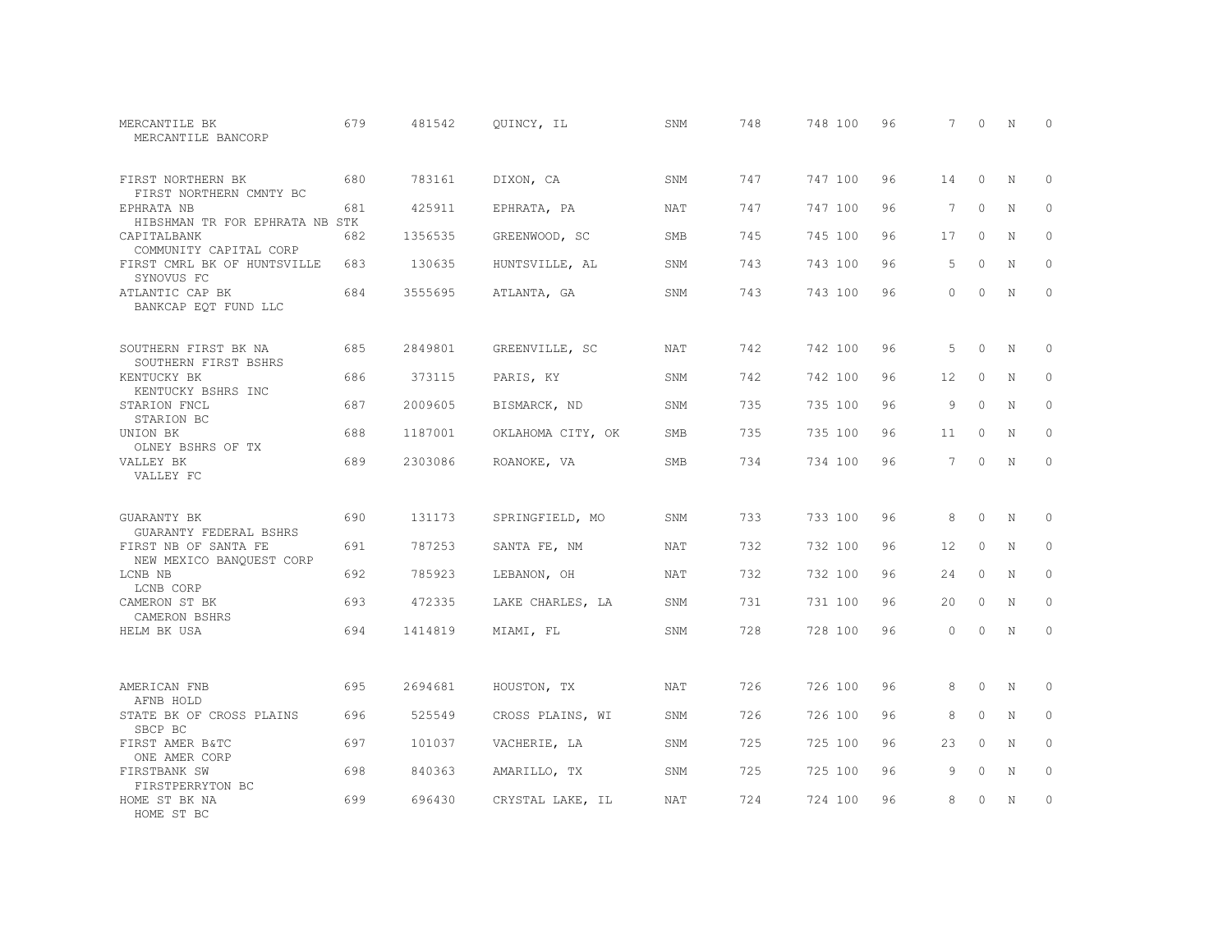| MERCANTILE BK<br>MERCANTILE BANCORP              | 679 | 481542  | QUINCY, IL        | SNM        | 748 | 748 100 | 96 | 7               | $\Omega$ | N           | $\Omega$     |
|--------------------------------------------------|-----|---------|-------------------|------------|-----|---------|----|-----------------|----------|-------------|--------------|
| FIRST NORTHERN BK<br>FIRST NORTHERN CMNTY BC     | 680 | 783161  | DIXON, CA         | SNM        | 747 | 747 100 | 96 | 14              | $\circ$  | N           | $\circ$      |
| EPHRATA NB<br>HIBSHMAN TR FOR EPHRATA NB STK     | 681 | 425911  | EPHRATA, PA       | NAT        | 747 | 747 100 | 96 | $7\phantom{.0}$ | $\circ$  | N           | $\circ$      |
| CAPITALBANK<br>COMMUNITY CAPITAL CORP            | 682 | 1356535 | GREENWOOD, SC     | SMB        | 745 | 745 100 | 96 | 17              | $\Omega$ | $\mathbf N$ | $\Omega$     |
| FIRST CMRL BK OF HUNTSVILLE<br>SYNOVUS FC        | 683 | 130635  | HUNTSVILLE, AL    | SNM        | 743 | 743 100 | 96 | 5               | $\Omega$ | N           | $\circ$      |
| ATLANTIC CAP BK<br>BANKCAP EQT FUND LLC          | 684 | 3555695 | ATLANTA, GA       | SNM        | 743 | 743 100 | 96 | $\Omega$        | $\Omega$ | N           | $\Omega$     |
| SOUTHERN FIRST BK NA<br>SOUTHERN FIRST BSHRS     | 685 | 2849801 | GREENVILLE, SC    | <b>NAT</b> | 742 | 742 100 | 96 | 5               | $\Omega$ | N           | $\circ$      |
| KENTUCKY BK<br>KENTUCKY BSHRS INC                | 686 | 373115  | PARIS, KY         | SNM        | 742 | 742 100 | 96 | 12              | $\circ$  | N           | $\circ$      |
| STARION FNCL<br>STARION BC                       | 687 | 2009605 | BISMARCK, ND      | SNM        | 735 | 735 100 | 96 | 9               | $\Omega$ | N           | $\mathbf{0}$ |
| UNION BK<br>OLNEY BSHRS OF TX                    | 688 | 1187001 | OKLAHOMA CITY, OK | SMB        | 735 | 735 100 | 96 | 11              | $\circ$  | $\mathbb N$ | $\mathbf{0}$ |
| VALLEY BK<br>VALLEY FC                           | 689 | 2303086 | ROANOKE, VA       | SMB        | 734 | 734 100 | 96 | 7               | $\Omega$ | N           | $\circ$      |
| GUARANTY BK<br>GUARANTY FEDERAL BSHRS            | 690 | 131173  | SPRINGFIELD, MO   | SNM        | 733 | 733 100 | 96 | 8               | $\circ$  | N           | $\circ$      |
| FIRST NB OF SANTA FE<br>NEW MEXICO BANQUEST CORP | 691 | 787253  | SANTA FE, NM      | <b>NAT</b> | 732 | 732 100 | 96 | 12              | $\circ$  | N           | $\mathbf{0}$ |
| LCNB NB<br>LCNB CORP                             | 692 | 785923  | LEBANON, OH       | NAT        | 732 | 732 100 | 96 | 24              | $\circ$  | N           | $\mathbf{0}$ |
| CAMERON ST BK<br>CAMERON BSHRS                   | 693 | 472335  | LAKE CHARLES, LA  | SNM        | 731 | 731 100 | 96 | 20              | $\circ$  | N           | $\circ$      |
| HELM BK USA                                      | 694 | 1414819 | MIAMI, FL         | SNM        | 728 | 728 100 | 96 | $\Omega$        | $\circ$  | $\mathbb N$ | $\mathbf{0}$ |
| AMERICAN FNB<br>AFNB HOLD                        | 695 | 2694681 | HOUSTON, TX       | NAT        | 726 | 726 100 | 96 | 8               | $\Omega$ | N           | $\Omega$     |
| STATE BK OF CROSS PLAINS<br>SBCP BC              | 696 | 525549  | CROSS PLAINS, WI  | SNM        | 726 | 726 100 | 96 | 8               | $\circ$  | $\mathbb N$ | $\circ$      |
| FIRST AMER B&TC<br>ONE AMER CORP                 | 697 | 101037  | VACHERIE, LA      | SNM        | 725 | 725 100 | 96 | 23              | $\Omega$ | N           | $\mathbf{0}$ |
| FIRSTBANK SW<br>FIRSTPERRYTON BC                 | 698 | 840363  | AMARILLO, TX      | SNM        | 725 | 725 100 | 96 | 9               | $\circ$  | N           | $\circ$      |
| HOME ST BK NA<br>HOME ST BC                      | 699 | 696430  | CRYSTAL LAKE, IL  | <b>NAT</b> | 724 | 724 100 | 96 | 8               | $\Omega$ | N           | $\circ$      |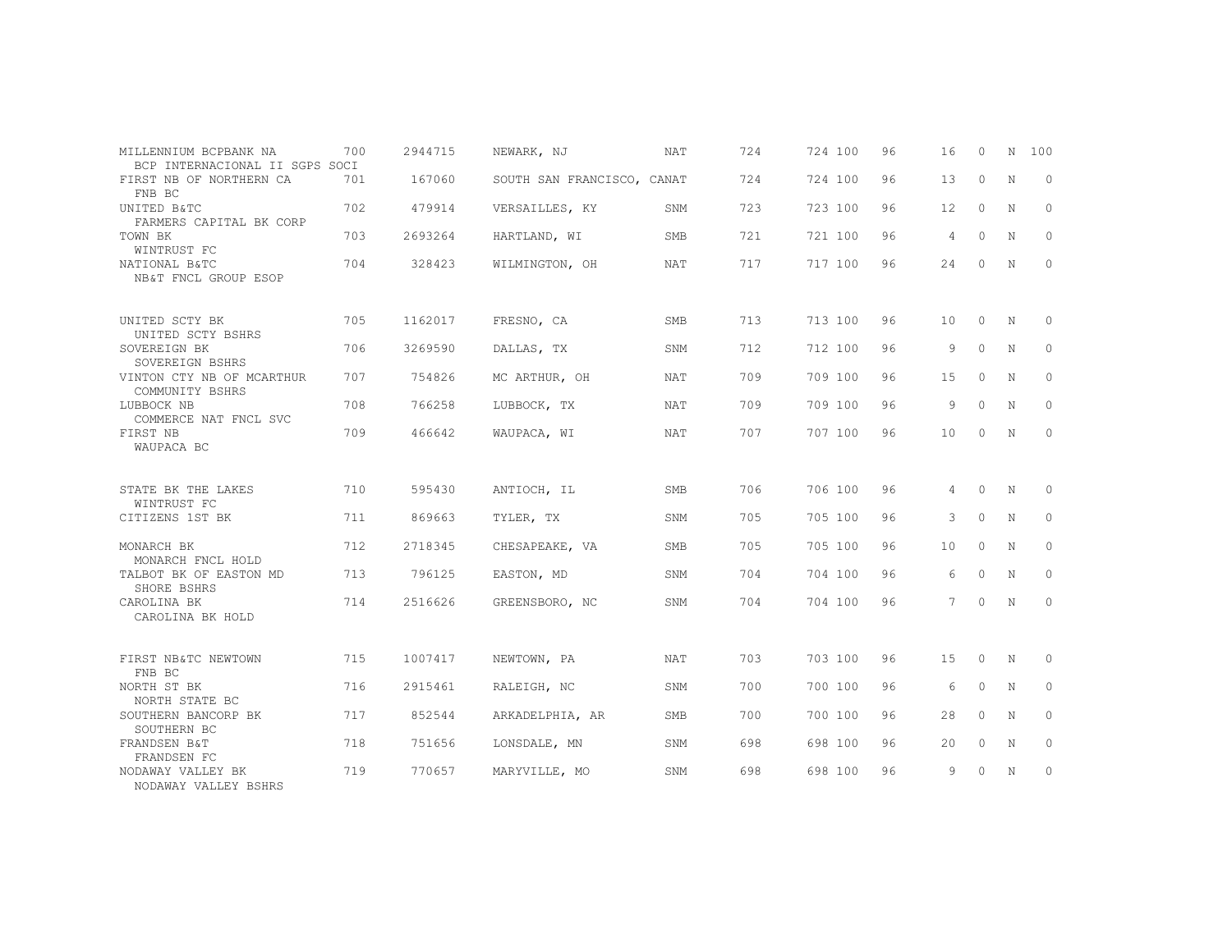| MILLENNIUM BCPBANK NA<br>BCP INTERNACIONAL II SGPS SOCI | 700 | 2944715 | NEWARK, NJ                 | <b>NAT</b> | 724 | 724 100 | 96 | 16 | $\Omega$ | N           | 100      |
|---------------------------------------------------------|-----|---------|----------------------------|------------|-----|---------|----|----|----------|-------------|----------|
| FIRST NB OF NORTHERN CA<br>FNB BC                       | 701 | 167060  | SOUTH SAN FRANCISCO, CANAT |            | 724 | 724 100 | 96 | 13 | $\circ$  | N           | $\circ$  |
| UNITED B&TC<br>FARMERS CAPITAL BK CORP                  | 702 | 479914  | VERSAILLES, KY             | SNM        | 723 | 723 100 | 96 | 12 | $\Omega$ | $\mathbf N$ | $\Omega$ |
| TOWN BK<br>WINTRUST FC                                  | 703 | 2693264 | HARTLAND, WI               | <b>SMB</b> | 721 | 721 100 | 96 | 4  | $\circ$  | N           | 0        |
| NATIONAL B&TC<br>NB&T FNCL GROUP ESOP                   | 704 | 328423  | WILMINGTON, OH             | <b>NAT</b> | 717 | 717 100 | 96 | 24 | $\circ$  | N           | $\circ$  |
| UNITED SCTY BK<br>UNITED SCTY BSHRS                     | 705 | 1162017 | FRESNO, CA                 | <b>SMB</b> | 713 | 713 100 | 96 | 10 | $\Omega$ | N           | $\Omega$ |
| SOVEREIGN BK<br>SOVEREIGN BSHRS                         | 706 | 3269590 | DALLAS, TX                 | SNM        | 712 | 712 100 | 96 | 9  | $\circ$  | N           | $\circ$  |
| VINTON CTY NB OF MCARTHUR<br>COMMUNITY BSHRS            | 707 | 754826  | MC ARTHUR, OH              | <b>NAT</b> | 709 | 709 100 | 96 | 15 | $\Omega$ | N           | $\Omega$ |
| LUBBOCK NB<br>COMMERCE NAT FNCL SVC                     | 708 | 766258  | LUBBOCK, TX                | NAT        | 709 | 709 100 | 96 | 9  | $\circ$  | N           | $\circ$  |
| FIRST NB<br>WAUPACA BC                                  | 709 | 466642  | WAUPACA, WI                | <b>NAT</b> | 707 | 707 100 | 96 | 10 | 0        | N           | $\circ$  |
| STATE BK THE LAKES<br>WINTRUST FC                       | 710 | 595430  | ANTIOCH, IL                | SMB        | 706 | 706 100 | 96 | 4  | $\Omega$ | N           | $\Omega$ |
| CITIZENS 1ST BK                                         | 711 | 869663  | TYLER, TX                  | SNM        | 705 | 705 100 | 96 | 3  | $\circ$  | N           | $\circ$  |
| MONARCH BK<br>MONARCH FNCL HOLD                         | 712 | 2718345 | CHESAPEAKE, VA             | <b>SMB</b> | 705 | 705 100 | 96 | 10 | $\Omega$ | N           | $\Omega$ |
| TALBOT BK OF EASTON MD<br>SHORE BSHRS                   | 713 | 796125  | EASTON, MD                 | SNM        | 704 | 704 100 | 96 | 6  | $\Omega$ | N           | $\circ$  |
| CAROLINA BK<br>CAROLINA BK HOLD                         | 714 | 2516626 | GREENSBORO, NC             | SNM        | 704 | 704 100 | 96 | 7  | $\circ$  | N           | 0        |
| FIRST NB&TC NEWTOWN<br>FNB BC                           | 715 | 1007417 | NEWTOWN, PA                | <b>NAT</b> | 703 | 703 100 | 96 | 15 | $\circ$  | N           | 0        |
| NORTH ST BK<br>NORTH STATE BC                           | 716 | 2915461 | RALEIGH, NC                | SNM        | 700 | 700 100 | 96 | 6  | $\circ$  | N           | $\circ$  |
| SOUTHERN BANCORP BK<br>SOUTHERN BC                      | 717 | 852544  | ARKADELPHIA, AR            | <b>SMB</b> | 700 | 700 100 | 96 | 28 | $\Omega$ | $\mathbf N$ | $\Omega$ |
| FRANDSEN B&T<br>FRANDSEN FC                             | 718 | 751656  | LONSDALE, MN               | SNM        | 698 | 698 100 | 96 | 20 | $\circ$  | N           | $\circ$  |
| NODAWAY VALLEY BK<br>NODAWAY VALLEY BSHRS               | 719 | 770657  | MARYVILLE, MO              | SNM        | 698 | 698 100 | 96 | 9  | $\circ$  | N           | 0        |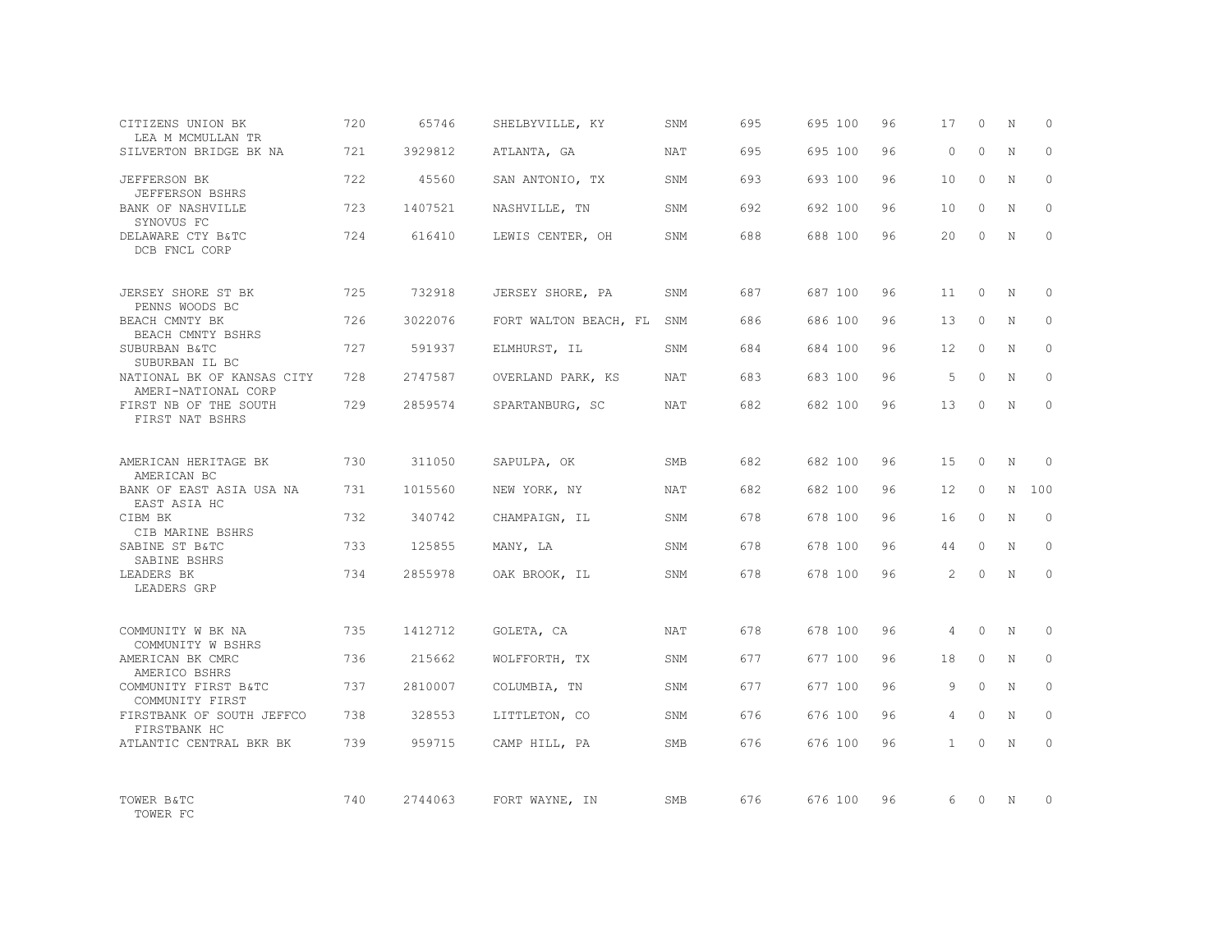| CITIZENS UNION BK<br>LEA M MCMULLAN TR                | 720 | 65746   | SHELBYVILLE, KY           | SNM        | 695 | 695 100 | 96 | 17             | $\Omega$ | N           | $\Omega$ |
|-------------------------------------------------------|-----|---------|---------------------------|------------|-----|---------|----|----------------|----------|-------------|----------|
| SILVERTON BRIDGE BK NA                                | 721 | 3929812 | ATLANTA, GA               | <b>NAT</b> | 695 | 695 100 | 96 | $\Omega$       | $\Omega$ | $\mathbf N$ | $\Omega$ |
| <b>JEFFERSON BK</b><br>JEFFERSON BSHRS                | 722 | 45560   | SAN ANTONIO, TX           | SNM        | 693 | 693 100 | 96 | 10             | $\Omega$ | N           | $\Omega$ |
| BANK OF NASHVILLE<br>SYNOVUS FC                       | 723 | 1407521 | NASHVILLE, TN             | SNM        | 692 | 692 100 | 96 | 10             | $\Omega$ | N           | $\Omega$ |
| DELAWARE CTY B&TC<br>DCB FNCL CORP                    | 724 | 616410  | LEWIS CENTER, OH          | SNM        | 688 | 688 100 | 96 | 20             | $\Omega$ | N           | $\Omega$ |
| JERSEY SHORE ST BK                                    | 725 | 732918  | JERSEY SHORE, PA          | SNM        | 687 | 687 100 | 96 | 11             | $\Omega$ | N           | $\Omega$ |
| PENNS WOODS BC<br>BEACH CMNTY BK<br>BEACH CMNTY BSHRS | 726 | 3022076 | FORT WALTON BEACH, FL SNM |            | 686 | 686 100 | 96 | 13             | $\Omega$ | N           | $\Omega$ |
| SUBURBAN B&TC<br>SUBURBAN IL BC                       | 727 | 591937  | ELMHURST, IL              | SNM        | 684 | 684 100 | 96 | 12             | $\Omega$ | N           | $\Omega$ |
| NATIONAL BK OF KANSAS CITY<br>AMERI-NATIONAL CORP     | 728 | 2747587 | OVERLAND PARK, KS         | NAT        | 683 | 683 100 | 96 | $\overline{5}$ | $\Omega$ | N           | $\Omega$ |
| FIRST NB OF THE SOUTH<br>FIRST NAT BSHRS              | 729 | 2859574 | SPARTANBURG, SC           | NAT        | 682 | 682 100 | 96 | 13             | $\Omega$ | $\mathbb N$ | $\Omega$ |
| AMERICAN HERITAGE BK<br>AMERICAN BC                   | 730 | 311050  | SAPULPA, OK               | <b>SMB</b> | 682 | 682 100 | 96 | 1.5            | $\Omega$ | $_{\rm N}$  | $\Omega$ |
| BANK OF EAST ASIA USA NA<br>EAST ASIA HC              | 731 | 1015560 | NEW YORK, NY              | <b>NAT</b> | 682 | 682 100 | 96 | 12             | $\Omega$ | N           | 100      |
| CIBM BK<br>CIB MARINE BSHRS                           | 732 | 340742  | CHAMPAIGN, IL             | SNM        | 678 | 678 100 | 96 | 16             | $\Omega$ | $\mathbf N$ | $\Omega$ |
| SABINE ST B&TC<br>SABINE BSHRS                        | 733 | 125855  | MANY, LA                  | SNM        | 678 | 678 100 | 96 | 44             | $\Omega$ | N           | $\Omega$ |
| LEADERS BK<br>LEADERS GRP                             | 734 | 2855978 | OAK BROOK, IL             | <b>SNM</b> | 678 | 678 100 | 96 | $\mathcal{P}$  | $\Omega$ | N           | $\Omega$ |
| COMMUNITY W BK NA<br>COMMUNITY W BSHRS                | 735 | 1412712 | GOLETA, CA                | <b>NAT</b> | 678 | 678 100 | 96 | 4              | $\Omega$ | $_{\rm N}$  | $\Omega$ |
| AMERICAN BK CMRC<br>AMERICO BSHRS                     | 736 | 215662  | WOLFFORTH, TX             | SNM        | 677 | 677 100 | 96 | 18             | $\circ$  | N           | $\circ$  |
| COMMUNITY FIRST B&TC<br>COMMUNITY FIRST               | 737 | 2810007 | COLUMBIA, TN              | SNM        | 677 | 677 100 | 96 | 9              | $\Omega$ | N           | $\Omega$ |
| FIRSTBANK OF SOUTH JEFFCO<br>FIRSTBANK HC             | 738 | 328553  | LITTLETON, CO             | SNM        | 676 | 676 100 | 96 | 4              | $\circ$  | N           | $\Omega$ |
| ATLANTIC CENTRAL BKR BK                               | 739 | 959715  | CAMP HILL, PA             | SMB        | 676 | 676 100 | 96 | $\mathbf{1}$   | $\Omega$ | N           | $\Omega$ |
| TOWER B&TC<br>TOWER FC                                | 740 | 2744063 | FORT WAYNE, IN            | SMB        | 676 | 676 100 | 96 | 6              | $\Omega$ | $\mathbb N$ | $\Omega$ |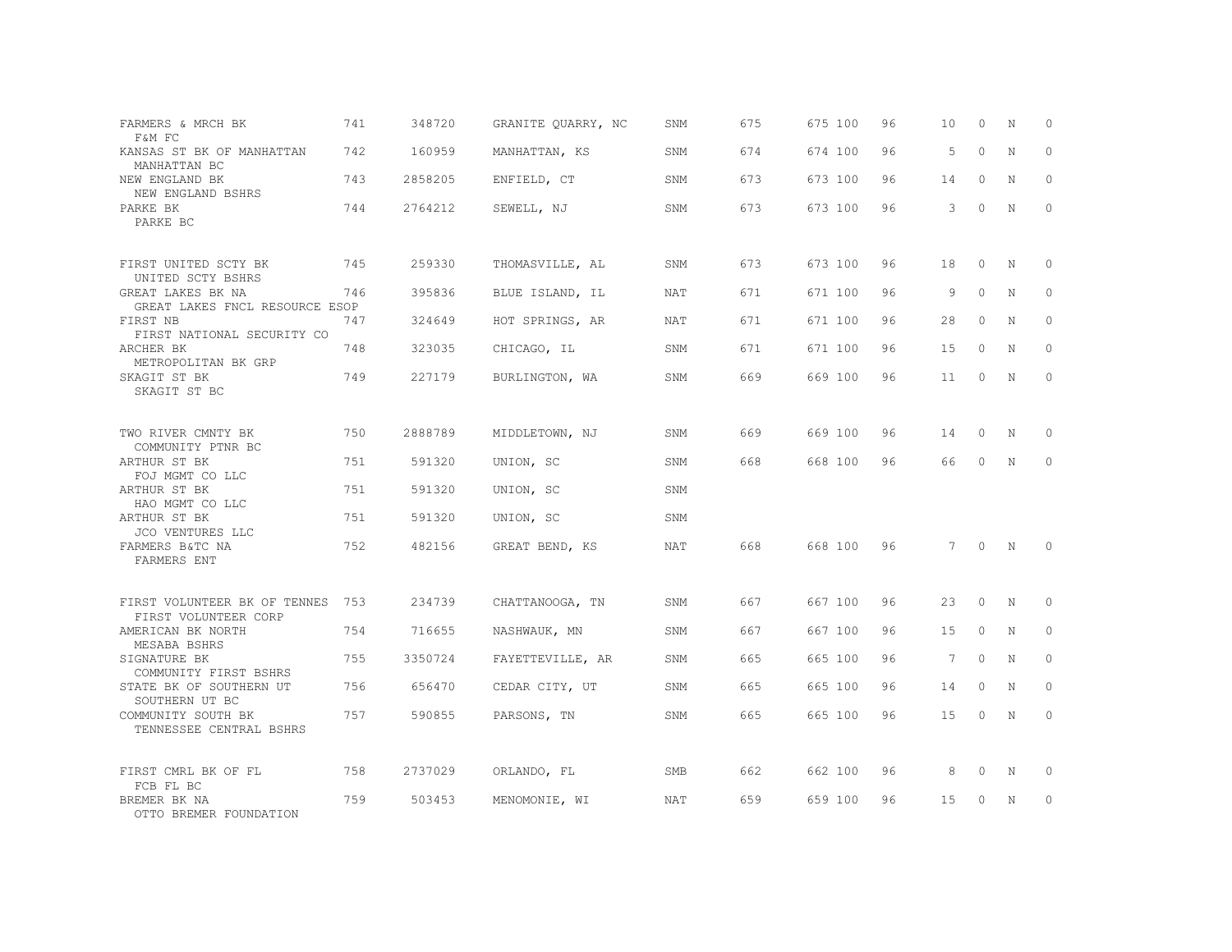| FARMERS & MRCH BK<br>F&M FC                          | 741 | 348720  | GRANITE QUARRY, NC | SNM        | 675 | 675 100 | 96 | 10 | $\Omega$ | N           | $\Omega$ |
|------------------------------------------------------|-----|---------|--------------------|------------|-----|---------|----|----|----------|-------------|----------|
| KANSAS ST BK OF MANHATTAN<br>MANHATTAN BC            | 742 | 160959  | MANHATTAN, KS      | SNM        | 674 | 674 100 | 96 | 5  | $\Omega$ | N           | $\Omega$ |
| NEW ENGLAND BK<br>NEW ENGLAND BSHRS                  | 743 | 2858205 | ENFIELD, CT        | SNM        | 673 | 673 100 | 96 | 14 | $\circ$  | N           | $\circ$  |
| PARKE BK<br>PARKE BC                                 | 744 | 2764212 | SEWELL, NJ         | SNM        | 673 | 673 100 | 96 | 3  | $\Omega$ | N           | $\Omega$ |
| FIRST UNITED SCTY BK<br>UNITED SCTY BSHRS            | 745 | 259330  | THOMASVILLE, AL    | SNM        | 673 | 673 100 | 96 | 18 | $\Omega$ | N           | $\Omega$ |
| GREAT LAKES BK NA<br>GREAT LAKES FNCL RESOURCE ESOP  | 746 | 395836  | BLUE ISLAND, IL    | NAT        | 671 | 671 100 | 96 | 9  | $\Omega$ | $\mathbf N$ | $\circ$  |
| FIRST NB<br>FIRST NATIONAL SECURITY CO               | 747 | 324649  | HOT SPRINGS, AR    | NAT        | 671 | 671 100 | 96 | 28 | $\Omega$ | $_{\rm N}$  | $\Omega$ |
| ARCHER BK<br>METROPOLITAN BK GRP                     | 748 | 323035  | CHICAGO, IL        | SNM        | 671 | 671 100 | 96 | 15 | $\circ$  | N           | $\circ$  |
| SKAGIT ST BK<br>SKAGIT ST BC                         | 749 | 227179  | BURLINGTON, WA     | SNM        | 669 | 669 100 | 96 | 11 | $\circ$  | $_{\rm N}$  | $\Omega$ |
| TWO RIVER CMNTY BK<br>COMMUNITY PTNR BC              | 750 | 2888789 | MIDDLETOWN, NJ     | SNM        | 669 | 669 100 | 96 | 14 | 0        | N           | $\circ$  |
| ARTHUR ST BK<br>FOJ MGMT CO LLC                      | 751 | 591320  | UNION, SC          | SNM        | 668 | 668 100 | 96 | 66 | $\Omega$ | $\mathbb N$ | $\Omega$ |
| ARTHUR ST BK<br>HAO MGMT CO LLC                      | 751 | 591320  | UNION, SC          | SNM        |     |         |    |    |          |             |          |
| ARTHUR ST BK<br>JCO VENTURES LLC                     | 751 | 591320  | UNION, SC          | SNM        |     |         |    |    |          |             |          |
| FARMERS B&TC NA<br>FARMERS ENT                       | 752 | 482156  | GREAT BEND, KS     | NAT        | 668 | 668 100 | 96 | 7  | $\circ$  | N           | $\Omega$ |
| FIRST VOLUNTEER BK OF TENNES<br>FIRST VOLUNTEER CORP | 753 | 234739  | CHATTANOOGA, TN    | SNM        | 667 | 667 100 | 96 | 23 | $\circ$  | N           | $\circ$  |
| AMERICAN BK NORTH<br>MESABA BSHRS                    | 754 | 716655  | NASHWAUK, MN       | SNM        | 667 | 667 100 | 96 | 15 | $\Omega$ | N           | $\Omega$ |
| SIGNATURE BK<br>COMMUNITY FIRST BSHRS                | 755 | 3350724 | FAYETTEVILLE, AR   | SNM        | 665 | 665 100 | 96 | 7  | $\circ$  | N           | $\circ$  |
| STATE BK OF SOUTHERN UT<br>SOUTHERN UT BC            | 756 | 656470  | CEDAR CITY, UT     | SNM        | 665 | 665 100 | 96 | 14 | $\circ$  | N           | $\Omega$ |
| COMMUNITY SOUTH BK<br>TENNESSEE CENTRAL BSHRS        | 757 | 590855  | PARSONS, TN        | SNM        | 665 | 665 100 | 96 | 15 | 0        | N           | $\circ$  |
| FIRST CMRL BK OF FL                                  | 758 | 2737029 | ORLANDO, FL        | SMB        | 662 | 662 100 | 96 | 8  | 0        | Ν           | 0        |
| FCB FL BC<br>BREMER BK NA<br>OTTO BREMER FOUNDATION  | 759 | 503453  | MENOMONIE, WI      | <b>NAT</b> | 659 | 659 100 | 96 | 15 | $\Omega$ | N           | $\circ$  |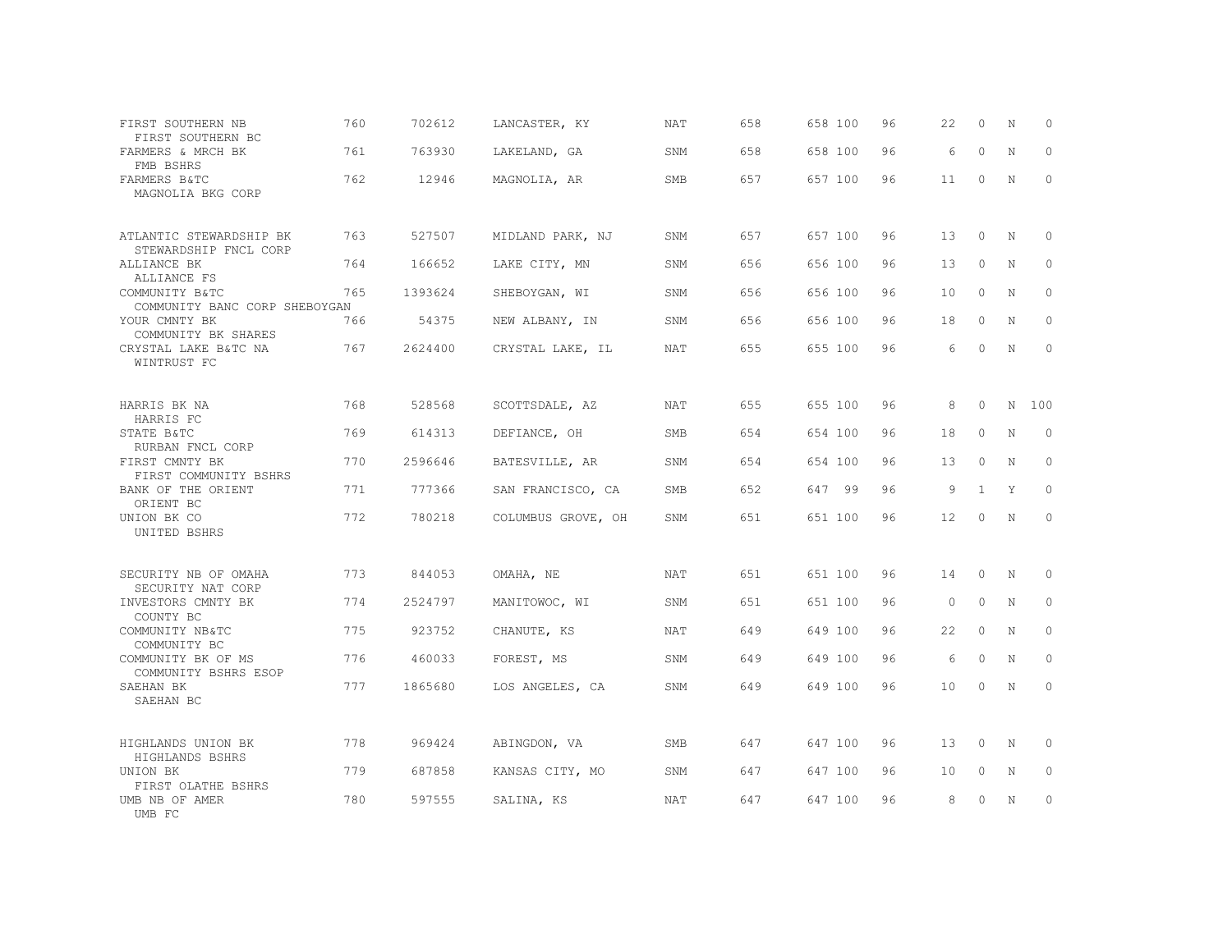| FIRST SOUTHERN NB<br>FIRST SOUTHERN BC           | 760 | 702612  | LANCASTER, KY      | NAT        | 658 | 658 100 | 96 | 22                | $\circ$      | N | $\Omega$     |
|--------------------------------------------------|-----|---------|--------------------|------------|-----|---------|----|-------------------|--------------|---|--------------|
| FARMERS & MRCH BK<br>FMB BSHRS                   | 761 | 763930  | LAKELAND, GA       | SNM        | 658 | 658 100 | 96 | 6                 | $\Omega$     | N | $\Omega$     |
| FARMERS B&TC<br>MAGNOLIA BKG CORP                | 762 | 12946   | MAGNOLIA, AR       | SMB        | 657 | 657 100 | 96 | 11                | $\circ$      | N | $\mathbf{0}$ |
| ATLANTIC STEWARDSHIP BK<br>STEWARDSHIP FNCL CORP | 763 | 527507  | MIDLAND PARK, NJ   | SNM        | 657 | 657 100 | 96 | 13                | $\Omega$     | N | $\mathbf{0}$ |
| ALLIANCE BK<br>ALLIANCE FS                       | 764 | 166652  | LAKE CITY, MN      | SNM        | 656 | 656 100 | 96 | 13                | $\Omega$     | N | $\Omega$     |
| COMMUNITY B&TC<br>COMMUNITY BANC CORP SHEBOYGAN  | 765 | 1393624 | SHEBOYGAN, WI      | SNM        | 656 | 656 100 | 96 | 10                | $\Omega$     | N | $\mathbf{0}$ |
| YOUR CMNTY BK<br>COMMUNITY BK SHARES             | 766 | 54375   | NEW ALBANY, IN     | SNM        | 656 | 656 100 | 96 | 18                | $\Omega$     | N | $\Omega$     |
| CRYSTAL LAKE B&TC NA<br>WINTRUST FC              | 767 | 2624400 | CRYSTAL LAKE, IL   | NAT        | 655 | 655 100 | 96 | 6                 | $\Omega$     | N | $\Omega$     |
| HARRIS BK NA<br>HARRIS FC                        | 768 | 528568  | SCOTTSDALE, AZ     | NAT        | 655 | 655 100 | 96 | 8                 | $\Omega$     | N | 100          |
| STATE B&TC<br>RURBAN FNCL CORP                   | 769 | 614313  | DEFIANCE, OH       | SMB        | 654 | 654 100 | 96 | 18                | $\Omega$     | N | $\Omega$     |
| FIRST CMNTY BK<br>FIRST COMMUNITY BSHRS          | 770 | 2596646 | BATESVILLE, AR     | SNM        | 654 | 654 100 | 96 | 13                | $\Omega$     | N | $\Omega$     |
| BANK OF THE ORIENT<br>ORIENT BC                  | 771 | 777366  | SAN FRANCISCO, CA  | SMB        | 652 | 647 99  | 96 | 9                 | $\mathbf{1}$ | Y | $\Omega$     |
| UNION BK CO<br>UNITED BSHRS                      | 772 | 780218  | COLUMBUS GROVE, OH | SNM        | 651 | 651 100 | 96 | $12 \overline{ }$ | $\Omega$     | N | $\Omega$     |
| SECURITY NB OF OMAHA<br>SECURITY NAT CORP        | 773 | 844053  | OMAHA, NE          | <b>NAT</b> | 651 | 651 100 | 96 | 14                | $\Omega$     | N | $\circ$      |
| INVESTORS CMNTY BK<br>COUNTY BC                  | 774 | 2524797 | MANITOWOC, WI      | SNM        | 651 | 651 100 | 96 | $\circ$           | $\circ$      | N | $\circ$      |
| COMMUNITY NB&TC<br>COMMUNITY BC                  | 775 | 923752  | CHANUTE, KS        | <b>NAT</b> | 649 | 649 100 | 96 | 22                | $\Omega$     | N | $\Omega$     |
| COMMUNITY BK OF MS<br>COMMUNITY BSHRS ESOP       | 776 | 460033  | FOREST, MS         | SNM        | 649 | 649 100 | 96 | 6                 | $\Omega$     | N | $\mathbf{0}$ |
| SAEHAN BK<br>SAEHAN BC                           | 777 | 1865680 | LOS ANGELES, CA    | SNM        | 649 | 649 100 | 96 | 10 <sup>°</sup>   | $\Omega$     | N | $\Omega$     |
| HIGHLANDS UNION BK<br>HIGHLANDS BSHRS            | 778 | 969424  | ABINGDON, VA       | <b>SMB</b> | 647 | 647 100 | 96 | 13                | $\Omega$     | N | $\mathbf{0}$ |
| UNION BK<br>FIRST OLATHE BSHRS                   | 779 | 687858  | KANSAS CITY, MO    | SNM        | 647 | 647 100 | 96 | 10                | 0            | N | $\circ$      |
| UMB NB OF AMER<br>UMB FC                         | 780 | 597555  | SALINA, KS         | <b>NAT</b> | 647 | 647 100 | 96 | 8                 | $\Omega$     | N | $\mathbf{0}$ |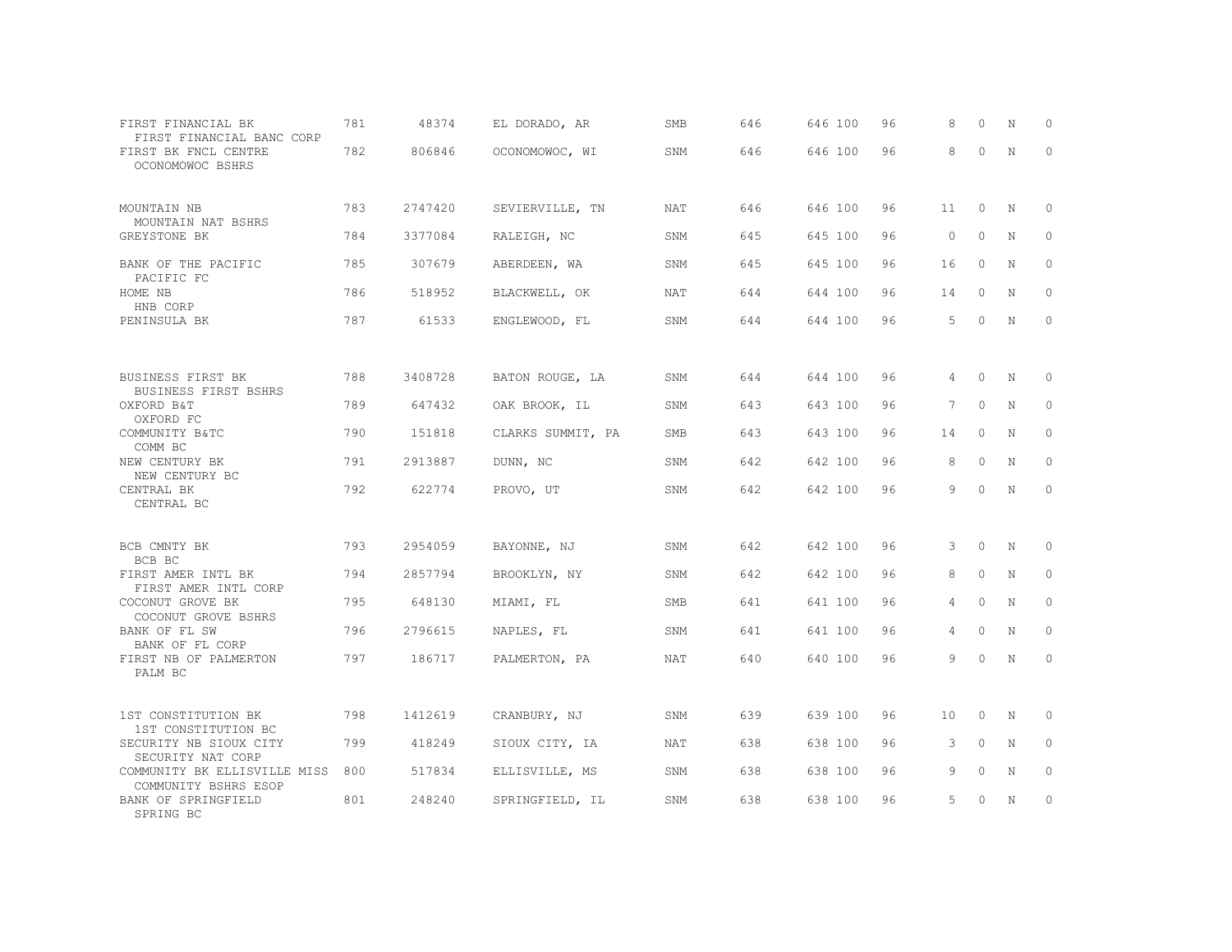| FIRST FINANCIAL BK<br>FIRST FINANCIAL BANC CORP      | 781 | 48374   | EL DORADO, AR     | SMB        | 646 | 646 100 | 96 | 8               | $\Omega$ | N           | 0            |
|------------------------------------------------------|-----|---------|-------------------|------------|-----|---------|----|-----------------|----------|-------------|--------------|
| FIRST BK FNCL CENTRE<br>OCONOMOWOC BSHRS             | 782 | 806846  | OCONOMOWOC, WI    | SNM        | 646 | 646 100 | 96 | 8               | $\Omega$ | N           | $\mathbf 0$  |
| MOUNTAIN NB                                          | 783 | 2747420 | SEVIERVILLE, TN   | NAT        | 646 | 646 100 | 96 | 11              | $\circ$  | N           | $\mathbf 0$  |
| MOUNTAIN NAT BSHRS<br>GREYSTONE BK                   | 784 | 3377084 | RALEIGH, NC       | SNM        | 645 | 645 100 | 96 | $\Omega$        | $\Omega$ | N           | $\circ$      |
| BANK OF THE PACIFIC                                  | 785 | 307679  | ABERDEEN, WA      | SNM        | 645 | 645 100 | 96 | 16              | $\circ$  | N           | $\circ$      |
| PACIFIC FC<br>HOME NB                                | 786 | 518952  | BLACKWELL, OK     | NAT        | 644 | 644 100 | 96 | 14              | $\circ$  | N           | $\mathbf{0}$ |
| HNB CORP<br>PENINSULA BK                             | 787 | 61533   | ENGLEWOOD, FL     | SNM        | 644 | 644 100 | 96 | 5               | $\circ$  | N           | $\mathbf{0}$ |
|                                                      |     |         |                   |            |     |         |    |                 |          |             |              |
| BUSINESS FIRST BK<br><b>BUSINESS FIRST BSHRS</b>     | 788 | 3408728 | BATON ROUGE, LA   | SNM        | 644 | 644 100 | 96 | 4               | $\circ$  | N           | 0            |
| OXFORD B&T<br>OXFORD FC                              | 789 | 647432  | OAK BROOK, IL     | SNM        | 643 | 643 100 | 96 | $7\phantom{.0}$ | $\circ$  | $\mathbb N$ | $\circ$      |
| COMMUNITY B&TC<br>COMM BC                            | 790 | 151818  | CLARKS SUMMIT, PA | SMB        | 643 | 643 100 | 96 | 14              | $\circ$  | $\mathbb N$ | $\circ$      |
| NEW CENTURY BK<br>NEW CENTURY BC                     | 791 | 2913887 | DUNN, NC          | <b>SNM</b> | 642 | 642 100 | 96 | 8               | $\circ$  | $\mathbb N$ | $\circ$      |
| CENTRAL BK<br>CENTRAL BC                             | 792 | 622774  | PROVO, UT         | <b>SNM</b> | 642 | 642 100 | 96 | 9               | $\Omega$ | $\mathbb N$ | $\mathbf{0}$ |
| BCB CMNTY BK                                         | 793 | 2954059 | BAYONNE, NJ       | SNM        | 642 | 642 100 | 96 | 3               | $\circ$  | N           | 0            |
| BCB BC<br>FIRST AMER INTL BK                         | 794 | 2857794 | BROOKLYN, NY      | SNM        | 642 | 642 100 | 96 | 8               | 0        | N           | 0            |
| FIRST AMER INTL CORP<br>COCONUT GROVE BK             | 795 | 648130  | MIAMI, FL         | SMB        | 641 | 641 100 | 96 | 4               | $\circ$  | $\mathbb N$ | $\mathbb O$  |
| COCONUT GROVE BSHRS<br>BANK OF FL SW                 | 796 | 2796615 | NAPLES, FL        | SNM        | 641 | 641 100 | 96 | 4               | $\circ$  | $\mathbb N$ | $\mathbb O$  |
| BANK OF FL CORP<br>FIRST NB OF PALMERTON<br>PALM BC  | 797 | 186717  | PALMERTON, PA     | <b>NAT</b> | 640 | 640 100 | 96 | 9               | $\Omega$ | N           | $\circ$      |
|                                                      |     |         |                   |            |     |         |    |                 |          |             |              |
| 1ST CONSTITUTION BK<br>1ST CONSTITUTION BC           | 798 | 1412619 | CRANBURY, NJ      | <b>SNM</b> | 639 | 639 100 | 96 | 10              | $\circ$  | N           | $\circ$      |
| SECURITY NB SIOUX CITY<br>SECURITY NAT CORP          | 799 | 418249  | SIOUX CITY, IA    | <b>NAT</b> | 638 | 638 100 | 96 | 3               | $\circ$  | N           | $\mathbf{0}$ |
| COMMUNITY BK ELLISVILLE MISS<br>COMMUNITY BSHRS ESOP | 800 | 517834  | ELLISVILLE, MS    | SNM        | 638 | 638 100 | 96 | 9               | $\Omega$ | N           | $\mathbf{0}$ |
| BANK OF SPRINGFIELD<br>SPRING BC                     | 801 | 248240  | SPRINGFIELD, IL   | SNM        | 638 | 638 100 | 96 | 5               | $\Omega$ | N           | $\circ$      |
|                                                      |     |         |                   |            |     |         |    |                 |          |             |              |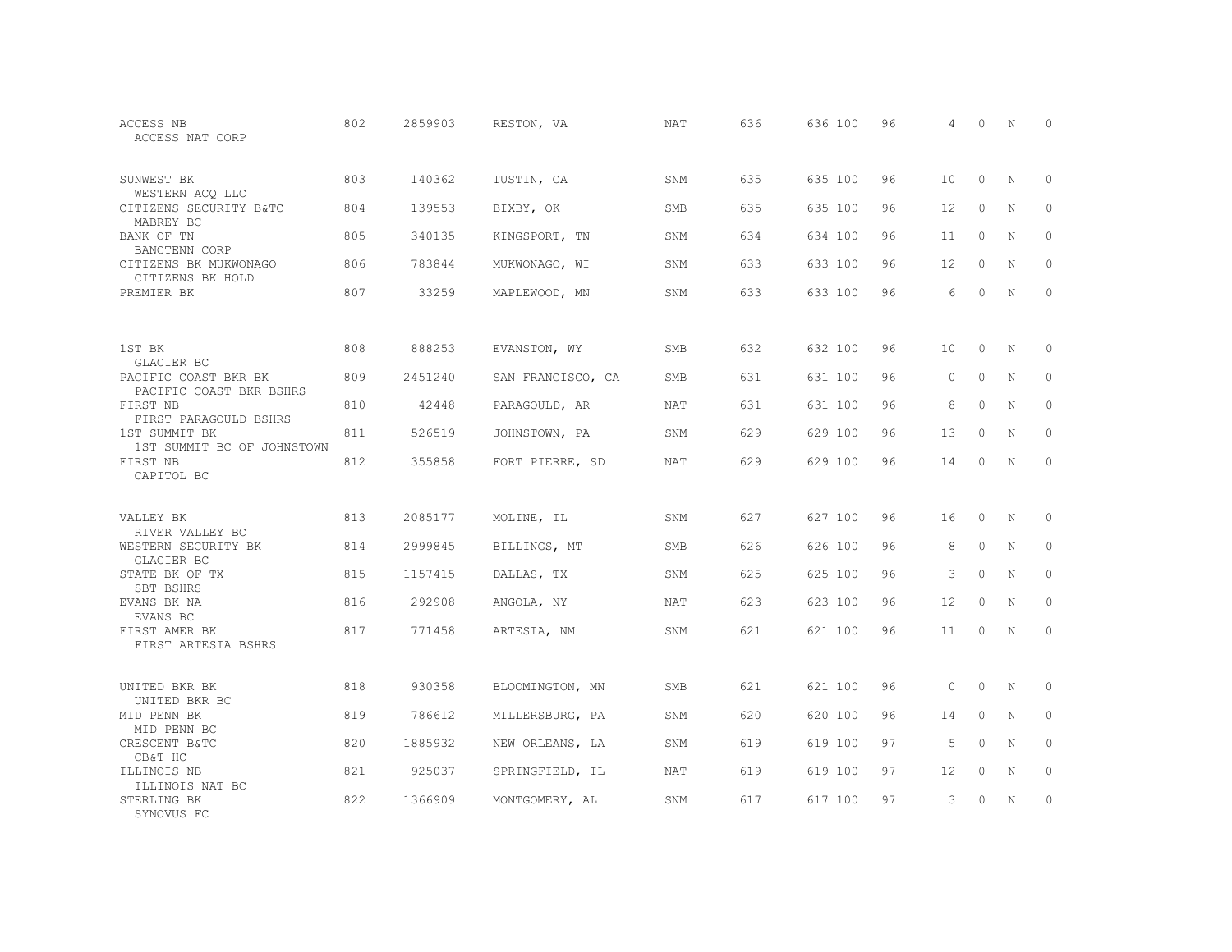| ACCESS NB<br>ACCESS NAT CORP                                  | 802 | 2859903 | RESTON, VA        | <b>NAT</b> | 636 | 636 100 | 96 | 4       | $\Omega$ | N           | $\Omega$    |
|---------------------------------------------------------------|-----|---------|-------------------|------------|-----|---------|----|---------|----------|-------------|-------------|
| SUNWEST BK<br>WESTERN ACQ LLC                                 | 803 | 140362  | TUSTIN, CA        | SNM        | 635 | 635 100 | 96 | $10 \,$ | $\circ$  | N           | 0           |
| CITIZENS SECURITY B&TC<br>MABREY BC                           | 804 | 139553  | BIXBY, OK         | <b>SMB</b> | 635 | 635 100 | 96 | 12      | $\circ$  | $\mathbf N$ | $\Omega$    |
| BANK OF TN<br>BANCTENN CORP                                   | 805 | 340135  | KINGSPORT, TN     | SNM        | 634 | 634 100 | 96 | 11      | $\circ$  | N           | 0           |
| CITIZENS BK MUKWONAGO<br>CITIZENS BK HOLD                     | 806 | 783844  | MUKWONAGO, WI     | SNM        | 633 | 633 100 | 96 | 12      | $\Omega$ | N           | $\Omega$    |
| PREMIER BK                                                    | 807 | 33259   | MAPLEWOOD, MN     | SNM        | 633 | 633 100 | 96 | 6       | $\Omega$ | N           | 0           |
| 1ST BK                                                        | 808 | 888253  | EVANSTON, WY      | <b>SMB</b> | 632 | 632 100 | 96 | 10      | $\Omega$ | N           | $\Omega$    |
| GLACIER BC<br>PACIFIC COAST BKR BK<br>PACIFIC COAST BKR BSHRS | 809 | 2451240 | SAN FRANCISCO, CA | <b>SMB</b> | 631 | 631 100 | 96 | $\circ$ | $\Omega$ | N           | $\circ$     |
| FIRST NB<br>FIRST PARAGOULD BSHRS                             | 810 | 42448   | PARAGOULD, AR     | NAT        | 631 | 631 100 | 96 | 8       | $\Omega$ | N           | 0           |
| 1ST SUMMIT BK<br>1ST SUMMIT BC OF JOHNSTOWN                   | 811 | 526519  | JOHNSTOWN, PA     | SNM        | 629 | 629 100 | 96 | 13      | $\Omega$ | N           | $\Omega$    |
| FIRST NB<br>CAPITOL BC                                        | 812 | 355858  | FORT PIERRE, SD   | NAT        | 629 | 629 100 | 96 | 14      | $\Omega$ | N           | $\circ$     |
| VALLEY BK<br>RIVER VALLEY BC                                  | 813 | 2085177 | MOLINE, IL        | SNM        | 627 | 627 100 | 96 | 16      | $\Omega$ | N           | 0           |
| WESTERN SECURITY BK<br>GLACIER BC                             | 814 | 2999845 | BILLINGS, MT      | SMB        | 626 | 626 100 | 96 | 8       | $\circ$  | N           | $\mathbf 0$ |
| STATE BK OF TX<br>SBT BSHRS                                   | 815 | 1157415 | DALLAS, TX        | SNM        | 625 | 625 100 | 96 | 3       | $\Omega$ | N           | $\circ$     |
| EVANS BK NA<br>EVANS BC                                       | 816 | 292908  | ANGOLA, NY        | <b>NAT</b> | 623 | 623 100 | 96 | 12      | $\circ$  | $\mathbf N$ | $\mathbf 0$ |
| FIRST AMER BK<br>FIRST ARTESIA BSHRS                          | 817 | 771458  | ARTESIA, NM       | SNM        | 621 | 621 100 | 96 | 11      | $\Omega$ | N           | $\circ$     |
| UNITED BKR BK<br>UNITED BKR BC                                | 818 | 930358  | BLOOMINGTON, MN   | <b>SMB</b> | 621 | 621 100 | 96 | $\circ$ | $\Omega$ | N           | 0           |
| MID PENN BK<br>MID PENN BC                                    | 819 | 786612  | MILLERSBURG, PA   | SNM        | 620 | 620 100 | 96 | 14      | 0        | N           | $\mathbf 0$ |
| CRESCENT B&TC<br>CB&T HC                                      | 820 | 1885932 | NEW ORLEANS, LA   | SNM        | 619 | 619 100 | 97 | 5       | $\Omega$ | N           | $\circ$     |
| ILLINOIS NB<br>ILLINOIS NAT BC                                | 821 | 925037  | SPRINGFIELD, IL   | NAT        | 619 | 619 100 | 97 | 12      | 0        | N           | 0           |
| STERLING BK<br>SYNOVUS FC                                     | 822 | 1366909 | MONTGOMERY, AL    | SNM        | 617 | 617 100 | 97 | 3       | $\Omega$ | N           | $\mathbf 0$ |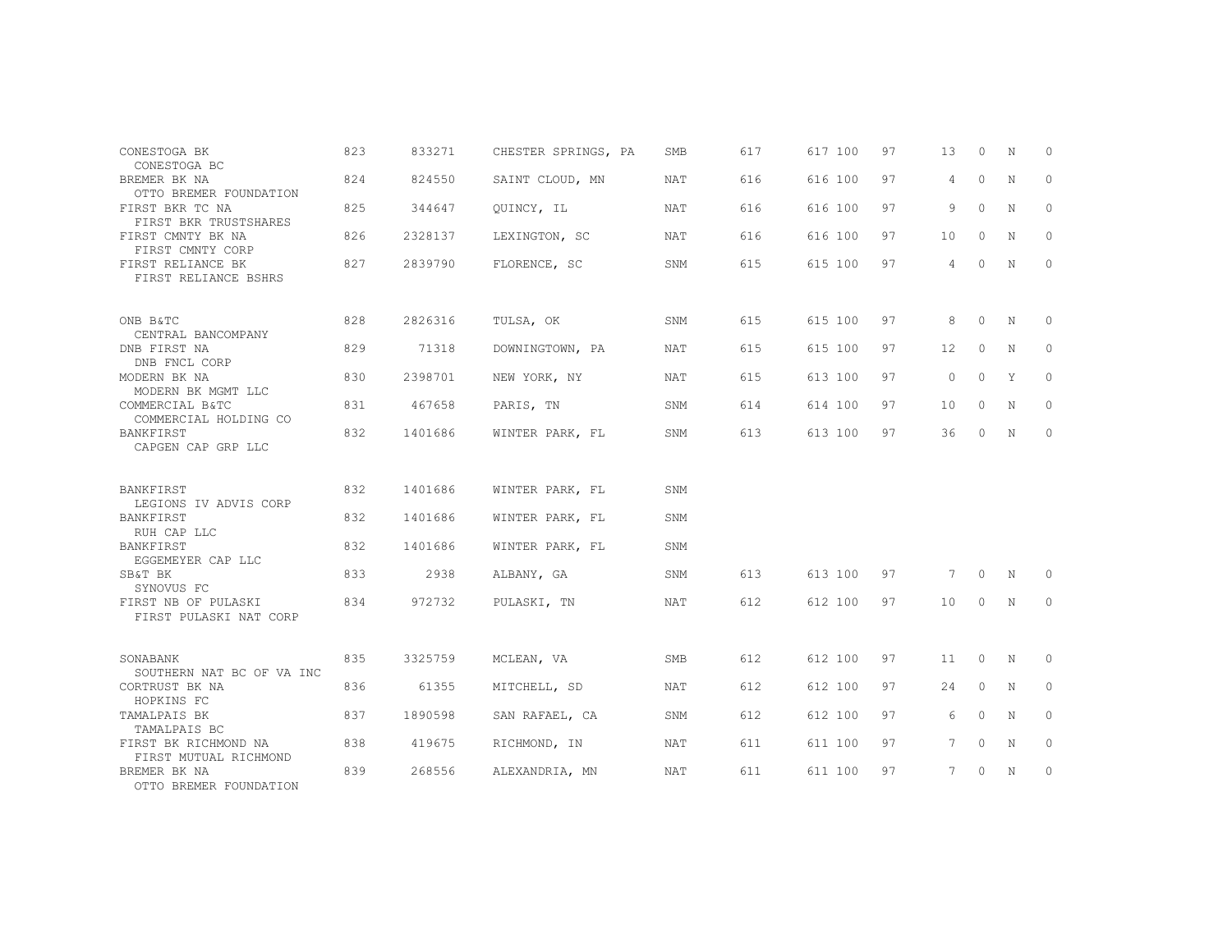| CONESTOGA BK<br>CONESTOGA BC                                   | 823 | 833271  | CHESTER SPRINGS, PA | <b>SMB</b> | 617 | 617 100 | 97 | 13                | $\Omega$ | N           | $\Omega$ |
|----------------------------------------------------------------|-----|---------|---------------------|------------|-----|---------|----|-------------------|----------|-------------|----------|
| BREMER BK NA<br>OTTO BREMER FOUNDATION                         | 824 | 824550  | SAINT CLOUD, MN     | NAT        | 616 | 616 100 | 97 | $\overline{4}$    | $\circ$  | N           | 0        |
| FIRST BKR TC NA                                                | 825 | 344647  | QUINCY, IL          | <b>NAT</b> | 616 | 616 100 | 97 | 9                 | $\circ$  | N           | 0        |
| FIRST BKR TRUSTSHARES<br>FIRST CMNTY BK NA<br>FIRST CMNTY CORP | 826 | 2328137 | LEXINGTON, SC       | NAT        | 616 | 616 100 | 97 | 10                | $\Omega$ | N           | $\circ$  |
| FIRST RELIANCE BK<br>FIRST RELIANCE BSHRS                      | 827 | 2839790 | FLORENCE, SC        | SNM        | 615 | 615 100 | 97 | 4                 | $\circ$  | N           | $\circ$  |
| ONB B&TC<br>CENTRAL BANCOMPANY                                 | 828 | 2826316 | TULSA, OK           | SNM        | 615 | 615 100 | 97 | 8                 | $\circ$  | N           | 0        |
| DNB FIRST NA<br>DNB FNCL CORP                                  | 829 | 71318   | DOWNINGTOWN, PA     | <b>NAT</b> | 615 | 615 100 | 97 | $12 \overline{ }$ | $\circ$  | N           | $\circ$  |
| MODERN BK NA<br>MODERN BK MGMT LLC                             | 830 | 2398701 | NEW YORK, NY        | NAT        | 615 | 613 100 | 97 | $\circ$           | $\circ$  | Y           | $\circ$  |
| COMMERCIAL B&TC<br>COMMERCIAL HOLDING CO                       | 831 | 467658  | PARIS, TN           | SNM        | 614 | 614 100 | 97 | 10                | $\circ$  | N           | $\circ$  |
| BANKFIRST<br>CAPGEN CAP GRP LLC                                | 832 | 1401686 | WINTER PARK, FL     | SNM        | 613 | 613 100 | 97 | 36                | $\Omega$ | $\mathbf N$ | $\circ$  |
| BANKFIRST<br>LEGIONS IV ADVIS CORP                             | 832 | 1401686 | WINTER PARK, FL     | SNM        |     |         |    |                   |          |             |          |
| BANKFIRST                                                      | 832 | 1401686 | WINTER PARK, FL     | SNM        |     |         |    |                   |          |             |          |
| RUH CAP LLC<br>BANKFIRST<br>EGGEMEYER CAP LLC                  | 832 | 1401686 | WINTER PARK, FL     | SNM        |     |         |    |                   |          |             |          |
| SB&T BK                                                        | 833 | 2938    | ALBANY, GA          | SNM        | 613 | 613 100 | 97 | 7                 | $\circ$  | N           | 0        |
| SYNOVUS FC<br>FIRST NB OF PULASKI<br>FIRST PULASKI NAT CORP    | 834 | 972732  | PULASKI, TN         | NAT        | 612 | 612 100 | 97 | 10                | $\circ$  | N           | $\Omega$ |
| SONABANK                                                       | 835 | 3325759 | MCLEAN, VA          | <b>SMB</b> | 612 | 612 100 | 97 | 11                | $\circ$  | N           | 0        |
| SOUTHERN NAT BC OF VA INC<br>CORTRUST BK NA                    | 836 | 61355   | MITCHELL, SD        | NAT        | 612 | 612 100 | 97 | 24                | $\circ$  | N           | $\circ$  |
| HOPKINS FC<br>TAMALPAIS BK                                     | 837 | 1890598 | SAN RAFAEL, CA      | SNM        | 612 | 612 100 | 97 | 6                 | $\circ$  | $\mathbf N$ | $\Omega$ |
| TAMALPAIS BC                                                   |     |         |                     |            |     |         |    |                   |          |             |          |
| FIRST BK RICHMOND NA<br>FIRST MUTUAL RICHMOND                  | 838 | 419675  | RICHMOND, IN        | NAT        | 611 | 611 100 | 97 | $7^{\circ}$       | $\circ$  | N           | $\circ$  |
| BREMER BK NA<br>OTTO BREMER FOUNDATION                         | 839 | 268556  | ALEXANDRIA, MN      | <b>NAT</b> | 611 | 611 100 | 97 | 7                 | $\circ$  | N           | 0        |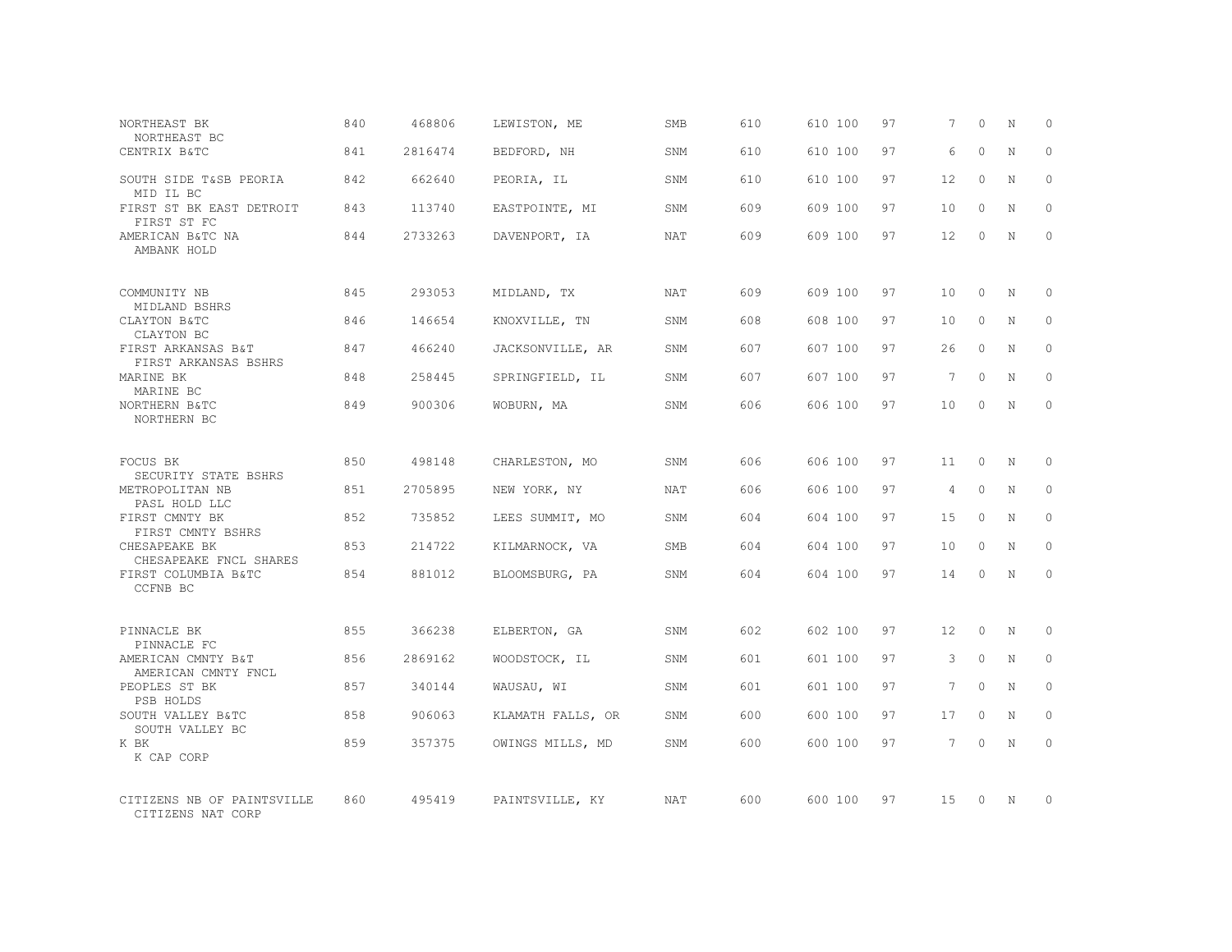| NORTHEAST BK<br>NORTHEAST BC                    | 840 | 468806  | LEWISTON, ME      | SMB        | 610 | 610 100 | 97 | 7               | $\Omega$ | N           | $\Omega$     |
|-------------------------------------------------|-----|---------|-------------------|------------|-----|---------|----|-----------------|----------|-------------|--------------|
| CENTRIX B&TC                                    | 841 | 2816474 | BEDFORD, NH       | SNM        | 610 | 610 100 | 97 | 6               | $\Omega$ | $\mathbf N$ | $\Omega$     |
| SOUTH SIDE T&SB PEORIA<br>MID IL BC             | 842 | 662640  | PEORIA, IL        | SNM        | 610 | 610 100 | 97 | 12              | $\circ$  | N           | $\circ$      |
| FIRST ST BK EAST DETROIT<br>FIRST ST FC         | 843 | 113740  | EASTPOINTE, MI    | SNM        | 609 | 609 100 | 97 | 10              | $\Omega$ | N           | $\Omega$     |
| AMERICAN B&TC NA<br>AMBANK HOLD                 | 844 | 2733263 | DAVENPORT, IA     | NAT        | 609 | 609 100 | 97 | 12              | 0        | N           | $\Omega$     |
| COMMUNITY NB                                    | 845 | 293053  | MIDLAND, TX       | NAT        | 609 | 609 100 | 97 | 10              | $\Omega$ | N           | $\Omega$     |
| MIDLAND BSHRS<br>CLAYTON B&TC<br>CLAYTON BC     | 846 | 146654  | KNOXVILLE, TN     | SNM        | 608 | 608 100 | 97 | 10              | $\Omega$ | N           | $\Omega$     |
| FIRST ARKANSAS B&T<br>FIRST ARKANSAS BSHRS      | 847 | 466240  | JACKSONVILLE, AR  | SNM        | 607 | 607 100 | 97 | 26              | $\Omega$ | $\mathbf N$ | $\Omega$     |
| MARINE BK<br>MARINE BC                          | 848 | 258445  | SPRINGFIELD, IL   | SNM        | 607 | 607 100 | 97 | 7               | $\Omega$ | N           | $\Omega$     |
| NORTHERN B&TC<br>NORTHERN BC                    | 849 | 900306  | WOBURN, MA        | SNM        | 606 | 606 100 | 97 | 10              | $\Omega$ | $\mathbf N$ | $\mathbf{0}$ |
| FOCUS BK<br>SECURITY STATE BSHRS                | 850 | 498148  | CHARLESTON, MO    | SNM        | 606 | 606 100 | 97 | 11              | $\Omega$ | $_{\rm N}$  | $\Omega$     |
| METROPOLITAN NB<br>PASL HOLD LLC                | 851 | 2705895 | NEW YORK, NY      | <b>NAT</b> | 606 | 606 100 | 97 | 4               | $\circ$  | N           | $\Omega$     |
| FIRST CMNTY BK<br>FIRST CMNTY BSHRS             | 852 | 735852  | LEES SUMMIT, MO   | SNM        | 604 | 604 100 | 97 | 15              | $\Omega$ | $\mathbf N$ | $\Omega$     |
| CHESAPEAKE BK<br>CHESAPEAKE FNCL SHARES         | 853 | 214722  | KILMARNOCK, VA    | <b>SMB</b> | 604 | 604 100 | 97 | 10              | $\Omega$ | N           | $\Omega$     |
| FIRST COLUMBIA B&TC<br>CCFNB BC                 | 854 | 881012  | BLOOMSBURG, PA    | <b>SNM</b> | 604 | 604 100 | 97 | 14              | $\Omega$ | $\mathbf N$ | $\Omega$     |
| PINNACLE BK<br>PINNACLE FC                      | 855 | 366238  | ELBERTON, GA      | SNM        | 602 | 602 100 | 97 | 12              | $\Omega$ | N           | $\Omega$     |
| AMERICAN CMNTY B&T<br>AMERICAN CMNTY FNCL       | 856 | 2869162 | WOODSTOCK, IL     | SNM        | 601 | 601 100 | 97 | 3               | $\circ$  | N           | $\circ$      |
| PEOPLES ST BK<br>PSB HOLDS                      | 857 | 340144  | WAUSAU, WI        | SNM        | 601 | 601 100 | 97 | $7\overline{ }$ | $\Omega$ | N           | $\Omega$     |
| SOUTH VALLEY B&TC<br>SOUTH VALLEY BC            | 858 | 906063  | KLAMATH FALLS, OR | SNM        | 600 | 600 100 | 97 | 17              | $\circ$  | N           | $\Omega$     |
| K BK<br>K CAP CORP                              | 859 | 357375  | OWINGS MILLS, MD  | SNM        | 600 | 600 100 | 97 | $7\overline{ }$ | $\Omega$ | N           | $\Omega$     |
| CITIZENS NB OF PAINTSVILLE<br>CITIZENS NAT CORP | 860 | 495419  | PAINTSVILLE, KY   | <b>NAT</b> | 600 | 600 100 | 97 | 15              | $\Omega$ | N           | $\Omega$     |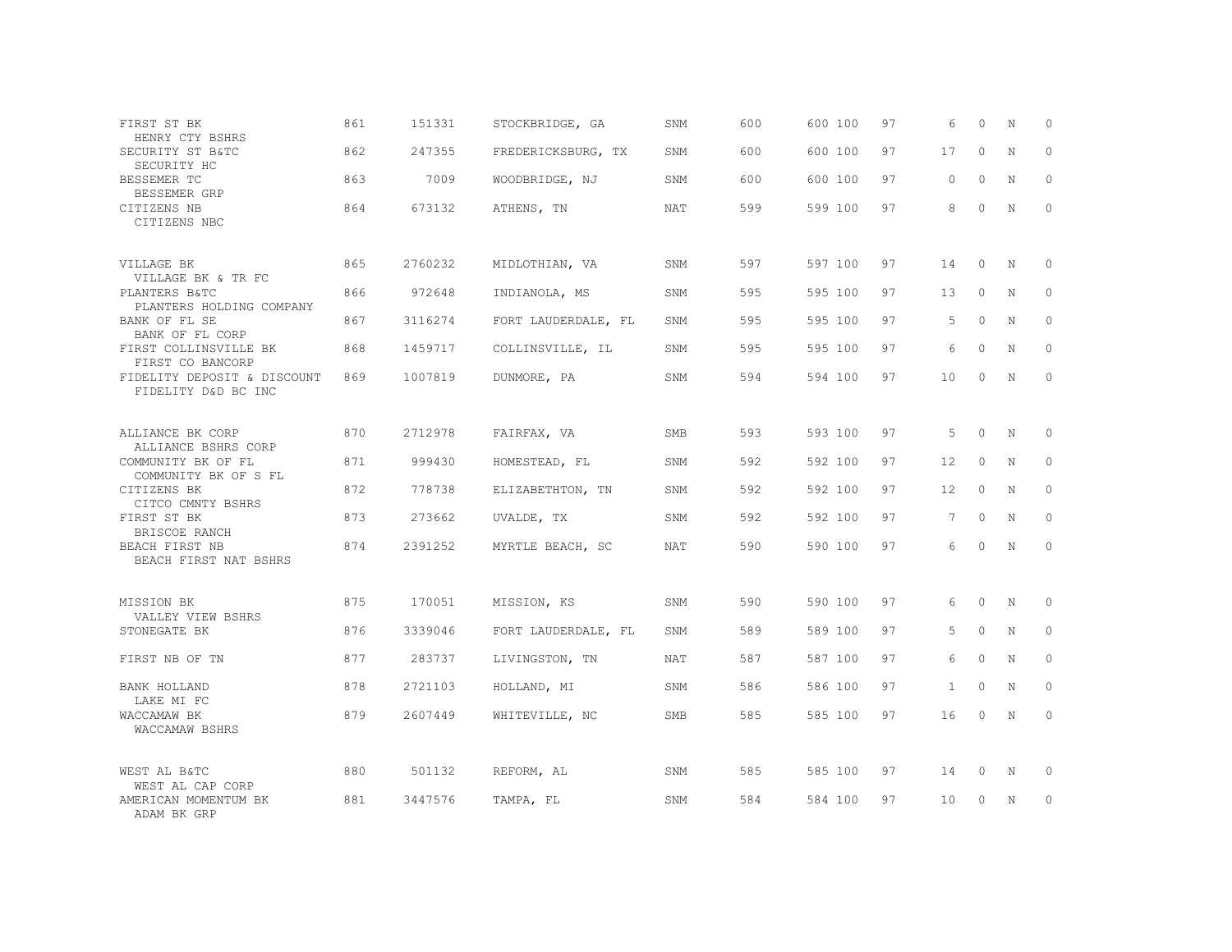| FIRST ST BK<br>HENRY CTY BSHRS                                  | 861 | 151331  | STOCKBRIDGE, GA     | SNM        | 600 | 600 100 | 97 | 6            | $\Omega$     | N           | $\circ$      |
|-----------------------------------------------------------------|-----|---------|---------------------|------------|-----|---------|----|--------------|--------------|-------------|--------------|
| SECURITY ST B&TC<br>SECURITY HC                                 | 862 | 247355  | FREDERICKSBURG, TX  | SNM        | 600 | 600 100 | 97 | 17           | $\Omega$     | $\mathbf N$ | $\Omega$     |
| BESSEMER TC<br>BESSEMER GRP                                     | 863 | 7009    | WOODBRIDGE, NJ      | SNM        | 600 | 600 100 | 97 | $\circ$      | $\circ$      | N           | $\mathbf 0$  |
| CITIZENS NB<br>CITIZENS NBC                                     | 864 | 673132  | ATHENS, TN          | <b>NAT</b> | 599 | 599 100 | 97 | 8            | $\Omega$     | $\mathbf N$ | $\Omega$     |
| VILLAGE BK                                                      | 865 | 2760232 | MIDLOTHIAN, VA      | SNM        | 597 | 597 100 | 97 | 14           | $\circ$      | N           | $\circ$      |
| VILLAGE BK & TR FC<br>PLANTERS B&TC<br>PLANTERS HOLDING COMPANY | 866 | 972648  | INDIANOLA, MS       | SNM        | 595 | 595 100 | 97 | 13           | $\circ$      | N           | $\Omega$     |
| BANK OF FL SE<br>BANK OF FL CORP                                | 867 | 3116274 | FORT LAUDERDALE, FL | SNM        | 595 | 595 100 | 97 | 5            | $\circ$      | N           | $\circ$      |
| FIRST COLLINSVILLE BK<br>FIRST CO BANCORP                       | 868 | 1459717 | COLLINSVILLE, IL    | SNM        | 595 | 595 100 | 97 | 6            | $\Omega$     | N           | $\Omega$     |
| FIDELITY DEPOSIT & DISCOUNT<br>FIDELITY D&D BC INC              | 869 | 1007819 | DUNMORE, PA         | SNM        | 594 | 594 100 | 97 | 10           | 0            | N           | $\circ$      |
|                                                                 |     |         |                     |            |     |         |    |              |              |             |              |
| ALLIANCE BK CORP<br>ALLIANCE BSHRS CORP                         | 870 | 2712978 | FAIRFAX, VA         | SMB        | 593 | 593 100 | 97 | 5            | $\circ$      | N           | $\circ$      |
| COMMUNITY BK OF FL<br>COMMUNITY BK OF S FL                      | 871 | 999430  | HOMESTEAD, FL       | SNM        | 592 | 592 100 | 97 | 12           | $\mathbf{0}$ | N           | $\circ$      |
| CITIZENS BK<br>CITCO CMNTY BSHRS                                | 872 | 778738  | ELIZABETHTON, TN    | SNM        | 592 | 592 100 | 97 | 12           | $\circ$      | N           | $\circ$      |
| FIRST ST BK<br>BRISCOE RANCH                                    | 873 | 273662  | UVALDE, TX          | SNM        | 592 | 592 100 | 97 | 7            | $\circ$      | N           | $\mathbf{0}$ |
| BEACH FIRST NB<br>BEACH FIRST NAT BSHRS                         | 874 | 2391252 | MYRTLE BEACH, SC    | NAT        | 590 | 590 100 | 97 | 6            | $\Omega$     | N           | $\circ$      |
| MISSION BK                                                      | 875 | 170051  | MISSION, KS         | SNM        | 590 | 590 100 | 97 | 6            | $\circ$      | N           | $\circ$      |
| VALLEY VIEW BSHRS<br>STONEGATE BK                               | 876 | 3339046 | FORT LAUDERDALE, FL | SNM        | 589 | 589 100 | 97 | 5            | $\circ$      | N           | $\circ$      |
| FIRST NB OF TN                                                  | 877 | 283737  | LIVINGSTON, TN      | <b>NAT</b> | 587 | 587 100 | 97 | 6            | $\Omega$     | N           | $\Omega$     |
| BANK HOLLAND<br>LAKE MI FC                                      | 878 | 2721103 | HOLLAND, MI         | SNM        | 586 | 586 100 | 97 | $\mathbf{1}$ | $\circ$      | N           | $\circ$      |
| WACCAMAW BK<br>WACCAMAW BSHRS                                   | 879 | 2607449 | WHITEVILLE, NC      | SMB        | 585 | 585 100 | 97 | 16           | $\circ$      | N           | $\circ$      |
| WEST AL B&TC                                                    | 880 | 501132  | REFORM, AL          | SNM        | 585 | 585 100 | 97 | 14           | 0            | N           | 0            |
| WEST AL CAP CORP<br>AMERICAN MOMENTUM BK<br>ADAM BK GRP         | 881 | 3447576 | TAMPA, FL           | SNM        | 584 | 584 100 | 97 | 10           | $\Omega$     | N           | $\circ$      |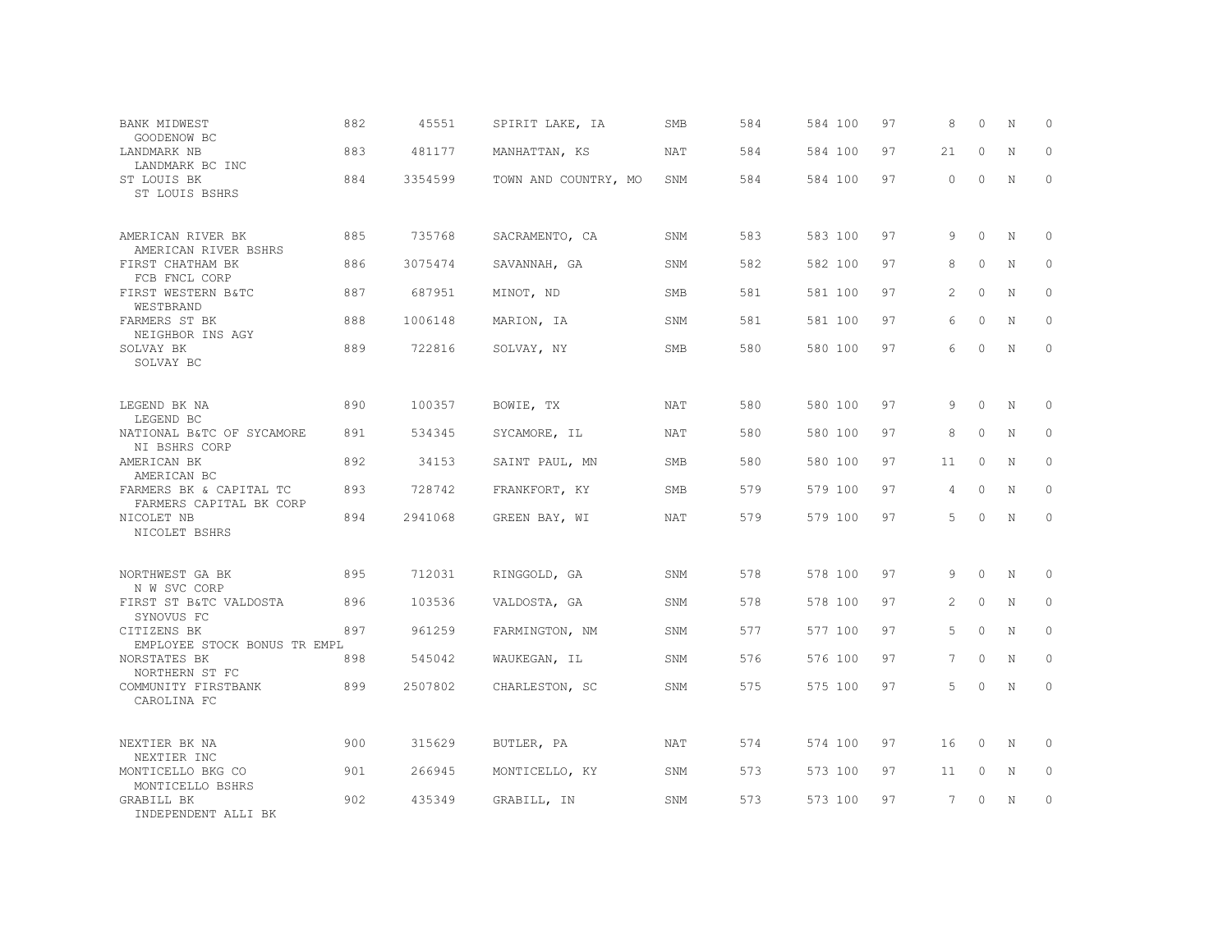| BANK MIDWEST<br>GOODENOW BC                        | 882 | 45551   | SPIRIT LAKE, IA      | <b>SMB</b> | 584 | 584 100 | 97 | 8               | $\Omega$ | N           | $\Omega$    |
|----------------------------------------------------|-----|---------|----------------------|------------|-----|---------|----|-----------------|----------|-------------|-------------|
| LANDMARK NB<br>LANDMARK BC INC                     | 883 | 481177  | MANHATTAN, KS        | <b>NAT</b> | 584 | 584 100 | 97 | 21              | $\Omega$ | N           | $\Omega$    |
| ST LOUIS BK<br>ST LOUIS BSHRS                      | 884 | 3354599 | TOWN AND COUNTRY, MO | SNM        | 584 | 584 100 | 97 | $\circ$         | $\Omega$ | N           | $\circ$     |
| AMERICAN RIVER BK<br>AMERICAN RIVER BSHRS          | 885 | 735768  | SACRAMENTO, CA       | SNM        | 583 | 583 100 | 97 | 9               | $\Omega$ | N           | $\Omega$    |
| FIRST CHATHAM BK<br>FCB FNCL CORP                  | 886 | 3075474 | SAVANNAH, GA         | SNM        | 582 | 582 100 | 97 | 8               | $\Omega$ | N           | $\Omega$    |
| FIRST WESTERN B&TC<br>WESTBRAND                    | 887 | 687951  | MINOT, ND            | <b>SMB</b> | 581 | 581 100 | 97 | 2               | $\Omega$ | N           | $\circ$     |
| FARMERS ST BK<br>NEIGHBOR INS AGY                  | 888 | 1006148 | MARION, IA           | SNM        | 581 | 581 100 | 97 | 6               | $\Omega$ | $\mathbf N$ | $\Omega$    |
| SOLVAY BK<br>SOLVAY BC                             | 889 | 722816  | SOLVAY, NY           | <b>SMB</b> | 580 | 580 100 | 97 | 6               | $\Omega$ | N           | $\circ$     |
| LEGEND BK NA<br>LEGEND BC                          | 890 | 100357  | BOWIE, TX            | NAT        | 580 | 580 100 | 97 | 9               | $\Omega$ | N           | 0           |
| NATIONAL B&TC OF SYCAMORE<br>NI BSHRS CORP         | 891 | 534345  | SYCAMORE, IL         | <b>NAT</b> | 580 | 580 100 | 97 | 8               | $\Omega$ | N           | $\Omega$    |
| AMERICAN BK<br>AMERICAN BC                         | 892 | 34153   | SAINT PAUL, MN       | <b>SMB</b> | 580 | 580 100 | 97 | 11              | $\Omega$ | N           | $\Omega$    |
| FARMERS BK & CAPITAL TC<br>FARMERS CAPITAL BK CORP | 893 | 728742  | FRANKFORT, KY        | SMB        | 579 | 579 100 | 97 | $\overline{4}$  | $\Omega$ | N           | $\Omega$    |
| NICOLET NB<br>NICOLET BSHRS                        | 894 | 2941068 | GREEN BAY, WI        | <b>NAT</b> | 579 | 579 100 | 97 | .5              | $\Omega$ | N           | $\Omega$    |
| NORTHWEST GA BK<br>N W SVC CORP                    | 895 | 712031  | RINGGOLD, GA         | SNM        | 578 | 578 100 | 97 | 9               | $\Omega$ | N           | 0           |
| FIRST ST B&TC VALDOSTA<br>SYNOVUS FC               | 896 | 103536  | VALDOSTA, GA         | SNM        | 578 | 578 100 | 97 | 2               | $\circ$  | N           | $\mathbb O$ |
| CITIZENS BK<br>EMPLOYEE STOCK BONUS TR EMPL        | 897 | 961259  | FARMINGTON, NM       | SNM        | 577 | 577 100 | 97 | 5               | $\Omega$ | N           | $\circ$     |
| NORSTATES BK<br>NORTHERN ST FC                     | 898 | 545042  | WAUKEGAN, IL         | SNM        | 576 | 576 100 | 97 | $7\phantom{.0}$ | $\circ$  | N           | $\mathbf 0$ |
| COMMUNITY FIRSTBANK<br>CAROLINA FC                 | 899 | 2507802 | CHARLESTON, SC       | SNM        | 575 | 575 100 | 97 | 5               | $\Omega$ | N           | $\Omega$    |
| NEXTIER BK NA<br>NEXTIER INC                       | 900 | 315629  | BUTLER, PA           | <b>NAT</b> | 574 | 574 100 | 97 | 16              | $\Omega$ | N           | 0           |
| MONTICELLO BKG CO<br>MONTICELLO BSHRS              | 901 | 266945  | MONTICELLO, KY       | SNM        | 573 | 573 100 | 97 | 11              | $\circ$  | N           | 0           |
| GRABILL BK<br>INDEPENDENT ALLI BK                  | 902 | 435349  | GRABILL, IN          | SNM        | 573 | 573 100 | 97 | $7\overline{ }$ | $\Omega$ | N           | $\circ$     |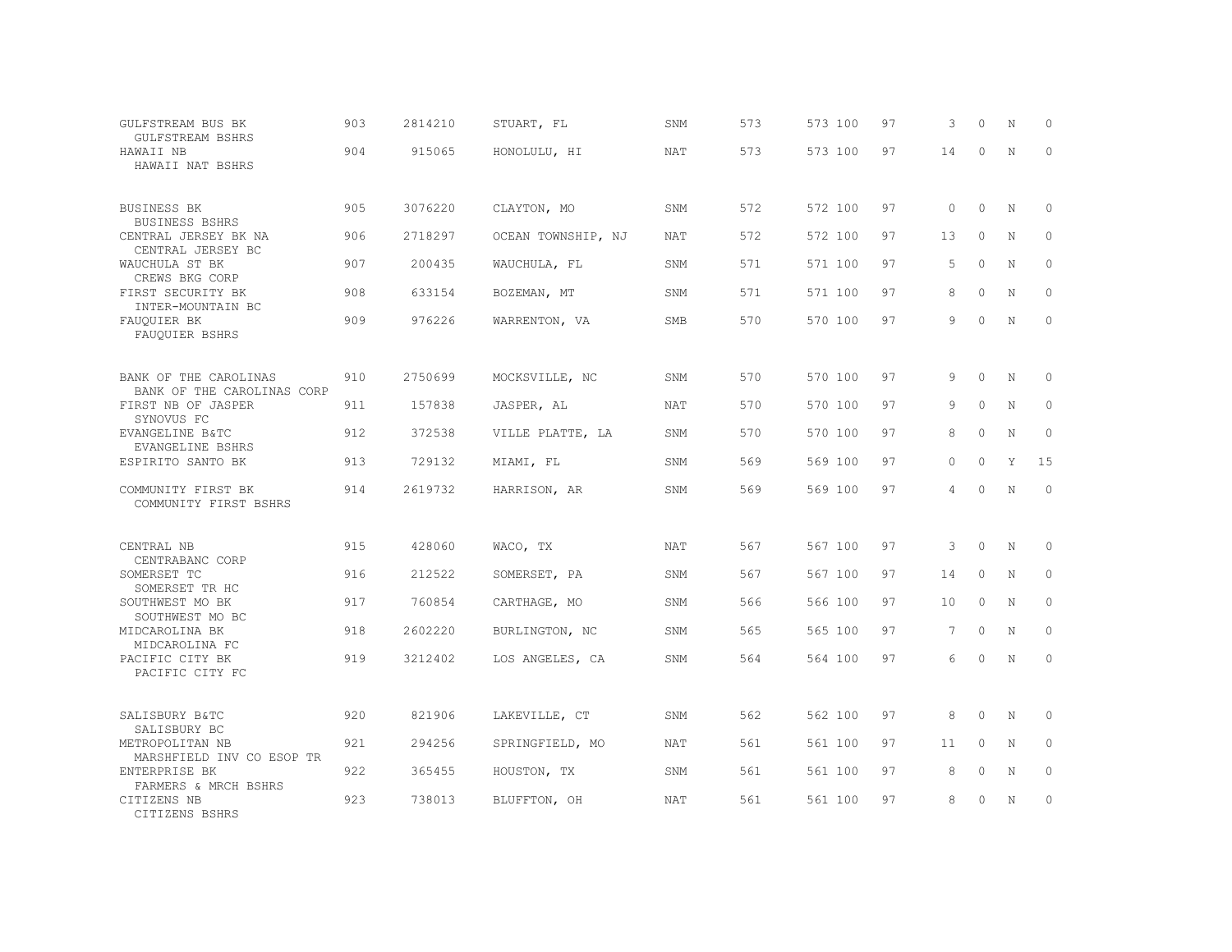| GULFSTREAM BUS BK<br>GULFSTREAM BSHRS               | 903 | 2814210 | STUART, FL         | SNM        | 573 | 573 100 | 97 | 3              | $\Omega$ | N           | $\Omega$    |
|-----------------------------------------------------|-----|---------|--------------------|------------|-----|---------|----|----------------|----------|-------------|-------------|
| HAWAII NB<br>HAWAII NAT BSHRS                       | 904 | 915065  | HONOLULU, HI       | NAT        | 573 | 573 100 | 97 | 14             | $\circ$  | N           | $\circ$     |
| BUSINESS BK<br>BUSINESS BSHRS                       | 905 | 3076220 | CLAYTON, MO        | SNM        | 572 | 572 100 | 97 | $\circ$        | $\circ$  | N           | $\mathbf 0$ |
| CENTRAL JERSEY BK NA<br>CENTRAL JERSEY BC           | 906 | 2718297 | OCEAN TOWNSHIP, NJ | <b>NAT</b> | 572 | 572 100 | 97 | 13             | $\circ$  | N           | $\circ$     |
| WAUCHULA ST BK<br>CREWS BKG CORP                    | 907 | 200435  | WAUCHULA, FL       | SNM        | 571 | 571 100 | 97 | 5              | $\circ$  | N           | $\mathbf 0$ |
| FIRST SECURITY BK<br>INTER-MOUNTAIN BC              | 908 | 633154  | BOZEMAN, MT        | SNM        | 571 | 571 100 | 97 | 8              | $\Omega$ | N           | $\Omega$    |
| FAUQUIER BK<br>FAUQUIER BSHRS                       | 909 | 976226  | WARRENTON, VA      | <b>SMB</b> | 570 | 570 100 | 97 | 9              | $\Omega$ | $\mathbf N$ | $\mathbf 0$ |
| BANK OF THE CAROLINAS<br>BANK OF THE CAROLINAS CORP | 910 | 2750699 | MOCKSVILLE, NC     | SNM        | 570 | 570 100 | 97 | 9              | $\circ$  | N           | 0           |
| FIRST NB OF JASPER<br>SYNOVUS FC                    | 911 | 157838  | JASPER, AL         | NAT        | 570 | 570 100 | 97 | 9              | $\Omega$ | N           | 0           |
| EVANGELINE B&TC<br>EVANGELINE BSHRS                 | 912 | 372538  | VILLE PLATTE, LA   | SNM        | 570 | 570 100 | 97 | 8              | $\circ$  | N           | $\mathbb O$ |
| ESPIRITO SANTO BK                                   | 913 | 729132  | MIAMI, FL          | SNM        | 569 | 569 100 | 97 | $\circ$        | $\circ$  | Y           | 15          |
| COMMUNITY FIRST BK<br>COMMUNITY FIRST BSHRS         | 914 | 2619732 | HARRISON, AR       | SNM        | 569 | 569 100 | 97 | $\overline{4}$ | $\circ$  | N           | $\circ$     |
| CENTRAL NB<br>CENTRABANC CORP                       | 915 | 428060  | WACO, TX           | <b>NAT</b> | 567 | 567 100 | 97 | 3              | $\circ$  | $\rm N$     | $\mathbb O$ |
| SOMERSET TC<br>SOMERSET TR HC                       | 916 | 212522  | SOMERSET, PA       | SNM        | 567 | 567 100 | 97 | 14             | $\circ$  | N           | 0           |
| SOUTHWEST MO BK<br>SOUTHWEST MO BC                  | 917 | 760854  | CARTHAGE, MO       | SNM        | 566 | 566 100 | 97 | 10             | $\circ$  | N           | $\circ$     |
| MIDCAROLINA BK<br>MIDCAROLINA FC                    | 918 | 2602220 | BURLINGTON, NC     | SNM        | 565 | 565 100 | 97 | 7              | $\Omega$ | N           | $\Omega$    |
| PACIFIC CITY BK<br>PACIFIC CITY FC                  | 919 | 3212402 | LOS ANGELES, CA    | SNM        | 564 | 564 100 | 97 | 6              | $\Omega$ | $\mathbf N$ | $\mathbf 0$ |
| SALISBURY B&TC<br>SALISBURY BC                      | 920 | 821906  | LAKEVILLE, CT      | SNM        | 562 | 562 100 | 97 | 8              | $\Omega$ | N           | 0           |
| METROPOLITAN NB<br>MARSHFIELD INV CO ESOP TR        | 921 | 294256  | SPRINGFIELD, MO    | <b>NAT</b> | 561 | 561 100 | 97 | 11             | $\circ$  | N           | $\circ$     |
| ENTERPRISE BK<br>FARMERS & MRCH BSHRS               | 922 | 365455  | HOUSTON, TX        | SNM        | 561 | 561 100 | 97 | 8              | $\Omega$ | N           | 0           |
| CITIZENS NB<br>CITIZENS BSHRS                       | 923 | 738013  | BLUFFTON, OH       | NAT        | 561 | 561 100 | 97 | 8              | 0        | N           | $\circ$     |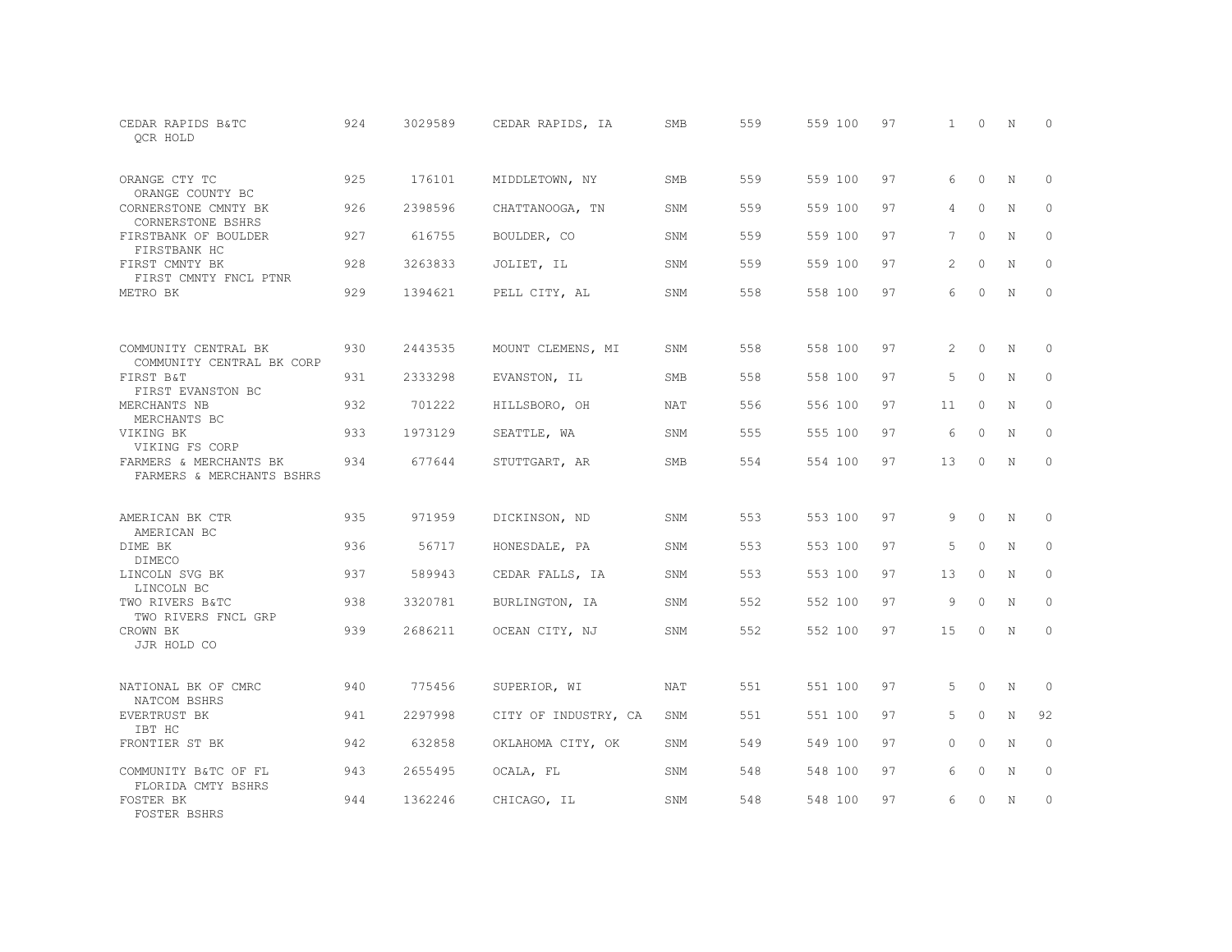| CEDAR RAPIDS B&TC<br>OCR HOLD                       | 924 | 3029589 | CEDAR RAPIDS, IA     | SMB        | 559 | 559 100 | 97 | $\mathbf{1}$ | $\Omega$ | N           | $\Omega$     |
|-----------------------------------------------------|-----|---------|----------------------|------------|-----|---------|----|--------------|----------|-------------|--------------|
| ORANGE CTY TC<br>ORANGE COUNTY BC                   | 925 | 176101  | MIDDLETOWN, NY       | SMB        | 559 | 559 100 | 97 | 6            | 0        | N           | $\circ$      |
| CORNERSTONE CMNTY BK<br>CORNERSTONE BSHRS           | 926 | 2398596 | CHATTANOOGA, TN      | SNM        | 559 | 559 100 | 97 | 4            | $\Omega$ | N           | $\Omega$     |
| FIRSTBANK OF BOULDER<br>FIRSTBANK HC                | 927 | 616755  | BOULDER, CO          | SNM        | 559 | 559 100 | 97 | 7            | $\Omega$ | N           | $\mathbf{0}$ |
| FIRST CMNTY BK<br>FIRST CMNTY FNCL PTNR             | 928 | 3263833 | JOLIET, IL           | SNM        | 559 | 559 100 | 97 | 2            | $\Omega$ | N           | $\Omega$     |
| METRO BK                                            | 929 | 1394621 | PELL CITY, AL        | SNM        | 558 | 558 100 | 97 | 6            | $\circ$  | $\mathbb N$ | $\circ$      |
| COMMUNITY CENTRAL BK                                | 930 | 2443535 | MOUNT CLEMENS, MI    | SNM        | 558 | 558 100 | 97 | 2            | $\circ$  | N           | $\circ$      |
| COMMUNITY CENTRAL BK CORP<br>FIRST B&T              | 931 | 2333298 | EVANSTON, IL         | SMB        | 558 | 558 100 | 97 | 5            | $\Omega$ | N           | $\circ$      |
| FIRST EVANSTON BC<br>MERCHANTS NB<br>MERCHANTS BC   | 932 | 701222  | HILLSBORO, OH        | NAT        | 556 | 556 100 | 97 | 11           | $\circ$  | N           | $\circ$      |
| VIKING BK<br>VIKING FS CORP                         | 933 | 1973129 | SEATTLE, WA          | SNM        | 555 | 555 100 | 97 | 6            | $\Omega$ | N           | $\circ$      |
| FARMERS & MERCHANTS BK<br>FARMERS & MERCHANTS BSHRS | 934 | 677644  | STUTTGART, AR        | SMB        | 554 | 554 100 | 97 | 13           | $\Omega$ | N           | $\Omega$     |
| AMERICAN BK CTR<br>AMERICAN BC                      | 935 | 971959  | DICKINSON, ND        | SNM        | 553 | 553 100 | 97 | 9            | $\Omega$ | N           | $\Omega$     |
| DIME BK<br><b>DIMECO</b>                            | 936 | 56717   | HONESDALE, PA        | SNM        | 553 | 553 100 | 97 | 5            | $\Omega$ | N           | $\circ$      |
| LINCOLN SVG BK<br>LINCOLN BC                        | 937 | 589943  | CEDAR FALLS, IA      | SNM        | 553 | 553 100 | 97 | 13           | $\Omega$ | N           | $\Omega$     |
| TWO RIVERS B&TC<br>TWO RIVERS FNCL GRP              | 938 | 3320781 | BURLINGTON, IA       | SNM        | 552 | 552 100 | 97 | 9            | $\circ$  | N           | $\circ$      |
| CROWN BK<br>JJR HOLD CO                             | 939 | 2686211 | OCEAN CITY, NJ       | SNM        | 552 | 552 100 | 97 | 15           | $\Omega$ | N           | $\Omega$     |
| NATIONAL BK OF CMRC<br>NATCOM BSHRS                 | 940 | 775456  | SUPERIOR, WI         | <b>NAT</b> | 551 | 551 100 | 97 | 5            | $\Omega$ | N           | $\mathbf{0}$ |
| EVERTRUST BK<br>IBT HC                              | 941 | 2297998 | CITY OF INDUSTRY, CA | SNM        | 551 | 551 100 | 97 | 5            | $\circ$  | $\mathbf N$ | 92           |
| FRONTIER ST BK                                      | 942 | 632858  | OKLAHOMA CITY, OK    | SNM        | 549 | 549 100 | 97 | $\Omega$     | $\Omega$ | N           | $\mathbf{0}$ |
| COMMUNITY B&TC OF FL<br>FLORIDA CMTY BSHRS          | 943 | 2655495 | OCALA, FL            | SNM        | 548 | 548 100 | 97 | 6            | $\circ$  | N           | $\circ$      |
| FOSTER BK<br>FOSTER BSHRS                           | 944 | 1362246 | CHICAGO, IL          | SNM        | 548 | 548 100 | 97 | 6            | $\Omega$ | N           | $\mathbf{0}$ |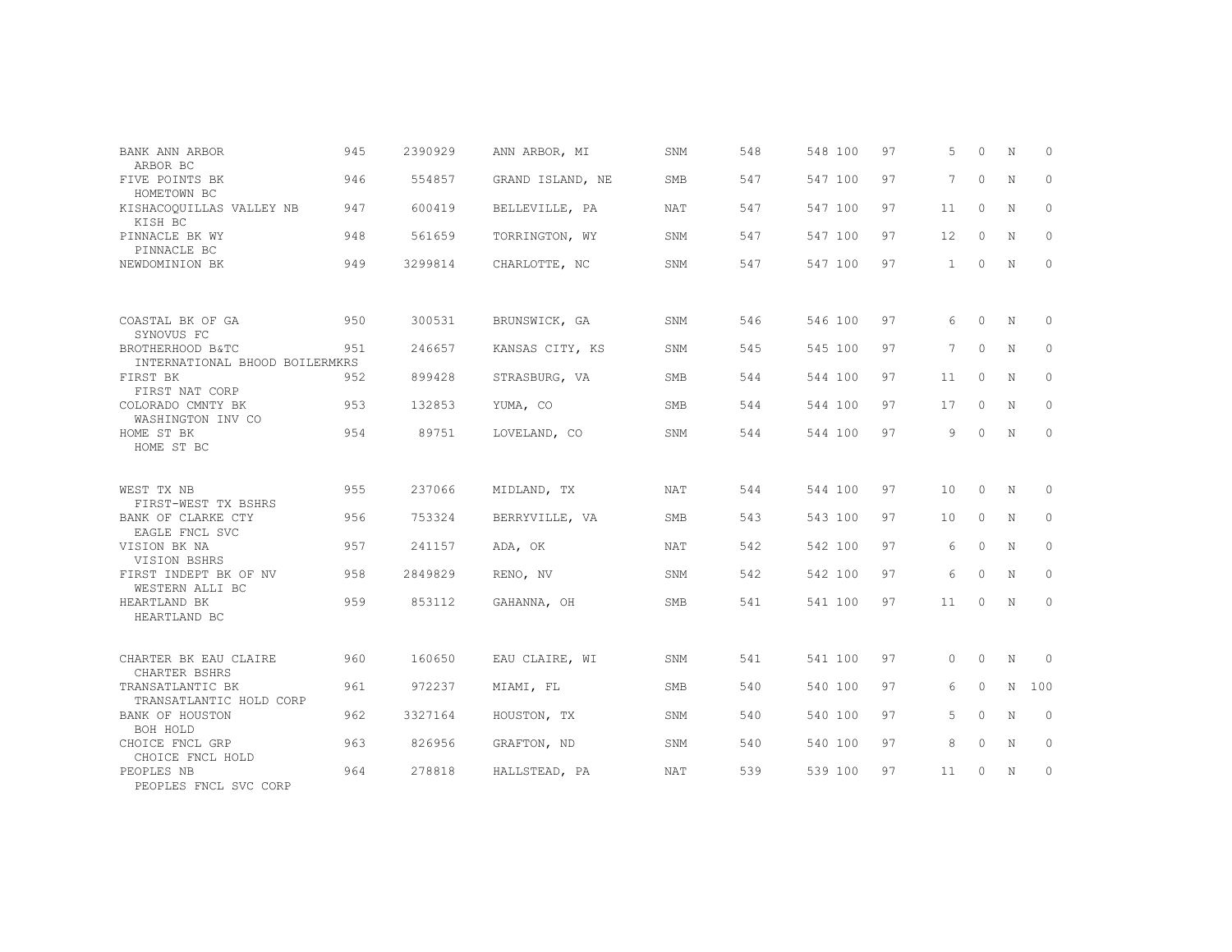| BANK ANN ARBOR<br>ARBOR BC                         | 945 | 2390929 | ANN ARBOR, MI    | SNM        | 548 | 548 100 | 97 | 5               | $\Omega$ | N           | $\Omega$     |
|----------------------------------------------------|-----|---------|------------------|------------|-----|---------|----|-----------------|----------|-------------|--------------|
| FIVE POINTS BK<br>HOMETOWN BC                      | 946 | 554857  | GRAND ISLAND, NE | SMB        | 547 | 547 100 | 97 | 7               | $\Omega$ | $\mathbf N$ | $\circ$      |
| KISHACOOUILLAS VALLEY NB<br>KISH BC                | 947 | 600419  | BELLEVILLE, PA   | <b>NAT</b> | 547 | 547 100 | 97 | 11              | $\circ$  | N           | $\circ$      |
| PINNACLE BK WY<br>PINNACLE BC                      | 948 | 561659  | TORRINGTON, WY   | SNM        | 547 | 547 100 | 97 | $12 \,$         | $\Omega$ | N           | $\Omega$     |
| NEWDOMINION BK                                     | 949 | 3299814 | CHARLOTTE, NC    | SNM        | 547 | 547 100 | 97 | $\mathbf{1}$    | $\circ$  | $\mathbf N$ | $\Omega$     |
| COASTAL BK OF GA                                   | 950 | 300531  | BRUNSWICK, GA    | SNM        | 546 | 546 100 | 97 | 6               | $\Omega$ | $\mathbb N$ | $\Omega$     |
| SYNOVUS FC                                         |     |         |                  |            |     |         |    |                 |          |             |              |
| BROTHERHOOD B&TC<br>INTERNATIONAL BHOOD BOILERMKRS | 951 | 246657  | KANSAS CITY, KS  | SNM        | 545 | 545 100 | 97 | $7\phantom{.0}$ | $\circ$  | N           | $\circ$      |
| FIRST BK<br>FIRST NAT CORP                         | 952 | 899428  | STRASBURG, VA    | SMB        | 544 | 544 100 | 97 | 11              | $\Omega$ | N           | $\Omega$     |
| COLORADO CMNTY BK<br>WASHINGTON INV CO             | 953 | 132853  | YUMA, CO         | <b>SMB</b> | 544 | 544 100 | 97 | 17              | $\circ$  | N           | $\circ$      |
| HOME ST BK<br>HOME ST BC                           | 954 | 89751   | LOVELAND, CO     | SNM        | 544 | 544 100 | 97 | 9               | $\Omega$ | $\mathbf N$ | $\Omega$     |
|                                                    |     |         |                  |            |     |         |    |                 |          |             |              |
| WEST TX NB<br>FIRST-WEST TX BSHRS                  | 955 | 237066  | MIDLAND, TX      | <b>NAT</b> | 544 | 544 100 | 97 | 10              | $\circ$  | N           | $\circ$      |
| BANK OF CLARKE CTY<br>EAGLE FNCL SVC               | 956 | 753324  | BERRYVILLE, VA   | SMB        | 543 | 543 100 | 97 | 10              | $\circ$  | N           | $\circ$      |
| VISION BK NA<br>VISION BSHRS                       | 957 | 241157  | ADA, OK          | NAT        | 542 | 542 100 | 97 | 6               | $\circ$  | N           | $\circ$      |
| FIRST INDEPT BK OF NV<br>WESTERN ALLI BC           | 958 | 2849829 | RENO, NV         | SNM        | 542 | 542 100 | 97 | 6               | $\Omega$ | $\mathbf N$ | $\Omega$     |
| HEARTLAND BK<br>HEARTLAND BC                       | 959 | 853112  | GAHANNA, OH      | SMB        | 541 | 541 100 | 97 | 11              | $\Omega$ | N           | $\mathbf{0}$ |
|                                                    |     |         |                  |            |     |         |    |                 |          |             |              |
| CHARTER BK EAU CLAIRE<br>CHARTER BSHRS             | 960 | 160650  | EAU CLAIRE, WI   | SNM        | 541 | 541 100 | 97 | $\circ$         | $\circ$  | N           | $\circ$      |
| TRANSATLANTIC BK<br>TRANSATLANTIC HOLD CORP        | 961 | 972237  | MIAMI, FL        | SMB        | 540 | 540 100 | 97 | 6               | $\Omega$ | N           | 100          |
| BANK OF HOUSTON<br>BOH HOLD                        | 962 | 3327164 | HOUSTON, TX      | SNM        | 540 | 540 100 | 97 | 5               | $\Omega$ | N           | $\Omega$     |
| CHOICE FNCL GRP<br>CHOICE FNCL HOLD                | 963 | 826956  | GRAFTON, ND      | SNM        | 540 | 540 100 | 97 | 8               | $\circ$  | N           | $\circ$      |
| PEOPLES NB<br>PEOPLES FNCL SVC CORP                | 964 | 278818  | HALLSTEAD, PA    | <b>NAT</b> | 539 | 539 100 | 97 | 11              | $\Omega$ | $\mathbf N$ | $\Omega$     |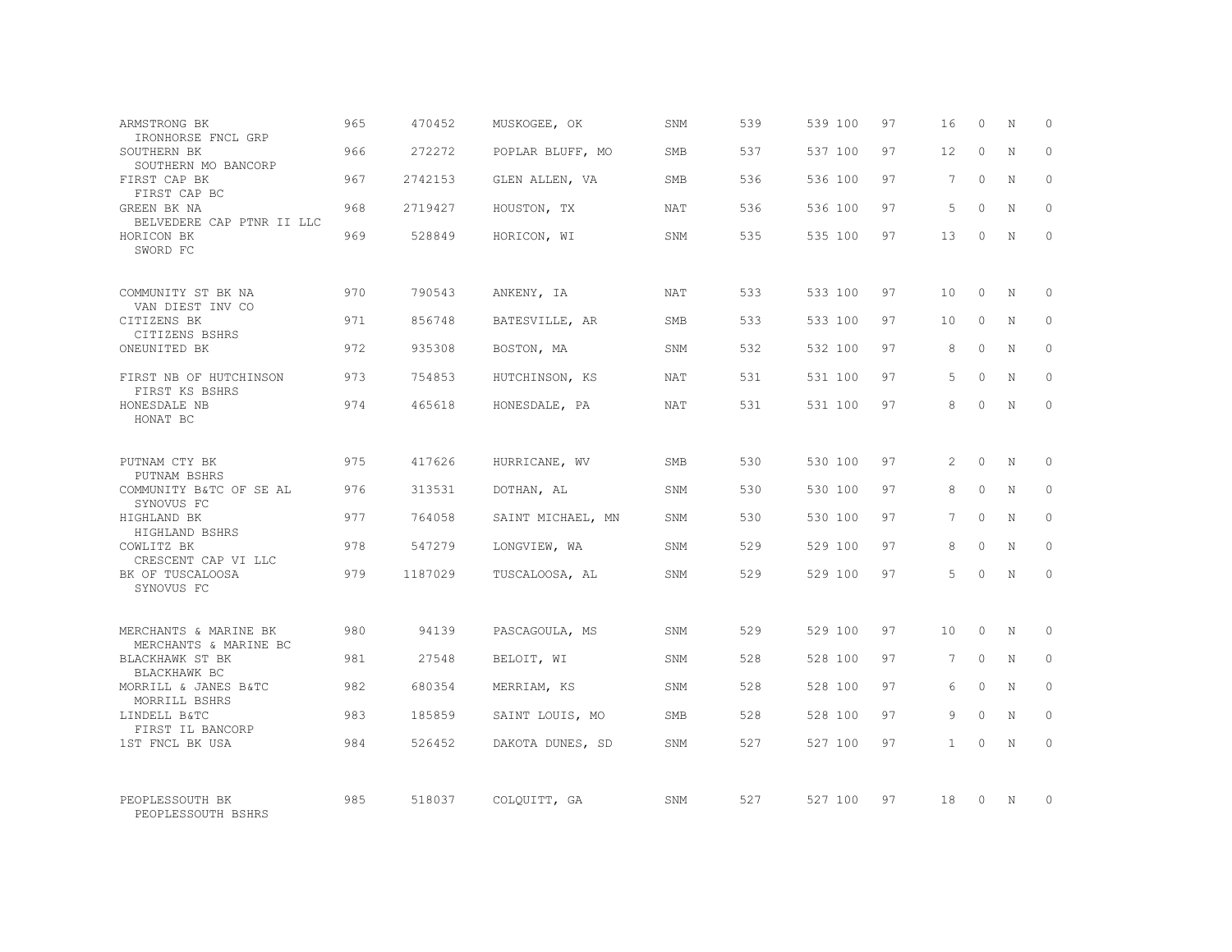| ARMSTRONG BK                                             | 965 | 470452  | MUSKOGEE, OK      | SNM        | 539 | 539 100 | 97 | 16              | $\Omega$    | N           | $\circ$      |
|----------------------------------------------------------|-----|---------|-------------------|------------|-----|---------|----|-----------------|-------------|-------------|--------------|
| IRONHORSE FNCL GRP<br>SOUTHERN BK<br>SOUTHERN MO BANCORP | 966 | 272272  | POPLAR BLUFF, MO  | SMB        | 537 | 537 100 | 97 | 12              | $\Omega$    | N           | $\Omega$     |
| FIRST CAP BK<br>FIRST CAP BC                             | 967 | 2742153 | GLEN ALLEN, VA    | SMB        | 536 | 536 100 | 97 | 7               | $\Omega$    | N           | $\mathbf{0}$ |
| GREEN BK NA<br>BELVEDERE CAP PTNR II LLC                 | 968 | 2719427 | HOUSTON, TX       | <b>NAT</b> | 536 | 536 100 | 97 | $5^{\circ}$     | $\Omega$    | N           | $\Omega$     |
| HORICON BK<br>SWORD FC                                   | 969 | 528849  | HORICON, WI       | SNM        | 535 | 535 100 | 97 | 13              | $\Omega$    | N           | $\mathbf{0}$ |
| COMMUNITY ST BK NA                                       | 970 | 790543  | ANKENY, IA        | <b>NAT</b> | 533 | 533 100 | 97 | 10              | $\Omega$    | N           | $\circ$      |
| VAN DIEST INV CO<br>CITIZENS BK<br>CITIZENS BSHRS        | 971 | 856748  | BATESVILLE, AR    | SMB        | 533 | 533 100 | 97 | 10              | $\Omega$    | N           | $\Omega$     |
| ONEUNITED BK                                             | 972 | 935308  | BOSTON, MA        | SNM        | 532 | 532 100 | 97 | 8               | $\Omega$    | N           | $\mathbf{0}$ |
| FIRST NB OF HUTCHINSON<br>FIRST KS BSHRS                 | 973 | 754853  | HUTCHINSON, KS    | <b>NAT</b> | 531 | 531 100 | 97 | .5              | $\Omega$    | N           | $\Omega$     |
| HONESDALE NB<br>HONAT BC                                 | 974 | 465618  | HONESDALE, PA     | NAT        | 531 | 531 100 | 97 | 8               | $\Omega$    | N           | $\Omega$     |
| PUTNAM CTY BK<br>PUTNAM BSHRS                            | 975 | 417626  | HURRICANE, WV     | SMB        | 530 | 530 100 | 97 | 2               | $\Omega$    | $\mathbb N$ | $\Omega$     |
| COMMUNITY B&TC OF SE AL<br>SYNOVUS FC                    | 976 | 313531  | DOTHAN, AL        | SNM        | 530 | 530 100 | 97 | 8               | $\circ$     | $\mathbb N$ | $\mathbf{0}$ |
| HIGHLAND BK<br>HIGHLAND BSHRS                            | 977 | 764058  | SAINT MICHAEL, MN | SNM        | 530 | 530 100 | 97 | 7               | $\Omega$    | N           | $\Omega$     |
| COWLITZ BK<br>CRESCENT CAP VI LLC                        | 978 | 547279  | LONGVIEW, WA      | SNM        | 529 | 529 100 | 97 | 8               | $\Omega$    | $\mathbb N$ | $\mathbf{0}$ |
| BK OF TUSCALOOSA<br>SYNOVUS FC                           | 979 | 1187029 | TUSCALOOSA, AL    | SNM        | 529 | 529 100 | 97 | 5               | $\Omega$    | N           | $\Omega$     |
| MERCHANTS & MARINE BK                                    | 980 | 94139   | PASCAGOULA, MS    | SNM        | 529 | 529 100 | 97 | 10              | $\Omega$    | N           | $\Omega$     |
| MERCHANTS & MARINE BC<br>BLACKHAWK ST BK<br>BLACKHAWK BC | 981 | 27548   | BELOIT, WI        | SNM        | 528 | 528 100 | 97 | $7\phantom{.0}$ | $\circ$     | $\mathbb N$ | $\mathbf{0}$ |
| MORRILL & JANES B&TC<br>MORRILL BSHRS                    | 982 | 680354  | MERRIAM, KS       | SNM        | 528 | 528 100 | 97 | 6               | $\Omega$    | N           | $\Omega$     |
| LINDELL B&TC<br>FIRST IL BANCORP                         | 983 | 185859  | SAINT LOUIS, MO   | <b>SMB</b> | 528 | 528 100 | 97 | 9               | $\mathbf 0$ | $\mathbf N$ | $\mathbf{0}$ |
| 1ST FNCL BK USA                                          | 984 | 526452  | DAKOTA DUNES, SD  | SNM        | 527 | 527 100 | 97 | $\mathbf{1}$    | $\Omega$    | $\mathbb N$ | $\Omega$     |
| PEOPLESSOUTH BK<br>PEOPLESSOUTH BSHRS                    | 985 | 518037  | COLOUITT, GA      | SNM        | 527 | 527 100 | 97 | 18              | $\Omega$    | N           | $\circ$      |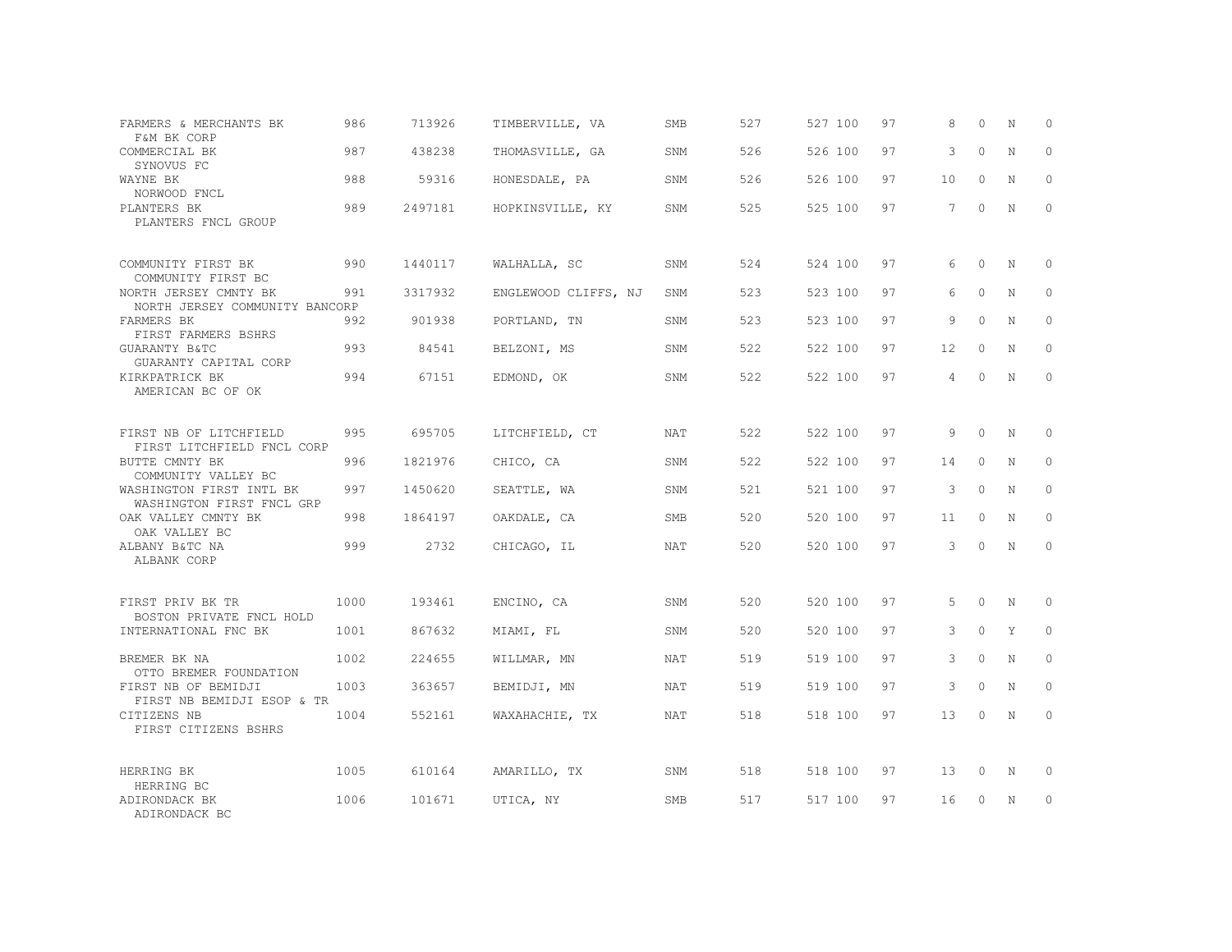| FARMERS & MERCHANTS BK<br>F&M BK CORP                   | 986  | 713926  | TIMBERVILLE, VA      | SMB        | 527 | 527 100 | 97 | 8              | $\Omega$ | N           | $\Omega$ |
|---------------------------------------------------------|------|---------|----------------------|------------|-----|---------|----|----------------|----------|-------------|----------|
| COMMERCIAL BK<br>SYNOVUS FC                             | 987  | 438238  | THOMASVILLE, GA      | SNM        | 526 | 526 100 | 97 | 3              | $\Omega$ | $\mathbf N$ | $\Omega$ |
| WAYNE BK<br>NORWOOD FNCL                                | 988  | 59316   | HONESDALE, PA        | SNM        | 526 | 526 100 | 97 | 10             | $\circ$  | N           | $\circ$  |
| PLANTERS BK<br>PLANTERS FNCL GROUP                      | 989  | 2497181 | HOPKINSVILLE, KY     | SNM        | 525 | 525 100 | 97 | $\overline{7}$ | $\Omega$ | $\mathbb N$ | $\Omega$ |
| COMMUNITY FIRST BK<br>COMMUNITY FIRST BC                | 990  | 1440117 | WALHALLA, SC         | SNM        | 524 | 524 100 | 97 | 6              | $\Omega$ | $_{\rm N}$  | $\Omega$ |
| NORTH JERSEY CMNTY BK<br>NORTH JERSEY COMMUNITY BANCORP | 991  | 3317932 | ENGLEWOOD CLIFFS, NJ | SNM        | 523 | 523 100 | 97 | 6              | $\Omega$ | N           | $\circ$  |
| FARMERS BK<br>FIRST FARMERS BSHRS                       | 992  | 901938  | PORTLAND, TN         | SNM        | 523 | 523 100 | 97 | 9              | $\Omega$ | $_{\rm N}$  | $\Omega$ |
| GUARANTY B&TC<br>GUARANTY CAPITAL CORP                  | 993  | 84541   | BELZONI, MS          | SNM        | 522 | 522 100 | 97 | 12             | $\circ$  | N           | $\circ$  |
| KIRKPATRICK BK<br>AMERICAN BC OF OK                     | 994  | 67151   | EDMOND, OK           | SNM        | 522 | 522 100 | 97 | 4              | $\Omega$ | $\mathbb N$ | $\Omega$ |
| FIRST NB OF LITCHFIELD<br>FIRST LITCHFIELD FNCL CORP    | 995  | 695705  | LITCHFIELD, CT       | NAT        | 522 | 522 100 | 97 | 9              | $\circ$  | $\mathbb N$ | $\Omega$ |
| BUTTE CMNTY BK<br>COMMUNITY VALLEY BC                   | 996  | 1821976 | CHICO, CA            | SNM        | 522 | 522 100 | 97 | 14             | $\Omega$ | N           | $\Omega$ |
| WASHINGTON FIRST INTL BK<br>WASHINGTON FIRST FNCL GRP   | 997  | 1450620 | SEATTLE, WA          | SNM        | 521 | 521 100 | 97 | 3              | $\circ$  | N           | $\Omega$ |
| OAK VALLEY CMNTY BK<br>OAK VALLEY BC                    | 998  | 1864197 | OAKDALE, CA          | <b>SMB</b> | 520 | 520 100 | 97 | 11             | $\Omega$ | N           | $\Omega$ |
| ALBANY B&TC NA<br>ALBANK CORP                           | 999  | 2732    | CHICAGO, IL          | NAT        | 520 | 520 100 | 97 | 3              | $\Omega$ | $_{\rm N}$  | $\Omega$ |
| FIRST PRIV BK TR<br>BOSTON PRIVATE FNCL HOLD            | 1000 | 193461  | ENCINO, CA           | SNM        | 520 | 520 100 | 97 | 5              | $\circ$  | N           | $\circ$  |
| INTERNATIONAL FNC BK                                    | 1001 | 867632  | MIAMI, FL            | SNM        | 520 | 520 100 | 97 | 3              | $\Omega$ | Y           | $\Omega$ |
| BREMER BK NA<br>OTTO BREMER FOUNDATION                  | 1002 | 224655  | WILLMAR, MN          | NAT        | 519 | 519 100 | 97 | 3              | $\circ$  | N           | $\circ$  |
| FIRST NB OF BEMIDJI<br>FIRST NB BEMIDJI ESOP & TR       | 1003 | 363657  | BEMIDJI, MN          | <b>NAT</b> | 519 | 519 100 | 97 | 3              | $\Omega$ | N           | $\Omega$ |
| CITIZENS NB<br>FIRST CITIZENS BSHRS                     | 1004 | 552161  | WAXAHACHIE, TX       | NAT        | 518 | 518 100 | 97 | 13             | $\circ$  | N           | $\circ$  |
| HERRING BK                                              | 1005 | 610164  | AMARILLO, TX         | SNM        | 518 | 518 100 | 97 | 13             | $\circ$  | N           | 0        |
| HERRING BC<br>ADIRONDACK BK<br>ADIRONDACK BC            | 1006 | 101671  | UTICA, NY            | <b>SMB</b> | 517 | 517 100 | 97 | 16             | $\Omega$ | N           | $\circ$  |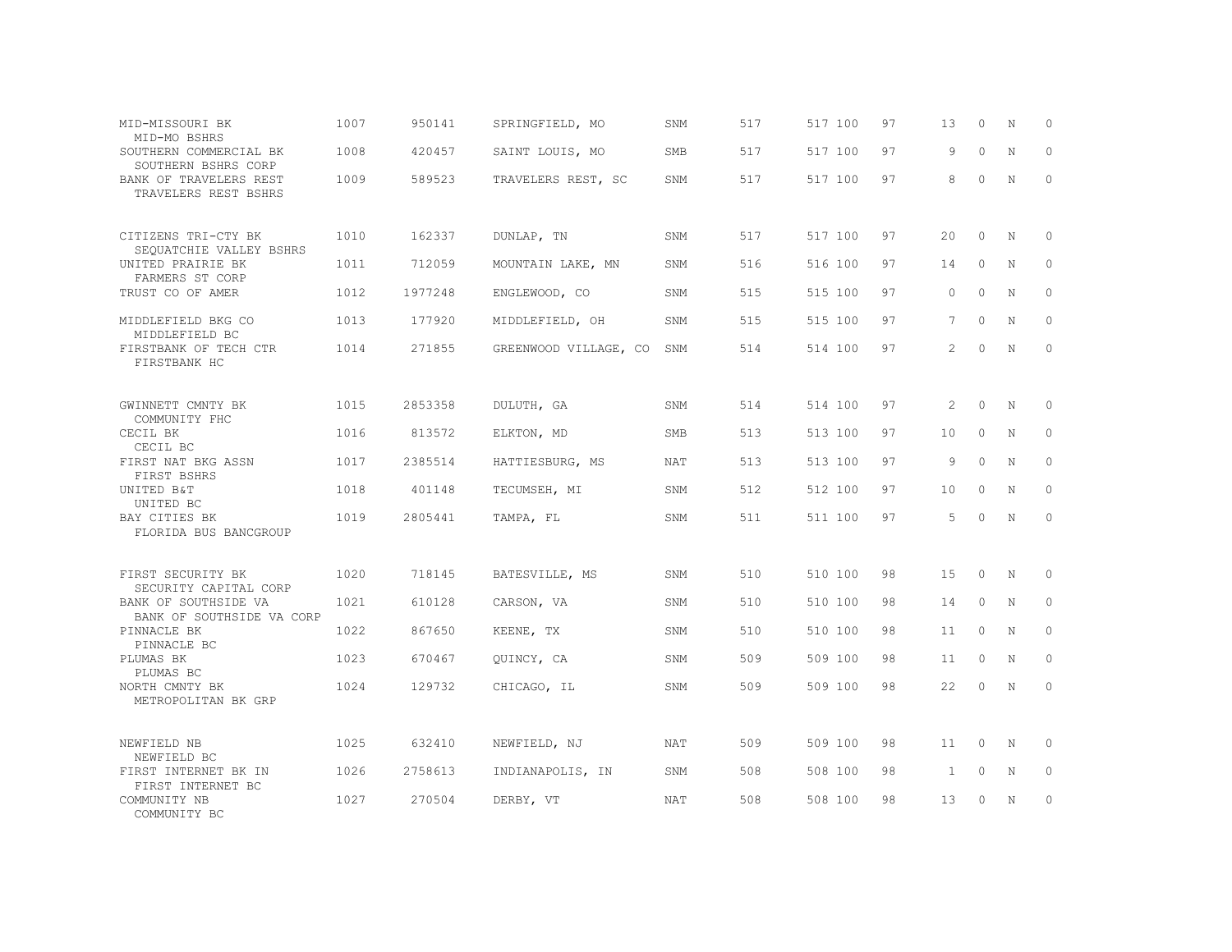| MID-MISSOURI BK<br>MID-MO BSHRS                   | 1007 | 950141  | SPRINGFIELD, MO       | SNM        | 517 | 517 100 | 97 | 13             | $\circ$  | N           | 0           |
|---------------------------------------------------|------|---------|-----------------------|------------|-----|---------|----|----------------|----------|-------------|-------------|
| SOUTHERN COMMERCIAL BK<br>SOUTHERN BSHRS CORP     | 1008 | 420457  | SAINT LOUIS, MO       | <b>SMB</b> | 517 | 517 100 | 97 | 9              | $\Omega$ | $\mathbf N$ | $\Omega$    |
| BANK OF TRAVELERS REST<br>TRAVELERS REST BSHRS    | 1009 | 589523  | TRAVELERS REST, SC    | SNM        | 517 | 517 100 | 97 | 8              | $\Omega$ | N           | $\circ$     |
| CITIZENS TRI-CTY BK<br>SEQUATCHIE VALLEY BSHRS    | 1010 | 162337  | DUNLAP, TN            | SNM        | 517 | 517 100 | 97 | 20             | $\Omega$ | N           | 0           |
| UNITED PRAIRIE BK<br>FARMERS ST CORP              | 1011 | 712059  | MOUNTAIN LAKE, MN     | SNM        | 516 | 516 100 | 97 | 14             | $\Omega$ | N           | $\Omega$    |
| TRUST CO OF AMER                                  | 1012 | 1977248 | ENGLEWOOD, CO         | SNM        | 515 | 515 100 | 97 | $\Omega$       | $\Omega$ | N           | $\circ$     |
| MIDDLEFIELD BKG CO<br>MIDDLEFIELD BC              | 1013 | 177920  | MIDDLEFIELD, OH       | SNM        | 515 | 515 100 | 97 | 7              | $\Omega$ | $\mathbf N$ | $\Omega$    |
| FIRSTBANK OF TECH CTR<br>FIRSTBANK HC             | 1014 | 271855  | GREENWOOD VILLAGE, CO | SNM        | 514 | 514 100 | 97 | $\mathfrak{D}$ | $\Omega$ | N           | $\Omega$    |
| GWINNETT CMNTY BK<br>COMMUNITY FHC                | 1015 | 2853358 | DULUTH, GA            | SNM        | 514 | 514 100 | 97 | 2              | $\Omega$ | N           | $\Omega$    |
| CECIL BK<br>CECIL BC                              | 1016 | 813572  | ELKTON, MD            | <b>SMB</b> | 513 | 513 100 | 97 | 10             | $\Omega$ | $\mathbf N$ | $\Omega$    |
| FIRST NAT BKG ASSN<br>FIRST BSHRS                 | 1017 | 2385514 | HATTIESBURG, MS       | NAT        | 513 | 513 100 | 97 | 9              | $\Omega$ | N           | $\circ$     |
| UNITED B&T<br>UNITED BC                           | 1018 | 401148  | TECUMSEH, MI          | SNM        | 512 | 512 100 | 97 | 10             | $\Omega$ | $\mathbf N$ | $\mathbf 0$ |
| BAY CITIES BK<br>FLORIDA BUS BANCGROUP            | 1019 | 2805441 | TAMPA, FL             | SNM        | 511 | 511 100 | 97 | 5              | $\Omega$ | N           | $\Omega$    |
| FIRST SECURITY BK<br>SECURITY CAPITAL CORP        | 1020 | 718145  | BATESVILLE, MS        | SNM        | 510 | 510 100 | 98 | 15             | $\Omega$ | N           | 0           |
| BANK OF SOUTHSIDE VA<br>BANK OF SOUTHSIDE VA CORP | 1021 | 610128  | CARSON, VA            | SNM        | 510 | 510 100 | 98 | 14             | $\circ$  | N           | $\mathbf 0$ |
| PINNACLE BK<br>PINNACLE BC                        | 1022 | 867650  | KEENE, TX             | SNM        | 510 | 510 100 | 98 | 11             | $\Omega$ | N           | $\Omega$    |
| PLUMAS BK<br>PLUMAS BC                            | 1023 | 670467  | QUINCY, CA            | SNM        | 509 | 509 100 | 98 | 11             | $\circ$  | N           | $\mathbf 0$ |
| NORTH CMNTY BK<br>METROPOLITAN BK GRP             | 1024 | 129732  | CHICAGO, IL           | SNM        | 509 | 509 100 | 98 | 22             | $\Omega$ | $\mathbf N$ | $\Omega$    |
| NEWFIELD NB<br>NEWFIELD BC                        | 1025 | 632410  | NEWFIELD, NJ          | <b>NAT</b> | 509 | 509 100 | 98 | 11             | $\Omega$ | N           | $\Omega$    |
| FIRST INTERNET BK IN<br>FIRST INTERNET BC         | 1026 | 2758613 | INDIANAPOLIS, IN      | SNM        | 508 | 508 100 | 98 | $\mathbf{1}$   | $\circ$  | N           | $\circ$     |
| COMMUNITY NB<br>COMMUNITY BC                      | 1027 | 270504  | DERBY, VT             | <b>NAT</b> | 508 | 508 100 | 98 | 13             | $\Omega$ | N           | $\circ$     |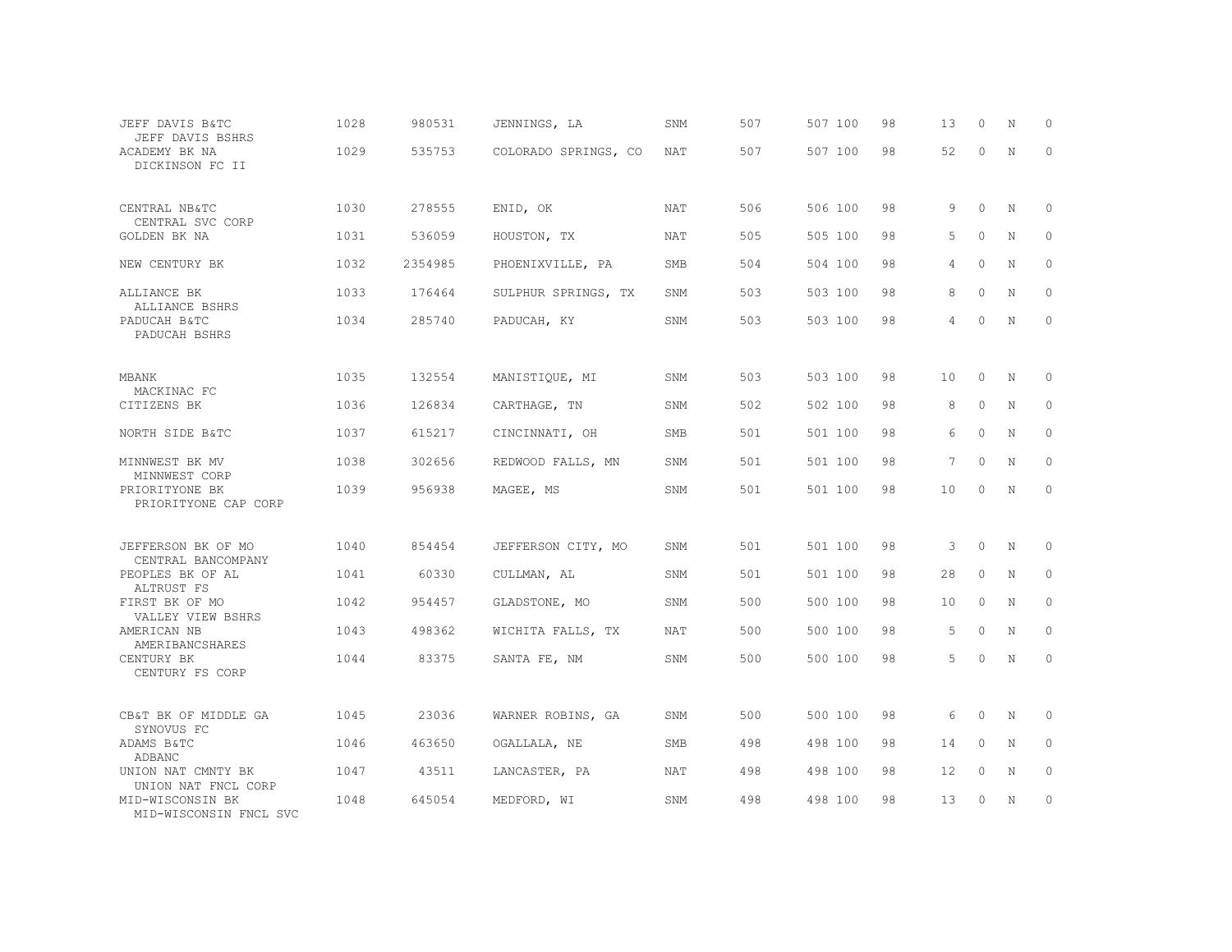| JEFF DAVIS B&TC<br>JEFF DAVIS BSHRS        | 1028 | 980531  | JENNINGS, LA         | SNM        | 507 | 507 100 | 98 | 13             | $\circ$  | N           | 0            |
|--------------------------------------------|------|---------|----------------------|------------|-----|---------|----|----------------|----------|-------------|--------------|
| ACADEMY BK NA<br>DICKINSON FC II           | 1029 | 535753  | COLORADO SPRINGS, CO | <b>NAT</b> | 507 | 507 100 | 98 | 52             | $\Omega$ | $\mathbb N$ | $\circ$      |
| CENTRAL NB&TC<br>CENTRAL SVC CORP          | 1030 | 278555  | ENID, OK             | <b>NAT</b> | 506 | 506 100 | 98 | 9              | $\Omega$ | N           | $\Omega$     |
| GOLDEN BK NA                               | 1031 | 536059  | HOUSTON, TX          | NAT        | 505 | 505 100 | 98 | 5              | $\Omega$ | N           | 0            |
| NEW CENTURY BK                             | 1032 | 2354985 | PHOENIXVILLE, PA     | <b>SMB</b> | 504 | 504 100 | 98 | 4              | $\Omega$ | N           | $\circ$      |
| ALLIANCE BK<br>ALLIANCE BSHRS              | 1033 | 176464  | SULPHUR SPRINGS, TX  | SNM        | 503 | 503 100 | 98 | 8              | $\Omega$ | N           | $\mathbf{0}$ |
| PADUCAH B&TC<br>PADUCAH BSHRS              | 1034 | 285740  | PADUCAH, KY          | SNM        | 503 | 503 100 | 98 | $\overline{4}$ | $\Omega$ | N           | $\Omega$     |
| MBANK                                      | 1035 | 132554  | MANISTIQUE, MI       | SNM        | 503 | 503 100 | 98 | 10             | $\circ$  | N           | 0            |
| MACKINAC FC<br>CITIZENS BK                 | 1036 | 126834  | CARTHAGE, TN         | SNM        | 502 | 502 100 | 98 | 8              | $\Omega$ | N           | 0            |
| NORTH SIDE B&TC                            | 1037 | 615217  | CINCINNATI, OH       | <b>SMB</b> | 501 | 501 100 | 98 | 6              | $\Omega$ | $\mathbf N$ | $\mathbf 0$  |
| MINNWEST BK MV<br>MINNWEST CORP            | 1038 | 302656  | REDWOOD FALLS, MN    | SNM        | 501 | 501 100 | 98 | 7              | $\Omega$ | N           | $\circ$      |
| PRIORITYONE BK<br>PRIORITYONE CAP CORP     | 1039 | 956938  | MAGEE, MS            | SNM        | 501 | 501 100 | 98 | 10             | $\Omega$ | $\mathbf N$ | $\mathbb O$  |
| JEFFERSON BK OF MO<br>CENTRAL BANCOMPANY   | 1040 | 854454  | JEFFERSON CITY, MO   | SNM        | 501 | 501 100 | 98 | 3              | $\circ$  | N           | $\mathbf 0$  |
| PEOPLES BK OF AL<br>ALTRUST FS             | 1041 | 60330   | CULLMAN, AL          | SNM        | 501 | 501 100 | 98 | 28             | $\circ$  | N           | $\circ$      |
| FIRST BK OF MO<br>VALLEY VIEW BSHRS        | 1042 | 954457  | GLADSTONE, MO        | SNM        | 500 | 500 100 | 98 | 10             | $\circ$  | N           | $\mathbb O$  |
| AMERICAN NB<br>AMERIBANCSHARES             | 1043 | 498362  | WICHITA FALLS, TX    | NAT        | 500 | 500 100 | 98 | 5              | $\Omega$ | N           | $\circ$      |
| CENTURY BK<br>CENTURY FS CORP              | 1044 | 83375   | SANTA FE, NM         | SNM        | 500 | 500 100 | 98 | 5              | $\circ$  | $\mathbf N$ | $\mathbf 0$  |
| CB&T BK OF MIDDLE GA<br>SYNOVUS FC         | 1045 | 23036   | WARNER ROBINS, GA    | SNM        | 500 | 500 100 | 98 | 6              | $\circ$  | N           | 0            |
| ADAMS B&TC<br>ADBANC                       | 1046 | 463650  | OGALLALA, NE         | <b>SMB</b> | 498 | 498 100 | 98 | 14             | $\circ$  | N           | $\circ$      |
| UNION NAT CMNTY BK<br>UNION NAT FNCL CORP  | 1047 | 43511   | LANCASTER, PA        | NAT        | 498 | 498 100 | 98 | 12             | $\circ$  | N           | $\mathbb O$  |
| MID-WISCONSIN BK<br>MID-WISCONSIN FNCL SVC | 1048 | 645054  | MEDFORD, WI          | SNM        | 498 | 498 100 | 98 | 13             | $\Omega$ | N           | $\circ$      |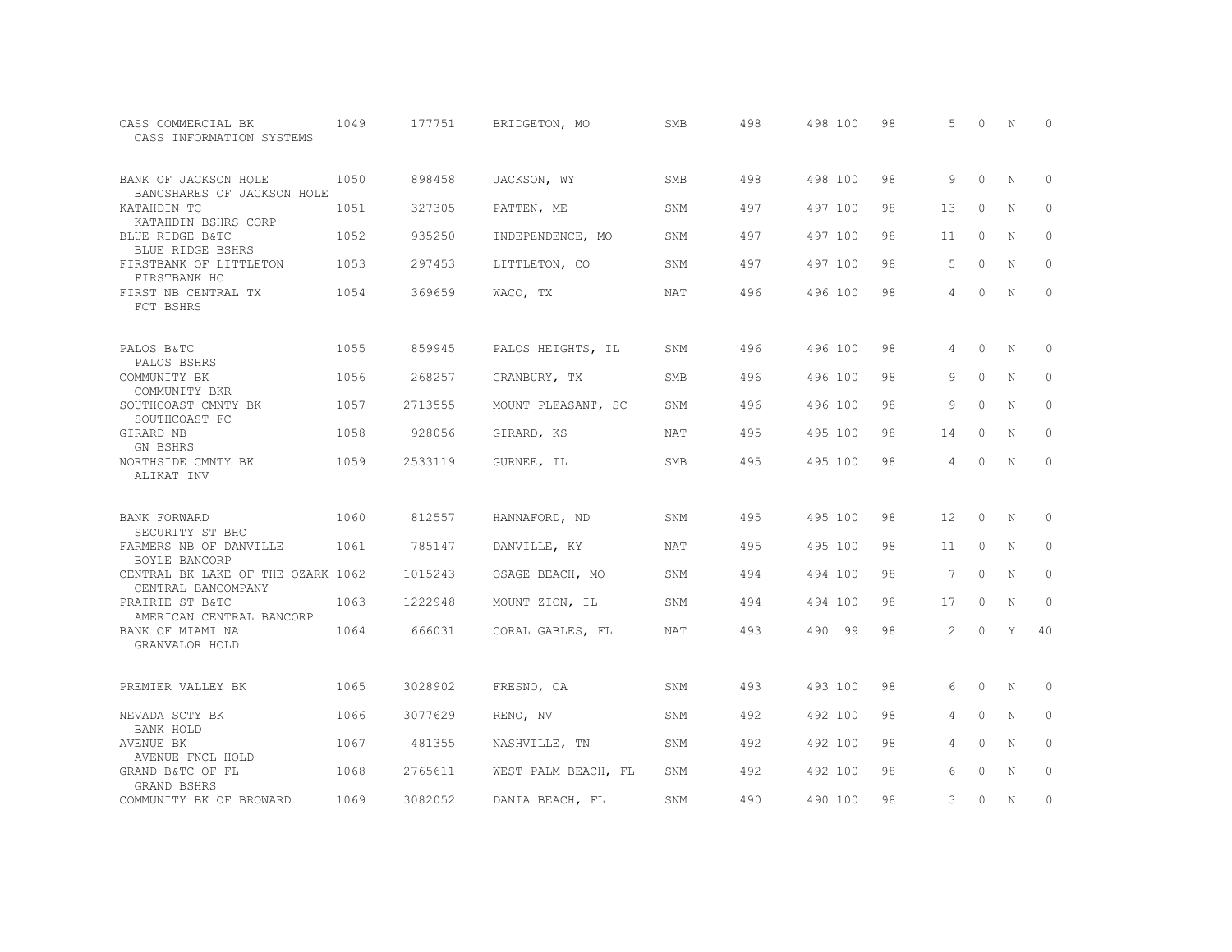| CASS COMMERCIAL BK<br>CASS INFORMATION SYSTEMS             | 1049 | 177751  | BRIDGETON, MO       | <b>SMB</b> | 498 | 498 100 | 98 | 5               | $\Omega$ | N           | $\Omega$    |
|------------------------------------------------------------|------|---------|---------------------|------------|-----|---------|----|-----------------|----------|-------------|-------------|
| BANK OF JACKSON HOLE<br>BANCSHARES OF JACKSON HOLE         | 1050 | 898458  | JACKSON, WY         | <b>SMB</b> | 498 | 498 100 | 98 | 9               | $\Omega$ | N           | $\Omega$    |
| KATAHDIN TC<br>KATAHDIN BSHRS CORP                         | 1051 | 327305  | PATTEN, ME          | SNM        | 497 | 497 100 | 98 | 13              | $\Omega$ | N           | $\circ$     |
| BLUE RIDGE B&TC<br>BLUE RIDGE BSHRS                        | 1052 | 935250  | INDEPENDENCE, MO    | SNM        | 497 | 497 100 | 98 | 11              | $\circ$  | N           | $\circ$     |
| FIRSTBANK OF LITTLETON<br>FIRSTBANK HC                     | 1053 | 297453  | LITTLETON, CO       | SNM        | 497 | 497 100 | 98 | 5               | $\Omega$ | $\mathbf N$ | $\Omega$    |
| FIRST NB CENTRAL TX<br>FCT BSHRS                           | 1054 | 369659  | WACO, TX            | <b>NAT</b> | 496 | 496 100 | 98 | 4               | $\circ$  | N           | $\circ$     |
| PALOS B&TC<br>PALOS BSHRS                                  | 1055 | 859945  | PALOS HEIGHTS, IL   | SNM        | 496 | 496 100 | 98 | 4               | $\circ$  | N           | 0           |
| COMMUNITY BK<br>COMMUNITY BKR                              | 1056 | 268257  | GRANBURY, TX        | SMB        | 496 | 496 100 | 98 | 9               | $\circ$  | N           | $\mathbb O$ |
| SOUTHCOAST CMNTY BK<br>SOUTHCOAST FC                       | 1057 | 2713555 | MOUNT PLEASANT, SC  | SNM        | 496 | 496 100 | 98 | 9               | $\Omega$ | N           | $\circ$     |
| GIRARD NB<br>GN BSHRS                                      | 1058 | 928056  | GIRARD, KS          | NAT        | 495 | 495 100 | 98 | 14              | 0        | N           | $\circ$     |
| NORTHSIDE CMNTY BK<br>ALIKAT INV                           | 1059 | 2533119 | GURNEE, IL          | <b>SMB</b> | 495 | 495 100 | 98 | 4               | $\Omega$ | N           | $\circ$     |
| BANK FORWARD                                               | 1060 | 812557  | HANNAFORD, ND       | SNM        | 495 | 495 100 | 98 | 12              | $\circ$  | N           | 0           |
| SECURITY ST BHC<br>FARMERS NB OF DANVILLE<br>BOYLE BANCORP | 1061 | 785147  | DANVILLE, KY        | NAT        | 495 | 495 100 | 98 | 11              | $\circ$  | N           | $\circ$     |
| CENTRAL BK LAKE OF THE OZARK 1062<br>CENTRAL BANCOMPANY    |      | 1015243 | OSAGE BEACH, MO     | SNM        | 494 | 494 100 | 98 | $7\phantom{.0}$ | $\circ$  | N           | $\circ$     |
| PRAIRIE ST B&TC<br>AMERICAN CENTRAL BANCORP                | 1063 | 1222948 | MOUNT ZION, IL      | SNM        | 494 | 494 100 | 98 | 17              | $\circ$  | N           | 0           |
| BANK OF MIAMI NA<br>GRANVALOR HOLD                         | 1064 | 666031  | CORAL GABLES, FL    | NAT        | 493 | 490 99  | 98 | 2               | $\Omega$ | Y           | 40          |
| PREMIER VALLEY BK                                          | 1065 | 3028902 | FRESNO, CA          | SNM        | 493 | 493 100 | 98 | 6               | $\circ$  | N           | $\mathbf 0$ |
| NEVADA SCTY BK<br>BANK HOLD                                | 1066 | 3077629 | RENO, NV            | SNM        | 492 | 492 100 | 98 | 4               | $\Omega$ | N           | $\circ$     |
| AVENUE BK<br>AVENUE FNCL HOLD                              | 1067 | 481355  | NASHVILLE, TN       | SNM        | 492 | 492 100 | 98 | 4               | $\Omega$ | $\mathbf N$ | $\circ$     |
| GRAND B&TC OF FL<br>GRAND BSHRS                            | 1068 | 2765611 | WEST PALM BEACH, FL | SNM        | 492 | 492 100 | 98 | 6               | $\Omega$ | N           | $\circ$     |
| COMMUNITY BK OF BROWARD                                    | 1069 | 3082052 | DANIA BEACH, FL     | SNM        | 490 | 490 100 | 98 | 3               | $\circ$  | N           | 0           |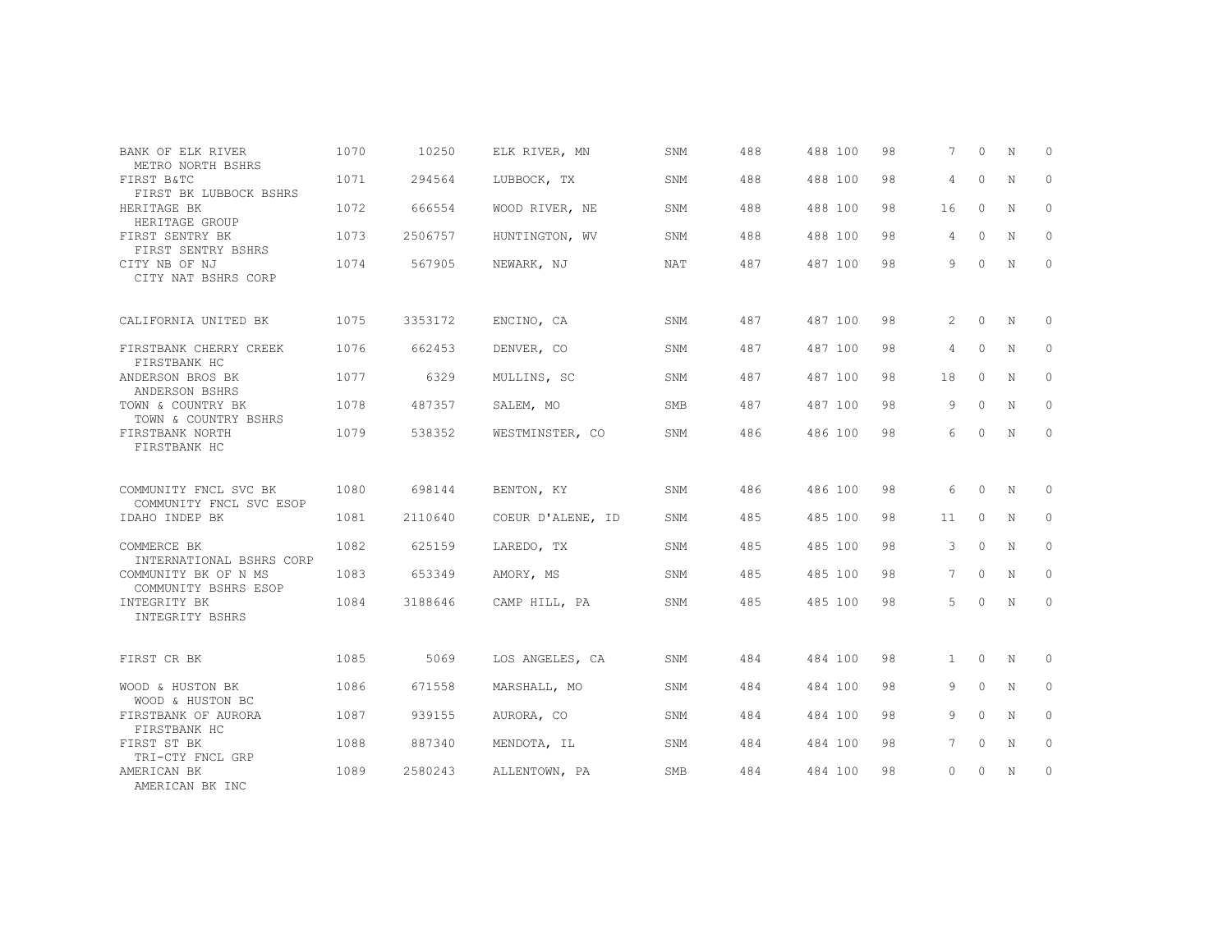| BANK OF ELK RIVER<br>METRO NORTH BSHRS       | 1070 | 10250   | ELK RIVER, MN     | SNM        | 488 | 488 100 | 98 | $7^{\circ}$    | $\Omega$ | N | $\Omega$     |
|----------------------------------------------|------|---------|-------------------|------------|-----|---------|----|----------------|----------|---|--------------|
| FIRST B&TC<br>FIRST BK LUBBOCK BSHRS         | 1071 | 294564  | LUBBOCK, TX       | SNM        | 488 | 488 100 | 98 | $\overline{4}$ | $\circ$  | N | $\mathbf{0}$ |
| HERITAGE BK<br>HERITAGE GROUP                | 1072 | 666554  | WOOD RIVER, NE    | SNM        | 488 | 488 100 | 98 | 16             | $\circ$  | N | $\mathbf{0}$ |
| FIRST SENTRY BK<br>FIRST SENTRY BSHRS        | 1073 | 2506757 | HUNTINGTON, WV    | SNM        | 488 | 488 100 | 98 | 4              | $\Omega$ | N | $\Omega$     |
| CITY NB OF NJ<br>CITY NAT BSHRS CORP         | 1074 | 567905  | NEWARK, NJ        | <b>NAT</b> | 487 | 487 100 | 98 | 9              | $\Omega$ | N | $\mathbf{0}$ |
| CALIFORNIA UNITED BK                         | 1075 | 3353172 | ENCINO, CA        | SNM        | 487 | 487 100 | 98 | $\overline{2}$ | $\circ$  | N | $\circ$      |
| FIRSTBANK CHERRY CREEK<br>FIRSTBANK HC       | 1076 | 662453  | DENVER, CO        | SNM        | 487 | 487 100 | 98 | $\overline{4}$ | $\Omega$ | N | $\mathbf{0}$ |
| ANDERSON BROS BK<br>ANDERSON BSHRS           | 1077 | 6329    | MULLINS, SC       | SNM        | 487 | 487 100 | 98 | 18             | $\circ$  | N | $\Omega$     |
| TOWN & COUNTRY BK<br>TOWN & COUNTRY BSHRS    | 1078 | 487357  | SALEM, MO         | <b>SMB</b> | 487 | 487 100 | 98 | 9              | $\Omega$ | N | $\mathbf{0}$ |
| FIRSTBANK NORTH<br>FIRSTBANK HC              | 1079 | 538352  | WESTMINSTER, CO   | SNM        | 486 | 486 100 | 98 | 6              | $\Omega$ | N | $\mathbf{0}$ |
| COMMUNITY FNCL SVC BK                        | 1080 | 698144  | BENTON, KY        | SNM        | 486 | 486 100 | 98 | 6              | $\circ$  | N | $\Omega$     |
| COMMUNITY FNCL SVC ESOP<br>IDAHO INDEP BK    | 1081 | 2110640 | COEUR D'ALENE, ID | SNM        | 485 | 485 100 | 98 | 11             | $\circ$  | N | 0            |
|                                              |      |         |                   |            |     |         |    |                | $\Omega$ |   |              |
| COMMERCE BK<br>INTERNATIONAL BSHRS CORP      | 1082 | 625159  | LAREDO, TX        | SNM        | 485 | 485 100 | 98 | 3              |          | N | 0            |
| COMMUNITY BK OF N MS<br>COMMUNITY BSHRS ESOP | 1083 | 653349  | AMORY, MS         | SNM        | 485 | 485 100 | 98 | 7              | $\circ$  | N | 0            |
| INTEGRITY BK<br>INTEGRITY BSHRS              | 1084 | 3188646 | CAMP HILL, PA     | SNM        | 485 | 485 100 | 98 | 5              | $\Omega$ | N | $\circ$      |
|                                              |      |         |                   |            |     |         |    |                |          |   |              |
| FIRST CR BK                                  | 1085 | 5069    | LOS ANGELES, CA   | SNM        | 484 | 484 100 | 98 | $\mathbf{1}$   | $\circ$  | N | $\mathbf{0}$ |
| WOOD & HUSTON BK<br>WOOD & HUSTON BC         | 1086 | 671558  | MARSHALL, MO      | SNM        | 484 | 484 100 | 98 | 9              | $\Omega$ | N | $\mathbf{0}$ |
| FIRSTBANK OF AURORA<br>FIRSTBANK HC          | 1087 | 939155  | AURORA, CO        | SNM        | 484 | 484 100 | 98 | 9              | $\Omega$ | N | $\Omega$     |
| FIRST ST BK<br>TRI-CTY FNCL GRP              | 1088 | 887340  | MENDOTA, IL       | SNM        | 484 | 484 100 | 98 | 7              | $\circ$  | N | $\mathbf{0}$ |
| AMERICAN BK<br>AMERICAN BK INC               | 1089 | 2580243 | ALLENTOWN, PA     | <b>SMB</b> | 484 | 484 100 | 98 | $\circ$        | 0        | N | $\mathbf{0}$ |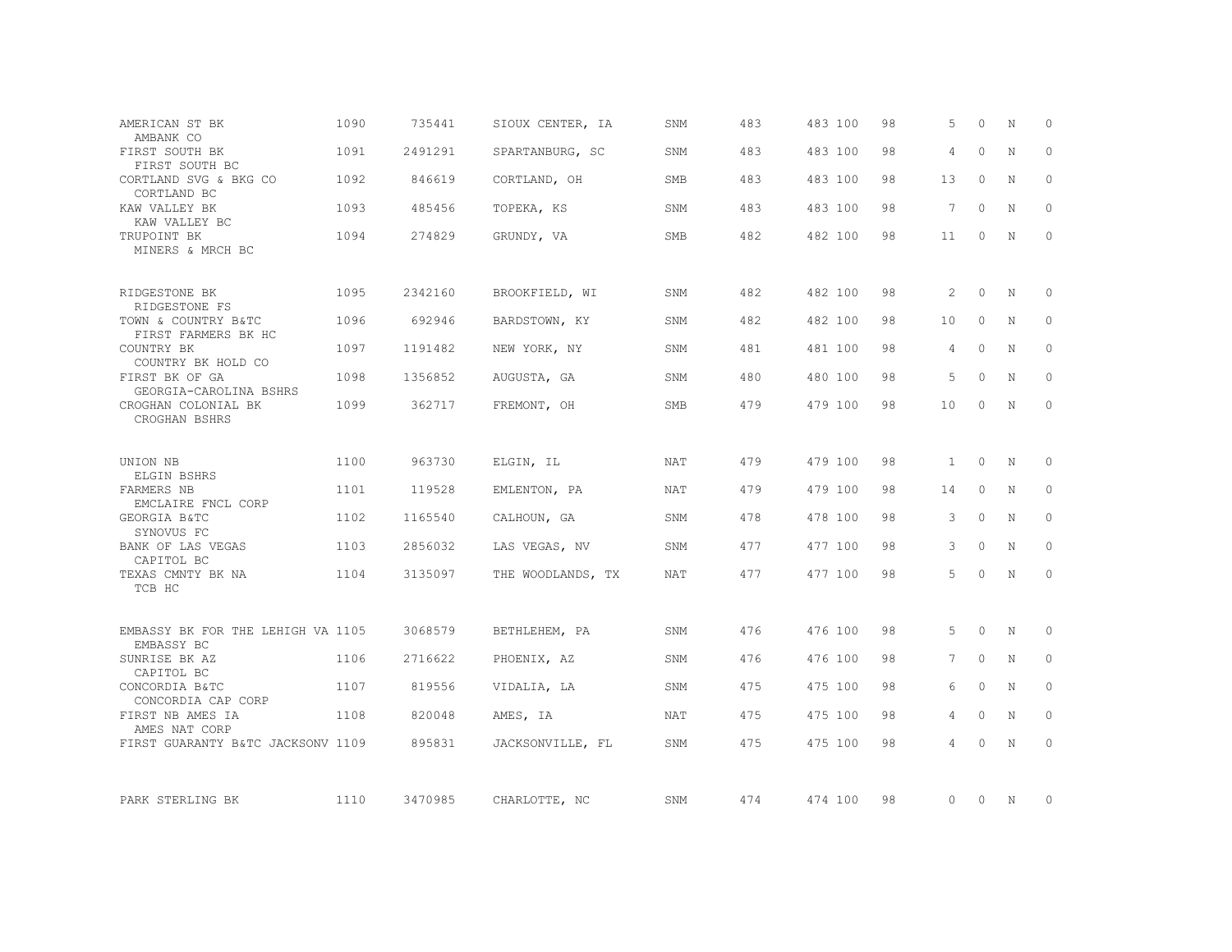| AMERICAN ST BK<br>AMBANK CO                     | 1090 | 735441  | SIOUX CENTER, IA  | SNM        | 483 | 483 100 | 98 | 5               | $\Omega$ | N           | $\Omega$     |
|-------------------------------------------------|------|---------|-------------------|------------|-----|---------|----|-----------------|----------|-------------|--------------|
| FIRST SOUTH BK<br>FIRST SOUTH BC                | 1091 | 2491291 | SPARTANBURG, SC   | SNM        | 483 | 483 100 | 98 | 4               | $\Omega$ | N           | $\Omega$     |
| CORTLAND SVG & BKG CO<br>CORTLAND BC            | 1092 | 846619  | CORTLAND, OH      | SMB        | 483 | 483 100 | 98 | 13              | $\Omega$ | N           | $\Omega$     |
| KAW VALLEY BK<br>KAW VALLEY BC                  | 1093 | 485456  | TOPEKA, KS        | SNM        | 483 | 483 100 | 98 | $7\overline{ }$ | $\circ$  | N           | $\Omega$     |
| TRUPOINT BK<br>MINERS & MRCH BC                 | 1094 | 274829  | GRUNDY, VA        | SMB        | 482 | 482 100 | 98 | 11              | $\circ$  | N           | $\mathbf{0}$ |
| RIDGESTONE BK<br>RIDGESTONE FS                  | 1095 | 2342160 | BROOKFIELD, WI    | SNM        | 482 | 482 100 | 98 | 2               | $\Omega$ | N           | $\circ$      |
| TOWN & COUNTRY B&TC<br>FIRST FARMERS BK HC      | 1096 | 692946  | BARDSTOWN, KY     | SNM        | 482 | 482 100 | 98 | 10              | $\Omega$ | N           | 0            |
| COUNTRY BK<br>COUNTRY BK HOLD CO                | 1097 | 1191482 | NEW YORK, NY      | SNM        | 481 | 481 100 | 98 | 4               | $\circ$  | N           | $\circ$      |
| FIRST BK OF GA<br>GEORGIA-CAROLINA BSHRS        | 1098 | 1356852 | AUGUSTA, GA       | SNM        | 480 | 480 100 | 98 | 5               | $\circ$  | N           | 0            |
| CROGHAN COLONIAL BK<br>CROGHAN BSHRS            | 1099 | 362717  | FREMONT, OH       | <b>SMB</b> | 479 | 479 100 | 98 | 10              | $\Omega$ | N           | $\circ$      |
| UNION NB<br>ELGIN BSHRS                         | 1100 | 963730  | ELGIN, IL         | NAT        | 479 | 479 100 | 98 | $\mathbf{1}$    | $\circ$  | N           | 0            |
| FARMERS NB<br>EMCLAIRE FNCL CORP                | 1101 | 119528  | EMLENTON, PA      | NAT        | 479 | 479 100 | 98 | 14              | $\circ$  | N           | $\mathbf{0}$ |
| GEORGIA B&TC<br>SYNOVUS FC                      | 1102 | 1165540 | CALHOUN, GA       | SNM        | 478 | 478 100 | 98 | 3               | $\circ$  | N           | $\circ$      |
| BANK OF LAS VEGAS<br>CAPITOL BC                 | 1103 | 2856032 | LAS VEGAS, NV     | SNM        | 477 | 477 100 | 98 | 3               | $\circ$  | N           | $\circ$      |
| TEXAS CMNTY BK NA<br>TCB HC                     | 1104 | 3135097 | THE WOODLANDS, TX | NAT        | 477 | 477 100 | 98 | 5               | $\circ$  | N           | $\circ$      |
| EMBASSY BK FOR THE LEHIGH VA 1105<br>EMBASSY BC |      | 3068579 | BETHLEHEM, PA     | SNM        | 476 | 476 100 | 98 | 5               | $\circ$  | N           | $\circ$      |
| SUNRISE BK AZ<br>CAPITOL BC                     | 1106 | 2716622 | PHOENIX, AZ       | SNM        | 476 | 476 100 | 98 | 7               | $\circ$  | N           | $\circ$      |
| CONCORDIA B&TC<br>CONCORDIA CAP CORP            | 1107 | 819556  | VIDALIA, LA       | SNM        | 475 | 475 100 | 98 | 6               | $\Omega$ | $\mathbf N$ | $\Omega$     |
| FIRST NB AMES IA<br>AMES NAT CORP               | 1108 | 820048  | AMES, IA          | NAT        | 475 | 475 100 | 98 | 4               | $\circ$  | N           | $\circ$      |
| FIRST GUARANTY B&TC JACKSONV 1109               |      | 895831  | JACKSONVILLE, FL  | SNM        | 475 | 475 100 | 98 | 4               | $\Omega$ | $\mathbf N$ | $\Omega$     |
| PARK STERLING BK                                | 1110 | 3470985 | CHARLOTTE, NC     | SNM        | 474 | 474 100 | 98 | 0               | $\circ$  | $\mathbb N$ | $\Omega$     |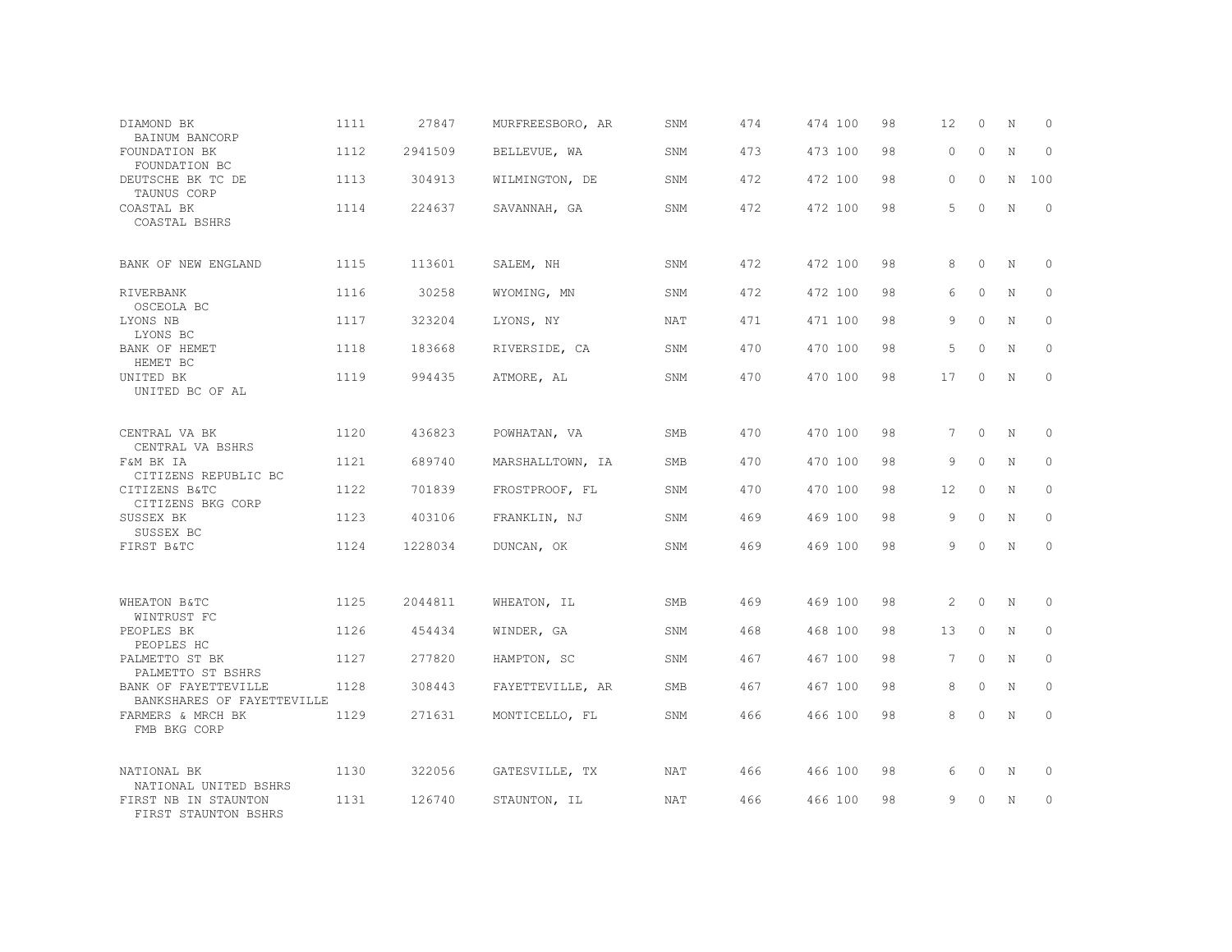| DIAMOND BK<br>BAINUM BANCORP                                          | 1111 | 27847   | MURFREESBORO, AR | SNM        | 474 | 474 100 | 98 | 12              | 0        | N           | $\circ$      |
|-----------------------------------------------------------------------|------|---------|------------------|------------|-----|---------|----|-----------------|----------|-------------|--------------|
| FOUNDATION BK<br>FOUNDATION BC                                        | 1112 | 2941509 | BELLEVUE, WA     | SNM        | 473 | 473 100 | 98 | $\circ$         | $\circ$  | $\mathbf N$ | $\Omega$     |
| DEUTSCHE BK TC DE<br>TAUNUS CORP                                      | 1113 | 304913  | WILMINGTON, DE   | SNM        | 472 | 472 100 | 98 | 0               | 0        | N           | 100          |
| COASTAL BK<br>COASTAL BSHRS                                           | 1114 | 224637  | SAVANNAH, GA     | SNM        | 472 | 472 100 | 98 | 5               | $\Omega$ | N           | $\Omega$     |
| BANK OF NEW ENGLAND                                                   | 1115 | 113601  | SALEM, NH        | SNM        | 472 | 472 100 | 98 | 8               | $\Omega$ | N           | $\Omega$     |
| RIVERBANK<br>OSCEOLA BC                                               | 1116 | 30258   | WYOMING, MN      | SNM        | 472 | 472 100 | 98 | 6               | $\circ$  | N           | $\circ$      |
| LYONS NB<br>LYONS BC                                                  | 1117 | 323204  | LYONS, NY        | NAT        | 471 | 471 100 | 98 | 9               | $\Omega$ | $\mathbf N$ | $\Omega$     |
| BANK OF HEMET<br>HEMET BC                                             | 1118 | 183668  | RIVERSIDE, CA    | SNM        | 470 | 470 100 | 98 | 5               | $\Omega$ | N           | $\circ$      |
| UNITED BK<br>UNITED BC OF AL                                          | 1119 | 994435  | ATMORE, AL       | SNM        | 470 | 470 100 | 98 | 17              | $\Omega$ | N           | $\Omega$     |
| CENTRAL VA BK<br>CENTRAL VA BSHRS                                     | 1120 | 436823  | POWHATAN, VA     | <b>SMB</b> | 470 | 470 100 | 98 | 7               | $\circ$  | $\mathbb N$ | $\Omega$     |
| F&M BK IA<br>CITIZENS REPUBLIC BC                                     | 1121 | 689740  | MARSHALLTOWN, IA | SMB        | 470 | 470 100 | 98 | 9               | $\Omega$ | N           | $\circ$      |
| CITIZENS B&TC<br>CITIZENS BKG CORP                                    | 1122 | 701839  | FROSTPROOF, FL   | SNM        | 470 | 470 100 | 98 | 12              | $\circ$  | N           | $\circ$      |
| SUSSEX BK<br>SUSSEX BC                                                | 1123 | 403106  | FRANKLIN, NJ     | SNM        | 469 | 469 100 | 98 | 9               | $\circ$  | N           | $\circ$      |
| FIRST B&TC                                                            | 1124 | 1228034 | DUNCAN, OK       | SNM        | 469 | 469 100 | 98 | 9               | $\Omega$ | $\mathbf N$ | $\mathbf{0}$ |
| WHEATON B&TC                                                          | 1125 | 2044811 | WHEATON, IL      | SMB        | 469 | 469 100 | 98 | 2               | $\circ$  | $\mathbf N$ | $\circ$      |
| WINTRUST FC<br>PEOPLES BK                                             | 1126 | 454434  | WINDER, GA       | SNM        | 468 | 468 100 | 98 | 13              | $\Omega$ | N           | $\circ$      |
| PEOPLES HC<br>PALMETTO ST BK                                          | 1127 | 277820  | HAMPTON, SC      | SNM        | 467 | 467 100 | 98 | $7\phantom{.0}$ | $\circ$  | N           | $\mathbf{0}$ |
| PALMETTO ST BSHRS<br>BANK OF FAYETTEVILLE                             | 1128 | 308443  | FAYETTEVILLE, AR | <b>SMB</b> | 467 | 467 100 | 98 | 8               | $\circ$  | N           | $\circ$      |
| BANKSHARES OF FAYETTEVILLE<br>FARMERS & MRCH BK<br>FMB BKG CORP       | 1129 | 271631  | MONTICELLO, FL   | SNM        | 466 | 466 100 | 98 | 8               | 0        | N           | $\circ$      |
| NATIONAL BK                                                           | 1130 | 322056  | GATESVILLE, TX   | NAT        | 466 | 466 100 | 98 | 6               | 0        | $\rm N$     | 0            |
| NATIONAL UNITED BSHRS<br>FIRST NB IN STAUNTON<br>FIRST STAUNTON BSHRS | 1131 | 126740  | STAUNTON, IL     | <b>NAT</b> | 466 | 466 100 | 98 | 9               | $\Omega$ | N           | $\circ$      |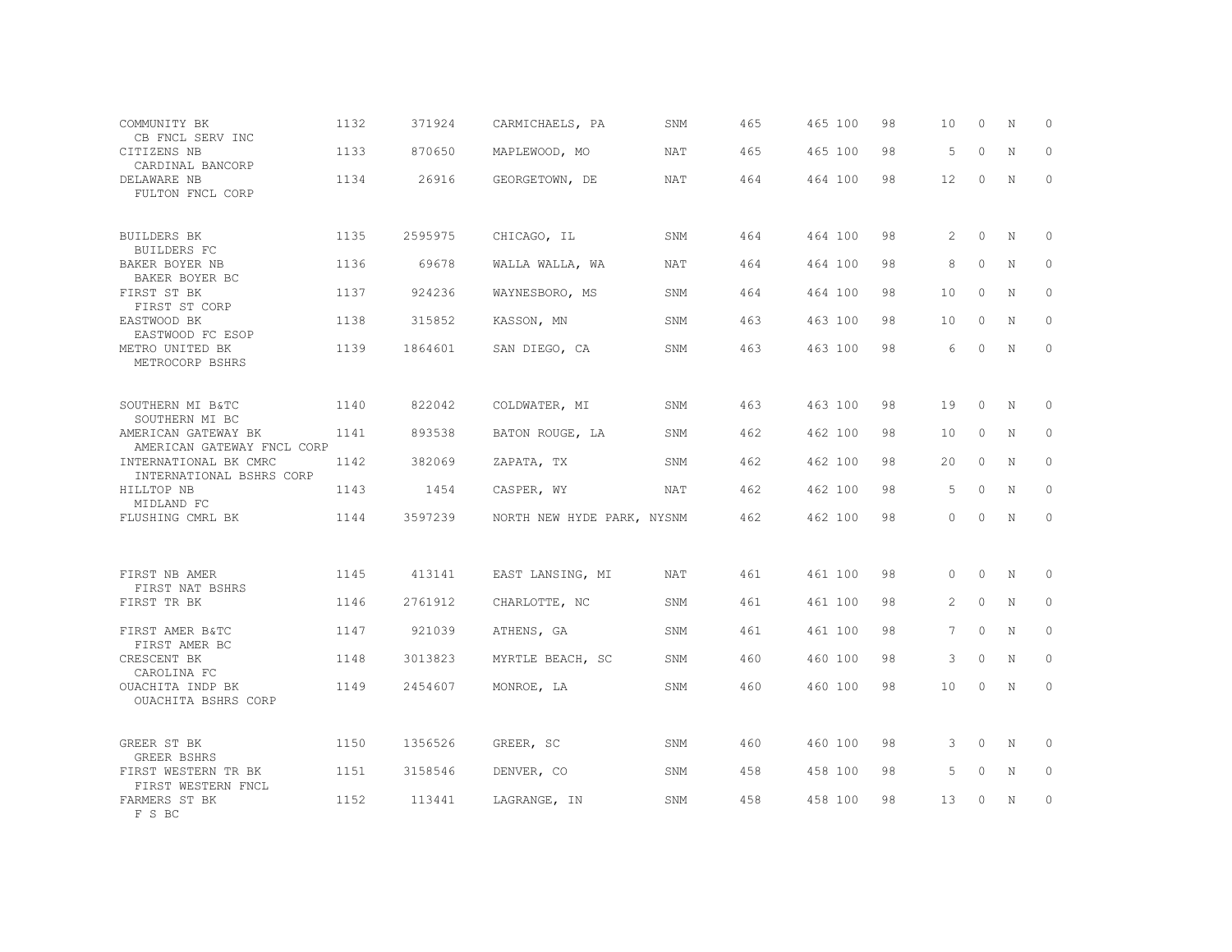| COMMUNITY BK<br>CB FNCL SERV INC                                    | 1132 | 371924  | CARMICHAELS, PA            | SNM        | 465 | 465 100 | 98 | 10                | $\circ$  | N           | 0           |
|---------------------------------------------------------------------|------|---------|----------------------------|------------|-----|---------|----|-------------------|----------|-------------|-------------|
| CITIZENS NB<br>CARDINAL BANCORP                                     | 1133 | 870650  | MAPLEWOOD, MO              | <b>NAT</b> | 465 | 465 100 | 98 | 5                 | $\Omega$ | $\mathbf N$ | $\Omega$    |
| DELAWARE NB<br>FULTON FNCL CORP                                     | 1134 | 26916   | GEORGETOWN, DE             | NAT        | 464 | 464 100 | 98 | $12 \overline{ }$ | $\circ$  | N           | $\circ$     |
| <b>BUILDERS BK</b><br><b>BUILDERS FC</b>                            | 1135 | 2595975 | CHICAGO, IL                | SNM        | 464 | 464 100 | 98 | 2                 | $\Omega$ | N           | $\Omega$    |
| BAKER BOYER NB<br>BAKER BOYER BC                                    | 1136 | 69678   | WALLA WALLA, WA            | NAT        | 464 | 464 100 | 98 | 8                 | $\circ$  | N           | $\circ$     |
| FIRST ST BK<br>FIRST ST CORP                                        | 1137 | 924236  | WAYNESBORO, MS             | SNM        | 464 | 464 100 | 98 | 10                | $\Omega$ | N           | $\Omega$    |
| EASTWOOD BK<br>EASTWOOD FC ESOP                                     | 1138 | 315852  | KASSON, MN                 | SNM        | 463 | 463 100 | 98 | 10                | $\Omega$ | N           | $\circ$     |
| METRO UNITED BK<br>METROCORP BSHRS                                  | 1139 | 1864601 | SAN DIEGO, CA              | SNM        | 463 | 463 100 | 98 | 6                 | $\Omega$ | $\mathbb N$ | $\circ$     |
| SOUTHERN MI B&TC                                                    | 1140 | 822042  | COLDWATER, MI              | SNM        | 463 | 463 100 | 98 | 19                | $\circ$  | N           | 0           |
| SOUTHERN MI BC<br>AMERICAN GATEWAY BK<br>AMERICAN GATEWAY FNCL CORP | 1141 | 893538  | BATON ROUGE, LA            | SNM        | 462 | 462 100 | 98 | 10                | $\Omega$ | N           | $\circ$     |
| INTERNATIONAL BK CMRC<br>INTERNATIONAL BSHRS CORP                   | 1142 | 382069  | ZAPATA, TX                 | SNM        | 462 | 462 100 | 98 | 20                | $\Omega$ | N           | $\circ$     |
| HILLTOP NB<br>MIDLAND FC                                            | 1143 | 1454    | CASPER, WY                 | NAT        | 462 | 462 100 | 98 | 5                 | $\circ$  | $\mathbf N$ | $\mathbf 0$ |
| FLUSHING CMRL BK                                                    | 1144 | 3597239 | NORTH NEW HYDE PARK, NYSNM |            | 462 | 462 100 | 98 | $\Omega$          | $\Omega$ | $\mathbf N$ | $\circ$     |
| FIRST NB AMER                                                       | 1145 | 413141  | EAST LANSING, MI           | <b>NAT</b> | 461 | 461 100 | 98 | $\Omega$          | $\Omega$ | N           | $\Omega$    |
| FIRST NAT BSHRS<br>FIRST TR BK                                      | 1146 | 2761912 | CHARLOTTE, NC              | SNM        | 461 | 461 100 | 98 | 2                 | $\circ$  | N           | $\circ$     |
| FIRST AMER B&TC                                                     | 1147 | 921039  | ATHENS, GA                 | SNM        | 461 | 461 100 | 98 | $7\phantom{.0}$   | $\circ$  | N           | $\circ$     |
| FIRST AMER BC<br>CRESCENT BK<br>CAROLINA FC                         | 1148 | 3013823 | MYRTLE BEACH, SC           | SNM        | 460 | 460 100 | 98 | 3                 | $\Omega$ | N           | $\circ$     |
| OUACHITA INDP BK<br>OUACHITA BSHRS CORP                             | 1149 | 2454607 | MONROE, LA                 | SNM        | 460 | 460 100 | 98 | 10                | $\circ$  | N           | $\circ$     |
| GREER ST BK<br><b>GREER BSHRS</b>                                   | 1150 | 1356526 | GREER, SC                  | SNM        | 460 | 460 100 | 98 | 3                 | $\circ$  | N           | 0           |
| FIRST WESTERN TR BK<br>FIRST WESTERN FNCL                           | 1151 | 3158546 | DENVER, CO                 | SNM        | 458 | 458 100 | 98 | 5                 | $\circ$  | N           | $\mathbb O$ |
| FARMERS ST BK<br>F S BC                                             | 1152 | 113441  | LAGRANGE, IN               | SNM        | 458 | 458 100 | 98 | 13                | $\Omega$ | N           | $\circ$     |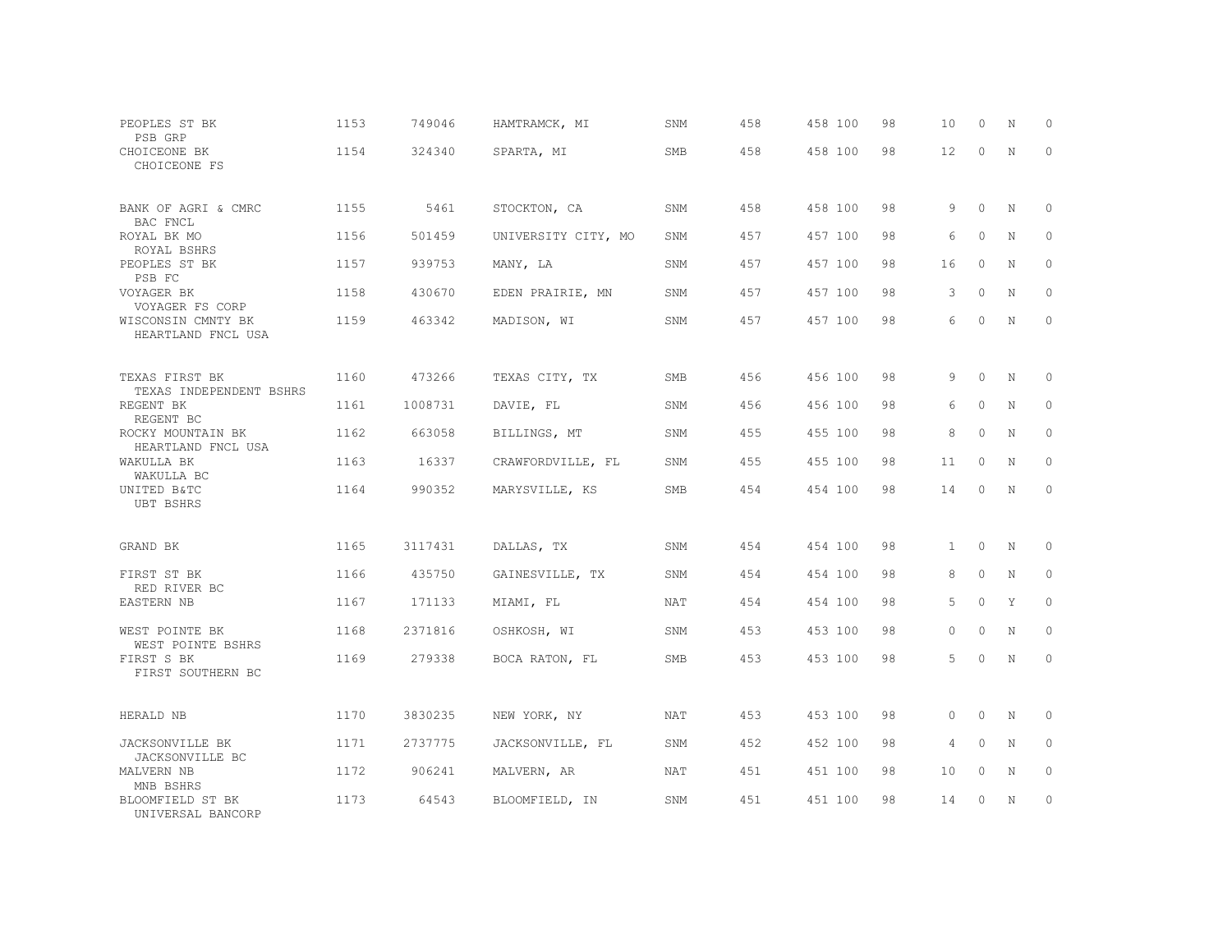| PEOPLES ST BK<br>PSB GRP                  | 1153 | 749046  | HAMTRAMCK, MI       | SNM        | 458 | 458 100 | 98 | 10           | $\circ$  | N | 0        |
|-------------------------------------------|------|---------|---------------------|------------|-----|---------|----|--------------|----------|---|----------|
| CHOICEONE BK<br>CHOICEONE FS              | 1154 | 324340  | SPARTA, MI          | <b>SMB</b> | 458 | 458 100 | 98 | 12           | $\Omega$ | N | $\Omega$ |
| BANK OF AGRI & CMRC<br>BAC FNCL           | 1155 | 5461    | STOCKTON, CA        | SNM        | 458 | 458 100 | 98 | 9            | $\Omega$ | N | 0        |
| ROYAL BK MO<br>ROYAL BSHRS                | 1156 | 501459  | UNIVERSITY CITY, MO | SNM        | 457 | 457 100 | 98 | 6            | $\circ$  | N | 0        |
| PEOPLES ST BK<br>PSB FC                   | 1157 | 939753  | MANY, LA            | SNM        | 457 | 457 100 | 98 | 16           | $\Omega$ | N | $\circ$  |
| VOYAGER BK<br>VOYAGER FS CORP             | 1158 | 430670  | EDEN PRAIRIE, MN    | SNM        | 457 | 457 100 | 98 | 3            | $\circ$  | N | $\circ$  |
| WISCONSIN CMNTY BK<br>HEARTLAND FNCL USA  | 1159 | 463342  | MADISON, WI         | SNM        | 457 | 457 100 | 98 | 6            | $\Omega$ | N | $\circ$  |
| TEXAS FIRST BK<br>TEXAS INDEPENDENT BSHRS | 1160 | 473266  | TEXAS CITY, TX      | SMB        | 456 | 456 100 | 98 | 9            | $\Omega$ | N | 0        |
| REGENT BK<br>REGENT BC                    | 1161 | 1008731 | DAVIE, FL           | SNM        | 456 | 456 100 | 98 | 6            | $\circ$  | N | $\circ$  |
| ROCKY MOUNTAIN BK<br>HEARTLAND FNCL USA   | 1162 | 663058  | BILLINGS, MT        | SNM        | 455 | 455 100 | 98 | 8            | $\Omega$ | N | $\circ$  |
| WAKULLA BK<br>WAKULLA BC                  | 1163 | 16337   | CRAWFORDVILLE, FL   | SNM        | 455 | 455 100 | 98 | 11           | $\Omega$ | N | $\Omega$ |
| UNITED B&TC<br><b>UBT BSHRS</b>           | 1164 | 990352  | MARYSVILLE, KS      | SMB        | 454 | 454 100 | 98 | 14           | $\Omega$ | N | $\circ$  |
| GRAND BK                                  | 1165 | 3117431 | DALLAS, TX          | SNM        | 454 | 454 100 | 98 | $\mathbf{1}$ | $\circ$  | N | 0        |
| FIRST ST BK                               | 1166 | 435750  | GAINESVILLE, TX     | SNM        | 454 | 454 100 | 98 | 8            | $\Omega$ | N | $\Omega$ |
| RED RIVER BC<br>EASTERN NB                | 1167 | 171133  | MIAMI, FL           | <b>NAT</b> | 454 | 454 100 | 98 | 5            | $\circ$  | Y | $\circ$  |
| WEST POINTE BK<br>WEST POINTE BSHRS       | 1168 | 2371816 | OSHKOSH, WI         | SNM        | 453 | 453 100 | 98 | $\Omega$     | $\Omega$ | N | $\Omega$ |
| FIRST S BK<br>FIRST SOUTHERN BC           | 1169 | 279338  | BOCA RATON, FL      | SMB        | 453 | 453 100 | 98 | 5            | $\circ$  | N | $\circ$  |
| HERALD NB                                 | 1170 | 3830235 | NEW YORK, NY        | NAT        | 453 | 453 100 | 98 | $\circ$      | $\circ$  | N | 0        |
| JACKSONVILLE BK<br>JACKSONVILLE BC        | 1171 | 2737775 | JACKSONVILLE, FL    | SNM        | 452 | 452 100 | 98 | 4            | $\circ$  | N | $\circ$  |
| MALVERN NB<br>MNB BSHRS                   | 1172 | 906241  | MALVERN, AR         | NAT        | 451 | 451 100 | 98 | 10           | $\circ$  | N | 0        |
| BLOOMFIELD ST BK<br>UNIVERSAL BANCORP     | 1173 | 64543   | BLOOMFIELD, IN      | SNM        | 451 | 451 100 | 98 | 14           | $\Omega$ | N | $\circ$  |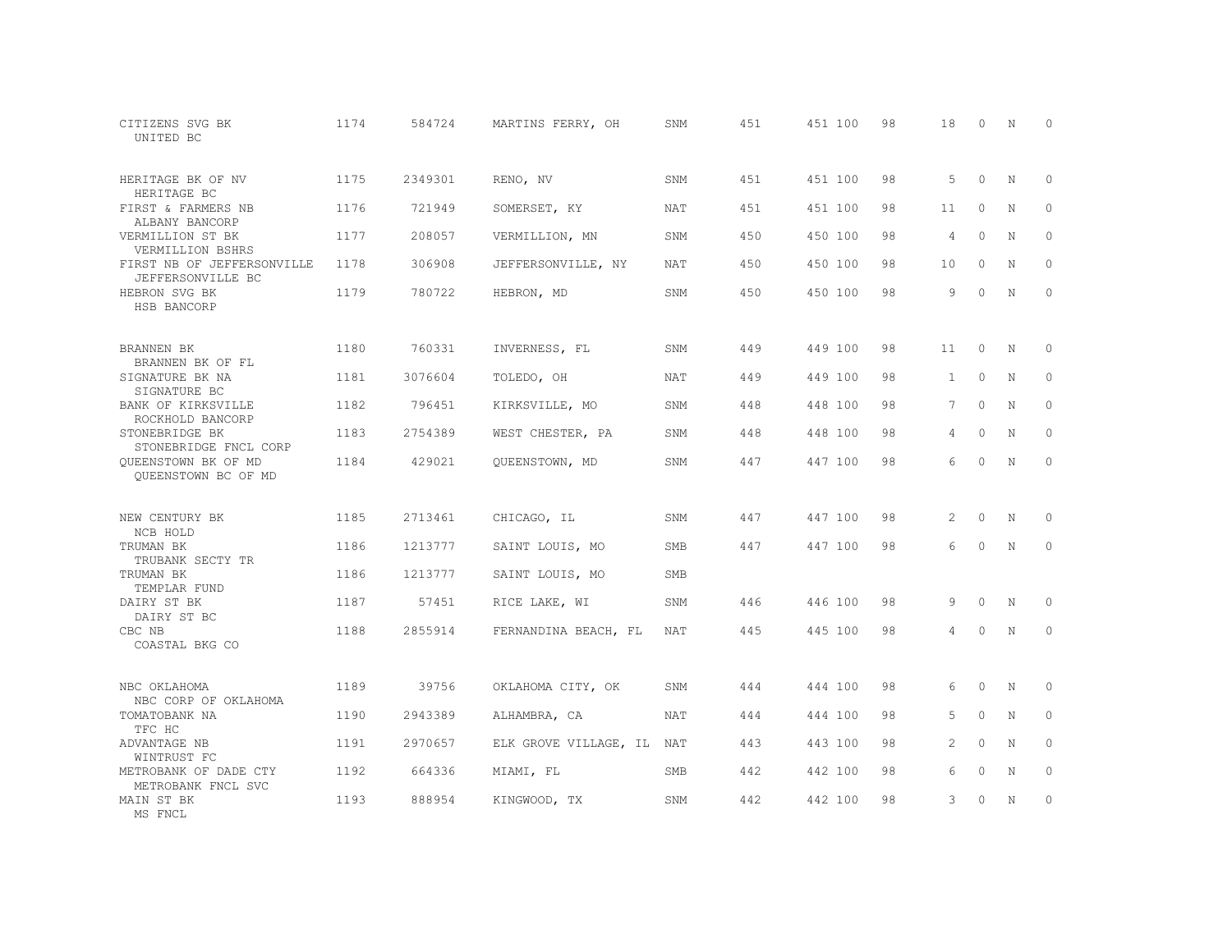| CITIZENS SVG BK<br>UNITED BC                    | 1174 | 584724  | MARTINS FERRY, OH         | SNM        | 451 | 451 100 | 98 | 18           | $\Omega$ | N           | $\Omega$    |
|-------------------------------------------------|------|---------|---------------------------|------------|-----|---------|----|--------------|----------|-------------|-------------|
| HERITAGE BK OF NV<br>HERITAGE BC                | 1175 | 2349301 | RENO, NV                  | SNM        | 451 | 451 100 | 98 | 5            | $\Omega$ | N           | $\Omega$    |
| FIRST & FARMERS NB<br>ALBANY BANCORP            | 1176 | 721949  | SOMERSET, KY              | <b>NAT</b> | 451 | 451 100 | 98 | 11           | $\Omega$ | N           | $\Omega$    |
| VERMILLION ST BK<br>VERMILLION BSHRS            | 1177 | 208057  | VERMILLION, MN            | SNM        | 450 | 450 100 | 98 | 4            | $\Omega$ | N           | $\circ$     |
| FIRST NB OF JEFFERSONVILLE<br>JEFFERSONVILLE BC | 1178 | 306908  | JEFFERSONVILLE, NY        | <b>NAT</b> | 450 | 450 100 | 98 | 10           | $\circ$  | $\mathbf N$ | $\mathbf 0$ |
| HEBRON SVG BK<br>HSB BANCORP                    | 1179 | 780722  | HEBRON, MD                | SNM        | 450 | 450 100 | 98 | 9            | $\Omega$ | N           | $\circ$     |
| BRANNEN BK<br>BRANNEN BK OF FL                  | 1180 | 760331  | INVERNESS, FL             | SNM        | 449 | 449 100 | 98 | 11           | $\Omega$ | N           | $\Omega$    |
| SIGNATURE BK NA<br>SIGNATURE BC                 | 1181 | 3076604 | TOLEDO, OH                | NAT        | 449 | 449 100 | 98 | $\mathbf{1}$ | $\circ$  | N           | $\circ$     |
| BANK OF KIRKSVILLE<br>ROCKHOLD BANCORP          | 1182 | 796451  | KIRKSVILLE, MO            | SNM        | 448 | 448 100 | 98 | $7^{\circ}$  | $\Omega$ | N           | $\Omega$    |
| STONEBRIDGE BK<br>STONEBRIDGE FNCL CORP         | 1183 | 2754389 | WEST CHESTER, PA          | SNM        | 448 | 448 100 | 98 | 4            | $\circ$  | N           | $\circ$     |
| QUEENSTOWN BK OF MD<br>OUEENSTOWN BC OF MD      | 1184 | 429021  | QUEENSTOWN, MD            | SNM        | 447 | 447 100 | 98 | 6            | $\Omega$ | $\mathbf N$ | $\Omega$    |
| NEW CENTURY BK<br>NCB HOLD                      | 1185 | 2713461 | CHICAGO, IL               | SNM        | 447 | 447 100 | 98 | 2            | $\circ$  | N           | $\circ$     |
| TRUMAN BK<br>TRUBANK SECTY TR                   | 1186 | 1213777 | SAINT LOUIS, MO           | <b>SMB</b> | 447 | 447 100 | 98 | 6            | $\Omega$ | $\mathbf N$ | $\mathbf 0$ |
| TRUMAN BK<br>TEMPLAR FUND                       | 1186 | 1213777 | SAINT LOUIS, MO           | <b>SMB</b> |     |         |    |              |          |             |             |
| DAIRY ST BK<br>DAIRY ST BC                      | 1187 | 57451   | RICE LAKE, WI             | SNM        | 446 | 446 100 | 98 | 9            | $\Omega$ | N           | 0           |
| CBC NB<br>COASTAL BKG CO                        | 1188 | 2855914 | FERNANDINA BEACH, FL      | NAT        | 445 | 445 100 | 98 | 4            | 0        | N           | $\circ$     |
| NBC OKLAHOMA<br>NBC CORP OF OKLAHOMA            | 1189 | 39756   | OKLAHOMA CITY, OK         | SNM        | 444 | 444 100 | 98 | 6            | $\Omega$ | N           | 0           |
| TOMATOBANK NA<br>TFC HC                         | 1190 | 2943389 | ALHAMBRA, CA              | <b>NAT</b> | 444 | 444 100 | 98 | 5            | $\Omega$ | N           | $\mathbb O$ |
| ADVANTAGE NB<br>WINTRUST FC                     | 1191 | 2970657 | ELK GROVE VILLAGE, IL NAT |            | 443 | 443 100 | 98 | 2            | $\Omega$ | N           | $\circ$     |
| METROBANK OF DADE CTY<br>METROBANK FNCL SVC     | 1192 | 664336  | MIAMI, FL                 | <b>SMB</b> | 442 | 442 100 | 98 | 6            | $\circ$  | N           | $\mathbb O$ |
| MAIN ST BK<br>MS FNCL                           | 1193 | 888954  | KINGWOOD, TX              | SNM        | 442 | 442 100 | 98 | 3            | $\Omega$ | N           | $\circ$     |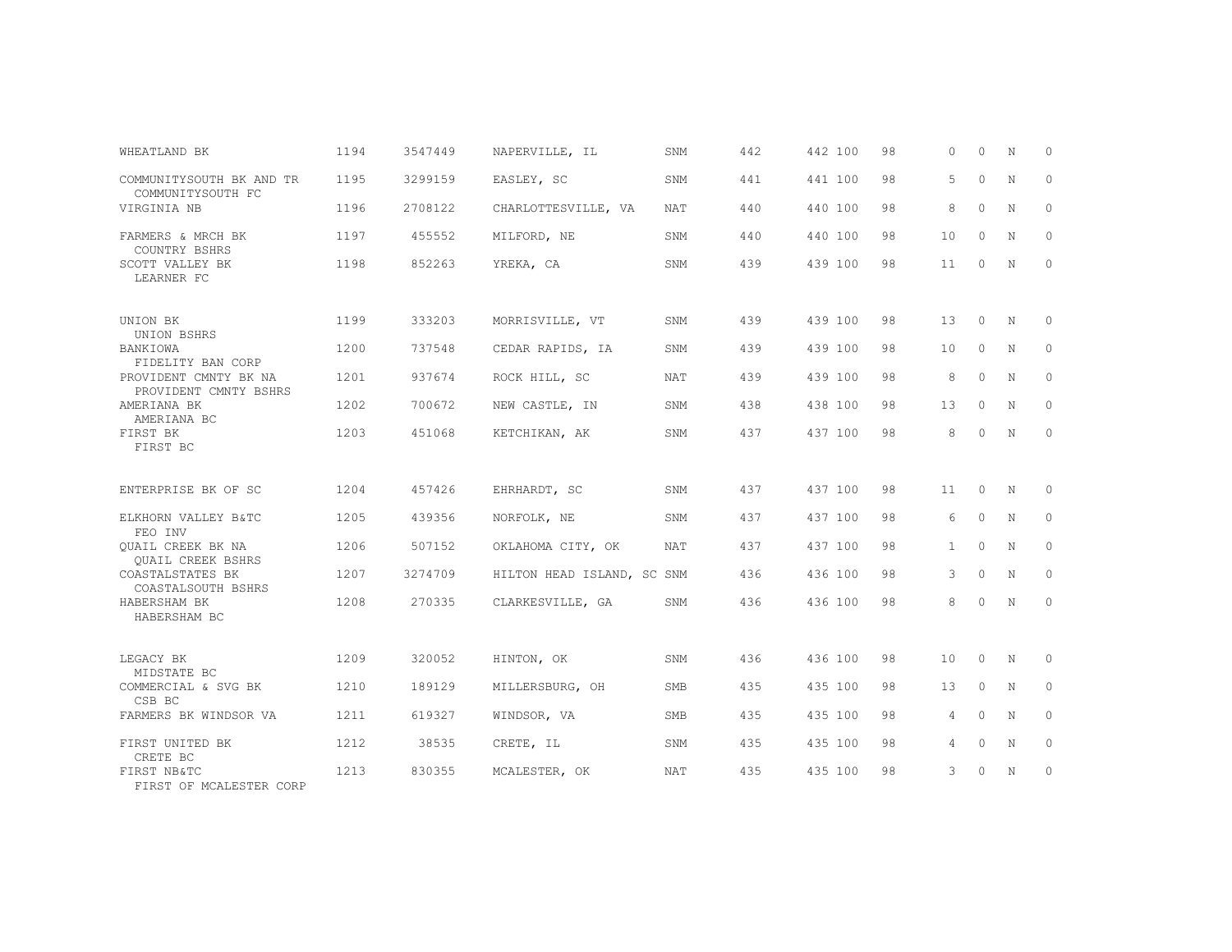| WHEATLAND BK                                   | 1194 | 3547449 | NAPERVILLE, IL             | SNM        | 442 | 442 100 | 98 | $\Omega$     | $\Omega$ | N           | $\Omega$ |
|------------------------------------------------|------|---------|----------------------------|------------|-----|---------|----|--------------|----------|-------------|----------|
| COMMUNITYSOUTH BK AND TR<br>COMMUNITYSOUTH FC  | 1195 | 3299159 | EASLEY, SC                 | SNM        | 441 | 441 100 | 98 | 5            | $\Omega$ | N           | $\circ$  |
| VIRGINIA NB                                    | 1196 | 2708122 | CHARLOTTESVILLE, VA        | <b>NAT</b> | 440 | 440 100 | 98 | 8            | $\Omega$ | N           | $\circ$  |
| FARMERS & MRCH BK<br>COUNTRY BSHRS             | 1197 | 455552  | MILFORD, NE                | SNM        | 440 | 440 100 | 98 | 10           | $\Omega$ | N           | $\Omega$ |
| SCOTT VALLEY BK<br>LEARNER FC                  | 1198 | 852263  | YREKA, CA                  | SNM        | 439 | 439 100 | 98 | 11           | $\circ$  | $\mathbf N$ | $\circ$  |
| UNION BK<br>UNION BSHRS                        | 1199 | 333203  | MORRISVILLE, VT            | SNM        | 439 | 439 100 | 98 | 13           | $\Omega$ | N           | $\Omega$ |
| BANKIOWA<br>FIDELITY BAN CORP                  | 1200 | 737548  | CEDAR RAPIDS, IA           | SNM        | 439 | 439 100 | 98 | 10           | $\circ$  | N           | $\circ$  |
| PROVIDENT CMNTY BK NA<br>PROVIDENT CMNTY BSHRS | 1201 | 937674  | ROCK HILL, SC              | <b>NAT</b> | 439 | 439 100 | 98 | 8            | $\Omega$ | $\mathbf N$ | $\Omega$ |
| AMERIANA BK<br>AMERIANA BC                     | 1202 | 700672  | NEW CASTLE, IN             | <b>SNM</b> | 438 | 438 100 | 98 | 13           | $\circ$  | N           | 0        |
| FIRST BK<br>FIRST BC                           | 1203 | 451068  | KETCHIKAN, AK              | SNM        | 437 | 437 100 | 98 | 8            | $\Omega$ | $\mathbf N$ | $\Omega$ |
| ENTERPRISE BK OF SC                            | 1204 | 457426  | EHRHARDT, SC               | SNM        | 437 | 437 100 | 98 | 11           | $\circ$  | N           | $\circ$  |
| ELKHORN VALLEY B&TC<br>FEO INV                 | 1205 | 439356  | NORFOLK, NE                | SNM        | 437 | 437 100 | 98 | 6            | $\circ$  | N           | $\circ$  |
| QUAIL CREEK BK NA<br>QUAIL CREEK BSHRS         | 1206 | 507152  | OKLAHOMA CITY, OK          | NAT        | 437 | 437 100 | 98 | $\mathbf{1}$ | $\circ$  | N           | $\circ$  |
| COASTALSTATES BK<br>COASTALSOUTH BSHRS         | 1207 | 3274709 | HILTON HEAD ISLAND, SC SNM |            | 436 | 436 100 | 98 | 3            | $\Omega$ | $\mathbf N$ | $\Omega$ |
| HABERSHAM BK<br>HABERSHAM BC                   | 1208 | 270335  | CLARKESVILLE, GA           | SNM        | 436 | 436 100 | 98 | 8            | $\Omega$ | N           | $\Omega$ |
| LEGACY BK<br>MIDSTATE BC                       | 1209 | 320052  | HINTON, OK                 | SNM        | 436 | 436 100 | 98 | 10           | $\circ$  | N           | 0        |
| COMMERCIAL & SVG BK<br>CSB BC                  | 1210 | 189129  | MILLERSBURG, OH            | SMB        | 435 | 435 100 | 98 | 13           | $\circ$  | N           | $\circ$  |
| FARMERS BK WINDSOR VA                          | 1211 | 619327  | WINDSOR, VA                | <b>SMB</b> | 435 | 435 100 | 98 | 4            | $\Omega$ | N           | $\circ$  |
| FIRST UNITED BK<br>CRETE BC                    | 1212 | 38535   | CRETE, IL                  | SNM        | 435 | 435 100 | 98 | 4            | $\circ$  | N           | $\circ$  |
| FIRST NB&TC<br>FIRST OF MCALESTER CORP         | 1213 | 830355  | MCALESTER, OK              | <b>NAT</b> | 435 | 435 100 | 98 | 3            | $\Omega$ | N           | $\Omega$ |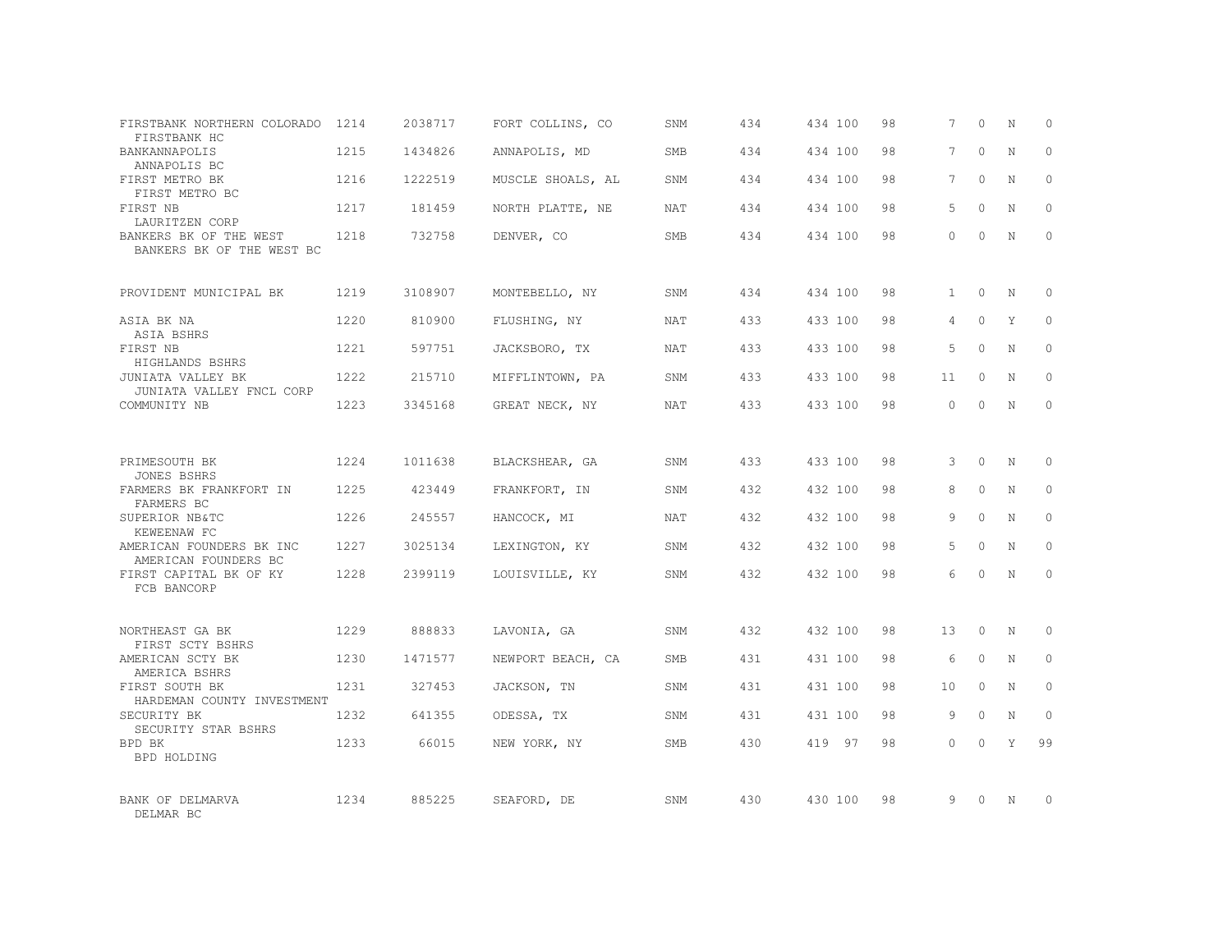| FIRSTBANK NORTHERN COLORADO                          | 1214 | 2038717 | FORT COLLINS, CO  | SNM        | 434 | 434 100 | 98 | 7            | $\Omega$ | N           | $\circ$      |
|------------------------------------------------------|------|---------|-------------------|------------|-----|---------|----|--------------|----------|-------------|--------------|
| FIRSTBANK HC<br><b>BANKANNAPOLIS</b><br>ANNAPOLIS BC | 1215 | 1434826 | ANNAPOLIS, MD     | <b>SMB</b> | 434 | 434 100 | 98 | 7            | $\Omega$ | N           | $\Omega$     |
| FIRST METRO BK<br>FIRST METRO BC                     | 1216 | 1222519 | MUSCLE SHOALS, AL | SNM        | 434 | 434 100 | 98 | 7            | $\Omega$ | N           | $\mathbf{0}$ |
| FIRST NB<br>LAURITZEN CORP                           | 1217 | 181459  | NORTH PLATTE, NE  | <b>NAT</b> | 434 | 434 100 | 98 | 5            | $\Omega$ | N           | $\Omega$     |
| BANKERS BK OF THE WEST<br>BANKERS BK OF THE WEST BC  | 1218 | 732758  | DENVER, CO        | SMB        | 434 | 434 100 | 98 | $\Omega$     | $\Omega$ | N           | $\mathbf{0}$ |
| PROVIDENT MUNICIPAL BK                               | 1219 | 3108907 | MONTEBELLO, NY    | SNM        | 434 | 434 100 | 98 | $\mathbf{1}$ | $\Omega$ | N           | $\circ$      |
| ASIA BK NA<br>ASIA BSHRS                             | 1220 | 810900  | FLUSHING, NY      | <b>NAT</b> | 433 | 433 100 | 98 | 4            | $\Omega$ | Y           | $\Omega$     |
| FIRST NB<br>HIGHLANDS BSHRS                          | 1221 | 597751  | JACKSBORO, TX     | NAT        | 433 | 433 100 | 98 | 5            | $\Omega$ | N           | $\mathbf{0}$ |
| JUNIATA VALLEY BK<br>JUNIATA VALLEY FNCL CORP        | 1222 | 215710  | MIFFLINTOWN, PA   | SNM        | 433 | 433 100 | 98 | 11           | $\Omega$ | N           | $\Omega$     |
| COMMUNITY NB                                         | 1223 | 3345168 | GREAT NECK, NY    | NAT        | 433 | 433 100 | 98 | $\Omega$     | $\Omega$ | N           | $\Omega$     |
| PRIMESOUTH BK                                        | 1224 | 1011638 | BLACKSHEAR, GA    | SNM        | 433 | 433 100 | 98 | 3            | $\Omega$ | N           | $\Omega$     |
| <b>JONES BSHRS</b><br>FARMERS BK FRANKFORT IN        | 1225 | 423449  | FRANKFORT, IN     | SNM        | 432 | 432 100 | 98 | 8            | $\circ$  | $\mathbb N$ | $\mathbf{0}$ |
| FARMERS BC<br>SUPERIOR NB&TC<br>KEWEENAW FC          | 1226 | 245557  | HANCOCK, MI       | NAT        | 432 | 432 100 | 98 | 9            | $\Omega$ | N           | $\Omega$     |
| AMERICAN FOUNDERS BK INC<br>AMERICAN FOUNDERS BC     | 1227 | 3025134 | LEXINGTON, KY     | SNM        | 432 | 432 100 | 98 | 5            | $\Omega$ | $\mathbf N$ | $\mathbf{0}$ |
| FIRST CAPITAL BK OF KY<br>FCB BANCORP                | 1228 | 2399119 | LOUISVILLE, KY    | SNM        | 432 | 432 100 | 98 | 6            | $\Omega$ | N           | $\Omega$     |
| NORTHEAST GA BK                                      | 1229 | 888833  | LAVONIA, GA       | SNM        | 432 | 432 100 | 98 | 13           | $\Omega$ | N           | $\Omega$     |
| FIRST SCTY BSHRS<br>AMERICAN SCTY BK                 | 1230 | 1471577 | NEWPORT BEACH, CA | <b>SMB</b> | 431 | 431 100 | 98 | 6            | $\circ$  | $\mathbb N$ | $\mathbf{0}$ |
| AMERICA BSHRS<br>FIRST SOUTH BK                      | 1231 | 327453  | JACKSON, TN       | SNM        | 431 | 431 100 | 98 | 10           | $\Omega$ | N           | $\mathbf{0}$ |
| HARDEMAN COUNTY INVESTMENT<br>SECURITY BK            | 1232 | 641355  | ODESSA, TX        | SNM        | 431 | 431 100 | 98 | 9            | $\circ$  | N           | $\mathbf{0}$ |
| SECURITY STAR BSHRS<br>BPD BK<br><b>BPD HOLDING</b>  | 1233 | 66015   | NEW YORK, NY      | <b>SMB</b> | 430 | 419 97  | 98 | $\Omega$     | $\Omega$ | Y           | 99           |
| BANK OF DELMARVA<br>DELMAR BC                        | 1234 | 885225  | SEAFORD, DE       | SNM        | 430 | 430 100 | 98 | 9            | $\Omega$ | N           | $\mathbf 0$  |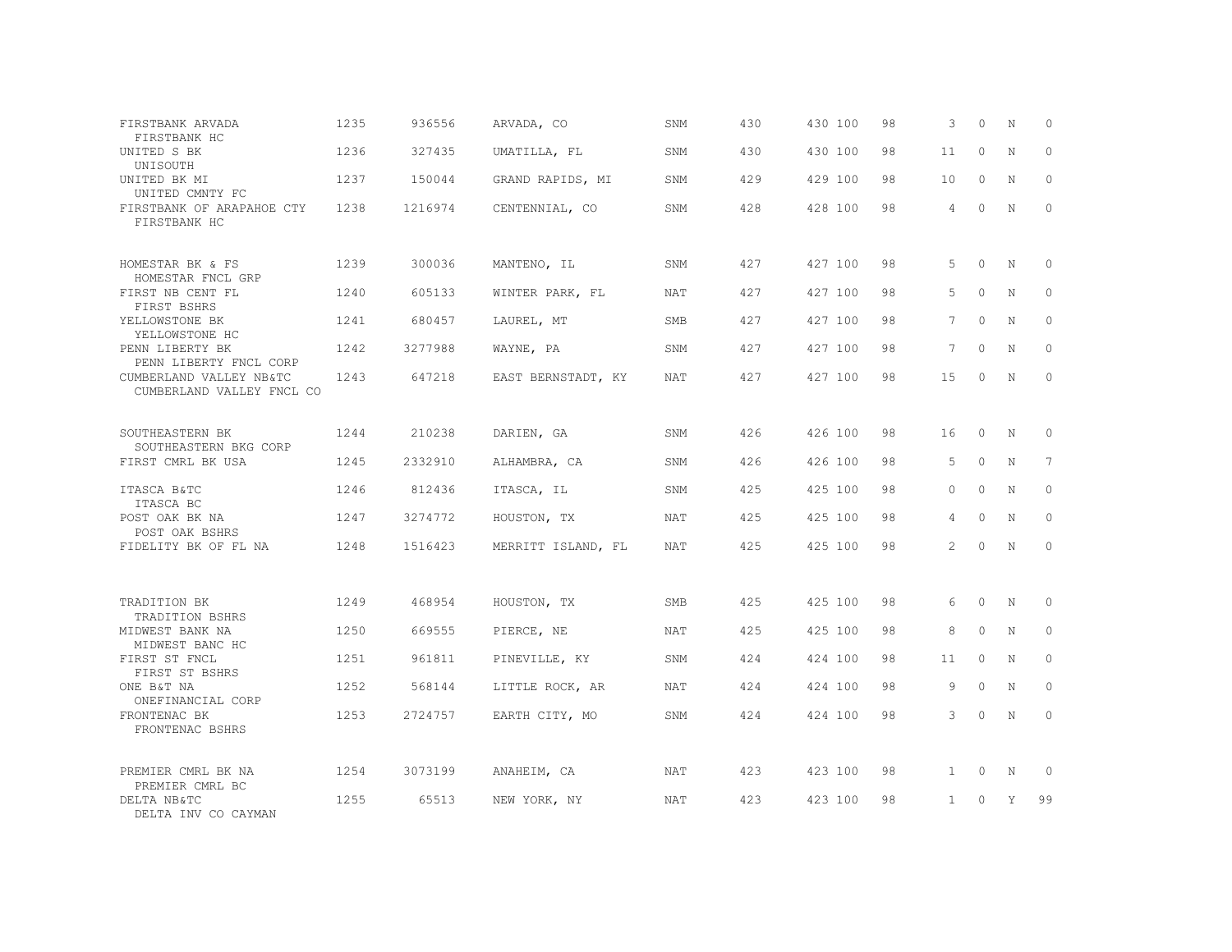| FIRSTBANK ARVADA<br>FIRSTBANK HC                      | 1235 | 936556  | ARVADA, CO         | SNM        | 430  | 430 100 | 98 | 3               | $\Omega$ | N          | $\circ$         |
|-------------------------------------------------------|------|---------|--------------------|------------|------|---------|----|-----------------|----------|------------|-----------------|
| UNITED S BK<br>UNISOUTH                               | 1236 | 327435  | UMATILLA, FL       | SNM        | 430  | 430 100 | 98 | 11              | $\Omega$ | N          | $\mathbf{0}$    |
| UNITED BK MI<br>UNITED CMNTY FC                       | 1237 | 150044  | GRAND RAPIDS, MI   | SNM        | 429  | 429 100 | 98 | 10              | $\circ$  | N          | $\mathbf{0}$    |
| FIRSTBANK OF ARAPAHOE CTY<br>FIRSTBANK HC             | 1238 | 1216974 | CENTENNIAL, CO     | SNM        | 428  | 428 100 | 98 | 4               | $\Omega$ | N          | $\Omega$        |
| HOMESTAR BK & FS<br>HOMESTAR FNCL GRP                 | 1239 | 300036  | MANTENO, IL        | SNM        | 427  | 427 100 | 98 | 5               | $\circ$  | N          | $\circ$         |
| FIRST NB CENT FL<br>FIRST BSHRS                       | 1240 | 605133  | WINTER PARK, FL    | NAT        | 427  | 427 100 | 98 | 5               | $\Omega$ | N          | $\circ$         |
| YELLOWSTONE BK<br>YELLOWSTONE HC                      | 1241 | 680457  | LAUREL, MT         | SMB        | 427  | 427 100 | 98 | 7               | $\Omega$ | N          | $\Omega$        |
| PENN LIBERTY BK<br>PENN LIBERTY FNCL CORP             | 1242 | 3277988 | WAYNE, PA          | SNM        | 427  | 427 100 | 98 | $7\phantom{.0}$ | $\Omega$ | N          | $\circ$         |
| CUMBERLAND VALLEY NB&TC<br>CUMBERLAND VALLEY FNCL CO  | 1243 | 647218  | EAST BERNSTADT, KY | NAT        | 427  | 427 100 | 98 | 15              | $\Omega$ | N          | $\Omega$        |
| SOUTHEASTERN BK<br>SOUTHEASTERN BKG CORP              | 1244 | 210238  | DARIEN, GA         | SNM        | 426  | 426 100 | 98 | 16              | $\circ$  | N          | $\mathbf{0}$    |
| FIRST CMRL BK USA                                     | 1245 | 2332910 | ALHAMBRA, CA       | SNM        | 426  | 426 100 | 98 | .5              | $\Omega$ | $_{\rm N}$ | $7\phantom{.0}$ |
| ITASCA B&TC<br>ITASCA BC                              | 1246 | 812436  | ITASCA, IL         | SNM        | 425  | 425 100 | 98 | $\Omega$        | $\Omega$ | N          | $\mathbf{0}$    |
| POST OAK BK NA<br>POST OAK BSHRS                      | 1247 | 3274772 | HOUSTON, TX        | <b>NAT</b> | 425  | 425 100 | 98 | 4               | $\Omega$ | N          | $\Omega$        |
| FIDELITY BK OF FL NA                                  | 1248 | 1516423 | MERRITT ISLAND, FL | NAT        | 425  | 425 100 | 98 | 2               | $\Omega$ | N          | $\circ$         |
| TRADITION BK<br>TRADITION BSHRS                       | 1249 | 468954  | HOUSTON, TX        | SMB        | 425  | 425 100 | 98 | 6               | $\circ$  | N          | $\circ$         |
| MIDWEST BANK NA<br>MIDWEST BANC HC                    | 1250 | 669555  | PIERCE, NE         | <b>NAT</b> | 42.5 | 425 100 | 98 | 8               | $\Omega$ | N          | $\Omega$        |
| FIRST ST FNCL<br>FIRST ST BSHRS                       | 1251 | 961811  | PINEVILLE, KY      | SNM        | 424  | 424 100 | 98 | 11              | $\circ$  | N          | $\mathbf{0}$    |
| ONE B&T NA<br>ONEFINANCIAL CORP                       | 1252 | 568144  | LITTLE ROCK, AR    | NAT        | 424  | 424 100 | 98 | 9               | $\Omega$ | N          | $\mathbf{0}$    |
| FRONTENAC BK<br>FRONTENAC BSHRS                       | 1253 | 2724757 | EARTH CITY, MO     | SNM        | 424  | 424 100 | 98 | 3               | $\circ$  | N          | $\mathbf{0}$    |
| PREMIER CMRL BK NA                                    | 1254 | 3073199 | ANAHEIM, CA        | NAT        | 423  | 423 100 | 98 | $\mathbf{1}$    | $\circ$  | N          | $\circ$         |
| PREMIER CMRL BC<br>DELTA NB&TC<br>DELTA INV CO CAYMAN | 1255 | 65513   | NEW YORK, NY       | NAT        | 423  | 423 100 | 98 | $\mathbf{1}$    | $\Omega$ | Y          | 99              |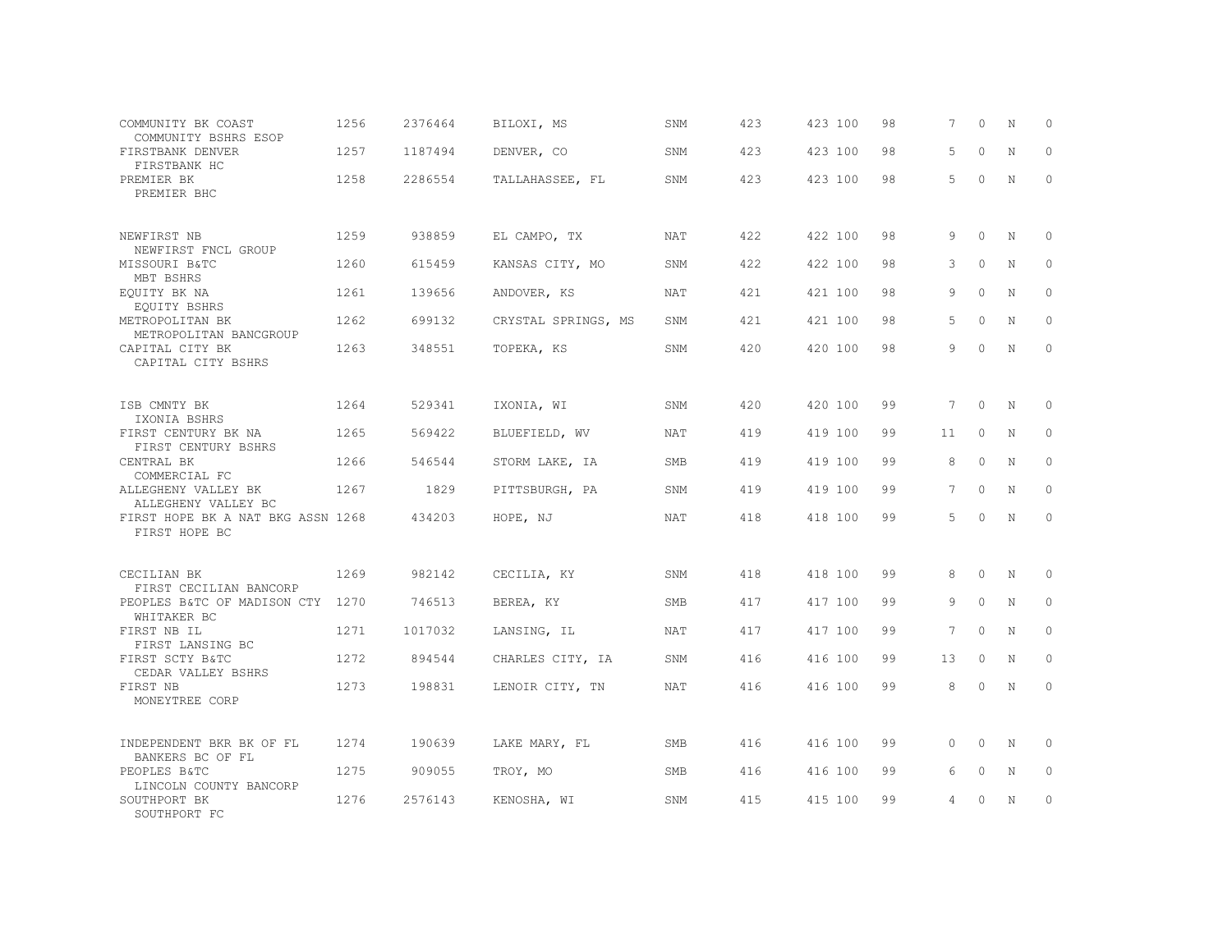| COMMUNITY BK COAST<br>COMMUNITY BSHRS ESOP         | 1256 | 2376464 | BILOXI, MS          | SNM        | 423 | 423 100 | 98 | 7               | $\Omega$ | N           | $\Omega$    |
|----------------------------------------------------|------|---------|---------------------|------------|-----|---------|----|-----------------|----------|-------------|-------------|
| FIRSTBANK DENVER<br>FIRSTBANK HC                   | 1257 | 1187494 | DENVER, CO          | SNM        | 423 | 423 100 | 98 | 5               | $\Omega$ | N           | $\mathbf 0$ |
| PREMIER BK<br>PREMIER BHC                          | 1258 | 2286554 | TALLAHASSEE, FL     | SNM        | 423 | 423 100 | 98 | 5               | $\Omega$ | $\mathbb N$ | $\mathbf 0$ |
| NEWFIRST NB<br>NEWFIRST FNCL GROUP                 | 1259 | 938859  | EL CAMPO, TX        | <b>NAT</b> | 422 | 422 100 | 98 | 9               | $\Omega$ | N           | $\Omega$    |
| MISSOURI B&TC<br>MBT BSHRS                         | 1260 | 615459  | KANSAS CITY, MO     | SNM        | 422 | 422 100 | 98 | 3               | $\circ$  | N           | $\circ$     |
| EOUITY BK NA<br>EQUITY BSHRS                       | 1261 | 139656  | ANDOVER, KS         | <b>NAT</b> | 421 | 421 100 | 98 | 9               | $\Omega$ | N           | $\circ$     |
| METROPOLITAN BK<br>METROPOLITAN BANCGROUP          | 1262 | 699132  | CRYSTAL SPRINGS, MS | SNM        | 421 | 421 100 | 98 | 5               | $\Omega$ | N           | $\circ$     |
| CAPITAL CITY BK<br>CAPITAL CITY BSHRS              | 1263 | 348551  | TOPEKA, KS          | SNM        | 420 | 420 100 | 98 | 9               | $\Omega$ | N           | $\circ$     |
| ISB CMNTY BK<br>IXONIA BSHRS                       | 1264 | 529341  | IXONIA, WI          | SNM        | 420 | 420 100 | 99 | $7\phantom{.0}$ | $\circ$  | N           | $\circ$     |
| FIRST CENTURY BK NA<br>FIRST CENTURY BSHRS         | 1265 | 569422  | BLUEFIELD, WV       | <b>NAT</b> | 419 | 419 100 | 99 | 11              | $\circ$  | N           | $\circ$     |
| CENTRAL BK<br>COMMERCIAL FC                        | 1266 | 546544  | STORM LAKE, IA      | <b>SMB</b> | 419 | 419 100 | 99 | 8               | $\Omega$ | N           | $\circ$     |
| ALLEGHENY VALLEY BK<br>ALLEGHENY VALLEY BC         | 1267 | 1829    | PITTSBURGH, PA      | SNM        | 419 | 419 100 | 99 | $7^{\circ}$     | $\Omega$ | N           | $\circ$     |
| FIRST HOPE BK A NAT BKG ASSN 1268<br>FIRST HOPE BC |      | 434203  | HOPE, NJ            | <b>NAT</b> | 418 | 418 100 | 99 | 5               | $\Omega$ | N           | $\circ$     |
| CECILIAN BK<br>FIRST CECILIAN BANCORP              | 1269 | 982142  | CECILIA, KY         | SNM        | 418 | 418 100 | 99 | 8               | $\Omega$ | N           | 0           |
| PEOPLES B&TC OF MADISON CTY 1270<br>WHITAKER BC    |      | 746513  | BEREA, KY           | SMB        | 417 | 417 100 | 99 | 9               | $\Omega$ | $\mathbf N$ | $\mathbf 0$ |
| FIRST NB IL<br>FIRST LANSING BC                    | 1271 | 1017032 | LANSING, IL         | <b>NAT</b> | 417 | 417 100 | 99 | 7               | $\circ$  | N           | $\mathbf 0$ |
| FIRST SCTY B&TC<br>CEDAR VALLEY BSHRS              | 1272 | 894544  | CHARLES CITY, IA    | SNM        | 416 | 416 100 | 99 | 13              | $\Omega$ | N           | $\Omega$    |
| FIRST NB<br>MONEYTREE CORP                         | 1273 | 198831  | LENOIR CITY, TN     | <b>NAT</b> | 416 | 416 100 | 99 | 8               | $\Omega$ | $\mathbf N$ | $\Omega$    |
| INDEPENDENT BKR BK OF FL<br>BANKERS BC OF FL       | 1274 | 190639  | LAKE MARY, FL       | SMB        | 416 | 416 100 | 99 | $\Omega$        | $\Omega$ | N           | $\Omega$    |
| PEOPLES B&TC<br>LINCOLN COUNTY BANCORP             | 1275 | 909055  | TROY, MO            | SMB        | 416 | 416 100 | 99 | 6               | $\Omega$ | N           | $\Omega$    |
| SOUTHPORT BK<br>SOUTHPORT FC                       | 1276 | 2576143 | KENOSHA, WI         | SNM        | 415 | 415 100 | 99 | 4               | $\Omega$ | N           | $\circ$     |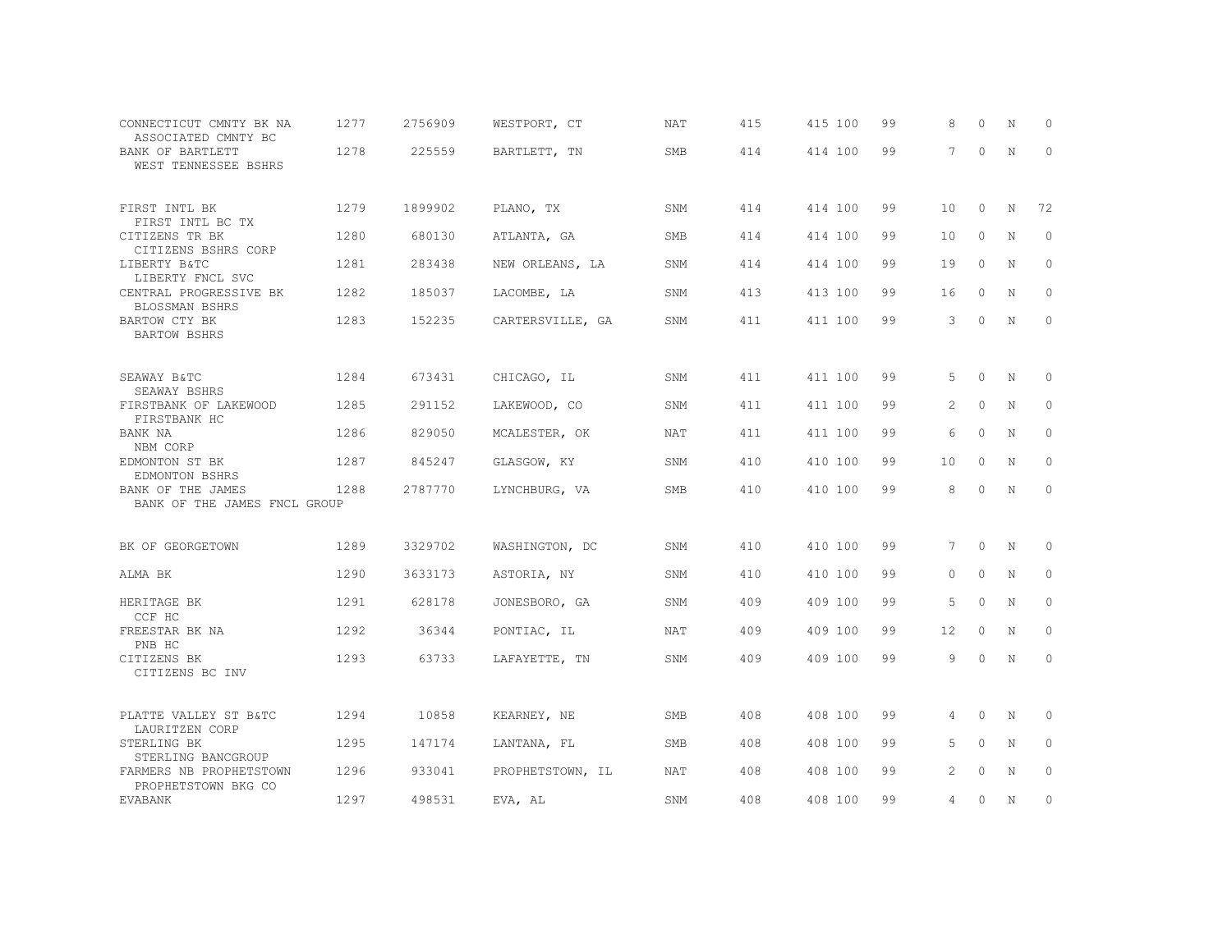| CONNECTICUT CMNTY BK NA<br>ASSOCIATED CMNTY BC    | 1277 | 2756909 | WESTPORT, CT     | <b>NAT</b> | 415 | 415 100 | 99 | 8  | $\Omega$ | N           | $\circ$             |
|---------------------------------------------------|------|---------|------------------|------------|-----|---------|----|----|----------|-------------|---------------------|
| BANK OF BARTLETT<br>WEST TENNESSEE BSHRS          | 1278 | 225559  | BARTLETT, TN     | <b>SMB</b> | 414 | 414 100 | 99 | 7  | $\circ$  | $\mathbb N$ | $\mathbf{0}$        |
| FIRST INTL BK<br>FIRST INTL BC TX                 | 1279 | 1899902 | PLANO, TX        | SNM        | 414 | 414 100 | 99 | 10 | $\circ$  | N           | 72                  |
| CITIZENS TR BK<br>CITIZENS BSHRS CORP             | 1280 | 680130  | ATLANTA, GA      | SMB        | 414 | 414 100 | 99 | 10 | 0        | N           | $\circ$             |
| LIBERTY B&TC<br>LIBERTY FNCL SVC                  | 1281 | 283438  | NEW ORLEANS, LA  | SNM        | 414 | 414 100 | 99 | 19 | $\circ$  | N           | $\circ$             |
| CENTRAL PROGRESSIVE BK<br>BLOSSMAN BSHRS          | 1282 | 185037  | LACOMBE, LA      | SNM        | 413 | 413 100 | 99 | 16 | 0        | N           | $\mathbf{0}$        |
| BARTOW CTY BK<br>BARTOW BSHRS                     | 1283 | 152235  | CARTERSVILLE, GA | SNM        | 411 | 411 100 | 99 | 3  | 0        | N           | $\circ$             |
| SEAWAY B&TC                                       | 1284 | 673431  | CHICAGO, IL      | SNM        | 411 | 411 100 | 99 | 5  | $\circ$  | N           | $\circ$             |
| SEAWAY BSHRS<br>FIRSTBANK OF LAKEWOOD             | 1285 | 291152  | LAKEWOOD, CO     | SNM        | 411 | 411 100 | 99 | 2  | $\circ$  | $\mathbf N$ | $\circ$             |
| FIRSTBANK HC<br>BANK NA<br>NBM CORP               | 1286 | 829050  | MCALESTER, OK    | <b>NAT</b> | 411 | 411 100 | 99 | 6  | $\circ$  | N           | $\mathbf{0}$        |
| EDMONTON ST BK<br>EDMONTON BSHRS                  | 1287 | 845247  | GLASGOW, KY      | SNM        | 410 | 410 100 | 99 | 10 | $\circ$  | N           | $\mathbf{0}$        |
| BANK OF THE JAMES<br>BANK OF THE JAMES FNCL GROUP | 1288 | 2787770 | LYNCHBURG, VA    | SMB        | 410 | 410 100 | 99 | 8  | $\circ$  | N           | $\mathbb O$         |
|                                                   |      |         |                  |            |     |         |    |    |          |             |                     |
| BK OF GEORGETOWN                                  | 1289 | 3329702 | WASHINGTON, DC   | SNM        | 410 | 410 100 | 99 | 7  | 0        | N           | 0                   |
| ALMA BK                                           | 1290 | 3633173 | ASTORIA, NY      | SNM        | 410 | 410 100 | 99 | 0  | $\circ$  | N           | 0                   |
| HERITAGE BK<br>CCF HC                             | 1291 | 628178  | JONESBORO, GA    | SNM        | 409 | 409 100 | 99 | 5  | $\circ$  | N           | $\mathbf{0}$        |
| FREESTAR BK NA<br>PNB HC                          | 1292 | 36344   | PONTIAC, IL      | <b>NAT</b> | 409 | 409 100 | 99 | 12 | $\circ$  | $\mathbf N$ | $\circ$             |
| CITIZENS BK<br>CITIZENS BC INV                    | 1293 | 63733   | LAFAYETTE, TN    | SNM        | 409 | 409 100 | 99 | 9  | $\circ$  | $\mathbb N$ | $\mathsf{O}\xspace$ |
| PLATTE VALLEY ST B&TC<br>LAURITZEN CORP           | 1294 | 10858   | KEARNEY, NE      | SMB        | 408 | 408 100 | 99 | 4  | 0        | N           | 0                   |
| STERLING BK<br>STERLING BANCGROUP                 | 1295 | 147174  | LANTANA, FL      | SMB        | 408 | 408 100 | 99 | 5  | 0        | N           | 0                   |
| FARMERS NB PROPHETSTOWN<br>PROPHETSTOWN BKG CO    | 1296 | 933041  | PROPHETSTOWN, IL | NAT        | 408 | 408 100 | 99 | 2  | 0        | N           | 0                   |
| EVABANK                                           | 1297 | 498531  | EVA, AL          | SNM        | 408 | 408 100 | 99 | 4  | 0        | N           | $\circ$             |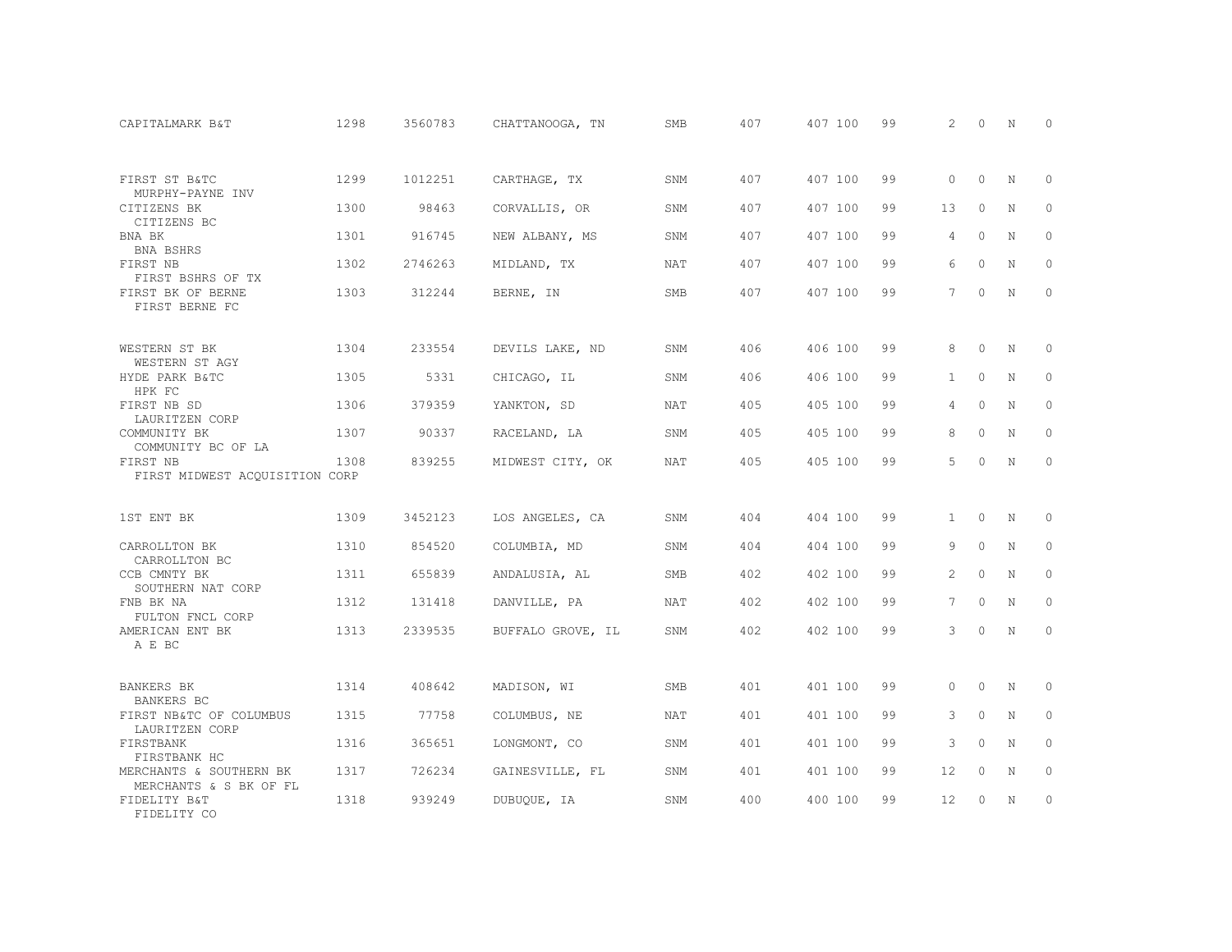| CAPITALMARK B&T                                   | 1298 | 3560783 | CHATTANOOGA, TN   | <b>SMB</b> | 407 | 407 100 | 99 | 2                 | $\Omega$ | N | $\Omega$    |
|---------------------------------------------------|------|---------|-------------------|------------|-----|---------|----|-------------------|----------|---|-------------|
| FIRST ST B&TC                                     | 1299 | 1012251 | CARTHAGE, TX      | SNM        | 407 | 407 100 | 99 | $\Omega$          | $\Omega$ | N | $\circ$     |
| MURPHY-PAYNE INV                                  |      |         |                   |            |     |         |    |                   |          |   |             |
| CITIZENS BK<br>CITIZENS BC                        | 1300 | 98463   | CORVALLIS, OR     | SNM        | 407 | 407 100 | 99 | 13                | $\Omega$ | N | $\circ$     |
| BNA BK<br>BNA BSHRS                               | 1301 | 916745  | NEW ALBANY, MS    | SNM        | 407 | 407 100 | 99 | 4                 | $\Omega$ | N | $\Omega$    |
| FIRST NB<br>FIRST BSHRS OF TX                     | 1302 | 2746263 | MIDLAND, TX       | NAT        | 407 | 407 100 | 99 | 6                 | $\Omega$ | N | $\circ$     |
| FIRST BK OF BERNE<br>FIRST BERNE FC               | 1303 | 312244  | BERNE, IN         | <b>SMB</b> | 407 | 407 100 | 99 | 7                 | $\Omega$ | N | $\Omega$    |
| WESTERN ST BK<br>WESTERN ST AGY                   | 1304 | 233554  | DEVILS LAKE, ND   | SNM        | 406 | 406 100 | 99 | 8                 | $\Omega$ | N | $\Omega$    |
| HYDE PARK B&TC<br>HPK FC                          | 1305 | 5331    | CHICAGO, IL       | SNM        | 406 | 406 100 | 99 | $\mathbf{1}$      | $\circ$  | N | $\circ$     |
| FIRST NB SD<br>LAURITZEN CORP                     | 1306 | 379359  | YANKTON, SD       | <b>NAT</b> | 405 | 405 100 | 99 | 4                 | $\Omega$ | N | $\Omega$    |
| COMMUNITY BK<br>COMMUNITY BC OF LA                | 1307 | 90337   | RACELAND, LA      | SNM        | 405 | 405 100 | 99 | 8                 | $\circ$  | N | $\mathbf 0$ |
| FIRST NB<br>FIRST MIDWEST ACQUISITION CORP        | 1308 | 839255  | MIDWEST CITY, OK  | NAT        | 405 | 405 100 | 99 | 5                 | $\Omega$ | N | $\Omega$    |
| 1ST ENT BK                                        | 1309 | 3452123 | LOS ANGELES, CA   | SNM        | 404 | 404 100 | 99 | $\mathbf{1}$      | $\circ$  | N | 0           |
| CARROLLTON BK<br>CARROLLTON BC                    | 1310 | 854520  | COLUMBIA, MD      | SNM        | 404 | 404 100 | 99 | 9                 | $\Omega$ | N | $\Omega$    |
| CCB CMNTY BK<br>SOUTHERN NAT CORP                 | 1311 | 655839  | ANDALUSIA, AL     | <b>SMB</b> | 402 | 402 100 | 99 | 2                 | $\Omega$ | N | $\circ$     |
| FNB BK NA<br>FULTON FNCL CORP                     | 1312 | 131418  | DANVILLE, PA      | <b>NAT</b> | 402 | 402 100 | 99 | 7                 | $\Omega$ | N | $\Omega$    |
| AMERICAN ENT BK<br>A E BC                         | 1313 | 2339535 | BUFFALO GROVE, IL | SNM        | 402 | 402 100 | 99 | 3                 | $\Omega$ | N | $\mathbf 0$ |
| <b>BANKERS BK</b><br>BANKERS BC                   | 1314 | 408642  | MADISON, WI       | SMB        | 401 | 401 100 | 99 | $\Omega$          | $\Omega$ | N | $\Omega$    |
| FIRST NB&TC OF COLUMBUS<br>LAURITZEN CORP         | 1315 | 77758   | COLUMBUS, NE      | <b>NAT</b> | 401 | 401 100 | 99 | 3                 | $\circ$  | N | $\circ$     |
| FIRSTBANK<br>FIRSTBANK HC                         | 1316 | 365651  | LONGMONT, CO      | SNM        | 401 | 401 100 | 99 | 3                 | $\Omega$ | N | $\Omega$    |
| MERCHANTS & SOUTHERN BK<br>MERCHANTS & S BK OF FL | 1317 | 726234  | GAINESVILLE, FL   | SNM        | 401 | 401 100 | 99 | 12                | $\circ$  | N | $\circ$     |
| FIDELITY B&T<br>FIDELITY CO                       | 1318 | 939249  | DUBUQUE, IA       | SNM        | 400 | 400 100 | 99 | $12 \overline{ }$ | $\Omega$ | N | $\circ$     |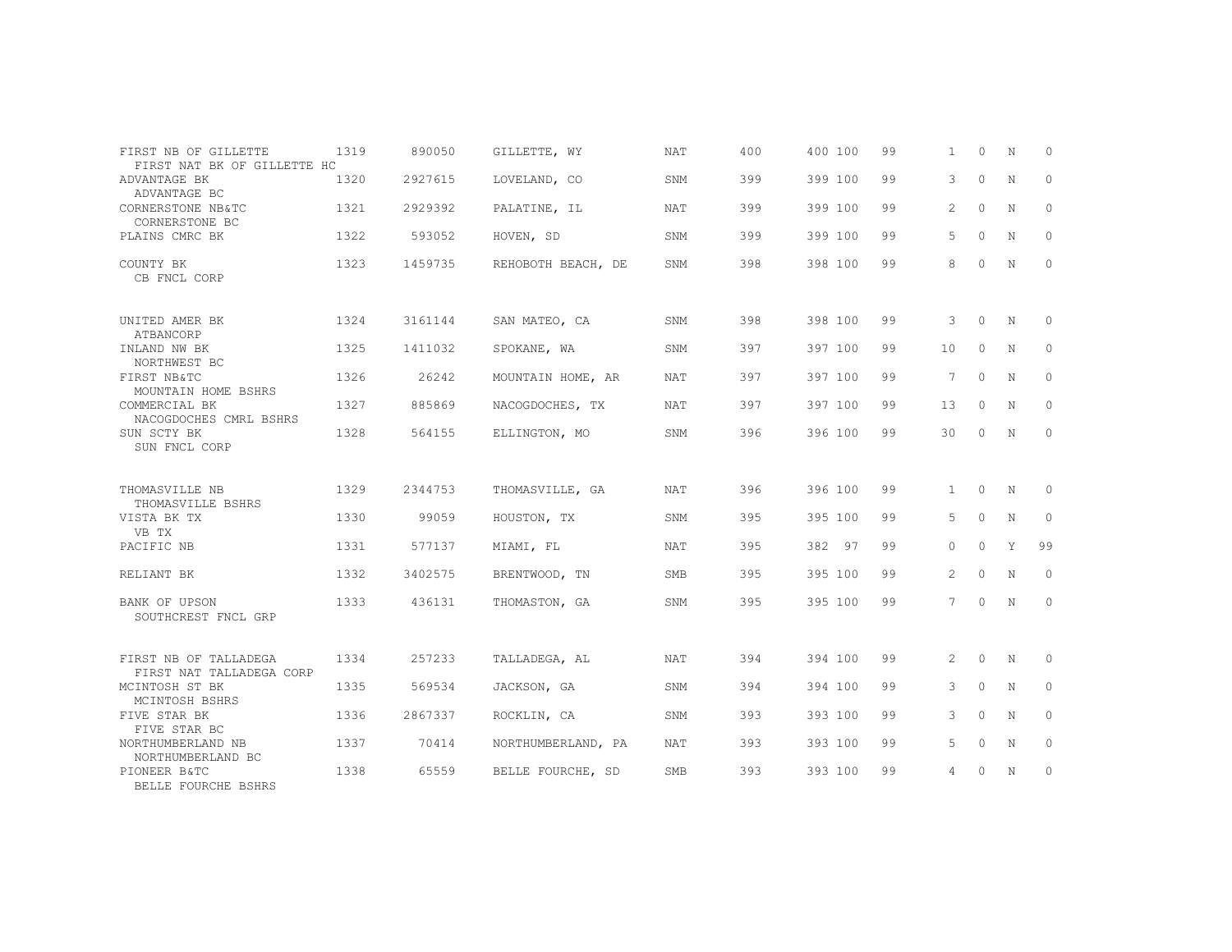| FIRST NB OF GILLETTE<br>FIRST NAT BK OF GILLETTE HC | 1319 | 890050  | GILLETTE, WY       | <b>NAT</b> | 400 | 400 100 | 99 | $\mathbf{1}$          | $\Omega$ | N           | $\Omega$     |
|-----------------------------------------------------|------|---------|--------------------|------------|-----|---------|----|-----------------------|----------|-------------|--------------|
| ADVANTAGE BK<br>ADVANTAGE BC                        | 1320 | 2927615 | LOVELAND, CO       | SNM        | 399 | 399 100 | 99 | 3                     | $\circ$  | N           | $\circ$      |
| CORNERSTONE NB&TC<br>CORNERSTONE BC                 | 1321 | 2929392 | PALATINE, IL       | <b>NAT</b> | 399 | 399 100 | 99 | $\overline{2}$        | $\Omega$ | N           | $\Omega$     |
| PLAINS CMRC BK                                      | 1322 | 593052  | HOVEN, SD          | SNM        | 399 | 399 100 | 99 | 5                     | $\Omega$ | N           | $\Omega$     |
| COUNTY BK<br>CB FNCL CORP                           | 1323 | 1459735 | REHOBOTH BEACH, DE | SNM        | 398 | 398 100 | 99 | 8                     | $\Omega$ | N           | $\circ$      |
| UNITED AMER BK<br>ATBANCORP                         | 1324 | 3161144 | SAN MATEO, CA      | SNM        | 398 | 398 100 | 99 | 3                     | $\Omega$ | $\mathbb N$ | $\Omega$     |
| INLAND NW BK<br>NORTHWEST BC                        | 1325 | 1411032 | SPOKANE, WA        | SNM        | 397 | 397 100 | 99 | 10                    | $\circ$  | N           | $\circ$      |
| FIRST NB&TC<br>MOUNTAIN HOME BSHRS                  | 1326 | 26242   | MOUNTAIN HOME, AR  | <b>NAT</b> | 397 | 397 100 | 99 | $7^{\circ}$           | $\Omega$ | N           | $\Omega$     |
| COMMERCIAL BK<br>NACOGDOCHES CMRL BSHRS             | 1327 | 885869  | NACOGDOCHES, TX    | NAT        | 397 | 397 100 | 99 | 13                    | $\circ$  | N           | $\circ$      |
| SUN SCTY BK<br>SUN FNCL CORP                        | 1328 | 564155  | ELLINGTON, MO      | SNM        | 396 | 396 100 | 99 | 30                    | 0        | N           | $\circ$      |
| THOMASVILLE NB                                      | 1329 | 2344753 | THOMASVILLE, GA    | <b>NAT</b> | 396 | 396 100 | 99 | $\mathbf{1}$          | $\Omega$ | N           | $\Omega$     |
| THOMASVILLE BSHRS<br>VISTA BK TX<br>VB TX           | 1330 | 99059   | HOUSTON, TX        | SNM        | 395 | 395 100 | 99 | 5                     | $\circ$  | N           | $\circ$      |
| PACIFIC NB                                          | 1331 | 577137  | MIAMI, FL          | <b>NAT</b> | 395 | 382 97  | 99 | $\Omega$              | $\Omega$ | Y           | 99           |
| RELIANT BK                                          | 1332 | 3402575 | BRENTWOOD, TN      | SMB        | 395 | 395 100 | 99 | $\mathbf{2}^{\prime}$ | $\Omega$ | $\mathbf N$ | $\Omega$     |
| BANK OF UPSON<br>SOUTHCREST FNCL GRP                | 1333 | 436131  | THOMASTON, GA      | SNM        | 395 | 395 100 | 99 | 7                     | $\circ$  | N           | $\mathbf{0}$ |
| FIRST NB OF TALLADEGA<br>FIRST NAT TALLADEGA CORP   | 1334 | 257233  | TALLADEGA, AL      | <b>NAT</b> | 394 | 394 100 | 99 | $\overline{2}$        | $\circ$  | N           | 0            |
| MCINTOSH ST BK<br>MCINTOSH BSHRS                    | 1335 | 569534  | JACKSON, GA        | SNM        | 394 | 394 100 | 99 | 3                     | $\Omega$ | N           | $\circ$      |
| FIVE STAR BK<br>FIVE STAR BC                        | 1336 | 2867337 | ROCKLIN, CA        | SNM        | 393 | 393 100 | 99 | 3                     | $\Omega$ | $\mathbf N$ | $\Omega$     |
| NORTHUMBERLAND NB<br>NORTHUMBERLAND BC              | 1337 | 70414   | NORTHUMBERLAND, PA | <b>NAT</b> | 393 | 393 100 | 99 | 5                     | $\circ$  | N           | $\Omega$     |
| PIONEER B&TC<br>BELLE FOURCHE BSHRS                 | 1338 | 65559   | BELLE FOURCHE, SD  | <b>SMB</b> | 393 | 393 100 | 99 | 4                     | $\circ$  | N           | $\circ$      |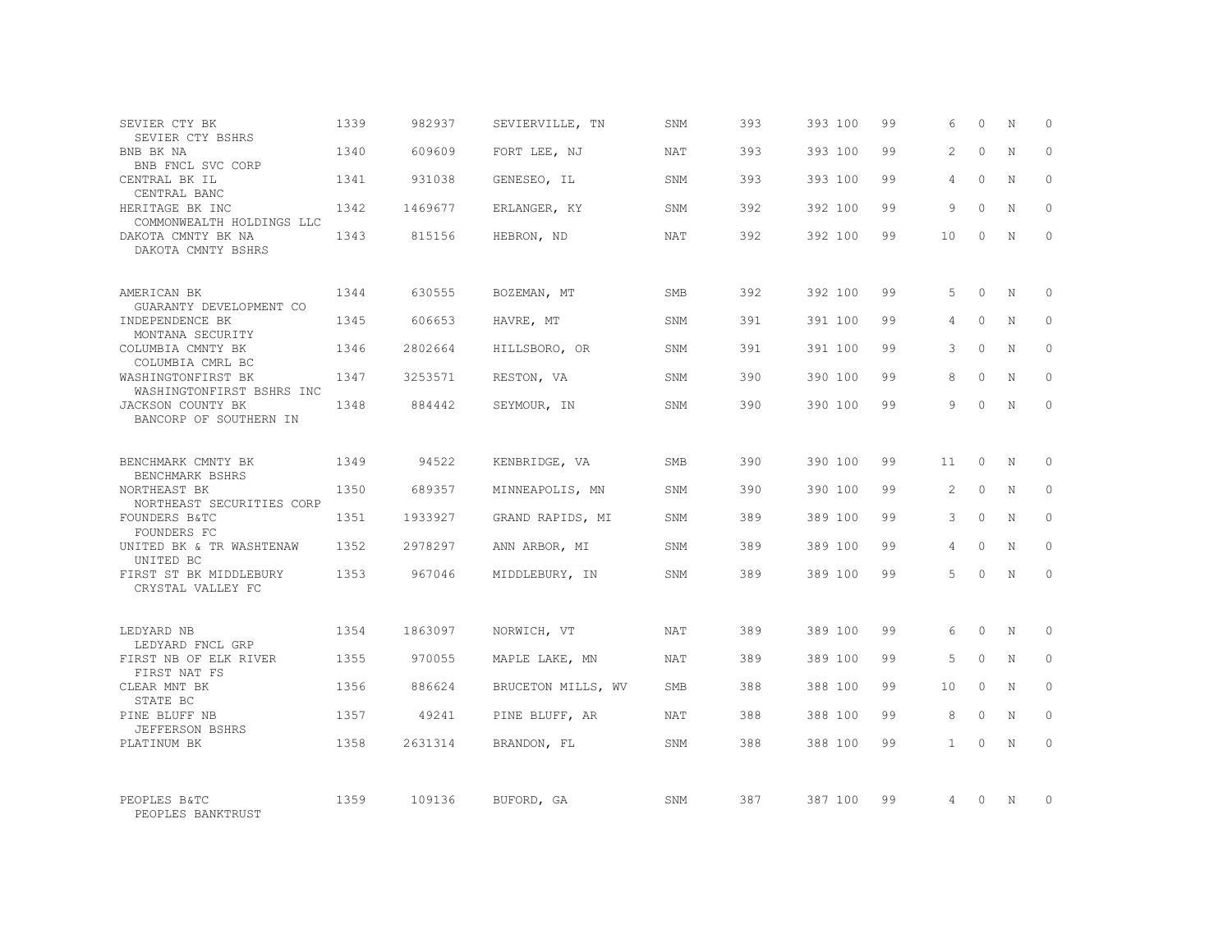| SEVIER CTY BK<br>SEVIER CTY BSHRS                              | 1339 | 982937  | SEVIERVILLE, TN    | SNM        | 393 | 393 100 | 99 | 6             | $\Omega$ | N           | $\Omega$ |
|----------------------------------------------------------------|------|---------|--------------------|------------|-----|---------|----|---------------|----------|-------------|----------|
| BNB BK NA<br>BNB FNCL SVC CORP                                 | 1340 | 609609  | FORT LEE, NJ       | <b>NAT</b> | 393 | 393 100 | 99 | $\mathcal{L}$ | $\Omega$ | $\mathbf N$ | $\Omega$ |
| CENTRAL BK IL<br>CENTRAL BANC                                  | 1341 | 931038  | GENESEO, IL        | SNM        | 393 | 393 100 | 99 | 4             | $\Omega$ | N           | $\Omega$ |
| HERITAGE BK INC<br>COMMONWEALTH HOLDINGS LLC                   | 1342 | 1469677 | ERLANGER, KY       | SNM        | 392 | 392 100 | 99 | 9             | $\Omega$ | $\mathbf N$ | $\Omega$ |
| DAKOTA CMNTY BK NA<br>DAKOTA CMNTY BSHRS                       | 1343 | 815156  | HEBRON, ND         | NAT        | 392 | 392 100 | 99 | 10            | $\Omega$ | N           | $\Omega$ |
| AMERICAN BK                                                    | 1344 | 630555  | BOZEMAN, MT        | SMB        | 392 | 392 100 | 99 | 5             | $\Omega$ | N           | $\Omega$ |
| GUARANTY DEVELOPMENT CO<br>INDEPENDENCE BK<br>MONTANA SECURITY | 1345 | 606653  | HAVRE, MT          | SNM        | 391 | 391 100 | 99 | 4             | $\Omega$ | $\mathbf N$ | $\Omega$ |
| COLUMBIA CMNTY BK<br>COLUMBIA CMRL BC                          | 1346 | 2802664 | HILLSBORO, OR      | SNM        | 391 | 391 100 | 99 | 3             | $\Omega$ | N           | $\Omega$ |
| WASHINGTONFIRST BK<br>WASHINGTONFIRST BSHRS INC                | 1347 | 3253571 | RESTON, VA         | SNM        | 390 | 390 100 | 99 | 8             | $\Omega$ | $\mathbf N$ | $\Omega$ |
| JACKSON COUNTY BK<br>BANCORP OF SOUTHERN IN                    | 1348 | 884442  | SEYMOUR, IN        | SNM        | 390 | 390 100 | 99 | 9             | $\Omega$ | N           | $\Omega$ |
| BENCHMARK CMNTY BK<br>BENCHMARK BSHRS                          | 1349 | 94522   | KENBRIDGE, VA      | SMB        | 390 | 390 100 | 99 | 11            | $\Omega$ | N           | $\Omega$ |
| NORTHEAST BK<br>NORTHEAST SECURITIES CORP                      | 1350 | 689357  | MINNEAPOLIS, MN    | SNM        | 390 | 390 100 | 99 | 2             | $\circ$  | N           | $\circ$  |
| FOUNDERS B&TC<br>FOUNDERS FC                                   | 1351 | 1933927 | GRAND RAPIDS, MI   | SNM        | 389 | 389 100 | 99 | 3             | $\Omega$ | N           | $\Omega$ |
| UNITED BK & TR WASHTENAW<br>UNITED BC                          | 1352 | 2978297 | ANN ARBOR, MI      | SNM        | 389 | 389 100 | 99 | 4             | $\Omega$ | $\mathbf N$ | $\Omega$ |
| FIRST ST BK MIDDLEBURY<br>CRYSTAL VALLEY FC                    | 1353 | 967046  | MIDDLEBURY, IN     | SNM        | 389 | 389 100 | 99 | 5             | $\Omega$ | $\mathbf N$ | $\Omega$ |
| LEDYARD NB<br>LEDYARD FNCL GRP                                 | 1354 | 1863097 | NORWICH, VT        | NAT        | 389 | 389 100 | 99 | 6             | $\Omega$ | $_{\rm N}$  | $\Omega$ |
| FIRST NB OF ELK RIVER<br>FIRST NAT FS                          | 1355 | 970055  | MAPLE LAKE, MN     | NAT        | 389 | 389 100 | 99 | 5             | $\circ$  | $\mathbf N$ | $\circ$  |
| CLEAR MNT BK<br>STATE BC                                       | 1356 | 886624  | BRUCETON MILLS, WV | <b>SMB</b> | 388 | 388 100 | 99 | 10            | $\Omega$ | N           | $\Omega$ |
| PINE BLUFF NB<br>JEFFERSON BSHRS                               | 1357 | 49241   | PINE BLUFF, AR     | NAT        | 388 | 388 100 | 99 | 8             | $\circ$  | N           | $\Omega$ |
| PLATINUM BK                                                    | 1358 | 2631314 | BRANDON, FL        | SNM        | 388 | 388 100 | 99 | $\mathbf{1}$  | $\Omega$ | N           | $\Omega$ |
| PEOPLES B&TC<br>PEOPLES BANKTRUST                              | 1359 | 109136  | BUFORD, GA         | SNM        | 387 | 387 100 | 99 | 4             | $\Omega$ | N           | $\Omega$ |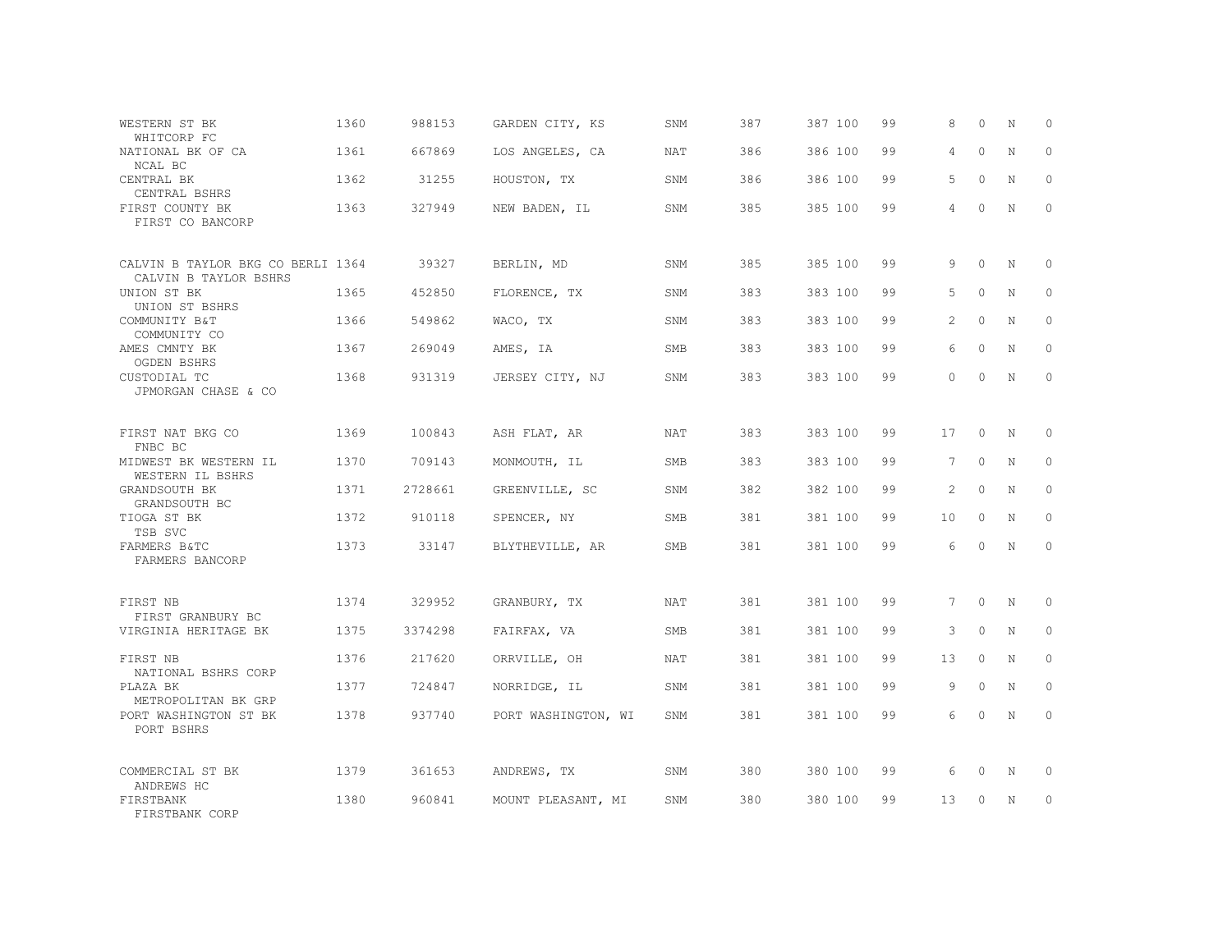| WESTERN ST BK<br>WHITCORP FC                               | 1360 | 988153  | GARDEN CITY, KS     | SNM        | 387 | 387 100 | 99 | 8        | $\Omega$ | N           | $\circ$      |
|------------------------------------------------------------|------|---------|---------------------|------------|-----|---------|----|----------|----------|-------------|--------------|
| NATIONAL BK OF CA<br>NCAL BC                               | 1361 | 667869  | LOS ANGELES, CA     | <b>NAT</b> | 386 | 386 100 | 99 | 4        | $\Omega$ | $\mathbb N$ | $\Omega$     |
| CENTRAL BK<br>CENTRAL BSHRS                                | 1362 | 31255   | HOUSTON, TX         | SNM        | 386 | 386 100 | 99 | 5        | $\Omega$ | N           | $\mathbf{0}$ |
| FIRST COUNTY BK<br>FIRST CO BANCORP                        | 1363 | 327949  | NEW BADEN, IL       | SNM        | 385 | 385 100 | 99 | 4        | $\Omega$ | $\mathbb N$ | $\Omega$     |
| CALVIN B TAYLOR BKG CO BERLI 1364<br>CALVIN B TAYLOR BSHRS |      | 39327   | BERLIN, MD          | SNM        | 385 | 385 100 | 99 | 9        | $\Omega$ | N           | $\Omega$     |
| UNION ST BK<br>UNION ST BSHRS                              | 1365 | 452850  | FLORENCE, TX        | SNM        | 383 | 383 100 | 99 | 5        | $\Omega$ | N           | $\mathbf{0}$ |
| COMMUNITY B&T<br>COMMUNITY CO                              | 1366 | 549862  | WACO, TX            | SNM        | 383 | 383 100 | 99 | 2        | $\Omega$ | N           | $\Omega$     |
| AMES CMNTY BK<br><b>OGDEN BSHRS</b>                        | 1367 | 269049  | AMES, IA            | SMB        | 383 | 383 100 | 99 | 6        | $\Omega$ | N           | $\mathbf{0}$ |
| CUSTODIAL TC<br>JPMORGAN CHASE & CO                        | 1368 | 931319  | JERSEY CITY, NJ     | SNM        | 383 | 383 100 | 99 | $\Omega$ | $\Omega$ | N           | $\Omega$     |
| FIRST NAT BKG CO<br>FNBC BC                                | 1369 | 100843  | ASH FLAT, AR        | NAT        | 383 | 383 100 | 99 | 17       | $\Omega$ | N           | $\Omega$     |
| MIDWEST BK WESTERN IL<br>WESTERN IL BSHRS                  | 1370 | 709143  | MONMOUTH, IL        | SMB        | 383 | 383 100 | 99 | 7        | $\Omega$ | N           | $\mathbf{0}$ |
| GRANDSOUTH BK<br>GRANDSOUTH BC                             | 1371 | 2728661 | GREENVILLE, SC      | SNM        | 382 | 382 100 | 99 | 2        | $\circ$  | N           | $\circ$      |
| TIOGA ST BK<br>TSB SVC                                     | 1372 | 910118  | SPENCER, NY         | SMB        | 381 | 381 100 | 99 | 10       | $\circ$  | N           | $\mathbf{0}$ |
| FARMERS B&TC<br>FARMERS BANCORP                            | 1373 | 33147   | BLYTHEVILLE, AR     | SMB        | 381 | 381 100 | 99 | 6        | $\circ$  | N           | $\mathbf{0}$ |
| FIRST NB<br>FIRST GRANBURY BC                              | 1374 | 329952  | GRANBURY, TX        | NAT        | 381 | 381 100 | 99 | 7        | $\circ$  | N           | $\circ$      |
| VIRGINIA HERITAGE BK                                       | 1375 | 3374298 | FAIRFAX, VA         | <b>SMB</b> | 381 | 381 100 | 99 | 3        | $\Omega$ | N           | $\circ$      |
| FIRST NB<br>NATIONAL BSHRS CORP                            | 1376 | 217620  | ORRVILLE, OH        | NAT        | 381 | 381 100 | 99 | 13       | $\circ$  | $\mathbb N$ | $\mathbf{0}$ |
| PLAZA BK                                                   | 1377 | 724847  | NORRIDGE, IL        | SNM        | 381 | 381 100 | 99 | 9        | $\circ$  | N           | $\mathbf{0}$ |
| METROPOLITAN BK GRP<br>PORT WASHINGTON ST BK<br>PORT BSHRS | 1378 | 937740  | PORT WASHINGTON, WI | SNM        | 381 | 381 100 | 99 | 6        | 0        | N           | $\mathbf{0}$ |
| COMMERCIAL ST BK<br>ANDREWS HC                             | 1379 | 361653  | ANDREWS, TX         | SNM        | 380 | 380 100 | 99 | 6        | 0        | N           | $\circ$      |
| FIRSTBANK<br>FIRSTBANK CORP                                | 1380 | 960841  | MOUNT PLEASANT, MI  | SNM        | 380 | 380 100 | 99 | 13       | $\Omega$ | N           | $\circ$      |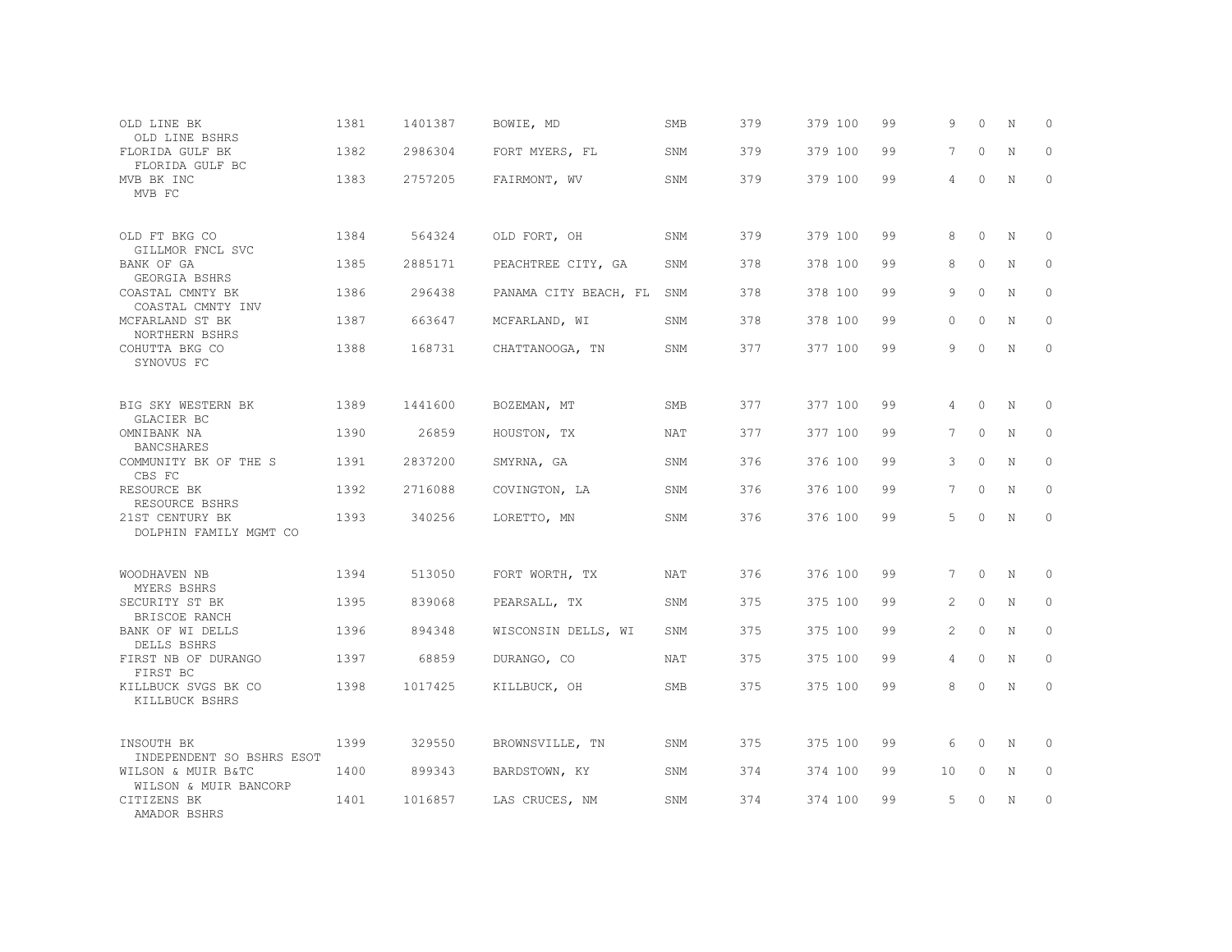| OLD LINE BK<br>OLD LINE BSHRS               | 1381 | 1401387 | BOWIE, MD             | <b>SMB</b> | 379 | 379 100 | 99 | 9              | $\Omega$    | N           | 0           |
|---------------------------------------------|------|---------|-----------------------|------------|-----|---------|----|----------------|-------------|-------------|-------------|
| FLORIDA GULF BK<br>FLORIDA GULF BC          | 1382 | 2986304 | FORT MYERS, FL        | SNM        | 379 | 379 100 | 99 | 7              | $\Omega$    | $\mathbf N$ | $\Omega$    |
| MVB BK INC<br>MVB FC                        | 1383 | 2757205 | FAIRMONT, WV          | SNM        | 379 | 379 100 | 99 | 4              | $\Omega$    | N           | $\circ$     |
| OLD FT BKG CO<br>GILLMOR FNCL SVC           | 1384 | 564324  | OLD FORT, OH          | SNM        | 379 | 379 100 | 99 | 8              | $\Omega$    | N           | 0           |
| BANK OF GA<br>GEORGIA BSHRS                 | 1385 | 2885171 | PEACHTREE CITY, GA    | SNM        | 378 | 378 100 | 99 | 8              | $\Omega$    | $\mathbf N$ | $\Omega$    |
| COASTAL CMNTY BK<br>COASTAL CMNTY INV       | 1386 | 296438  | PANAMA CITY BEACH, FL | SNM        | 378 | 378 100 | 99 | 9              | $\Omega$    | N           | $\circ$     |
| MCFARLAND ST BK<br>NORTHERN BSHRS           | 1387 | 663647  | MCFARLAND, WI         | SNM        | 378 | 378 100 | 99 | $\Omega$       | $\Omega$    | $\mathbf N$ | $\Omega$    |
| COHUTTA BKG CO<br>SYNOVUS FC                | 1388 | 168731  | CHATTANOOGA, TN       | SNM        | 377 | 377 100 | 99 | 9              | $\Omega$    | N           | $\circ$     |
| BIG SKY WESTERN BK<br>GLACIER BC            | 1389 | 1441600 | BOZEMAN, MT           | <b>SMB</b> | 377 | 377 100 | 99 | $\overline{4}$ | $\Omega$    | N           | $\Omega$    |
| OMNIBANK NA<br><b>BANCSHARES</b>            | 1390 | 26859   | HOUSTON, TX           | <b>NAT</b> | 377 | 377 100 | 99 | 7              | $\Omega$    | $\mathbf N$ | $\mathbf 0$ |
| COMMUNITY BK OF THE S<br>CBS FC             | 1391 | 2837200 | SMYRNA, GA            | SNM        | 376 | 376 100 | 99 | 3              | $\Omega$    | N           | $\circ$     |
| RESOURCE BK<br>RESOURCE BSHRS               | 1392 | 2716088 | COVINGTON, LA         | SNM        | 376 | 376 100 | 99 | $\overline{7}$ | $\Omega$    | $\mathbf N$ | $\mathbf 0$ |
| 21ST CENTURY BK<br>DOLPHIN FAMILY MGMT CO   | 1393 | 340256  | LORETTO, MN           | SNM        | 376 | 376 100 | 99 | 5              | $\Omega$    | N           | $\Omega$    |
| WOODHAVEN NB<br>MYERS BSHRS                 | 1394 | 513050  | FORT WORTH, TX        | NAT        | 376 | 376 100 | 99 | 7              | $\Omega$    | N           | $\Omega$    |
| SECURITY ST BK<br>BRISCOE RANCH             | 1395 | 839068  | PEARSALL, TX          | SNM        | 375 | 375 100 | 99 | $\overline{2}$ | $\circ$     | N           | $\mathbf 0$ |
| BANK OF WI DELLS<br>DELLS BSHRS             | 1396 | 894348  | WISCONSIN DELLS, WI   | SNM        | 375 | 375 100 | 99 | 2              | $\Omega$    | N           | $\Omega$    |
| FIRST NB OF DURANGO<br>FIRST BC             | 1397 | 68859   | DURANGO, CO           | <b>NAT</b> | 375 | 375 100 | 99 | $\overline{4}$ | $\mathbf 0$ | N           | $\mathbf 0$ |
| KILLBUCK SVGS BK CO<br>KILLBUCK BSHRS       | 1398 | 1017425 | KILLBUCK, OH          | <b>SMB</b> | 375 | 375 100 | 99 | 8              | $\Omega$    | N           | $\Omega$    |
| INSOUTH BK<br>INDEPENDENT SO BSHRS ESOT     | 1399 | 329550  | BROWNSVILLE, TN       | SNM        | 375 | 375 100 | 99 | 6              | $\Omega$    | N           | $\Omega$    |
| WILSON & MUIR B&TC<br>WILSON & MUIR BANCORP | 1400 | 899343  | BARDSTOWN, KY         | SNM        | 374 | 374 100 | 99 | 10             | $\circ$     | N           | 0           |
| CITIZENS BK<br>AMADOR BSHRS                 | 1401 | 1016857 | LAS CRUCES, NM        | SNM        | 374 | 374 100 | 99 | 5              | $\Omega$    | N           | $\circ$     |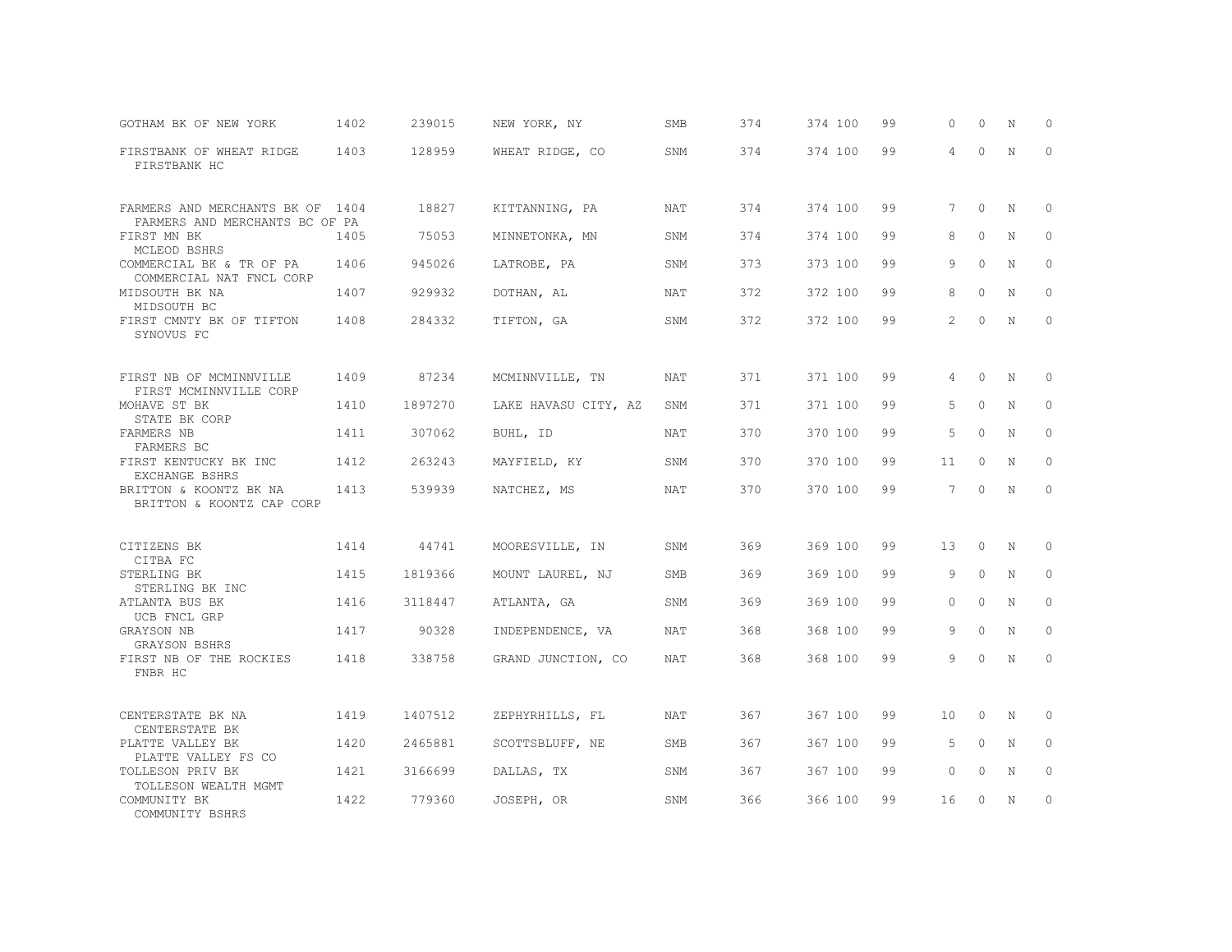| GOTHAM BK OF NEW YORK                                                | 1402 | 239015  | NEW YORK, NY         | <b>SMB</b> | 374 | 374 100 | 99 | $\circ$        | 0        | N          | $\mathbf 0$ |
|----------------------------------------------------------------------|------|---------|----------------------|------------|-----|---------|----|----------------|----------|------------|-------------|
| FIRSTBANK OF WHEAT RIDGE<br>FIRSTBANK HC                             | 1403 | 128959  | WHEAT RIDGE, CO      | SNM        | 374 | 374 100 | 99 | $\overline{4}$ | $\circ$  | N          | $\circ$     |
| FARMERS AND MERCHANTS BK OF 1404                                     |      | 18827   | KITTANNING, PA       | NAT        | 374 | 374 100 | 99 | $7^{\circ}$    | $\circ$  | N          | $\circ$     |
| FARMERS AND MERCHANTS BC OF PA<br>FIRST MN BK                        | 1405 | 75053   | MINNETONKA, MN       | SNM        | 374 | 374 100 | 99 | 8              | $\circ$  | N          | $\circ$     |
| MCLEOD BSHRS<br>COMMERCIAL BK & TR OF PA<br>COMMERCIAL NAT FNCL CORP | 1406 | 945026  | LATROBE, PA          | SNM        | 373 | 373 100 | 99 | 9              | $\circ$  | N          | $\circ$     |
| MIDSOUTH BK NA<br>MIDSOUTH BC                                        | 1407 | 929932  | DOTHAN, AL           | <b>NAT</b> | 372 | 372 100 | 99 | 8              | $\circ$  | N          | $\circ$     |
| FIRST CMNTY BK OF TIFTON<br>SYNOVUS FC                               | 1408 | 284332  | TIFTON, GA           | SNM        | 372 | 372 100 | 99 | 2              | $\circ$  | N          | $\circ$     |
| FIRST NB OF MCMINNVILLE                                              | 1409 | 87234   | MCMINNVILLE, TN      | <b>NAT</b> | 371 | 371 100 | 99 | 4              | $\circ$  | N          | 0           |
| FIRST MCMINNVILLE CORP<br>MOHAVE ST BK<br>STATE BK CORP              | 1410 | 1897270 | LAKE HAVASU CITY, AZ | SNM        | 371 | 371 100 | 99 | 5              | $\circ$  | N          | $\circ$     |
| FARMERS NB<br>FARMERS BC                                             | 1411 | 307062  | BUHL, ID             | NAT        | 370 | 370 100 | 99 | 5              | $\circ$  | N          | $\circ$     |
| FIRST KENTUCKY BK INC<br>EXCHANGE BSHRS                              | 1412 | 263243  | MAYFIELD, KY         | SNM        | 370 | 370 100 | 99 | 11             | $\Omega$ | N          | $\circ$     |
| BRITTON & KOONTZ BK NA<br>BRITTON & KOONTZ CAP CORP                  | 1413 | 539939  | NATCHEZ, MS          | NAT        | 370 | 370 100 | 99 | $7^{\circ}$    | $\circ$  | N          | $\circ$     |
| CITIZENS BK<br>CITBA FC                                              | 1414 | 44741   | MOORESVILLE, IN      | SNM        | 369 | 369 100 | 99 | 13             | $\circ$  | N          | $\circ$     |
| STERLING BK<br>STERLING BK INC                                       | 1415 | 1819366 | MOUNT LAUREL, NJ     | <b>SMB</b> | 369 | 369 100 | 99 | 9              | $\Omega$ | N          | $\circ$     |
| ATLANTA BUS BK<br>UCB FNCL GRP                                       | 1416 | 3118447 | ATLANTA, GA          | SNM        | 369 | 369 100 | 99 | $\Omega$       | $\circ$  | $_{\rm N}$ | $\circ$     |
| GRAYSON NB<br>GRAYSON BSHRS                                          | 1417 | 90328   | INDEPENDENCE, VA     | NAT        | 368 | 368 100 | 99 | 9              | $\circ$  | N          | $\circ$     |
| FIRST NB OF THE ROCKIES<br>FNBR HC                                   | 1418 | 338758  | GRAND JUNCTION, CO   | <b>NAT</b> | 368 | 368 100 | 99 | 9              | $\Omega$ | N          | $\circ$     |
| CENTERSTATE BK NA<br>CENTERSTATE BK                                  | 1419 | 1407512 | ZEPHYRHILLS, FL      | NAT        | 367 | 367 100 | 99 | 10             | $\circ$  | N          | 0           |
| PLATTE VALLEY BK<br>PLATTE VALLEY FS CO                              | 1420 | 2465881 | SCOTTSBLUFF, NE      | <b>SMB</b> | 367 | 367 100 | 99 | 5              | $\circ$  | N          | $\circ$     |
| TOLLESON PRIV BK<br>TOLLESON WEALTH MGMT                             | 1421 | 3166699 | DALLAS, TX           | <b>SNM</b> | 367 | 367 100 | 99 | $\Omega$       | $\Omega$ | N          | $\circ$     |
| COMMUNITY BK<br>COMMUNITY BSHRS                                      | 1422 | 779360  | JOSEPH, OR           | SNM        | 366 | 366 100 | 99 | 16             | $\Omega$ | N          | $\circ$     |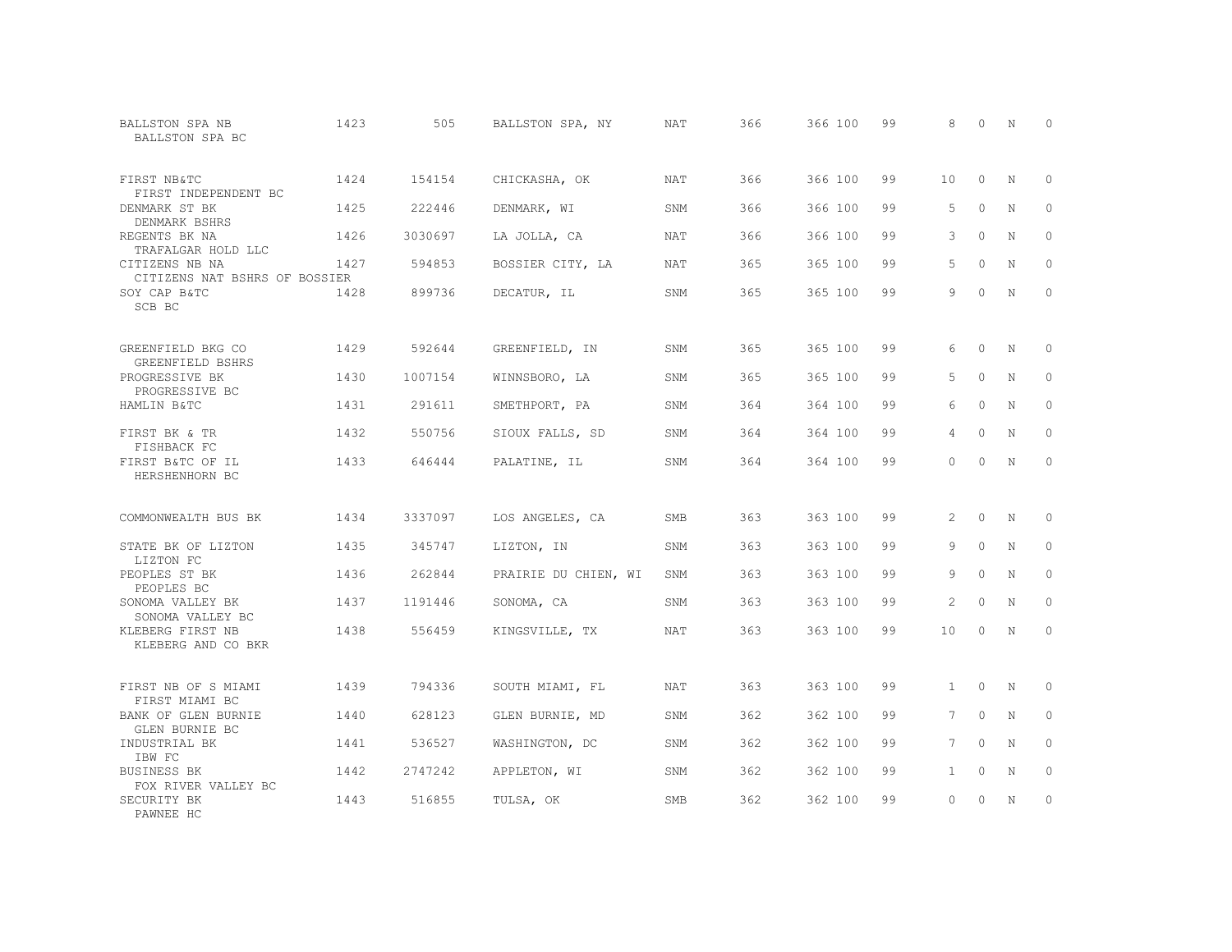| <b>BALLSTON SPA NB</b><br>BALLSTON SPA BC       | 1423 | 505     | BALLSTON SPA, NY     | <b>NAT</b> | 366 | 366 100 | 99 | 8               | $\Omega$ | N           | $\Omega$    |
|-------------------------------------------------|------|---------|----------------------|------------|-----|---------|----|-----------------|----------|-------------|-------------|
| FIRST NB&TC<br>FIRST INDEPENDENT BC             | 1424 | 154154  | CHICKASHA, OK        | <b>NAT</b> | 366 | 366 100 | 99 | 10 <sup>°</sup> | $\Omega$ | N           | $\Omega$    |
| DENMARK ST BK<br>DENMARK BSHRS                  | 1425 | 222446  | DENMARK, WI          | SNM        | 366 | 366 100 | 99 | 5               | $\circ$  | N           | $\circ$     |
| REGENTS BK NA<br>TRAFALGAR HOLD LLC             | 1426 | 3030697 | LA JOLLA, CA         | <b>NAT</b> | 366 | 366 100 | 99 | 3               | $\Omega$ | N           | $\Omega$    |
| CITIZENS NB NA<br>CITIZENS NAT BSHRS OF BOSSIER | 1427 | 594853  | BOSSIER CITY, LA     | NAT        | 365 | 365 100 | 99 | 5               | $\circ$  | N           | $\circ$     |
| SOY CAP B&TC<br>SCB BC                          | 1428 | 899736  | DECATUR, IL          | SNM        | 365 | 365 100 | 99 | 9               | $\Omega$ | N           | $\Omega$    |
| GREENFIELD BKG CO<br>GREENFIELD BSHRS           | 1429 | 592644  | GREENFIELD, IN       | SNM        | 365 | 365 100 | 99 | 6               | $\Omega$ | $\mathbb N$ | 0           |
| PROGRESSIVE BK<br>PROGRESSIVE BC                | 1430 | 1007154 | WINNSBORO, LA        | SNM        | 365 | 365 100 | 99 | 5               | $\Omega$ | N           | $\circ$     |
| HAMLIN B&TC                                     | 1431 | 291611  | SMETHPORT, PA        | SNM        | 364 | 364 100 | 99 | 6               | $\Omega$ | N           | $\circ$     |
| FIRST BK & TR<br>FISHBACK FC                    | 1432 | 550756  | SIOUX FALLS, SD      | SNM        | 364 | 364 100 | 99 | $\overline{4}$  | $\Omega$ | N           | $\mathbf 0$ |
| FIRST B&TC OF IL<br>HERSHENHORN BC              | 1433 | 646444  | PALATINE, IL         | SNM        | 364 | 364 100 | 99 | $\Omega$        | $\Omega$ | N           | $\Omega$    |
| COMMONWEALTH BUS BK                             | 1434 | 3337097 | LOS ANGELES, CA      | <b>SMB</b> | 363 | 363 100 | 99 | $\mathfrak{D}$  | $\Omega$ | $\mathbb N$ | $\circ$     |
| STATE BK OF LIZTON<br>LIZTON FC                 | 1435 | 345747  | LIZTON, IN           | SNM        | 363 | 363 100 | 99 | 9               | $\circ$  | N           | $\circ$     |
| PEOPLES ST BK<br>PEOPLES BC                     | 1436 | 262844  | PRAIRIE DU CHIEN, WI | SNM        | 363 | 363 100 | 99 | 9               | $\Omega$ | N           | $\circ$     |
| SONOMA VALLEY BK<br>SONOMA VALLEY BC            | 1437 | 1191446 | SONOMA, CA           | SNM        | 363 | 363 100 | 99 | $\mathfrak{D}$  | $\Omega$ | N           | $\Omega$    |
| KLEBERG FIRST NB<br>KLEBERG AND CO BKR          | 1438 | 556459  | KINGSVILLE, TX       | <b>NAT</b> | 363 | 363 100 | 99 | 10              | $\Omega$ | N           | $\circ$     |
| FIRST NB OF S MIAMI<br>FIRST MIAMI BC           | 1439 | 794336  | SOUTH MIAMI, FL      | NAT        | 363 | 363 100 | 99 | 1               | $\circ$  | $\mathbb N$ | $\mathbf 0$ |
| BANK OF GLEN BURNIE<br>GLEN BURNIE BC           | 1440 | 628123  | GLEN BURNIE, MD      | SNM        | 362 | 362 100 | 99 | $7^{\circ}$     | $\circ$  | N           | $\circ$     |
| INDUSTRIAL BK<br>IBW FC                         | 1441 | 536527  | WASHINGTON, DC       | SNM        | 362 | 362 100 | 99 | 7 <sup>7</sup>  | $\Omega$ | N           | $\Omega$    |
| BUSINESS BK<br>FOX RIVER VALLEY BC              | 1442 | 2747242 | APPLETON, WI         | SNM        | 362 | 362 100 | 99 | $\mathbf{1}$    | $\circ$  | N           | $\circ$     |
| SECURITY BK<br>PAWNEE HC                        | 1443 | 516855  | TULSA, OK            | <b>SMB</b> | 362 | 362 100 | 99 | $\Omega$        | $\Omega$ | N           | $\mathbf 0$ |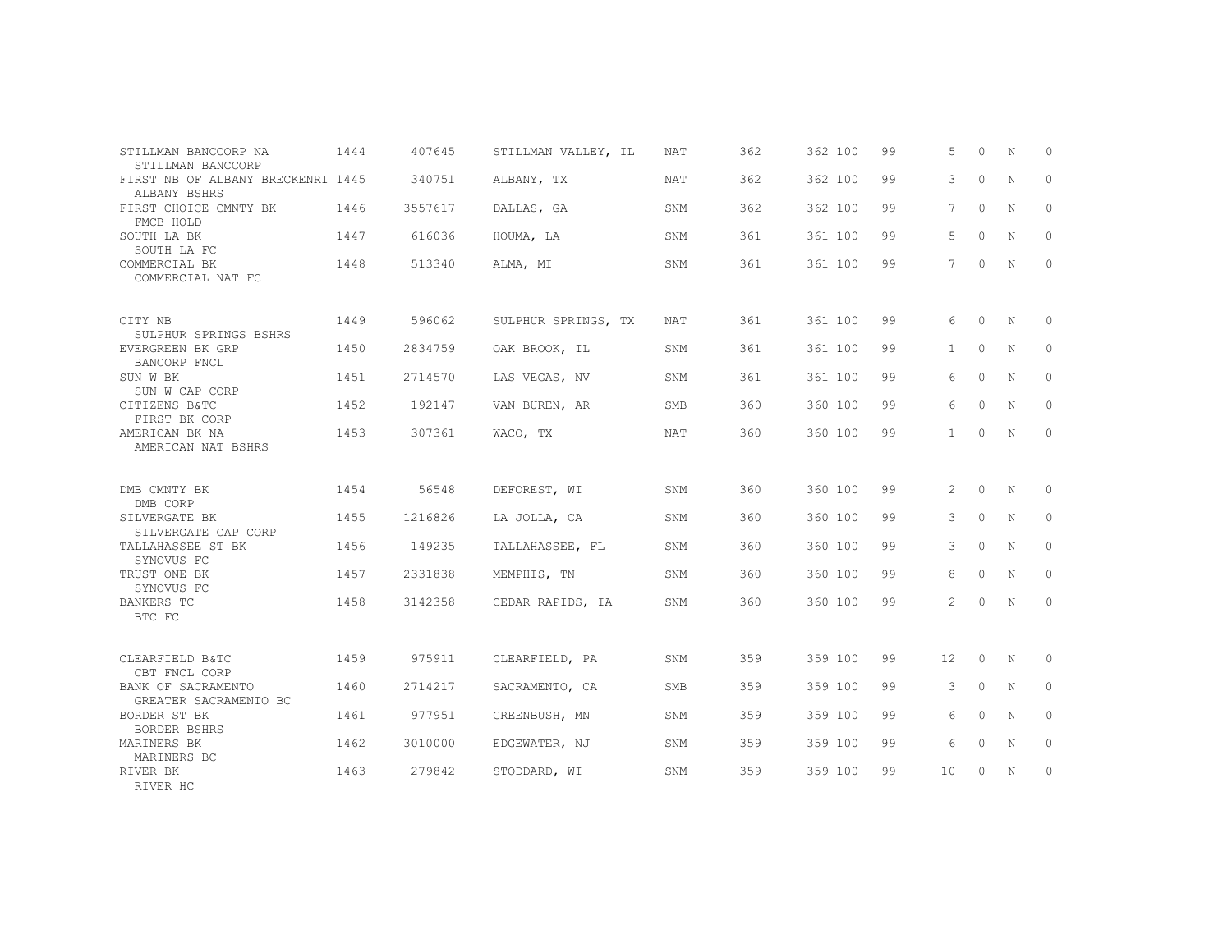| STILLMAN BANCCORP NA                                                   | 1444 | 407645  | STILLMAN VALLEY, IL | NAT        | 362 | 362 100 | 99 | 5              | $\Omega$ | N           | $\Omega$ |
|------------------------------------------------------------------------|------|---------|---------------------|------------|-----|---------|----|----------------|----------|-------------|----------|
| STILLMAN BANCCORP<br>FIRST NB OF ALBANY BRECKENRI 1445<br>ALBANY BSHRS |      | 340751  | ALBANY, TX          | NAT        | 362 | 362 100 | 99 | 3              | $\circ$  | N           | 0        |
| FIRST CHOICE CMNTY BK<br>FMCB HOLD                                     | 1446 | 3557617 | DALLAS, GA          | SNM        | 362 | 362 100 | 99 | 7              | $\circ$  | N           | 0        |
| SOUTH LA BK<br>SOUTH LA FC                                             | 1447 | 616036  | HOUMA, LA           | <b>SNM</b> | 361 | 361 100 | 99 | 5              | $\Omega$ | N           | $\Omega$ |
| COMMERCIAL BK<br>COMMERCIAL NAT FC                                     | 1448 | 513340  | ALMA, MI            | SNM        | 361 | 361 100 | 99 | $7^{\circ}$    | $\circ$  | N           | $\circ$  |
| CITY NB<br>SULPHUR SPRINGS BSHRS                                       | 1449 | 596062  | SULPHUR SPRINGS, TX | NAT        | 361 | 361 100 | 99 | 6              | $\circ$  | N           | $\circ$  |
| EVERGREEN BK GRP<br>BANCORP FNCL                                       | 1450 | 2834759 | OAK BROOK, IL       | SNM        | 361 | 361 100 | 99 | $\mathbf{1}$   | $\circ$  | $\mathbf N$ | $\circ$  |
| SUN W BK<br>SUN W CAP CORP                                             | 1451 | 2714570 | LAS VEGAS, NV       | SNM        | 361 | 361 100 | 99 | 6              | $\circ$  | N           | $\circ$  |
| CITIZENS B&TC<br>FIRST BK CORP                                         | 1452 | 192147  | VAN BUREN, AR       | <b>SMB</b> | 360 | 360 100 | 99 | 6              | $\circ$  | N           | $\circ$  |
| AMERICAN BK NA<br>AMERICAN NAT BSHRS                                   | 1453 | 307361  | WACO, TX            | NAT        | 360 | 360 100 | 99 | $\mathbf{1}$   | $\Omega$ | N           | $\circ$  |
| DMB CMNTY BK<br>DMB CORP                                               | 1454 | 56548   | DEFOREST, WI        | SNM        | 360 | 360 100 | 99 | 2              | $\circ$  | N           | 0        |
| SILVERGATE BK<br>SILVERGATE CAP CORP                                   | 1455 | 1216826 | LA JOLLA, CA        | SNM        | 360 | 360 100 | 99 | 3              | $\circ$  | N           | $\circ$  |
| TALLAHASSEE ST BK<br>SYNOVUS FC                                        | 1456 | 149235  | TALLAHASSEE, FL     | SNM        | 360 | 360 100 | 99 | 3              | $\Omega$ | N           | $\circ$  |
| TRUST ONE BK<br>SYNOVUS FC                                             | 1457 | 2331838 | MEMPHIS, TN         | SNM        | 360 | 360 100 | 99 | 8              | $\Omega$ | N           | $\circ$  |
| BANKERS TC<br>BTC FC                                                   | 1458 | 3142358 | CEDAR RAPIDS, IA    | SNM        | 360 | 360 100 | 99 | $\overline{2}$ | $\Omega$ | N           | $\Omega$ |
| CLEARFIELD B&TC<br>CBT FNCL CORP                                       | 1459 | 975911  | CLEARFIELD, PA      | SNM        | 359 | 359 100 | 99 | 12             | $\circ$  | N           | 0        |
| BANK OF SACRAMENTO<br>GREATER SACRAMENTO BC                            | 1460 | 2714217 | SACRAMENTO, CA      | SMB        | 359 | 359 100 | 99 | 3              | $\circ$  | N           | $\circ$  |
| BORDER ST BK<br>BORDER BSHRS                                           | 1461 | 977951  | GREENBUSH, MN       | SNM        | 359 | 359 100 | 99 | 6              | $\Omega$ | N           | $\Omega$ |
| MARINERS BK<br>MARINERS BC                                             | 1462 | 3010000 | EDGEWATER, NJ       | SNM        | 359 | 359 100 | 99 | 6              | $\circ$  | N           | $\circ$  |
| RIVER BK<br>RIVER HC                                                   | 1463 | 279842  | STODDARD, WI        | SNM        | 359 | 359 100 | 99 | 10             | $\circ$  | N           | 0        |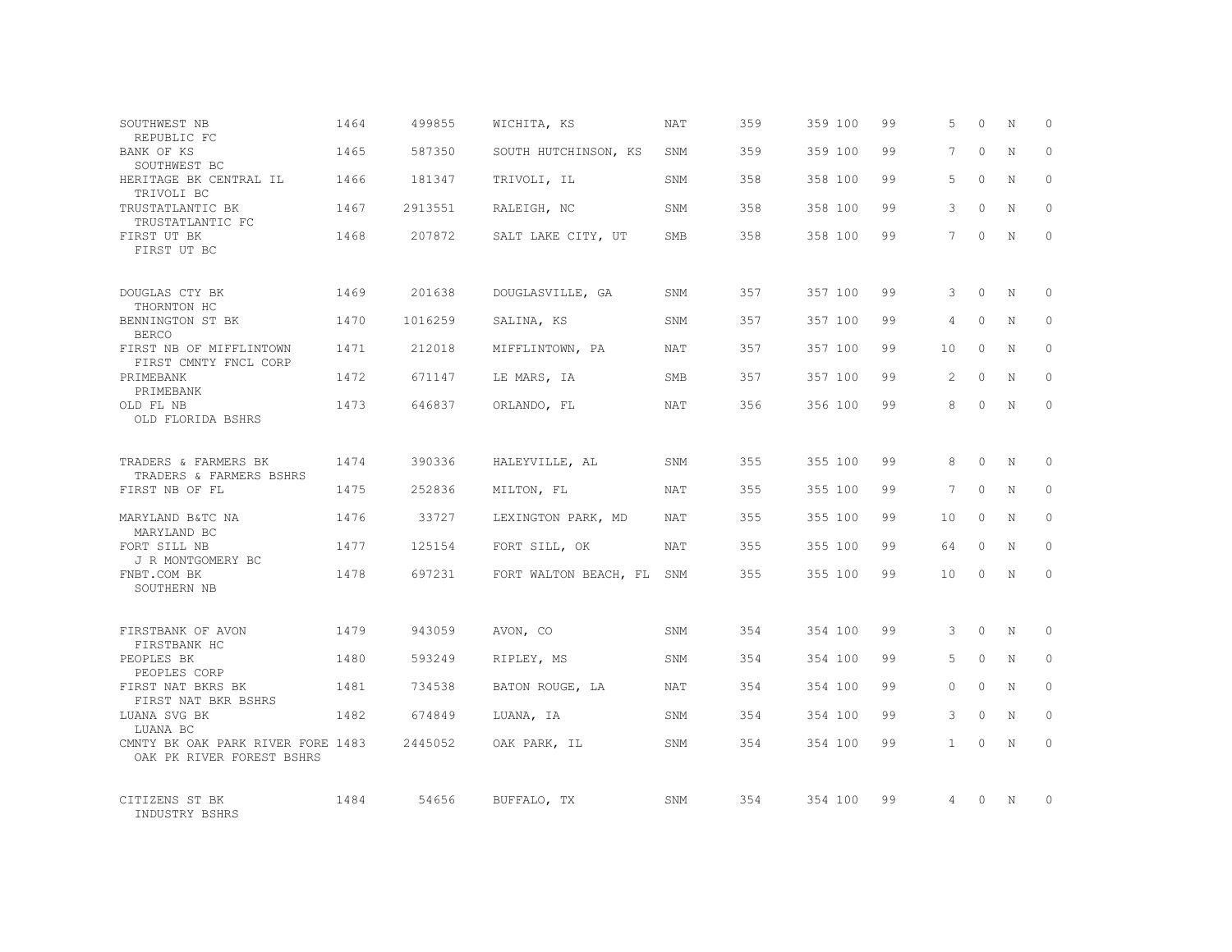| SOUTHWEST NB<br>REPUBLIC FC                                    | 1464 | 499855  | WICHITA, KS           | NAT        | 359 | 359 100 | 99 | 5               | $\Omega$ | N           | $\Omega$     |
|----------------------------------------------------------------|------|---------|-----------------------|------------|-----|---------|----|-----------------|----------|-------------|--------------|
| BANK OF KS<br>SOUTHWEST BC                                     | 1465 | 587350  | SOUTH HUTCHINSON, KS  | SNM        | 359 | 359 100 | 99 | 7               | $\Omega$ | N           | $\Omega$     |
| HERITAGE BK CENTRAL IL<br>TRIVOLI BC                           | 1466 | 181347  | TRIVOLI, IL           | SNM        | 358 | 358 100 | 99 | 5               | $\Omega$ | N           | $\mathbf{0}$ |
| TRUSTATLANTIC BK<br>TRUSTATLANTIC FC                           | 1467 | 2913551 | RALEIGH, NC           | SNM        | 358 | 358 100 | 99 | 3               | $\Omega$ | N           | $\Omega$     |
| FIRST UT BK<br>FIRST UT BC                                     | 1468 | 207872  | SALT LAKE CITY, UT    | SMB        | 358 | 358 100 | 99 | 7               | $\Omega$ | N           | $\mathbf{0}$ |
| DOUGLAS CTY BK<br>THORNTON HC                                  | 1469 | 201638  | DOUGLASVILLE, GA      | SNM        | 357 | 357 100 | 99 | 3               | $\Omega$ | $\mathbb N$ | $\mathbf{0}$ |
| BENNINGTON ST BK<br><b>BERCO</b>                               | 1470 | 1016259 | SALINA, KS            | SNM        | 357 | 357 100 | 99 | 4               | $\Omega$ | N           | $\Omega$     |
| FIRST NB OF MIFFLINTOWN<br>FIRST CMNTY FNCL CORP               | 1471 | 212018  | MIFFLINTOWN, PA       | NAT        | 357 | 357 100 | 99 | 10              | $\Omega$ | N           | $\circ$      |
| PRIMEBANK<br>PRIMEBANK                                         | 1472 | 671147  | LE MARS, IA           | SMB        | 357 | 357 100 | 99 | $\mathfrak{D}$  | $\Omega$ | N           | $\Omega$     |
| OLD FL NB<br>OLD FLORIDA BSHRS                                 | 1473 | 646837  | ORLANDO, FL           | NAT        | 356 | 356 100 | 99 | 8               | $\Omega$ | N           | $\circ$      |
| TRADERS & FARMERS BK                                           | 1474 | 390336  | HALEYVILLE, AL        | SNM        | 355 | 355 100 | 99 | 8               | $\Omega$ | $\mathbf N$ | $\Omega$     |
| TRADERS & FARMERS BSHRS<br>FIRST NB OF FL                      | 1475 | 252836  | MILTON, FL            | NAT        | 355 | 355 100 | 99 | $7\overline{ }$ | $\Omega$ | N           | $\circ$      |
| MARYLAND B&TC NA<br>MARYLAND BC                                | 1476 | 33727   | LEXINGTON PARK, MD    | <b>NAT</b> | 355 | 355 100 | 99 | 10              | $\Omega$ | N           | $\Omega$     |
| FORT SILL NB<br>J R MONTGOMERY BC                              | 1477 | 125154  | FORT SILL, OK         | NAT        | 355 | 355 100 | 99 | 64              | $\Omega$ | N           | $\Omega$     |
| FNBT.COM BK<br>SOUTHERN NB                                     | 1478 | 697231  | FORT WALTON BEACH, FL | SNM        | 355 | 355 100 | 99 | 10              | $\Omega$ | N           | $\Omega$     |
| FIRSTBANK OF AVON<br>FIRSTBANK HC                              | 1479 | 943059  | AVON, CO              | <b>SNM</b> | 354 | 354 100 | 99 | 3               | $\Omega$ | $\mathbb N$ | $\Omega$     |
| PEOPLES BK<br>PEOPLES CORP                                     | 1480 | 593249  | RIPLEY, MS            | SNM        | 354 | 354 100 | 99 | 5               | $\circ$  | $\mathbb N$ | $\circ$      |
| FIRST NAT BKRS BK<br>FIRST NAT BKR BSHRS                       | 1481 | 734538  | BATON ROUGE, LA       | NAT        | 354 | 354 100 | 99 | $\Omega$        | $\Omega$ | N           | $\Omega$     |
| LUANA SVG BK<br>LUANA BC                                       | 1482 | 674849  | LUANA, IA             | SNM        | 354 | 354 100 | 99 | 3               | $\circ$  | $\mathbb N$ | $\circ$      |
| CMNTY BK OAK PARK RIVER FORE 1483<br>OAK PK RIVER FOREST BSHRS |      | 2445052 | OAK PARK, IL          | SNM        | 354 | 354 100 | 99 | 1               | $\Omega$ | $\mathbb N$ | $\Omega$     |
| CITIZENS ST BK<br>INDUSTRY BSHRS                               | 1484 | 54656   | BUFFALO, TX           | SNM        | 354 | 354 100 | 99 | 4               | $\Omega$ | N           | $\mathbf{0}$ |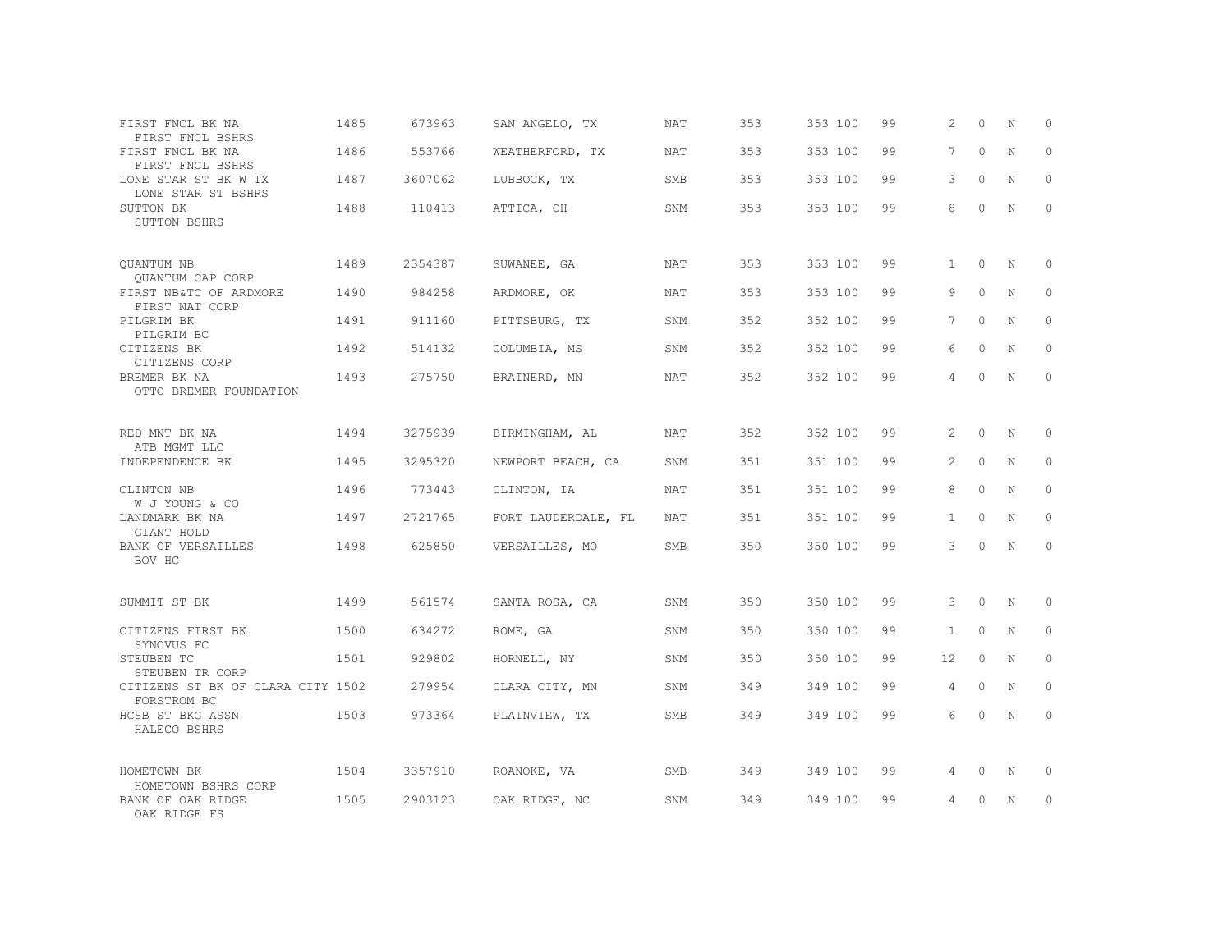| FIRST FNCL BK NA<br>FIRST FNCL BSHRS                     | 1485 | 673963  | SAN ANGELO, TX      | NAT        | 353 | 353 100 | 99 | 2            | $\Omega$ | N           | 0           |
|----------------------------------------------------------|------|---------|---------------------|------------|-----|---------|----|--------------|----------|-------------|-------------|
| FIRST FNCL BK NA<br>FIRST FNCL BSHRS                     | 1486 | 553766  | WEATHERFORD, TX     | <b>NAT</b> | 353 | 353 100 | 99 | 7            | $\Omega$ | $\mathbf N$ | $\Omega$    |
| LONE STAR ST BK W TX<br>LONE STAR ST BSHRS               | 1487 | 3607062 | LUBBOCK, TX         | SMB        | 353 | 353 100 | 99 | 3            | $\circ$  | N           | $\circ$     |
| SUTTON BK<br>SUTTON BSHRS                                | 1488 | 110413  | ATTICA, OH          | SNM        | 353 | 353 100 | 99 | 8            | $\Omega$ | $\mathbb N$ | $\Omega$    |
| <b>OUANTUM NB</b><br>QUANTUM CAP CORP                    | 1489 | 2354387 | SUWANEE, GA         | NAT        | 353 | 353 100 | 99 | $\mathbf{1}$ | $\circ$  | $_{\rm N}$  | $\circ$     |
| FIRST NB&TC OF ARDMORE<br>FIRST NAT CORP                 | 1490 | 984258  | ARDMORE, OK         | <b>NAT</b> | 353 | 353 100 | 99 | 9            | $\circ$  | N           | $\circ$     |
| PILGRIM BK<br>PILGRIM BC                                 | 1491 | 911160  | PITTSBURG, TX       | SNM        | 352 | 352 100 | 99 | 7            | $\Omega$ | $_{\rm N}$  | $\Omega$    |
| CITIZENS BK<br>CITIZENS CORP                             | 1492 | 514132  | COLUMBIA, MS        | SNM        | 352 | 352 100 | 99 | 6            | $\circ$  | N           | $\circ$     |
| BREMER BK NA<br>OTTO BREMER FOUNDATION                   | 1493 | 275750  | BRAINERD, MN        | NAT        | 352 | 352 100 | 99 | 4            | $\Omega$ | $\mathbb N$ | $\Omega$    |
| RED MNT BK NA<br>ATB MGMT LLC                            | 1494 | 3275939 | BIRMINGHAM, AL      | NAT        | 352 | 352 100 | 99 | 2            | $\circ$  | N           | $\circ$     |
| INDEPENDENCE BK                                          | 1495 | 3295320 | NEWPORT BEACH, CA   | SNM        | 351 | 351 100 | 99 | 2            | $\Omega$ | N           | $\Omega$    |
| CLINTON NB<br>W J YOUNG & CO                             | 1496 | 773443  | CLINTON, IA         | NAT        | 351 | 351 100 | 99 | 8            | $\circ$  | N           | $\Omega$    |
| LANDMARK BK NA<br>GIANT HOLD                             | 1497 | 2721765 | FORT LAUDERDALE, FL | NAT        | 351 | 351 100 | 99 | $\mathbf{1}$ | $\Omega$ | N           | $\Omega$    |
| <b>BANK OF VERSAILLES</b><br>BOV HC                      | 1498 | 625850  | VERSAILLES, MO      | <b>SMB</b> | 350 | 350 100 | 99 | 3            | $\Omega$ | N           | $\Omega$    |
| SUMMIT ST BK                                             | 1499 | 561574  | SANTA ROSA, CA      | SNM        | 350 | 350 100 | 99 | 3            | $\circ$  | N           | $\mathbf 0$ |
| CITIZENS FIRST BK<br>SYNOVUS FC                          | 1500 | 634272  | ROME, GA            | SNM        | 350 | 350 100 | 99 | $\mathbf{1}$ | $\Omega$ | N           | $\Omega$    |
| STEUBEN TC<br>STEUBEN TR CORP                            | 1501 | 929802  | HORNELL, NY         | SNM        | 350 | 350 100 | 99 | 12           | $\circ$  | N           | $\circ$     |
| CITIZENS ST BK OF CLARA CITY 1502<br>FORSTROM BC         |      | 279954  | CLARA CITY, MN      | SNM        | 349 | 349 100 | 99 | 4            | $\circ$  | N           | $\Omega$    |
| HCSB ST BKG ASSN<br>HALECO BSHRS                         | 1503 | 973364  | PLAINVIEW, TX       | SMB        | 349 | 349 100 | 99 | 6            | $\circ$  | N           | $\circ$     |
| HOMETOWN BK                                              | 1504 | 3357910 | ROANOKE, VA         | SMB        | 349 | 349 100 | 99 | 4            | 0        | N           | 0           |
| HOMETOWN BSHRS CORP<br>BANK OF OAK RIDGE<br>OAK RIDGE FS | 1505 | 2903123 | OAK RIDGE, NC       | SNM        | 349 | 349 100 | 99 | 4            | 0        | N           | $\circ$     |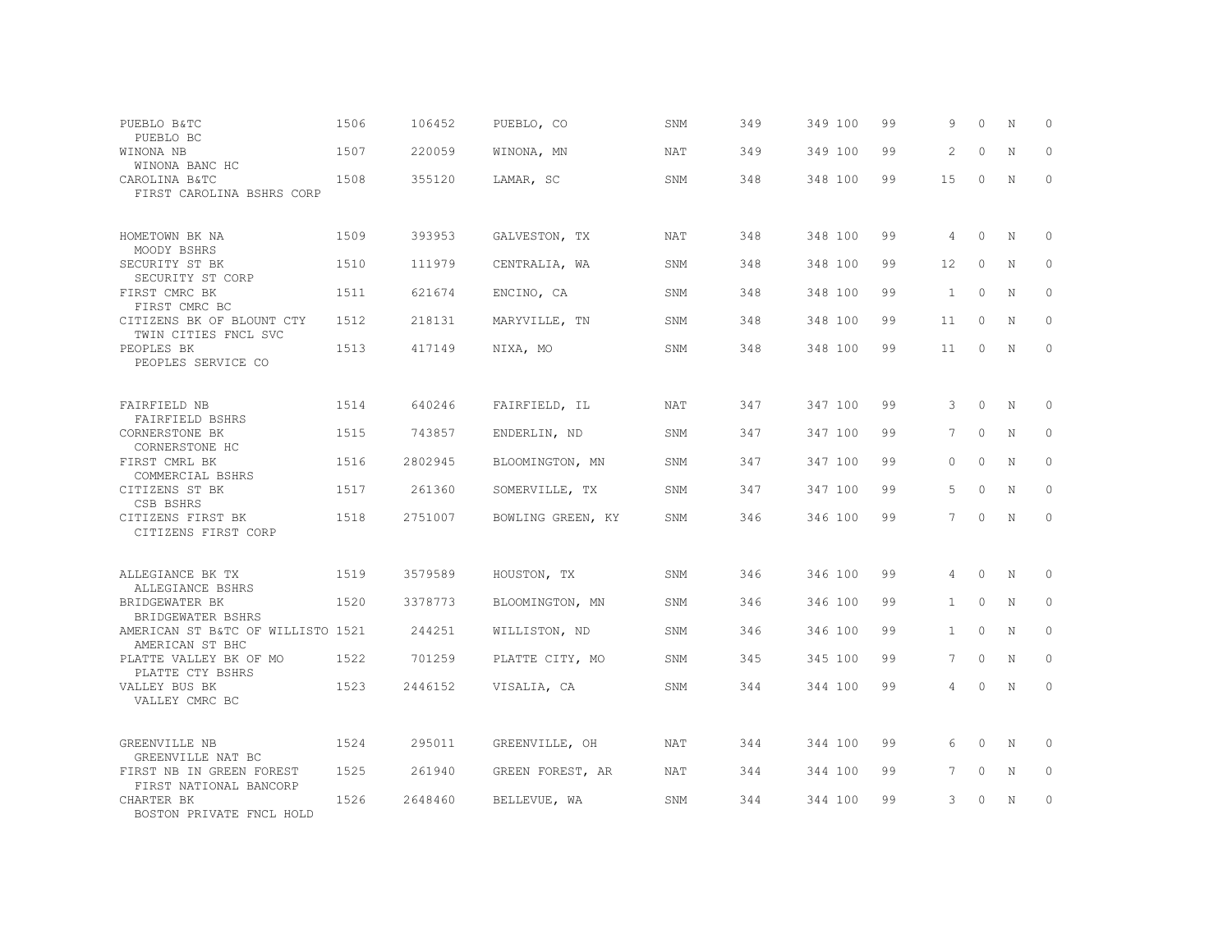| PUEBLO B&TC<br>PUEBLO BC                             | 1506 | 106452  | PUEBLO, CO        | SNM        | 349 | 349 100 | 99 | 9              | $\Omega$  | N           | 0           |
|------------------------------------------------------|------|---------|-------------------|------------|-----|---------|----|----------------|-----------|-------------|-------------|
| WINONA NB<br>WINONA BANC HC                          | 1507 | 220059  | WINONA, MN        | <b>NAT</b> | 349 | 349 100 | 99 | 2              | $\Omega$  | $\mathbf N$ | $\Omega$    |
| CAROLINA B&TC<br>FIRST CAROLINA BSHRS CORP           | 1508 | 355120  | LAMAR, SC         | SNM        | 348 | 348 100 | 99 | 15             | $\circ$   | N           | $\circ$     |
| HOMETOWN BK NA<br>MOODY BSHRS                        | 1509 | 393953  | GALVESTON, TX     | <b>NAT</b> | 348 | 348 100 | 99 | $\overline{4}$ | $\Omega$  | N           | $\Omega$    |
| SECURITY ST BK<br>SECURITY ST CORP                   | 1510 | 111979  | CENTRALIA, WA     | SNM        | 348 | 348 100 | 99 | 12             | $\circ$   | $\mathbf N$ | $\circ$     |
| FIRST CMRC BK<br>FIRST CMRC BC                       | 1511 | 621674  | ENCINO, CA        | SNM        | 348 | 348 100 | 99 | $\mathbf{1}$   | $\Omega$  | N           | $\circ$     |
| CITIZENS BK OF BLOUNT CTY<br>TWIN CITIES FNCL SVC    | 1512 | 218131  | MARYVILLE, TN     | SNM        | 348 | 348 100 | 99 | 11             | $\Omega$  | N           | $\circ$     |
| PEOPLES BK<br>PEOPLES SERVICE CO                     | 1513 | 417149  | NIXA, MO          | SNM        | 348 | 348 100 | 99 | 11             | $\Omega$  | N           | $\Omega$    |
| FAIRFIELD NB<br>FAIRFIELD BSHRS                      | 1514 | 640246  | FAIRFIELD, IL     | <b>NAT</b> | 347 | 347 100 | 99 | 3              | $\Omega$  | N           | $\Omega$    |
| CORNERSTONE BK<br>CORNERSTONE HC                     | 1515 | 743857  | ENDERLIN, ND      | SNM        | 347 | 347 100 | 99 | 7              | $\circ$   | $\mathbf N$ | $\circ$     |
| FIRST CMRL BK<br>COMMERCIAL BSHRS                    | 1516 | 2802945 | BLOOMINGTON, MN   | SNM        | 347 | 347 100 | 99 | $\bigcap$      | $\bigcap$ | $\mathbf N$ | $\Omega$    |
| CITIZENS ST BK<br>CSB BSHRS                          | 1517 | 261360  | SOMERVILLE, TX    | SNM        | 347 | 347 100 | 99 | 5              | $\Omega$  | $\mathbf N$ | $\Omega$    |
| CITIZENS FIRST BK<br>CITIZENS FIRST CORP             | 1518 | 2751007 | BOWLING GREEN, KY | SNM        | 346 | 346 100 | 99 | $7^{\circ}$    | $\Omega$  | N           | $\mathbf 0$ |
| ALLEGIANCE BK TX<br>ALLEGIANCE BSHRS                 | 1519 | 3579589 | HOUSTON, TX       | SNM        | 346 | 346 100 | 99 | 4              | $\circ$   | N           | 0           |
| BRIDGEWATER BK<br>BRIDGEWATER BSHRS                  | 1520 | 3378773 | BLOOMINGTON, MN   | SNM        | 346 | 346 100 | 99 | $\mathbf{1}$   | $\Omega$  | N           | $\circ$     |
| AMERICAN ST B&TC OF WILLISTO 1521<br>AMERICAN ST BHC |      | 244251  | WILLISTON, ND     | SNM        | 346 | 346 100 | 99 | $\mathbf{1}$   | $\Omega$  | N           | $\circ$     |
| PLATTE VALLEY BK OF MO<br>PLATTE CTY BSHRS           | 1522 | 701259  | PLATTE CITY, MO   | SNM        | 345 | 345 100 | 99 | $7^{\circ}$    | $\Omega$  | N           | $\Omega$    |
| VALLEY BUS BK<br>VALLEY CMRC BC                      | 1523 | 2446152 | VISALIA, CA       | SNM        | 344 | 344 100 | 99 | 4              | $\Omega$  | N           | $\Omega$    |
| GREENVILLE NB<br>GREENVILLE NAT BC                   | 1524 | 295011  | GREENVILLE, OH    | <b>NAT</b> | 344 | 344 100 | 99 | 6              | $\Omega$  | N           | 0           |
| FIRST NB IN GREEN FOREST<br>FIRST NATIONAL BANCORP   | 1525 | 261940  | GREEN FOREST, AR  | NAT        | 344 | 344 100 | 99 | 7              | $\circ$   | N           | $\circ$     |
| CHARTER BK<br>BOSTON PRIVATE FNCL HOLD               | 1526 | 2648460 | BELLEVUE, WA      | SNM        | 344 | 344 100 | 99 | 3              | $\Omega$  | N           | $\circ$     |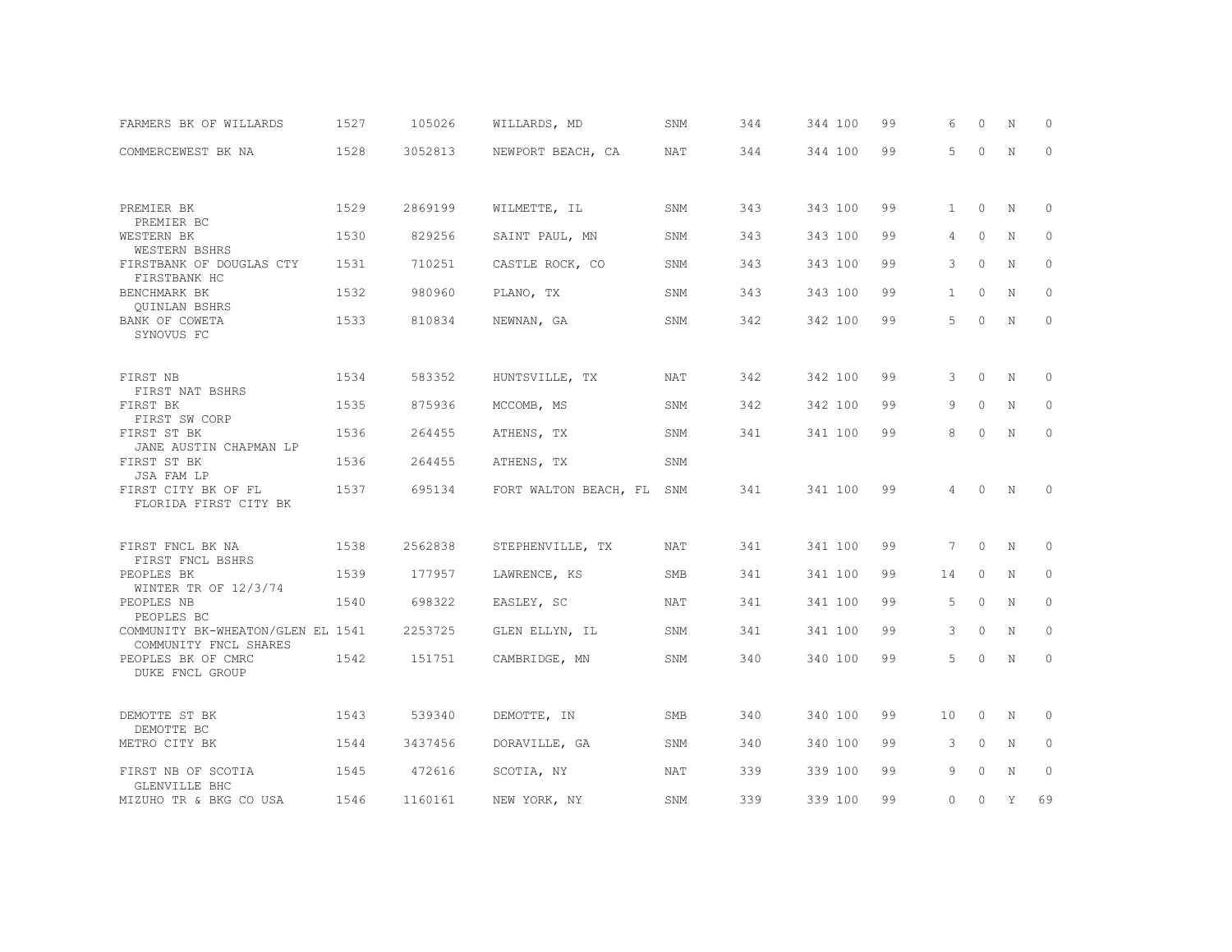| FARMERS BK OF WILLARDS                                     | 1527 | 105026  | WILLARDS, MD          | SNM        | 344 | 344 100 | 99 | 6            | $\Omega$ | N           | $\Omega$    |
|------------------------------------------------------------|------|---------|-----------------------|------------|-----|---------|----|--------------|----------|-------------|-------------|
| COMMERCEWEST BK NA                                         | 1528 | 3052813 | NEWPORT BEACH, CA     | <b>NAT</b> | 344 | 344 100 | 99 | 5            | $\Omega$ | $\mathbf N$ | $\mathbf 0$ |
|                                                            |      |         |                       |            |     |         |    |              |          |             |             |
| PREMIER BK<br>PREMIER BC                                   | 1529 | 2869199 | WILMETTE, IL          | SNM        | 343 | 343 100 | 99 | 1            | $\circ$  | N           | 0           |
| WESTERN BK<br>WESTERN BSHRS                                | 1530 | 829256  | SAINT PAUL, MN        | SNM        | 343 | 343 100 | 99 | 4            | $\circ$  | N           | 0           |
| FIRSTBANK OF DOUGLAS CTY<br>FIRSTBANK HC                   | 1531 | 710251  | CASTLE ROCK, CO       | SNM        | 343 | 343 100 | 99 | 3            | $\Omega$ | $\mathbf N$ | $\circ$     |
| BENCHMARK BK<br><b>OUINLAN BSHRS</b>                       | 1532 | 980960  | PLANO, TX             | SNM        | 343 | 343 100 | 99 | $\mathbf{1}$ | $\Omega$ | N           | $\Omega$    |
| BANK OF COWETA<br>SYNOVUS FC                               | 1533 | 810834  | NEWNAN, GA            | SNM        | 342 | 342 100 | 99 | 5            | $\circ$  | N           | $\circ$     |
|                                                            |      |         |                       |            |     |         |    |              |          |             |             |
| FIRST NB<br>FIRST NAT BSHRS                                | 1534 | 583352  | HUNTSVILLE, TX        | NAT        | 342 | 342 100 | 99 | 3            | 0        | N           | 0           |
| FIRST BK<br>FIRST SW CORP                                  | 1535 | 875936  | MCCOMB, MS            | SNM        | 342 | 342 100 | 99 | 9            | $\Omega$ | N           | $\Omega$    |
| FIRST ST BK<br>JANE AUSTIN CHAPMAN LP                      | 1536 | 264455  | ATHENS, TX            | SNM        | 341 | 341 100 | 99 | 8            | $\Omega$ | $\mathbb N$ | $\mathbf 0$ |
| FIRST ST BK<br>JSA FAM LP                                  | 1536 | 264455  | ATHENS, TX            | SNM        |     |         |    |              |          |             |             |
| FIRST CITY BK OF FL<br>FLORIDA FIRST CITY BK               | 1537 | 695134  | FORT WALTON BEACH, FL | SNM        | 341 | 341 100 | 99 | 4            | $\Omega$ | N           | $\Omega$    |
|                                                            |      |         |                       |            |     |         |    |              |          |             |             |
| FIRST FNCL BK NA<br>FIRST FNCL BSHRS                       | 1538 | 2562838 | STEPHENVILLE, TX      | <b>NAT</b> | 341 | 341 100 | 99 | 7            | $\circ$  | N           | $\circ$     |
| PEOPLES BK<br>WINTER TR OF 12/3/74                         | 1539 | 177957  | LAWRENCE, KS          | <b>SMB</b> | 341 | 341 100 | 99 | 14           | $\circ$  | N           | $\circ$     |
| PEOPLES NB<br>PEOPLES BC                                   | 1540 | 698322  | EASLEY, SC            | <b>NAT</b> | 341 | 341 100 | 99 | 5            | $\circ$  | N           | $\circ$     |
| COMMUNITY BK-WHEATON/GLEN EL 1541<br>COMMUNITY FNCL SHARES |      | 2253725 | GLEN ELLYN, IL        | SNM        | 341 | 341 100 | 99 | 3            | $\circ$  | N           | 0           |
| PEOPLES BK OF CMRC<br>DUKE FNCL GROUP                      | 1542 | 151751  | CAMBRIDGE, MN         | SNM        | 340 | 340 100 | 99 | 5            | $\circ$  | N           | 0           |
|                                                            |      |         |                       |            |     |         |    |              |          |             |             |
| DEMOTTE ST BK<br>DEMOTTE BC                                | 1543 | 539340  | DEMOTTE, IN           | <b>SMB</b> | 340 | 340 100 | 99 | $10 \,$      | $\circ$  | N           | 0           |
| METRO CITY BK                                              | 1544 | 3437456 | DORAVILLE, GA         | SNM        | 340 | 340 100 | 99 | 3            | $\circ$  | N           | $\circ$     |
| FIRST NB OF SCOTIA<br>GLENVILLE BHC                        | 1545 | 472616  | SCOTIA, NY            | NAT        | 339 | 339 100 | 99 | 9            | $\circ$  | N           | $\circ$     |
| MIZUHO TR & BKG CO USA                                     | 1546 | 1160161 | NEW YORK, NY          | SNM        | 339 | 339 100 | 99 | $\circ$      | $\circ$  | Y           | 69          |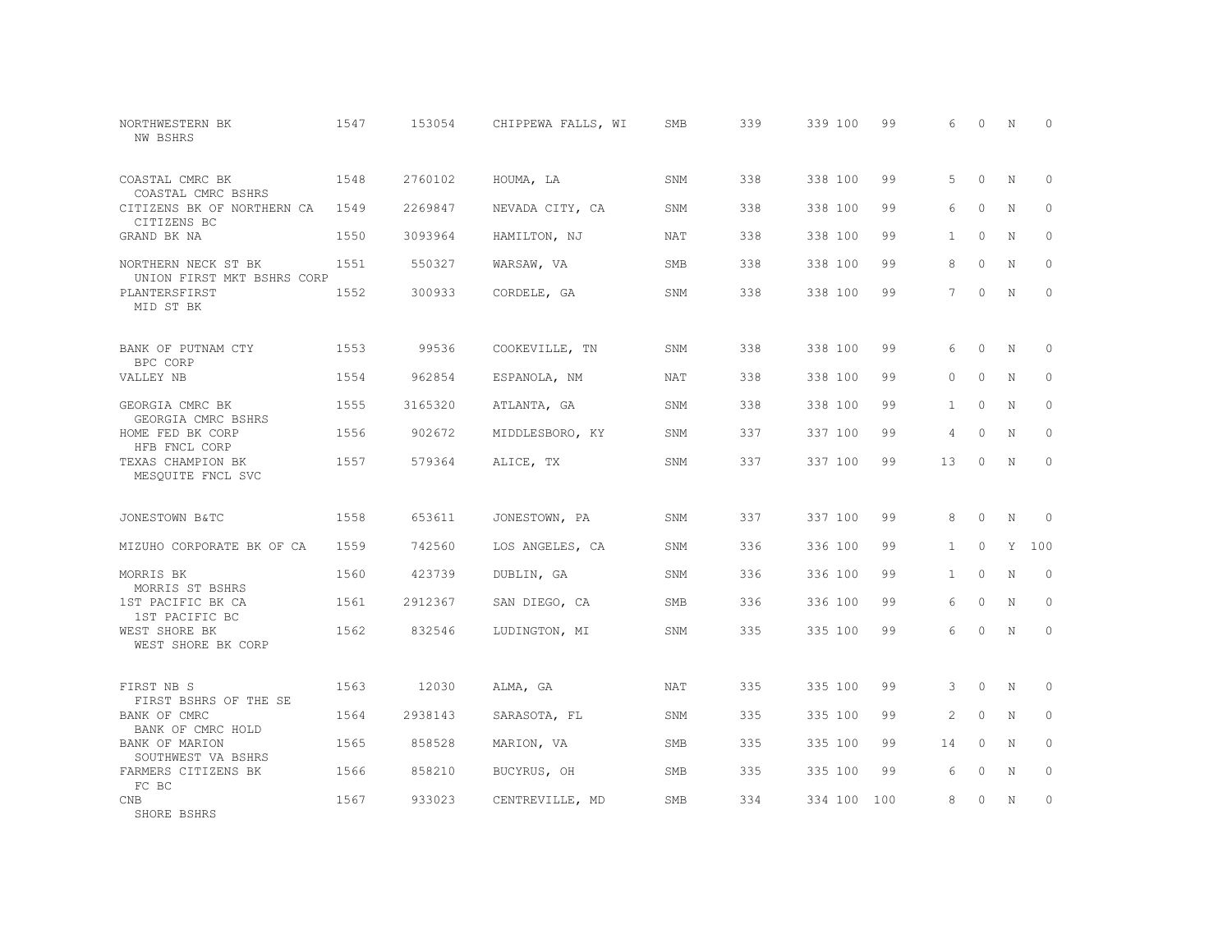| NORTHWESTERN BK<br>NW BSHRS                       | 1547 | 153054  | CHIPPEWA FALLS, WI | <b>SMB</b> | 339 | 339 100     | 99 | 6              | $\Omega$  | N | $\Omega$    |
|---------------------------------------------------|------|---------|--------------------|------------|-----|-------------|----|----------------|-----------|---|-------------|
| COASTAL CMRC BK<br>COASTAL CMRC BSHRS             | 1548 | 2760102 | HOUMA, LA          | SNM        | 338 | 338 100     | 99 | 5              | $\Omega$  | N | $\circ$     |
| CITIZENS BK OF NORTHERN CA<br>CITIZENS BC         | 1549 | 2269847 | NEVADA CITY, CA    | SNM        | 338 | 338 100     | 99 | 6              | $\Omega$  | N | $\circ$     |
| GRAND BK NA                                       | 1550 | 3093964 | HAMILTON, NJ       | <b>NAT</b> | 338 | 338 100     | 99 | $\mathbf{1}$   | $\bigcap$ | N | $\Omega$    |
| NORTHERN NECK ST BK<br>UNION FIRST MKT BSHRS CORP | 1551 | 550327  | WARSAW, VA         | <b>SMB</b> | 338 | 338 100     | 99 | 8              | $\Omega$  | N | $\circ$     |
| PLANTERSFIRST<br>MID ST BK                        | 1552 | 300933  | CORDELE, GA        | SNM        | 338 | 338 100     | 99 | $\overline{7}$ | $\Omega$  | N | $\Omega$    |
| BANK OF PUTNAM CTY<br>BPC CORP                    | 1553 | 99536   | COOKEVILLE, TN     | SNM        | 338 | 338 100     | 99 | 6              | $\Omega$  | N | $\Omega$    |
| VALLEY NB                                         | 1554 | 962854  | ESPANOLA, NM       | NAT        | 338 | 338 100     | 99 | $\Omega$       | $\circ$   | N | $\circ$     |
| GEORGIA CMRC BK<br>GEORGIA CMRC BSHRS             | 1555 | 3165320 | ATLANTA, GA        | SNM        | 338 | 338 100     | 99 | $\mathbf{1}$   | $\Omega$  | N | $\Omega$    |
| HOME FED BK CORP<br>HFB FNCL CORP                 | 1556 | 902672  | MIDDLESBORO, KY    | SNM        | 337 | 337 100     | 99 | $\overline{4}$ | $\circ$   | N | $\mathbf 0$ |
| TEXAS CHAMPION BK<br>MESOUITE FNCL SVC            | 1557 | 579364  | ALICE, TX          | SNM        | 337 | 337 100     | 99 | 13             | $\Omega$  | N | $\circ$     |
| JONESTOWN B&TC                                    | 1558 | 653611  | JONESTOWN, PA      | SNM        | 337 | 337 100     | 99 | 8              | $\circ$   | N | $\Omega$    |
| MIZUHO CORPORATE BK OF CA                         | 1559 | 742560  | LOS ANGELES, CA    | SNM        | 336 | 336 100     | 99 | $\mathbf{1}$   | $\Omega$  | Y | 100         |
| MORRIS BK<br>MORRIS ST BSHRS                      | 1560 | 423739  | DUBLIN, GA         | SNM        | 336 | 336 100     | 99 | $\mathbf{1}$   | $\Omega$  | N | $\circ$     |
| 1ST PACIFIC BK CA<br>1ST PACIFIC BC               | 1561 | 2912367 | SAN DIEGO, CA      | SMB        | 336 | 336 100     | 99 | 6              | $\Omega$  | N | $\circ$     |
| WEST SHORE BK<br>WEST SHORE BK CORP               | 1562 | 832546  | LUDINGTON, MI      | SNM        | 335 | 335 100     | 99 | 6              | $\Omega$  | N | $\circ$     |
| FIRST NB S<br>FIRST BSHRS OF THE SE               | 1563 | 12030   | ALMA, GA           | <b>NAT</b> | 335 | 335 100     | 99 | $\mathcal{B}$  | $\Omega$  | N | $\Omega$    |
| BANK OF CMRC<br>BANK OF CMRC HOLD                 | 1564 | 2938143 | SARASOTA, FL       | SNM        | 335 | 335 100     | 99 | 2              | $\circ$   | N | $\circ$     |
| BANK OF MARION<br>SOUTHWEST VA BSHRS              | 1565 | 858528  | MARION, VA         | SMB        | 335 | 335 100     | 99 | 14             | $\Omega$  | N | $\Omega$    |
| FARMERS CITIZENS BK<br>FC BC                      | 1566 | 858210  | BUCYRUS, OH        | SMB        | 335 | 335 100     | 99 | 6              | $\circ$   | N | 0           |
| <b>CNB</b><br>SHORE BSHRS                         | 1567 | 933023  | CENTREVILLE, MD    | <b>SMB</b> | 334 | 334 100 100 |    | 8              | $\Omega$  | N | $\circ$     |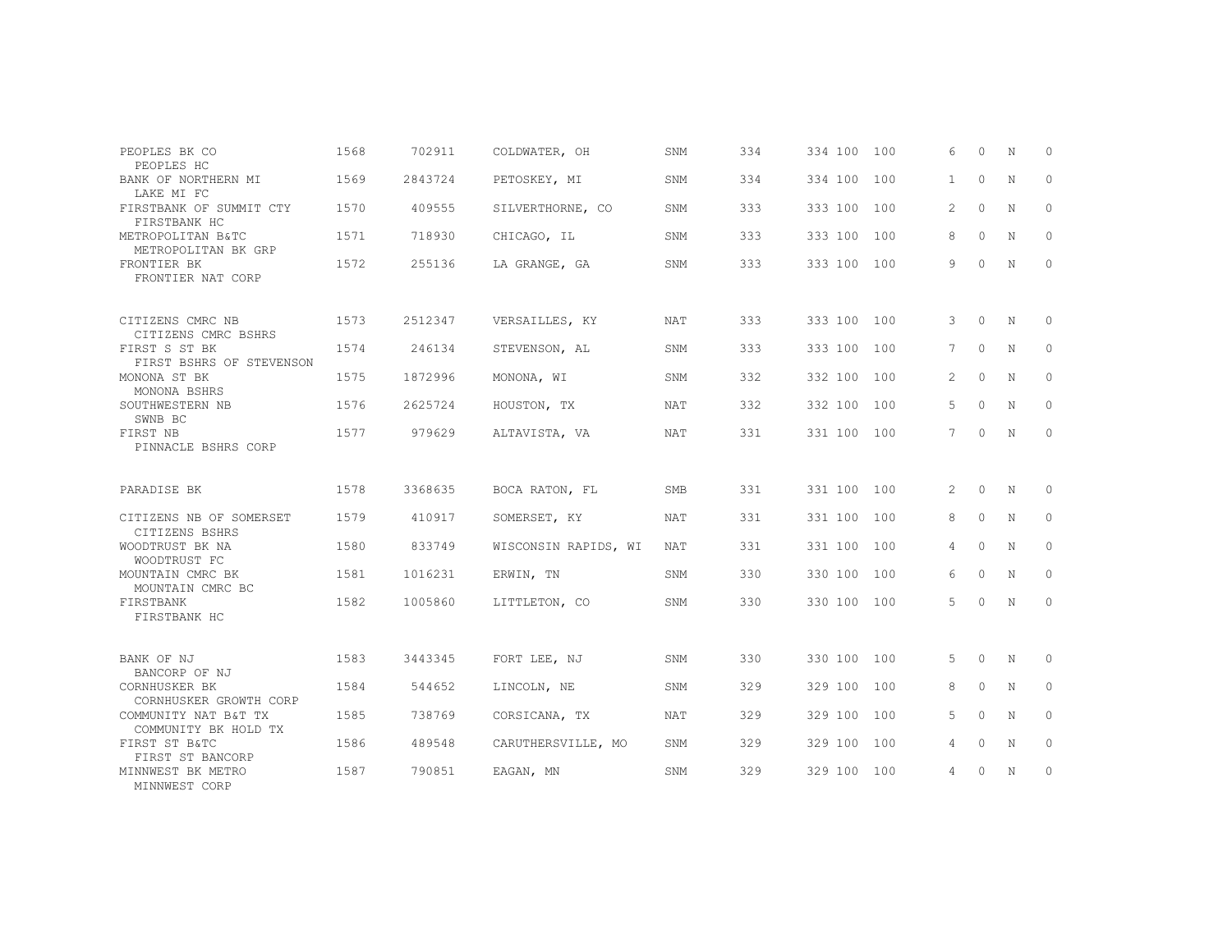| PEOPLES BK CO                                   | 1568 | 702911  | COLDWATER, OH        | <b>SNM</b> | 334 | 334 100 100 |     | 6              | $\Omega$ | N | $\Omega$     |
|-------------------------------------------------|------|---------|----------------------|------------|-----|-------------|-----|----------------|----------|---|--------------|
| PEOPLES HC<br>BANK OF NORTHERN MI<br>LAKE MI FC | 1569 | 2843724 | PETOSKEY, MI         | SNM        | 334 | 334 100     | 100 | $\mathbf{1}$   | $\circ$  | N | $\mathbf{0}$ |
| FIRSTBANK OF SUMMIT CTY<br>FIRSTBANK HC         | 1570 | 409555  | SILVERTHORNE, CO     | SNM        | 333 | 333 100     | 100 | $\overline{2}$ | $\Omega$ | N | $\Omega$     |
| METROPOLITAN B&TC<br>METROPOLITAN BK GRP        | 1571 | 718930  | CHICAGO, IL          | SNM        | 333 | 333 100     | 100 | 8              | $\Omega$ | N | $\Omega$     |
| FRONTIER BK<br>FRONTIER NAT CORP                | 1572 | 255136  | LA GRANGE, GA        | SNM        | 333 | 333 100 100 |     | 9              | 0        | N | $\mathbf{0}$ |
| CITIZENS CMRC NB<br>CITIZENS CMRC BSHRS         | 1573 | 2512347 | VERSAILLES, KY       | <b>NAT</b> | 333 | 333 100     | 100 | 3              | $\Omega$ | N | $\Omega$     |
| FIRST S ST BK<br>FIRST BSHRS OF STEVENSON       | 1574 | 246134  | STEVENSON, AL        | SNM        | 333 | 333 100     | 100 | 7              | $\circ$  | N | $\mathbf{0}$ |
| MONONA ST BK<br>MONONA BSHRS                    | 1575 | 1872996 | MONONA, WI           | SNM        | 332 | 332 100     | 100 | $\overline{2}$ | $\Omega$ | N | $\Omega$     |
| SOUTHWESTERN NB<br>SWNB BC                      | 1576 | 2625724 | HOUSTON, TX          | NAT        | 332 | 332 100     | 100 | 5              | $\circ$  | N | $\mathbf{0}$ |
| FIRST NB<br>PINNACLE BSHRS CORP                 | 1577 | 979629  | ALTAVISTA, VA        | <b>NAT</b> | 331 | 331 100     | 100 | 7              | $\circ$  | N | $\mathbf{0}$ |
| PARADISE BK                                     | 1578 | 3368635 | BOCA RATON, FL       | <b>SMB</b> | 331 | 331 100     | 100 | 2              | $\Omega$ | N | $\Omega$     |
| CITIZENS NB OF SOMERSET<br>CITIZENS BSHRS       | 1579 | 410917  | SOMERSET, KY         | NAT        | 331 | 331 100     | 100 | 8              | $\circ$  | N | 0            |
| WOODTRUST BK NA<br>WOODTRUST FC                 | 1580 | 833749  | WISCONSIN RAPIDS, WI | NAT        | 331 | 331 100     | 100 | 4              | $\Omega$ | N | 0            |
| MOUNTAIN CMRC BK<br>MOUNTAIN CMRC BC            | 1581 | 1016231 | ERWIN, TN            | SNM        | 330 | 330 100     | 100 | 6              | $\Omega$ | N | $\Omega$     |
| FIRSTBANK<br>FIRSTBANK HC                       | 1582 | 1005860 | LITTLETON, CO        | SNM        | 330 | 330 100     | 100 | 5              | $\Omega$ | N | 0            |
| BANK OF NJ<br>BANCORP OF NJ                     | 1583 | 3443345 | FORT LEE, NJ         | SNM        | 330 | 330 100     | 100 | 5              | $\circ$  | N | $\mathbf{0}$ |
| CORNHUSKER BK<br>CORNHUSKER GROWTH CORP         | 1584 | 544652  | LINCOLN, NE          | SNM        | 329 | 329 100     | 100 | 8              | $\Omega$ | N | $\mathbf{0}$ |
| COMMUNITY NAT B&T TX<br>COMMUNITY BK HOLD TX    | 1585 | 738769  | CORSICANA, TX        | <b>NAT</b> | 329 | 329 100     | 100 | 5              | $\Omega$ | N | $\Omega$     |
| FIRST ST B&TC<br>FIRST ST BANCORP               | 1586 | 489548  | CARUTHERSVILLE, MO   | SNM        | 329 | 329 100     | 100 | 4              | $\circ$  | N | $\Omega$     |
| MINNWEST BK METRO<br>MINNWEST CORP              | 1587 | 790851  | EAGAN, MN            | SNM        | 329 | 329 100     | 100 | 4              | 0        | N | $\circ$      |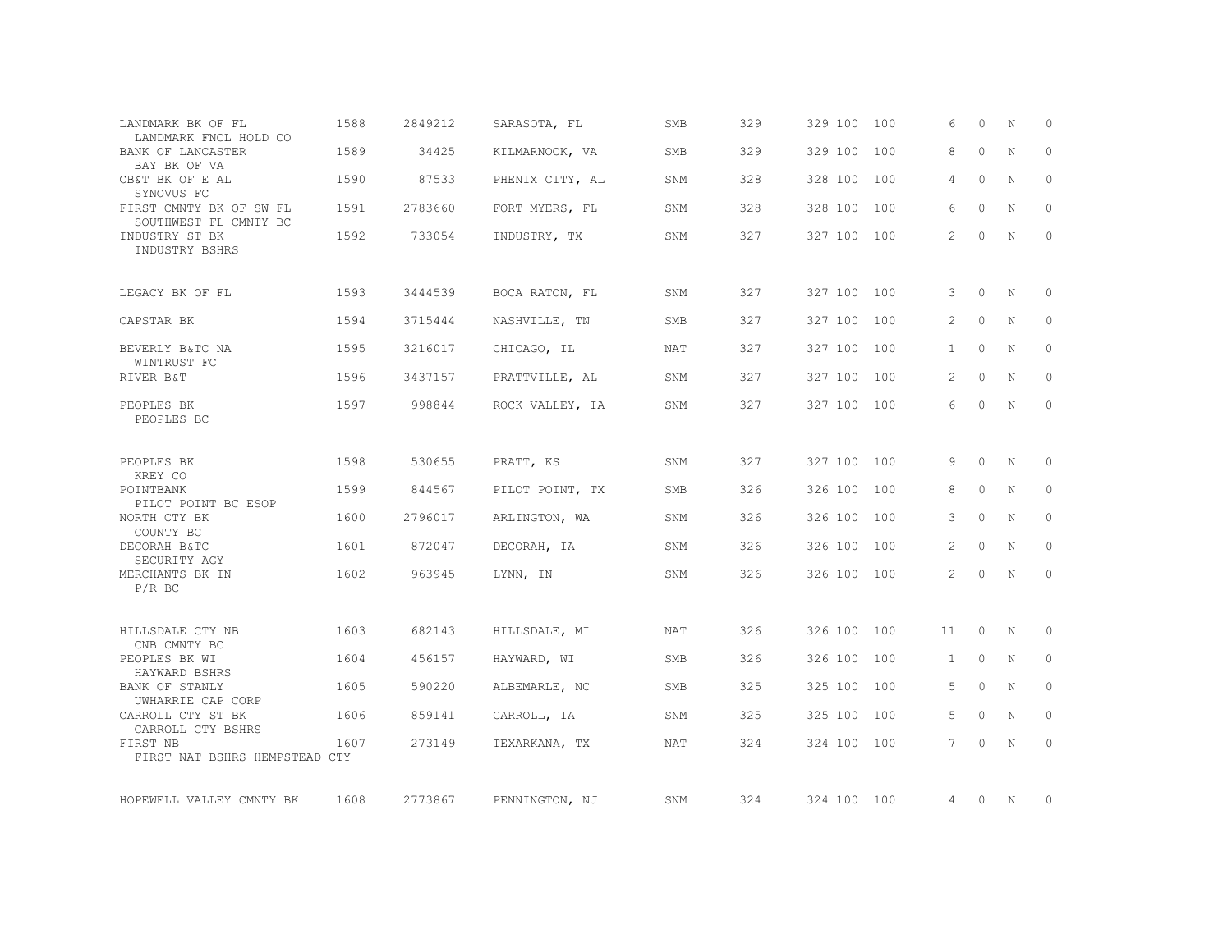| LANDMARK BK OF FL<br>LANDMARK FNCL HOLD CO       | 1588 | 2849212 | SARASOTA, FL    | SMB | 329 | 329 100 100 |     | 6            | $\Omega$ | N           | $\circ$      |
|--------------------------------------------------|------|---------|-----------------|-----|-----|-------------|-----|--------------|----------|-------------|--------------|
| BANK OF LANCASTER<br>BAY BK OF VA                | 1589 | 34425   | KILMARNOCK, VA  | SMB | 329 | 329 100     | 100 | 8            | $\circ$  | N           | $\mathbf{0}$ |
| CB&T BK OF E AL<br>SYNOVUS FC                    | 1590 | 87533   | PHENIX CITY, AL | SNM | 328 | 328 100     | 100 | 4            | $\Omega$ | N           | $\Omega$     |
| FIRST CMNTY BK OF SW FL<br>SOUTHWEST FL CMNTY BC | 1591 | 2783660 | FORT MYERS, FL  | SNM | 328 | 328 100     | 100 | 6            | $\Omega$ | N           | $\mathbf{0}$ |
| INDUSTRY ST BK<br>INDUSTRY BSHRS                 | 1592 | 733054  | INDUSTRY, TX    | SNM | 327 | 327 100 100 |     | 2            | $\Omega$ | N           | $\mathbf{0}$ |
| LEGACY BK OF FL                                  | 1593 | 3444539 | BOCA RATON, FL  | SNM | 327 | 327 100 100 |     | 3            | $\circ$  | N           | 0            |
| CAPSTAR BK                                       | 1594 | 3715444 | NASHVILLE, TN   | SMB | 327 | 327 100 100 |     | 2            | $\circ$  | N           | $\mathbf{0}$ |
| BEVERLY B&TC NA<br>WINTRUST FC                   | 1595 | 3216017 | CHICAGO, IL     | NAT | 327 | 327 100 100 |     | $\mathbf{1}$ | $\circ$  | N           | $\circ$      |
| RIVER B&T                                        | 1596 | 3437157 | PRATTVILLE, AL  | SNM | 327 | 327 100     | 100 | 2            | $\circ$  | N           | $\mathbf{0}$ |
| PEOPLES BK<br>PEOPLES BC                         | 1597 | 998844  | ROCK VALLEY, IA | SNM | 327 | 327 100 100 |     | 6            | $\circ$  | N           | $\circ$      |
| PEOPLES BK<br>KREY CO                            | 1598 | 530655  | PRATT, KS       | SNM | 327 | 327 100 100 |     | 9            | $\circ$  | N           | 0            |
| POINTBANK<br>PILOT POINT BC ESOP                 | 1599 | 844567  | PILOT POINT, TX | SMB | 326 | 326 100     | 100 | 8            | $\Omega$ | N           | $\circ$      |
| NORTH CTY BK<br>COUNTY BC                        | 1600 | 2796017 | ARLINGTON, WA   | SNM | 326 | 326 100     | 100 | 3            | $\circ$  | N           | $\circ$      |
| DECORAH B&TC<br>SECURITY AGY                     | 1601 | 872047  | DECORAH, IA     | SNM | 326 | 326 100     | 100 | 2            | 0        | N           | 0            |
| MERCHANTS BK IN<br>$P/R$ BC                      | 1602 | 963945  | LYNN, IN        | SNM | 326 | 326 100 100 |     | 2            | $\circ$  | $\mathbb N$ | $\circ$      |
| HILLSDALE CTY NB<br>CNB CMNTY BC                 | 1603 | 682143  | HILLSDALE, MI   | NAT | 326 | 326 100     | 100 | 11           | $\circ$  | N           | $\circ$      |
| PEOPLES BK WI<br>HAYWARD BSHRS                   | 1604 | 456157  | HAYWARD, WI     | SMB | 326 | 326 100 100 |     | $\mathbf{1}$ | $\circ$  | N           | $\circ$      |
| BANK OF STANLY<br>UWHARRIE CAP CORP              | 1605 | 590220  | ALBEMARLE, NC   | SMB | 325 | 325 100     | 100 | 5            | $\Omega$ | N           | $\mathbf{0}$ |
| CARROLL CTY ST BK<br>CARROLL CTY BSHRS           | 1606 | 859141  | CARROLL, IA     | SNM | 325 | 325 100     | 100 | 5            | $\circ$  | N           | $\circ$      |
| FIRST NB<br>FIRST NAT BSHRS HEMPSTEAD CTY        | 1607 | 273149  | TEXARKANA, TX   | NAT | 324 | 324 100     | 100 | 7            | $\Omega$ | N           | $\mathbf{0}$ |
| HOPEWELL VALLEY CMNTY BK                         | 1608 | 2773867 | PENNINGTON, NJ  | SNM | 324 | 324 100 100 |     | 4            | $\circ$  | N           | 0            |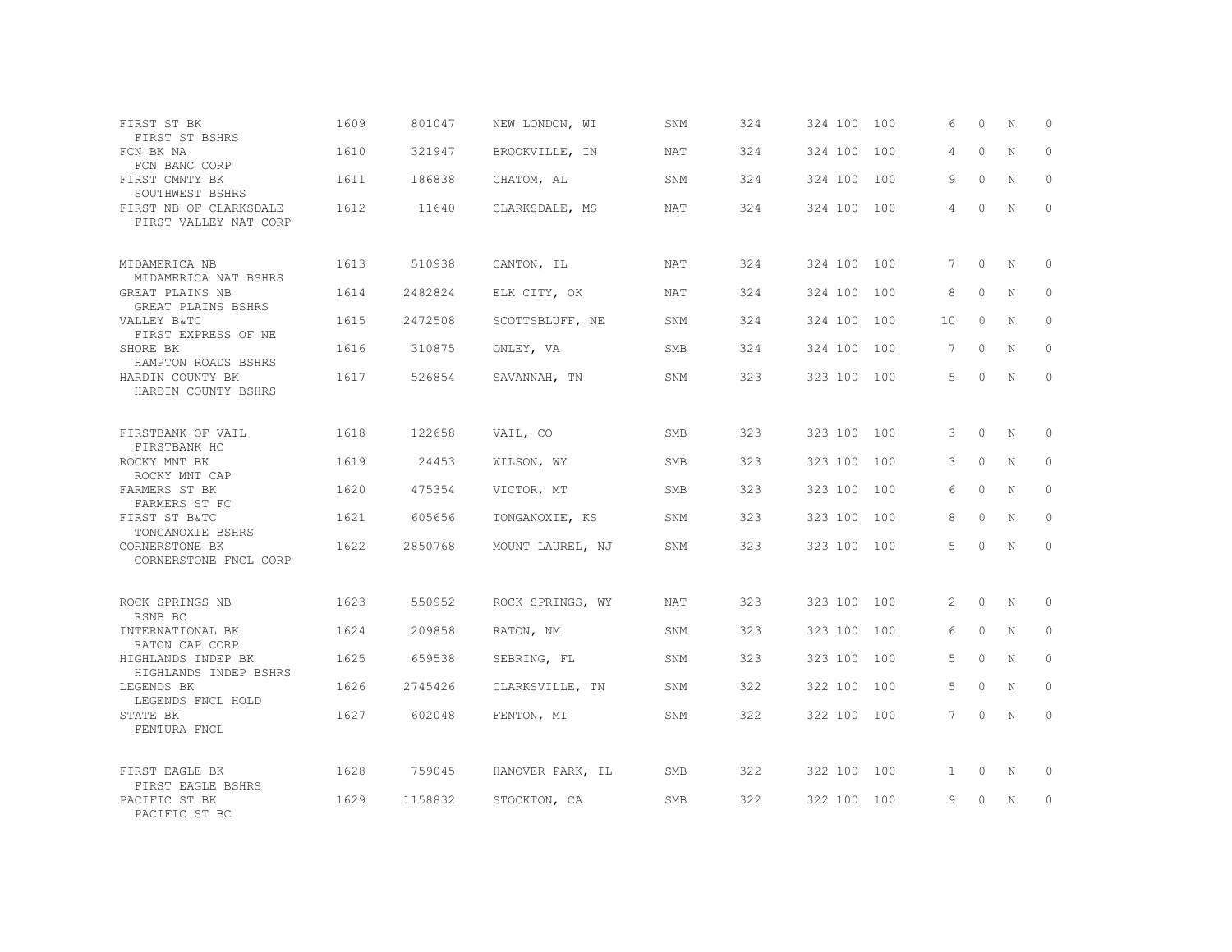| FIRST ST BK<br>FIRST ST BSHRS                       | 1609 | 801047  | NEW LONDON, WI   | SNM        | 324 | 324 100 100 |     | 6            | $\Omega$ | N           | 0           |
|-----------------------------------------------------|------|---------|------------------|------------|-----|-------------|-----|--------------|----------|-------------|-------------|
| FCN BK NA<br>FCN BANC CORP                          | 1610 | 321947  | BROOKVILLE, IN   | <b>NAT</b> | 324 | 324 100     | 100 | 4            | $\Omega$ | $\mathbf N$ | $\Omega$    |
| FIRST CMNTY BK<br>SOUTHWEST BSHRS                   | 1611 | 186838  | CHATOM, AL       | SNM        | 324 | 324 100     | 100 | 9            | $\circ$  | N           | $\circ$     |
| FIRST NB OF CLARKSDALE<br>FIRST VALLEY NAT CORP     | 1612 | 11640   | CLARKSDALE, MS   | NAT        | 324 | 324 100 100 |     | 4            | $\Omega$ | $\mathbb N$ | $\Omega$    |
| MIDAMERICA NB<br>MIDAMERICA NAT BSHRS               | 1613 | 510938  | CANTON, IL       | NAT        | 324 | 324 100 100 |     | 7            | $\Omega$ | $_{\rm N}$  | $\Omega$    |
| GREAT PLAINS NB<br>GREAT PLAINS BSHRS               | 1614 | 2482824 | ELK CITY, OK     | <b>NAT</b> | 324 | 324 100     | 100 | 8            | $\Omega$ | N           | $\circ$     |
| VALLEY B&TC<br>FIRST EXPRESS OF NE                  | 1615 | 2472508 | SCOTTSBLUFF, NE  | SNM        | 324 | 324 100     | 100 | 10           | $\Omega$ | $_{\rm N}$  | $\Omega$    |
| SHORE BK<br>HAMPTON ROADS BSHRS                     | 1616 | 310875  | ONLEY, VA        | SMB        | 324 | 324 100     | 100 | 7            | $\circ$  | N           | $\circ$     |
| HARDIN COUNTY BK<br>HARDIN COUNTY BSHRS             | 1617 | 526854  | SAVANNAH, TN     | SNM        | 323 | 323 100 100 |     | 5            | $\Omega$ | $\mathbb N$ | $\Omega$    |
| FIRSTBANK OF VAIL<br>FIRSTBANK HC                   | 1618 | 122658  | VAIL, CO         | <b>SMB</b> | 323 | 323 100     | 100 | 3            | $\circ$  | N           | $\circ$     |
| ROCKY MNT BK<br>ROCKY MNT CAP                       | 1619 | 24453   | WILSON, WY       | SMB        | 323 | 323 100     | 100 | 3            | $\Omega$ | N           | $\Omega$    |
| FARMERS ST BK<br>FARMERS ST FC                      | 1620 | 475354  | VICTOR, MT       | SMB        | 323 | 323 100     | 100 | 6            | $\circ$  | N           | $\Omega$    |
| FIRST ST B&TC<br>TONGANOXIE BSHRS                   | 1621 | 605656  | TONGANOXIE, KS   | SNM        | 323 | 323 100     | 100 | 8            | $\Omega$ | N           | $\Omega$    |
| CORNERSTONE BK<br>CORNERSTONE FNCL CORP             | 1622 | 2850768 | MOUNT LAUREL, NJ | SNM        | 323 | 323 100 100 |     | 5            | $\Omega$ | N           | $\Omega$    |
| ROCK SPRINGS NB<br>RSNB BC                          | 1623 | 550952  | ROCK SPRINGS, WY | NAT        | 323 | 323 100 100 |     | 2            | $\circ$  | N           | $\mathbf 0$ |
| INTERNATIONAL BK<br>RATON CAP CORP                  | 1624 | 209858  | RATON, NM        | SNM        | 323 | 323 100     | 100 | 6            | $\Omega$ | N           | $\Omega$    |
| HIGHLANDS INDEP BK<br>HIGHLANDS INDEP BSHRS         | 1625 | 659538  | SEBRING, FL      | SNM        | 323 | 323 100     | 100 | 5            | $\circ$  | N           | $\circ$     |
| LEGENDS BK<br>LEGENDS FNCL HOLD                     | 1626 | 2745426 | CLARKSVILLE, TN  | SNM        | 322 | 322 100     | 100 | 5            | $\Omega$ | N           | $\Omega$    |
| STATE BK<br>FENTURA FNCL                            | 1627 | 602048  | FENTON, MI       | SNM        | 322 | 322 100 100 |     | 7            | $\circ$  | N           | $\circ$     |
| FIRST EAGLE BK                                      | 1628 | 759045  | HANOVER PARK, IL | SMB        | 322 | 322 100 100 |     | $\mathbf{1}$ | 0        | N           | 0           |
| FIRST EAGLE BSHRS<br>PACIFIC ST BK<br>PACIFIC ST BC | 1629 | 1158832 | STOCKTON, CA     | SMB        | 322 | 322 100 100 |     | 9            | $\Omega$ | N           | $\circ$     |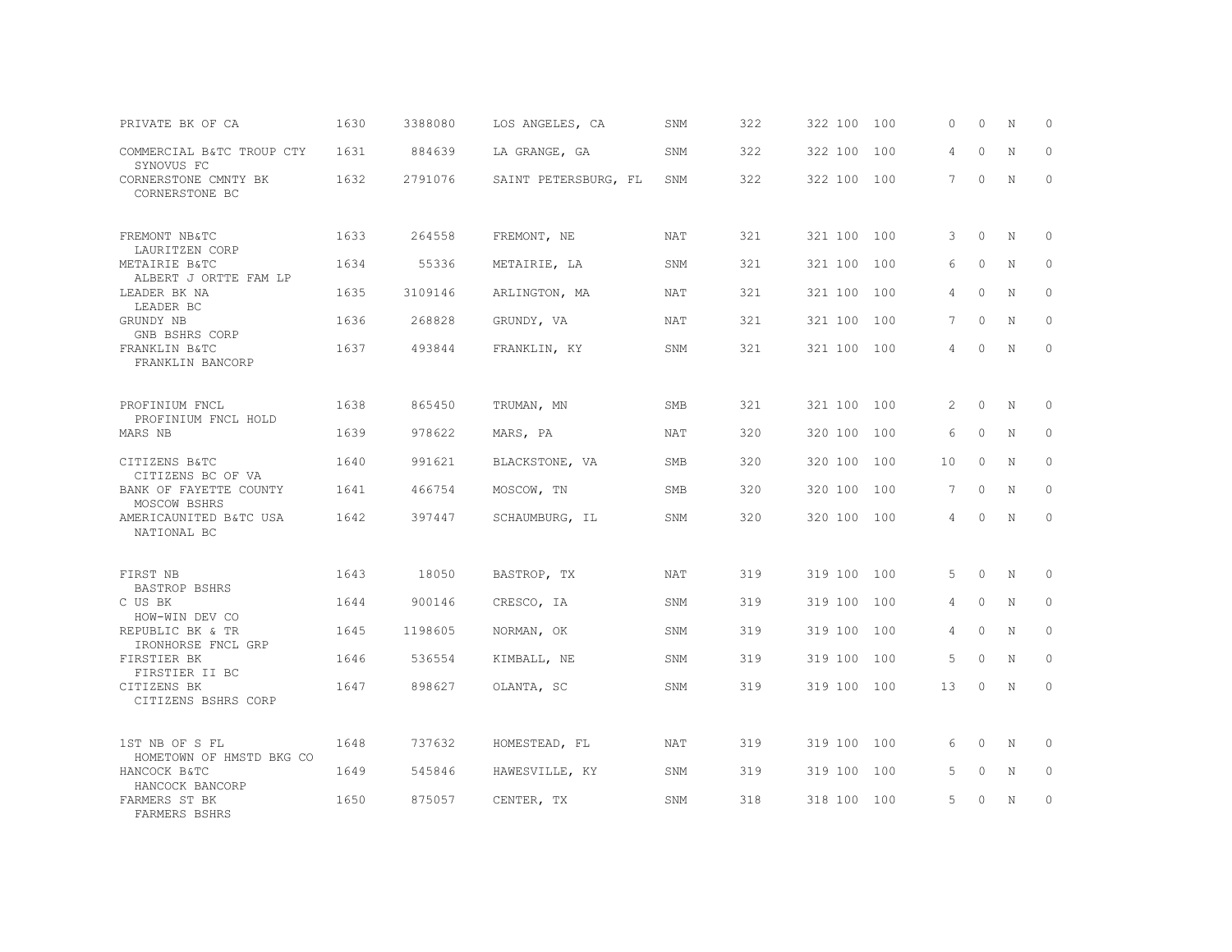| PRIVATE BK OF CA                                         | 1630 | 3388080 | LOS ANGELES, CA      | SNM        | 322 | 322 100     | 100 | $\Omega$        | 0        | N           | $\circ$     |
|----------------------------------------------------------|------|---------|----------------------|------------|-----|-------------|-----|-----------------|----------|-------------|-------------|
| COMMERCIAL B&TC TROUP CTY<br>SYNOVUS FC                  | 1631 | 884639  | LA GRANGE, GA        | SNM        | 322 | 322 100     | 100 | 4               | $\Omega$ | $\mathbf N$ | $\Omega$    |
| CORNERSTONE CMNTY BK<br>CORNERSTONE BC                   | 1632 | 2791076 | SAINT PETERSBURG, FL | SNM        | 322 | 322 100 100 |     | $7\phantom{.0}$ | $\Omega$ | N           | $\Omega$    |
| FREMONT NB&TC<br>LAURITZEN CORP                          | 1633 | 264558  | FREMONT, NE          | <b>NAT</b> | 321 | 321 100     | 100 | 3               | $\Omega$ | $_{\rm N}$  | $\Omega$    |
| METAIRIE B&TC<br>ALBERT J ORTTE FAM LP                   | 1634 | 55336   | METAIRIE, LA         | SNM        | 321 | 321 100     | 100 | 6               | $\circ$  | N           | $\circ$     |
| LEADER BK NA<br>LEADER BC                                | 1635 | 3109146 | ARLINGTON, MA        | NAT        | 321 | 321 100     | 100 | 4               | $\Omega$ | $_{\rm N}$  | $\Omega$    |
| GRUNDY NB<br>GNB BSHRS CORP                              | 1636 | 268828  | GRUNDY, VA           | <b>NAT</b> | 321 | 321 100     | 100 | $7^{\circ}$     | $\Omega$ | N           | $\Omega$    |
| FRANKLIN B&TC<br>FRANKLIN BANCORP                        | 1637 | 493844  | FRANKLIN, KY         | SNM        | 321 | 321 100 100 |     | 4               | $\Omega$ | N           | $\circ$     |
| PROFINIUM FNCL                                           | 1638 | 865450  | TRUMAN, MN           | <b>SMB</b> | 321 | 321 100 100 |     | 2               | $\circ$  | N           | $\mathbf 0$ |
| PROFINIUM FNCL HOLD<br>MARS NB                           | 1639 | 978622  | MARS, PA             | <b>NAT</b> | 320 | 320 100     | 100 | 6               | $\circ$  | N           | $\circ$     |
| CITIZENS B&TC<br>CITIZENS BC OF VA                       | 1640 | 991621  | BLACKSTONE, VA       | <b>SMB</b> | 320 | 320 100     | 100 | 10              | $\Omega$ | N           | $\Omega$    |
| BANK OF FAYETTE COUNTY<br>MOSCOW BSHRS                   | 1641 | 466754  | MOSCOW, TN           | <b>SMB</b> | 320 | 320 100     | 100 | 7               | $\circ$  | N           | $\circ$     |
| AMERICAUNITED B&TC USA<br>NATIONAL BC                    | 1642 | 397447  | SCHAUMBURG, IL       | SNM        | 320 | 320 100 100 |     | 4               | $\Omega$ | N           | $\Omega$    |
| FIRST NB                                                 | 1643 | 18050   | BASTROP, TX          | <b>NAT</b> | 319 | 319 100 100 |     | 5               | $\Omega$ | $_{\rm N}$  | $\mathbf 0$ |
| <b>BASTROP BSHRS</b><br>C US BK                          | 1644 | 900146  | CRESCO, IA           | SNM        | 319 | 319 100     | 100 | 4               | $\circ$  | N           | $\circ$     |
| HOW-WIN DEV CO<br>REPUBLIC BK & TR<br>IRONHORSE FNCL GRP | 1645 | 1198605 | NORMAN, OK           | SNM        | 319 | 319 100     | 100 | 4               | $\circ$  | $_{\rm N}$  | $\circ$     |
| FIRSTIER BK<br>FIRSTIER II BC                            | 1646 | 536554  | KIMBALL, NE          | SNM        | 319 | 319 100     | 100 | 5               | $\Omega$ | N           | $\Omega$    |
| CITIZENS BK<br>CITIZENS BSHRS CORP                       | 1647 | 898627  | OLANTA, SC           | SNM        | 319 | 319 100 100 |     | 13              | $\circ$  | N           | $\circ$     |
| 1ST NB OF S FL<br>HOMETOWN OF HMSTD BKG CO               | 1648 | 737632  | HOMESTEAD, FL        | <b>NAT</b> | 319 | 319 100 100 |     | 6               | $\Omega$ | N           | $\Omega$    |
| HANCOCK B&TC<br>HANCOCK BANCORP                          | 1649 | 545846  | HAWESVILLE, KY       | SNM        | 319 | 319 100     | 100 | 5               | $\circ$  | N           | $\circ$     |
| FARMERS ST BK<br>FARMERS BSHRS                           | 1650 | 875057  | CENTER, TX           | SNM        | 318 | 318 100 100 |     | 5               | $\Omega$ | N           | $\circ$     |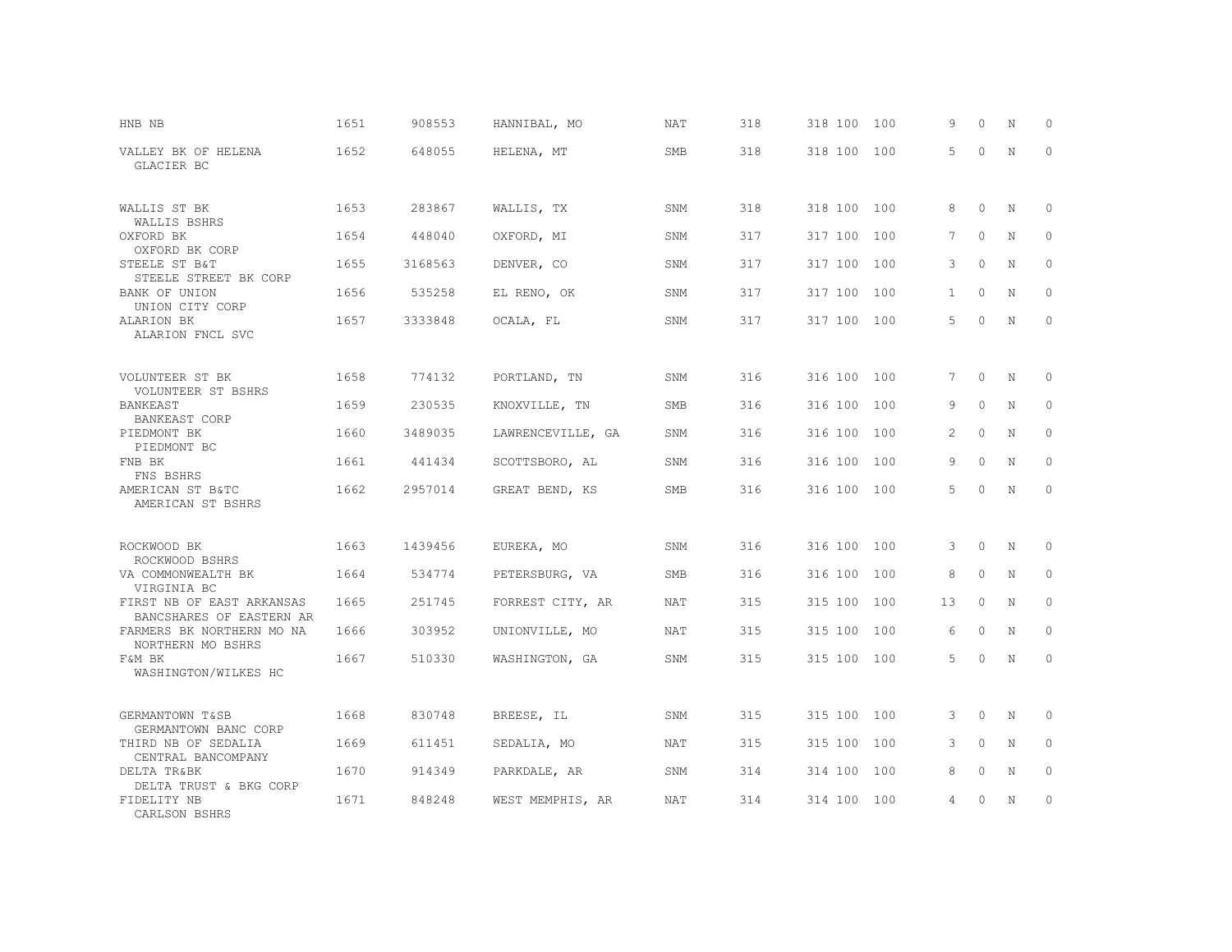| HNB NB                                                | 1651 | 908553  | HANNIBAL, MO      | NAT        | 318 | 318 100     | 100 | 9            | 0        | N | $\circ$     |
|-------------------------------------------------------|------|---------|-------------------|------------|-----|-------------|-----|--------------|----------|---|-------------|
| VALLEY BK OF HELENA<br>GLACIER BC                     | 1652 | 648055  | HELENA, MT        | <b>SMB</b> | 318 | 318 100     | 100 | 5            | $\circ$  | N | $\circ$     |
| WALLIS ST BK                                          | 1653 | 283867  | WALLIS, TX        | <b>SNM</b> | 318 | 318 100 100 |     | 8            | $\circ$  | N | $\mathbf 0$ |
| WALLIS BSHRS<br>OXFORD BK                             | 1654 | 448040  | OXFORD, MI        | SNM        | 317 | 317 100     | 100 | 7            | $\circ$  | N | $\circ$     |
| OXFORD BK CORP<br>STEELE ST B&T                       | 1655 | 3168563 | DENVER, CO        | SNM        | 317 | 317 100     | 100 | 3            | $\circ$  | N | $\circ$     |
| STEELE STREET BK CORP<br>BANK OF UNION                | 1656 | 535258  | EL RENO, OK       | SNM        | 317 | 317 100     | 100 | $\mathbf{1}$ | $\circ$  | N | $\circ$     |
| UNION CITY CORP<br>ALARION BK<br>ALARION FNCL SVC     | 1657 | 3333848 | OCALA, FL         | SNM        | 317 | 317 100     | 100 | 5            | $\circ$  | N | $\circ$     |
|                                                       |      |         |                   |            |     |             |     |              |          |   |             |
| VOLUNTEER ST BK<br>VOLUNTEER ST BSHRS                 | 1658 | 774132  | PORTLAND, TN      | SNM        | 316 | 316 100 100 |     | 7            | $\circ$  | N | $\mathbf 0$ |
| BANKEAST<br><b>BANKEAST CORP</b>                      | 1659 | 230535  | KNOXVILLE, TN     | SMB        | 316 | 316 100     | 100 | 9            | $\circ$  | N | $\circ$     |
| PIEDMONT BK<br>PIEDMONT BC                            | 1660 | 3489035 | LAWRENCEVILLE, GA | SNM        | 316 | 316 100     | 100 | 2            | $\circ$  | N | $\circ$     |
| FNB BK<br>FNS BSHRS                                   | 1661 | 441434  | SCOTTSBORO, AL    | <b>SNM</b> | 316 | 316 100     | 100 | 9            | $\Omega$ | N | $\circ$     |
| AMERICAN ST B&TC<br>AMERICAN ST BSHRS                 | 1662 | 2957014 | GREAT BEND, KS    | <b>SMB</b> | 316 | 316 100 100 |     | 5            | $\circ$  | N | $\circ$     |
| ROCKWOOD BK<br>ROCKWOOD BSHRS                         | 1663 | 1439456 | EUREKA, MO        | SNM        | 316 | 316 100 100 |     | 3            | 0        | N | $\circ$     |
| VA COMMONWEALTH BK<br>VIRGINIA BC                     | 1664 | 534774  | PETERSBURG, VA    | <b>SMB</b> | 316 | 316 100     | 100 | 8            | $\circ$  | N | $\circ$     |
| FIRST NB OF EAST ARKANSAS                             | 1665 | 251745  | FORREST CITY, AR  | NAT        | 315 | 315 100 100 |     | 13           | $\circ$  | N | $\circ$     |
| BANCSHARES OF EASTERN AR<br>FARMERS BK NORTHERN MO NA | 1666 | 303952  | UNIONVILLE, MO    | NAT        | 315 | 315 100 100 |     | 6            | 0        | N | $\circ$     |
| NORTHERN MO BSHRS<br>F&M BK<br>WASHINGTON/WILKES HC   | 1667 | 510330  | WASHINGTON, GA    | SNM        | 315 | 315 100 100 |     | 5            | $\Omega$ | N | $\circ$     |
|                                                       |      |         |                   |            |     |             |     |              |          |   |             |
| GERMANTOWN T&SB<br>GERMANTOWN BANC CORP               | 1668 | 830748  | BREESE, IL        | <b>SNM</b> | 315 | 315 100 100 |     | 3            | $\circ$  | N | 0           |
| THIRD NB OF SEDALIA<br>CENTRAL BANCOMPANY             | 1669 | 611451  | SEDALIA, MO       | <b>NAT</b> | 315 | 315 100     | 100 | 3            | $\circ$  | N | $\circ$     |
| DELTA TR&BK<br>DELTA TRUST & BKG CORP                 | 1670 | 914349  | PARKDALE, AR      | SNM        | 314 | 314 100     | 100 | 8            | $\circ$  | N | $\circ$     |
| FIDELITY NB<br>CARLSON BSHRS                          | 1671 | 848248  | WEST MEMPHIS, AR  | NAT        | 314 | 314 100 100 |     | 4            | 0        | N | $\circ$     |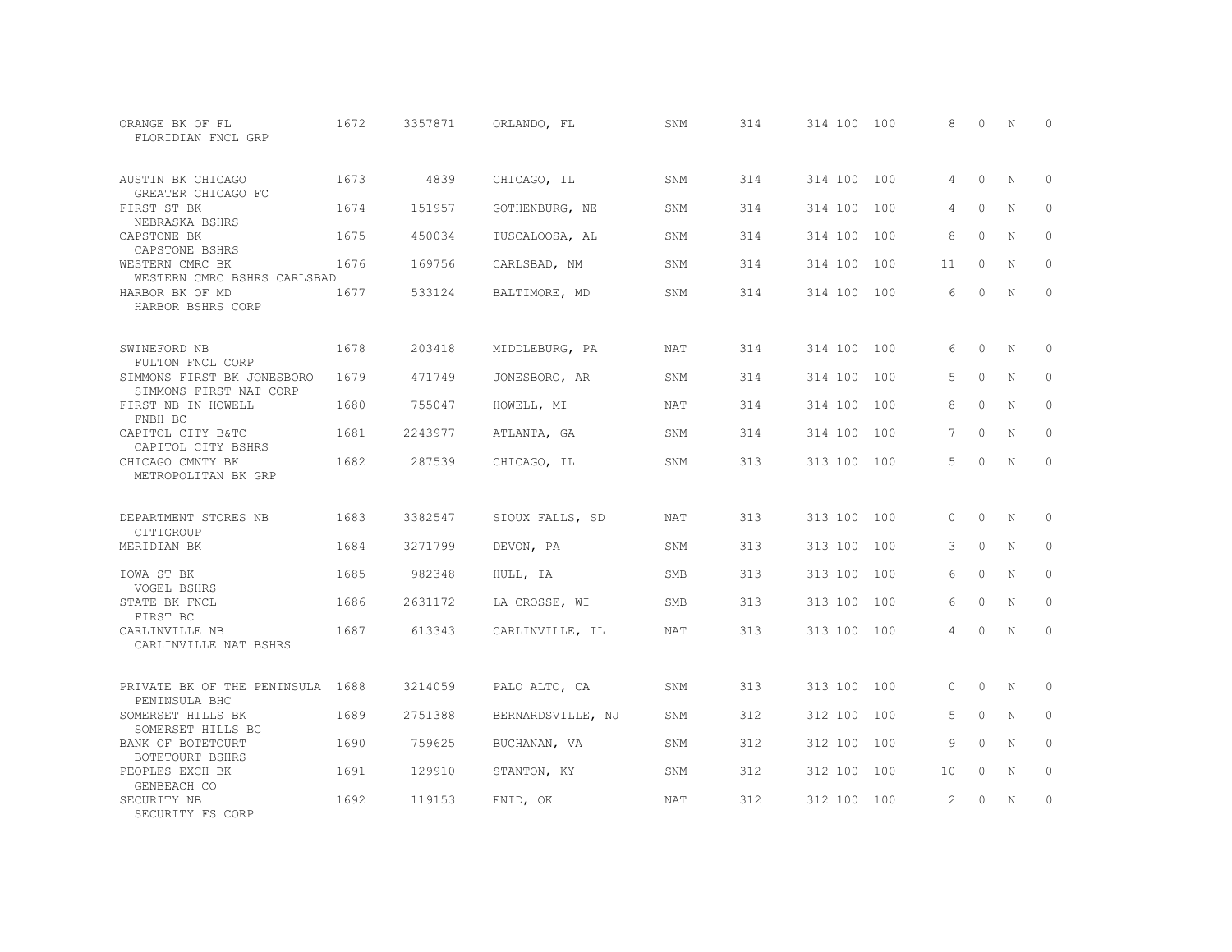| ORANGE BK OF FL<br>FLORIDIAN FNCL GRP                | 1672 | 3357871 | ORLANDO, FL       | SNM        | 314 | 314 100 100 |     | 8        | $\Omega$ | N           | $\Omega$     |
|------------------------------------------------------|------|---------|-------------------|------------|-----|-------------|-----|----------|----------|-------------|--------------|
| AUSTIN BK CHICAGO<br>GREATER CHICAGO FC              | 1673 | 4839    | CHICAGO, IL       | SNM        | 314 | 314 100 100 |     | 4        | $\Omega$ | N           | $\Omega$     |
| FIRST ST BK<br>NEBRASKA BSHRS                        | 1674 | 151957  | GOTHENBURG, NE    | SNM        | 314 | 314 100     | 100 | 4        | $\Omega$ | $\mathbf N$ | $\Omega$     |
| CAPSTONE BK<br>CAPSTONE BSHRS                        | 1675 | 450034  | TUSCALOOSA, AL    | SNM        | 314 | 314 100     | 100 | 8        | $\Omega$ | N           | 0            |
| WESTERN CMRC BK<br>WESTERN CMRC BSHRS CARLSBAD       | 1676 | 169756  | CARLSBAD, NM      | SNM        | 314 | 314 100     | 100 | 11       | $\Omega$ | N           | $\Omega$     |
| HARBOR BK OF MD<br>HARBOR BSHRS CORP                 | 1677 | 533124  | BALTIMORE, MD     | SNM        | 314 | 314 100 100 |     | 6        | $\Omega$ | $\mathbb N$ | $\mathbf{0}$ |
| SWINEFORD NB<br>FULTON FNCL CORP                     | 1678 | 203418  | MIDDLEBURG, PA    | NAT        | 314 | 314 100 100 |     | 6        | $\Omega$ | N           | $\circ$      |
| SIMMONS FIRST BK JONESBORO<br>SIMMONS FIRST NAT CORP | 1679 | 471749  | JONESBORO, AR     | SNM        | 314 | 314 100     | 100 | 5        | $\Omega$ | N           | $\Omega$     |
| FIRST NB IN HOWELL<br>FNBH BC                        | 1680 | 755047  | HOWELL, MI        | NAT        | 314 | 314 100     | 100 | 8        | $\Omega$ | N           | $\Omega$     |
| CAPITOL CITY B&TC<br>CAPITOL CITY BSHRS              | 1681 | 2243977 | ATLANTA, GA       | SNM        | 314 | 314 100     | 100 | 7        | $\Omega$ | N           | $\Omega$     |
| CHICAGO CMNTY BK<br>METROPOLITAN BK GRP              | 1682 | 287539  | CHICAGO, IL       | SNM        | 313 | 313 100 100 |     | 5        | $\Omega$ | N           | $\Omega$     |
| DEPARTMENT STORES NB<br>CITIGROUP                    | 1683 | 3382547 | SIOUX FALLS, SD   | <b>NAT</b> | 313 | 313 100 100 |     | $\cap$   | $\Omega$ | $_{\rm N}$  | $\Omega$     |
| MERIDIAN BK                                          | 1684 | 3271799 | DEVON, PA         | SNM        | 313 | 313 100     | 100 | 3        | $\Omega$ | N           | $\Omega$     |
| IOWA ST BK<br>VOGEL BSHRS                            | 1685 | 982348  | HULL, IA          | <b>SMB</b> | 313 | 313 100     | 100 | 6        | $\Omega$ | N           | $\Omega$     |
| STATE BK FNCL<br>FIRST BC                            | 1686 | 2631172 | LA CROSSE, WI     | <b>SMB</b> | 313 | 313 100     | 100 | 6        | $\circ$  | N           | $\Omega$     |
| CARLINVILLE NB<br>CARLINVILLE NAT BSHRS              | 1687 | 613343  | CARLINVILLE, IL   | <b>NAT</b> | 313 | 313 100 100 |     | 4        | $\Omega$ | $\mathbb N$ | $\Omega$     |
| PRIVATE BK OF THE PENINSULA 1688<br>PENINSULA BHC    |      | 3214059 | PALO ALTO, CA     | SNM        | 313 | 313 100 100 |     | $\Omega$ | $\Omega$ | N           | $\Omega$     |
| SOMERSET HILLS BK<br>SOMERSET HILLS BC               | 1689 | 2751388 | BERNARDSVILLE, NJ | SNM        | 312 | 312 100     | 100 | 5        | $\circ$  | N           | $\circ$      |
| BANK OF BOTETOURT<br>BOTETOURT BSHRS                 | 1690 | 759625  | BUCHANAN, VA      | SNM        | 312 | 312 100     | 100 | 9        | $\Omega$ | N           | $\Omega$     |
| PEOPLES EXCH BK<br>GENBEACH CO                       | 1691 | 129910  | STANTON, KY       | SNM        | 312 | 312 100     | 100 | 10       | $\circ$  | N           | $\circ$      |
| SECURITY NB<br>SECURITY FS CORP                      | 1692 | 119153  | ENID, OK          | <b>NAT</b> | 312 | 312 100 100 |     | 2        | $\Omega$ | $\mathbf N$ | $\Omega$     |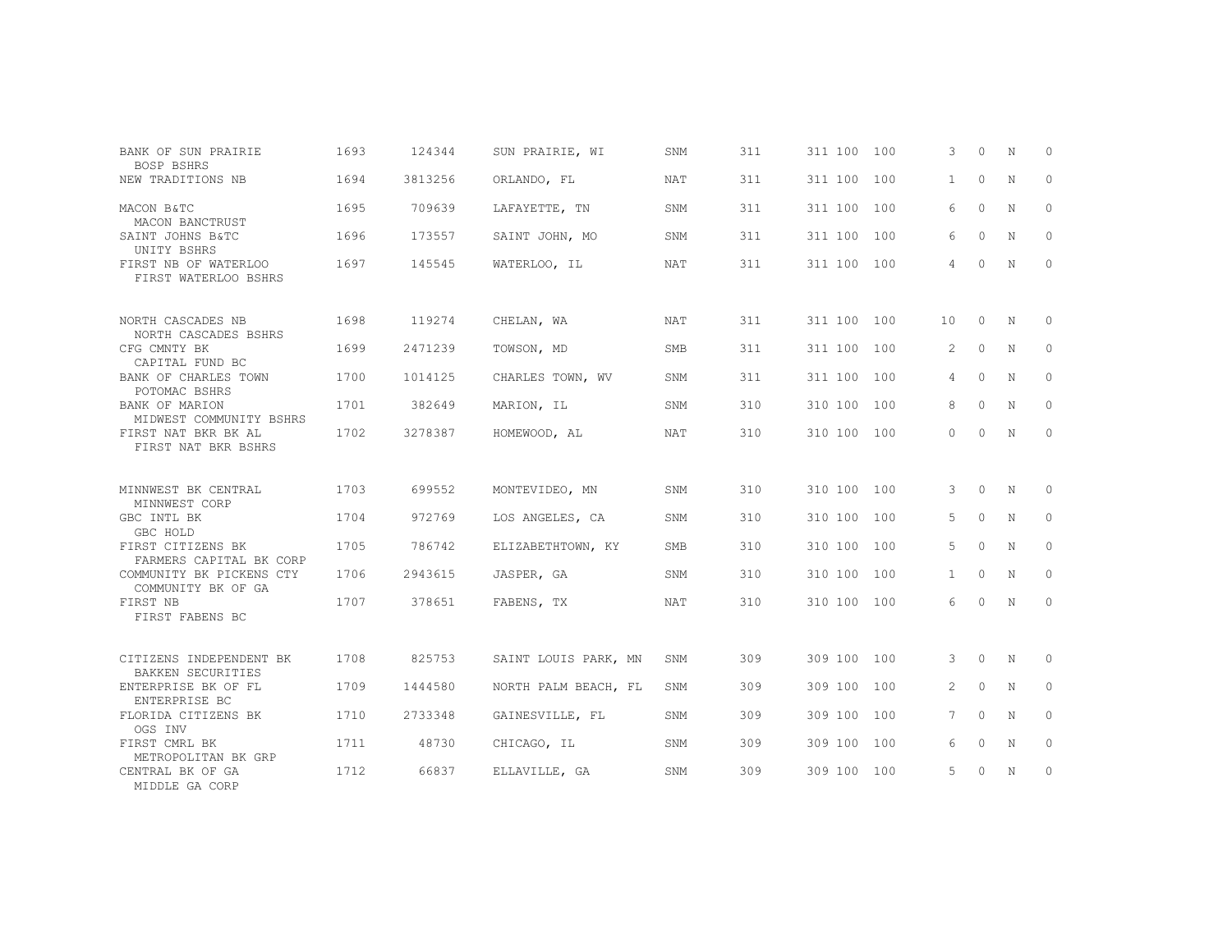| BANK OF SUN PRAIRIE<br>BOSP BSHRS                        | 1693 | 124344  | SUN PRAIRIE, WI      | SNM        | 311 | 311 100 100 |     | 3              | $\Omega$ | N | $\Omega$     |
|----------------------------------------------------------|------|---------|----------------------|------------|-----|-------------|-----|----------------|----------|---|--------------|
| NEW TRADITIONS NB                                        | 1694 | 3813256 | ORLANDO, FL          | NAT        | 311 | 311 100     | 100 | $\mathbf{1}$   | $\Omega$ | N | $\mathbf{0}$ |
| MACON B&TC<br>MACON BANCTRUST                            | 1695 | 709639  | LAFAYETTE, TN        | SNM        | 311 | 311 100     | 100 | 6              | $\circ$  | N | 0            |
| SAINT JOHNS B&TC<br>UNITY BSHRS                          | 1696 | 173557  | SAINT JOHN, MO       | SNM        | 311 | 311 100     | 100 | 6              | $\Omega$ | N | $\Omega$     |
| FIRST NB OF WATERLOO<br>FIRST WATERLOO BSHRS             | 1697 | 145545  | WATERLOO, IL         | <b>NAT</b> | 311 | 311 100 100 |     | 4              | $\Omega$ | N | $\Omega$     |
| NORTH CASCADES NB                                        | 1698 | 119274  | CHELAN, WA           | NAT        | 311 | 311 100     | 100 | 10             | $\Omega$ | N | $\Omega$     |
| NORTH CASCADES BSHRS<br>CFG CMNTY BK                     | 1699 | 2471239 | TOWSON, MD           | <b>SMB</b> | 311 | 311 100     | 100 | $\overline{2}$ | $\circ$  | N | $\mathbf{0}$ |
| CAPITAL FUND BC<br>BANK OF CHARLES TOWN<br>POTOMAC BSHRS | 1700 | 1014125 | CHARLES TOWN, WV     | SNM        | 311 | 311 100     | 100 | 4              | $\Omega$ | N | $\Omega$     |
| BANK OF MARION<br>MIDWEST COMMUNITY BSHRS                | 1701 | 382649  | MARION, IL           | SNM        | 310 | 310 100     | 100 | 8              | $\circ$  | N | $\mathbf{0}$ |
| FIRST NAT BKR BK AL<br>FIRST NAT BKR BSHRS               | 1702 | 3278387 | HOMEWOOD, AL         | <b>NAT</b> | 310 | 310 100 100 |     | $\Omega$       | $\Omega$ | N | $\Omega$     |
| MINNWEST BK CENTRAL                                      | 1703 | 699552  | MONTEVIDEO, MN       | SNM        | 310 | 310 100     | 100 | 3              | $\circ$  | N | $\circ$      |
| MINNWEST CORP<br>GBC INTL BK                             | 1704 | 972769  | LOS ANGELES, CA      | SNM        | 310 | 310 100     | 100 | 5              | $\circ$  | N | 0            |
| GBC HOLD<br>FIRST CITIZENS BK<br>FARMERS CAPITAL BK CORP | 1705 | 786742  | ELIZABETHTOWN, KY    | SMB        | 310 | 310 100     | 100 | 5              | $\Omega$ | N | 0            |
| COMMUNITY BK PICKENS CTY<br>COMMUNITY BK OF GA           | 1706 | 2943615 | JASPER, GA           | SNM        | 310 | 310 100     | 100 | $\mathbf{1}$   | $\Omega$ | N | $\Omega$     |
| FIRST NB<br>FIRST FABENS BC                              | 1707 | 378651  | FABENS, TX           | NAT        | 310 | 310 100 100 |     | 6              | $\Omega$ | N | $\circ$      |
|                                                          |      |         |                      |            |     |             |     |                |          |   |              |
| CITIZENS INDEPENDENT BK<br><b>BAKKEN SECURITIES</b>      | 1708 | 825753  | SAINT LOUIS PARK, MN | SNM        | 309 | 309 100     | 100 | 3              | $\circ$  | N | $\mathbf{0}$ |
| ENTERPRISE BK OF FL<br>ENTERPRISE BC                     | 1709 | 1444580 | NORTH PALM BEACH, FL | SNM        | 309 | 309 100     | 100 | 2              | $\Omega$ | N | $\mathbf{0}$ |
| FLORIDA CITIZENS BK<br>OGS INV                           | 1710 | 2733348 | GAINESVILLE, FL      | SNM        | 309 | 309 100     | 100 | 7              | $\Omega$ | N | $\Omega$     |
| FIRST CMRL BK<br>METROPOLITAN BK GRP                     | 1711 | 48730   | CHICAGO, IL          | SNM        | 309 | 309 100     | 100 | 6              | $\Omega$ | N | $\Omega$     |
| CENTRAL BK OF GA<br>MIDDLE GA CORP                       | 1712 | 66837   | ELLAVILLE, GA        | SNM        | 309 | 309 100     | 100 | 5              | $\Omega$ | N | $\mathbf{0}$ |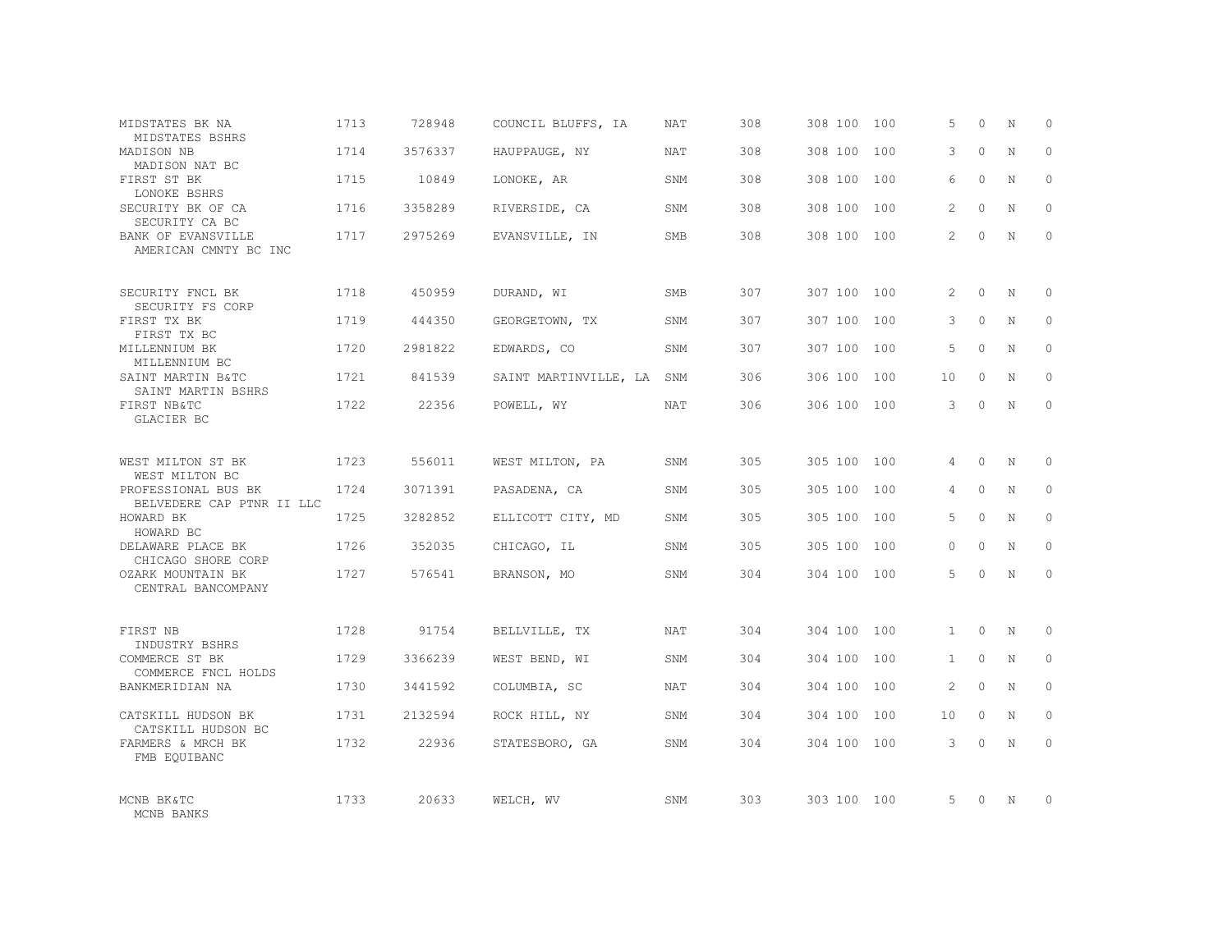| MIDSTATES BK NA<br>MIDSTATES BSHRS                      | 1713 | 728948  | COUNCIL BLUFFS, IA    | <b>NAT</b> | 308 | 308 100     | 100 | 5              | $\Omega$ | N           | $\Omega$ |
|---------------------------------------------------------|------|---------|-----------------------|------------|-----|-------------|-----|----------------|----------|-------------|----------|
| MADISON NB<br>MADISON NAT BC                            | 1714 | 3576337 | HAUPPAUGE, NY         | <b>NAT</b> | 308 | 308 100     | 100 | 3              | $\Omega$ | $\mathbf N$ | $\Omega$ |
| FIRST ST BK<br>LONOKE BSHRS                             | 1715 | 10849   | LONOKE, AR            | SNM        | 308 | 308 100     | 100 | 6              | $\Omega$ | N           | $\Omega$ |
| SECURITY BK OF CA<br>SECURITY CA BC                     | 1716 | 3358289 | RIVERSIDE, CA         | SNM        | 308 | 308 100     | 100 | $\mathfrak{D}$ | $\Omega$ | $\mathbf N$ | $\Omega$ |
| <b>BANK OF EVANSVILLE</b><br>AMERICAN CMNTY BC INC      | 1717 | 2975269 | EVANSVILLE, IN        | SMB        | 308 | 308 100     | 100 | $\overline{2}$ | $\Omega$ | N           | $\Omega$ |
| SECURITY FNCL BK                                        | 1718 | 450959  | DURAND, WI            | SMB        | 307 | 307 100     | 100 | 2              | $\Omega$ | N           | $\Omega$ |
| SECURITY FS CORP<br>FIRST TX BK<br>FIRST TX BC          | 1719 | 444350  | GEORGETOWN, TX        | SNM        | 307 | 307 100     | 100 | 3              | $\Omega$ | $\mathbf N$ | $\Omega$ |
| MILLENNIUM BK<br>MILLENNIUM BC                          | 1720 | 2981822 | EDWARDS, CO           | SNM        | 307 | 307 100     | 100 | 5              | $\Omega$ | N           | $\Omega$ |
| SAINT MARTIN B&TC<br>SAINT MARTIN BSHRS                 | 1721 | 841539  | SAINT MARTINVILLE, LA | SNM        | 306 | 306 100     | 100 | 10             | $\Omega$ | N           | $\Omega$ |
| FIRST NB&TC<br>GLACIER BC                               | 1722 | 22356   | POWELL, WY            | NAT        | 306 | 306 100 100 |     | 3              | $\Omega$ | N           | $\Omega$ |
| WEST MILTON ST BK<br>WEST MILTON BC                     | 1723 | 556011  | WEST MILTON, PA       | SNM        | 305 | 305 100     | 100 | 4              | $\Omega$ | N           | $\Omega$ |
| PROFESSIONAL BUS BK<br>BELVEDERE CAP PTNR II LLC        | 1724 | 3071391 | PASADENA, CA          | SNM        | 305 | 305 100     | 100 | 4              | $\circ$  | N           | $\Omega$ |
| HOWARD BK<br>HOWARD BC                                  | 1725 | 3282852 | ELLICOTT CITY, MD     | SNM        | 305 | 305 100     | 100 | 5              | $\Omega$ | N           | $\Omega$ |
| DELAWARE PLACE BK<br>CHICAGO SHORE CORP                 | 1726 | 352035  | CHICAGO, IL           | SNM        | 305 | 305 100     | 100 | $\Omega$       | $\Omega$ | $\mathbf N$ | $\Omega$ |
| OZARK MOUNTAIN BK<br>CENTRAL BANCOMPANY                 | 1727 | 576541  | BRANSON, MO           | SNM        | 304 | 304 100     | 100 | 5              | $\Omega$ | N           | $\Omega$ |
| FIRST NB                                                | 1728 | 91754   | BELLVILLE, TX         | <b>NAT</b> | 304 | 304 100     | 100 | $\mathbf{1}$   | $\Omega$ | $\mathbb N$ | $\Omega$ |
| INDUSTRY BSHRS<br>COMMERCE ST BK<br>COMMERCE FNCL HOLDS | 1729 | 3366239 | WEST BEND, WI         | SNM        | 304 | 304 100     | 100 | $\mathbf{1}$   | $\circ$  | N           | $\circ$  |
| BANKMERIDIAN NA                                         | 1730 | 3441592 | COLUMBIA, SC          | <b>NAT</b> | 304 | 304 100     | 100 | $\mathfrak{D}$ | $\Omega$ | N           | $\Omega$ |
| CATSKILL HUDSON BK<br>CATSKILL HUDSON BC                | 1731 | 2132594 | ROCK HILL, NY         | SNM        | 304 | 304 100     | 100 | 10             | $\circ$  | N           | $\Omega$ |
| FARMERS & MRCH BK<br>FMB EQUIBANC                       | 1732 | 22936   | STATESBORO, GA        | SNM        | 304 | 304 100 100 |     | 3              | $\Omega$ | $\mathbf N$ | $\Omega$ |
| MCNB BK&TC<br>MCNB BANKS                                | 1733 | 20633   | WELCH, WV             | SNM        | 303 | 303 100 100 |     | 5.             | $\Omega$ | N           | $\Omega$ |